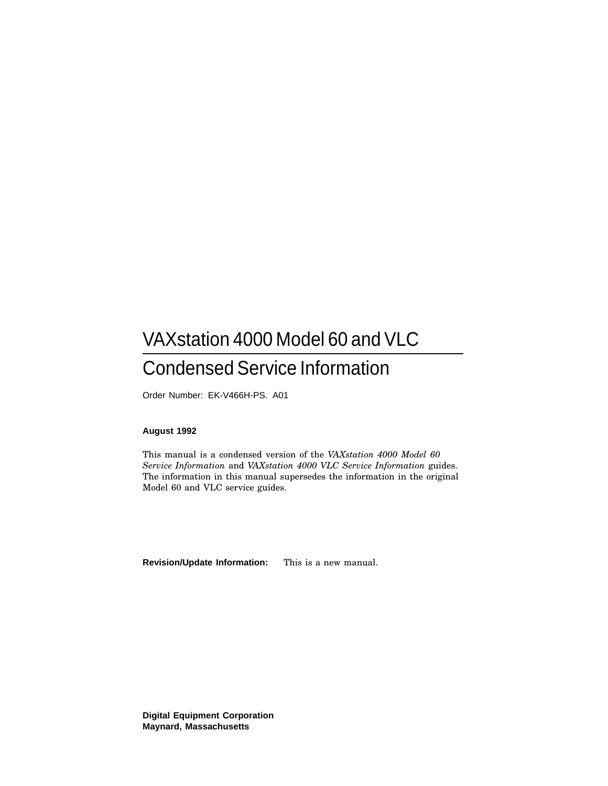## VAXstation 4000 Model 60 and VLC Condensed Service Information

Order Number: EK-V466H-PS. A01

#### **August 1992**

This manual is a condensed version of the *VAXstation 4000 Model 60 Service Information* and *VAXstation 4000 VLC Service Information* guides. The information in this manual supersedes the information in the original Model 60 and VLC service guides.

**Revision/Update Information:** This is a new manual.

**Digital Equipment Corporation Maynard, Massachusetts**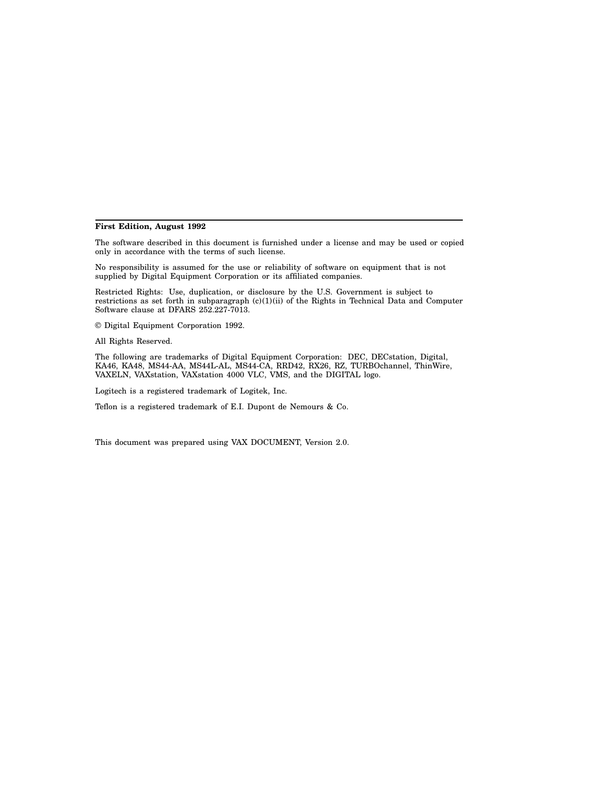#### **First Edition, August 1992**

The software described in this document is furnished under a license and may be used or copied only in accordance with the terms of such license.

No responsibility is assumed for the use or reliability of software on equipment that is not supplied by Digital Equipment Corporation or its affiliated companies.

Restricted Rights: Use, duplication, or disclosure by the U.S. Government is subject to restrictions as set forth in subparagraph (c)(1)(ii) of the Rights in Technical Data and Computer Software clause at DFARS 252.227-7013.

© Digital Equipment Corporation 1992.

All Rights Reserved.

The following are trademarks of Digital Equipment Corporation: DEC, DECstation, Digital, KA46, KA48, MS44-AA, MS44L-AL, MS44-CA, RRD42, RX26, RZ, TURBOchannel, ThinWire, VAXELN, VAXstation, VAXstation 4000 VLC, VMS, and the DIGITAL logo.

Logitech is a registered trademark of Logitek, Inc.

Teflon is a registered trademark of E.I. Dupont de Nemours & Co.

This document was prepared using VAX DOCUMENT, Version 2.0.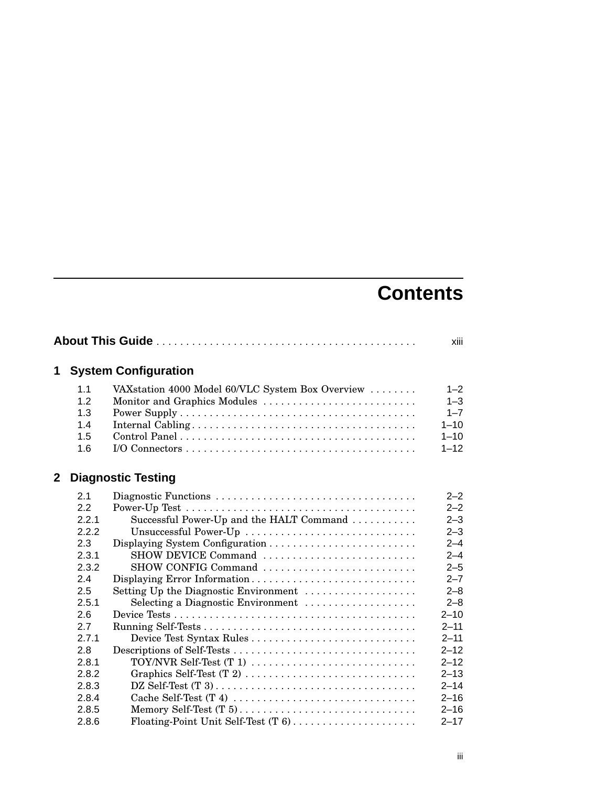# **Contents**

|   |            |                                                  | xiii               |
|---|------------|--------------------------------------------------|--------------------|
| 1 |            | <b>System Configuration</b>                      |                    |
|   | 1.1        | VAXstation 4000 Model 60/VLC System Box Overview | $1 - 2$            |
|   | 1.2<br>1.3 | Monitor and Graphics Modules                     | $1 - 3$<br>$1 - 7$ |
|   | 1.4        |                                                  | $1 - 10$           |
|   | 1.5        |                                                  | $1 - 10$           |
|   | 1.6        |                                                  | $1 - 12$           |
|   |            |                                                  |                    |
| 2 |            | <b>Diagnostic Testing</b>                        |                    |
|   | 2.1        |                                                  | $2 - 2$            |
|   | 2.2        |                                                  | $2 - 2$            |
|   | 2.2.1      | Successful Power-Up and the HALT Command         | $2 - 3$            |
|   | 2.2.2      | Unsuccessful Power-Up                            | $2 - 3$            |
|   | 2.3        |                                                  | $2 - 4$            |
|   | 2.3.1      | SHOW DEVICE Command                              | $2 - 4$            |
|   | 2.3.2      | SHOW CONFIG Command                              | $2 - 5$            |
|   | 2.4        | Displaying Error Information                     | $2 - 7$            |
|   | 2.5        | Setting Up the Diagnostic Environment            | $2 - 8$            |
|   | 2.5.1      | Selecting a Diagnostic Environment               | $2 - 8$            |
|   | 2.6        |                                                  | $2 - 10$           |
|   | 2.7        |                                                  | $2 - 11$           |
|   | 2.7.1      | Device Test Syntax Rules                         | $2 - 11$           |
|   | 2.8        |                                                  | $2 - 12$           |
|   | 2.8.1      | TOY/NVR Self-Test $(T 1)$                        | $2 - 12$           |
|   | 2.8.2      | Graphics Self-Test (T 2)                         | $2 - 13$           |
|   | 2.8.3      |                                                  | $2 - 14$           |
|   | 2.8.4      |                                                  | $2 - 16$           |
|   | 2.8.5      | Memory Self-Test (T 5)                           | $2 - 16$           |
|   | 2.8.6      |                                                  | $2 - 17$           |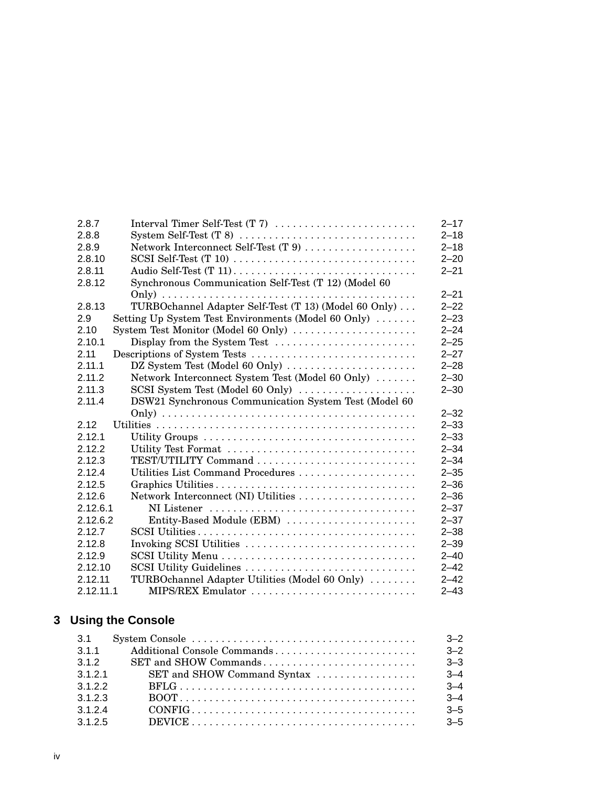| 2.8.7     |                                                       | $2 - 17$ |
|-----------|-------------------------------------------------------|----------|
| 2.8.8     |                                                       | $2 - 18$ |
| 2.8.9     | Network Interconnect Self-Test (T 9)                  | $2 - 18$ |
| 2.8.10    |                                                       | $2 - 20$ |
| 2.8.11    |                                                       | $2 - 21$ |
| 2.8.12    | Synchronous Communication Self-Test (T 12) (Model 60  |          |
|           |                                                       | $2 - 21$ |
| 2.8.13    | TURBOchannel Adapter Self-Test (T 13) (Model 60 Only) | $2 - 22$ |
| 2.9       | Setting Up System Test Environments (Model 60 Only)   | $2 - 23$ |
| 2.10      | System Test Monitor (Model 60 Only)                   | $2 - 24$ |
| 2.10.1    | Display from the System Test                          | $2 - 25$ |
| 2.11      | Descriptions of System Tests                          | $2 - 27$ |
| 2.11.1    | DZ System Test (Model 60 Only)                        | $2 - 28$ |
| 2.11.2    | Network Interconnect System Test (Model 60 Only)      | $2 - 30$ |
| 2.11.3    | SCSI System Test (Model 60 Only)                      | $2 - 30$ |
| 2.11.4    | DSW21 Synchronous Communication System Test (Model 60 |          |
|           |                                                       | $2 - 32$ |
| 2.12      |                                                       | $2 - 33$ |
| 2.12.1    |                                                       | $2 - 33$ |
| 2.12.2    | Utility Test Format                                   | $2 - 34$ |
| 2.12.3    |                                                       | $2 - 34$ |
| 2.12.4    | Utilities List Command Procedures                     | $2 - 35$ |
| 2.12.5    |                                                       | $2 - 36$ |
| 2.12.6    | Network Interconnect (NI) Utilities                   | $2 - 36$ |
| 2.12.6.1  |                                                       | $2 - 37$ |
| 2.12.6.2  | Entity-Based Module (EBM)                             | $2 - 37$ |
| 2.12.7    |                                                       | $2 - 38$ |
| 2.12.8    | Invoking SCSI Utilities                               | $2 - 39$ |
| 2.12.9    |                                                       | $2 - 40$ |
| 2.12.10   | SCSI Utility Guidelines                               | $2 - 42$ |
| 2.12.11   | TURBOchannel Adapter Utilities (Model 60 Only)        | $2 - 42$ |
| 2.12.11.1 | MIPS/REX Emulator                                     | $2 - 43$ |

## **3 Using the Console**

| 3.1     |                                                                                                   | $3 - 2$ |
|---------|---------------------------------------------------------------------------------------------------|---------|
| 3.1.1   |                                                                                                   | $3 - 2$ |
| 3.1.2   |                                                                                                   | $3 - 3$ |
| 3.1.2.1 | SET and SHOW Command Syntax                                                                       | $3 - 4$ |
| 3122    | $BFLG \ldots \ldots \ldots \ldots \ldots \ldots \ldots \ldots \ldots \ldots \ldots \ldots \ldots$ | $3 - 4$ |
| 3123    |                                                                                                   | $3 - 4$ |
| 3124    |                                                                                                   | $3 - 5$ |
| 3.1.2.5 | $DEVICE \ldots \ldots \ldots \ldots \ldots \ldots \ldots \ldots \ldots \ldots \ldots \ldots$      | $3 - 5$ |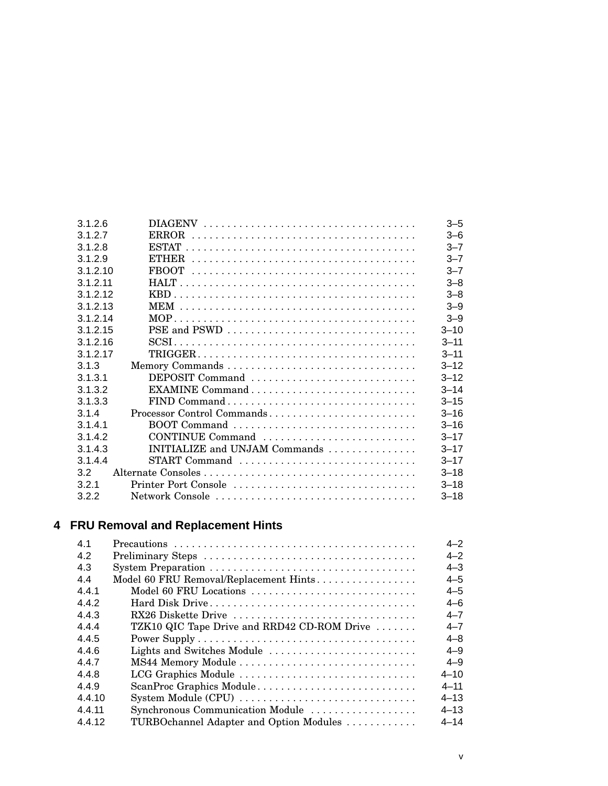| 3.1.2.6  |                               | $3 - 5$  |
|----------|-------------------------------|----------|
| 3127     |                               | $3 - 6$  |
| 3.1.2.8  |                               | $3 - 7$  |
| 3.1.2.9  |                               | $3 - 7$  |
| 3.1.2.10 |                               | $3 - 7$  |
| 3.1.2.11 |                               | $3 - 8$  |
| 3.1.2.12 |                               | $3 - 8$  |
| 3.1.2.13 |                               | $3 - 9$  |
| 3.1.2.14 |                               | $3 - 9$  |
| 3.1.2.15 | PSE and PSWD                  | $3 - 10$ |
| 3.1.2.16 |                               | $3 - 11$ |
| 3.1.2.17 |                               | $3 - 11$ |
| 3.1.3    |                               | $3 - 12$ |
| 3.1.3.1  | DEPOSIT Command               | $3 - 12$ |
| 3.1.3.2  |                               | $3 - 14$ |
| 3.1.3.3  | FIND Command                  | $3 - 15$ |
| 3.1.4    | Processor Control Commands    | $3 - 16$ |
| 3141     | BOOT Command                  | $3 - 16$ |
| 3.1.4.2  | CONTINUE Command              | $3 - 17$ |
| 3.1.4.3  | INITIALIZE and UNJAM Commands | $3 - 17$ |
| 3.1.4.4  | START Command                 | $3 - 17$ |
| 3.2      |                               | $3 - 18$ |
| 3.2.1    | Printer Port Console          | $3 - 18$ |
| 3.2.2    | Network Console               | $3 - 18$ |
|          |                               |          |

## **4 FRU Removal and Replacement Hints**

| 4.1    |                                             | $4 - 2$  |
|--------|---------------------------------------------|----------|
| 4.2    |                                             | $4 - 2$  |
| 4.3    |                                             | $4 - 3$  |
| 4.4    | Model 60 FRU Removal/Replacement Hints      | $4 - 5$  |
| 4.4.1  | Model 60 FRU Locations                      | $4 - 5$  |
| 4.4.2  |                                             | $4 - 6$  |
| 4.4.3  | RX26 Diskette Drive                         | $4 - 7$  |
| 4.4.4  | TZK10 QIC Tape Drive and RRD42 CD-ROM Drive | $4 - 7$  |
| 4.4.5  |                                             | $4 - 8$  |
| 4.4.6  | Lights and Switches Module                  | $4 - 9$  |
| 4.4.7  |                                             | $4 - 9$  |
| 4.4.8  | LCG Graphics Module                         | $4 - 10$ |
| 4.4.9  | ScanProc Graphics Module                    | $4 - 11$ |
| 4.4.10 | System Module (CPU)                         | $4 - 13$ |
| 4.4.11 | Synchronous Communication Module            | $4 - 13$ |
| 4.4.12 | TURBOchannel Adapter and Option Modules     | $4 - 14$ |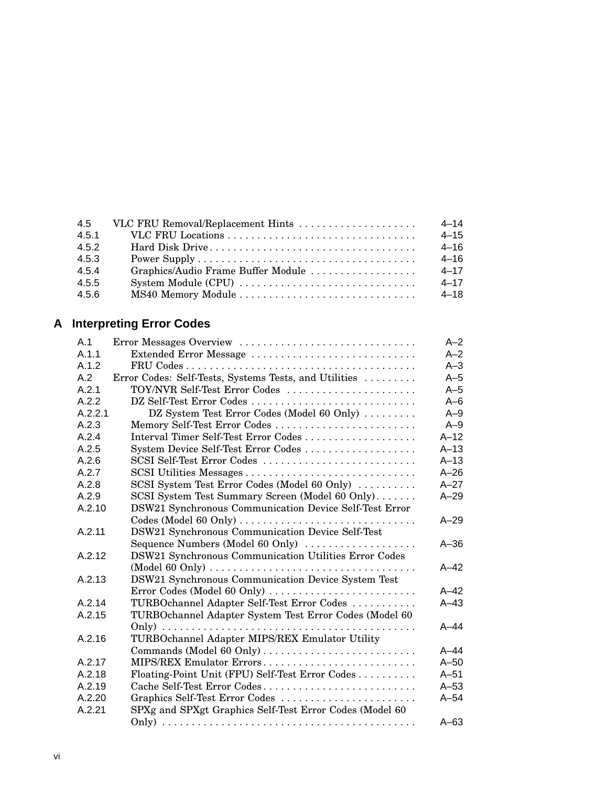| 4.5   | VLC FRU Removal/Replacement Hints  | $4 - 14$ |
|-------|------------------------------------|----------|
| 4.5.1 |                                    | $4 - 15$ |
| 4.5.2 |                                    | $4 - 16$ |
| 4.5.3 |                                    | $4 - 16$ |
| 4.5.4 | Graphics/Audio Frame Buffer Module | $4 - 17$ |
| 4.5.5 | System Module (CPU)                | $4 - 17$ |
| 4.5.6 |                                    | $4 - 18$ |
|       |                                    |          |

## **A Interpreting Error Codes**

| A.1     | Error Messages Overview                                                                                    | $A-2$    |
|---------|------------------------------------------------------------------------------------------------------------|----------|
| A.1.1   | Extended Error Message                                                                                     | $A - 2$  |
| A.1.2   |                                                                                                            | $A-3$    |
| A.2     | Error Codes: Self-Tests, Systems Tests, and Utilities                                                      | $A-5$    |
| A.2.1   | TOY/NVR Self-Test Error Codes                                                                              | $A-5$    |
| A.2.2   | DZ Self-Test Error Codes                                                                                   | $A-6$    |
| A.2.2.1 | DZ System Test Error Codes (Model 60 Only)                                                                 | $A-9$    |
| A.2.3   | Memory Self-Test Error Codes                                                                               | $A-9$    |
| A.2.4   | Interval Timer Self-Test Error Codes                                                                       | $A-12$   |
| A.2.5   | System Device Self-Test Error Codes                                                                        | $A-13$   |
| A.2.6   | SCSI Self-Test Error Codes                                                                                 | $A-13$   |
| A.2.7   | SCSI Utilities Messages                                                                                    | $A - 26$ |
| A.2.8   | SCSI System Test Error Codes (Model 60 Only)                                                               | $A-27$   |
| A.2.9   | SCSI System Test Summary Screen (Model 60 Only)                                                            | $A-29$   |
| A.2.10  | DSW21 Synchronous Communication Device Self-Test Error                                                     |          |
|         | $\text{Codes}$ (Model 60 Only) $\ldots \ldots \ldots \ldots \ldots \ldots \ldots \ldots \ldots$            | $A - 29$ |
| A.2.11  | DSW21 Synchronous Communication Device Self-Test                                                           |          |
|         | Sequence Numbers (Model 60 Only)                                                                           | $A - 36$ |
| A.2.12  | DSW21 Synchronous Communication Utilities Error Codes                                                      |          |
|         | $\pmod{60}$ Only $\cdots$ $\cdots$ $\cdots$ $\cdots$ $\cdots$ $\cdots$ $\cdots$ $\cdots$ $\cdots$ $\cdots$ | $A-42$   |
| A.2.13  | DSW21 Synchronous Communication Device System Test                                                         |          |
|         | Error Codes (Model 60 Only)                                                                                | $A-42$   |
| A.2.14  | TURBOchannel Adapter Self-Test Error Codes                                                                 | $A-43$   |
| A.2.15  | TURBOchannel Adapter System Test Error Codes (Model 60                                                     |          |
|         |                                                                                                            | $A-44$   |
| A.2.16  | TURBOchannel Adapter MIPS/REX Emulator Utility                                                             |          |
|         | Commands (Model 60 Only)                                                                                   | $A-44$   |
| A.2.17  | MIPS/REX Emulator Errors                                                                                   | $A-50$   |
| A.2.18  | Floating-Point Unit (FPU) Self-Test Error Codes                                                            | $A-51$   |
| A.2.19  | Cache Self-Test Error Codes                                                                                | $A-53$   |
| A.2.20  | Graphics Self-Test Error Codes                                                                             | $A-54$   |
| A.2.21  | SPXg and SPXgt Graphics Self-Test Error Codes (Model 60                                                    |          |
|         |                                                                                                            | $A-63$   |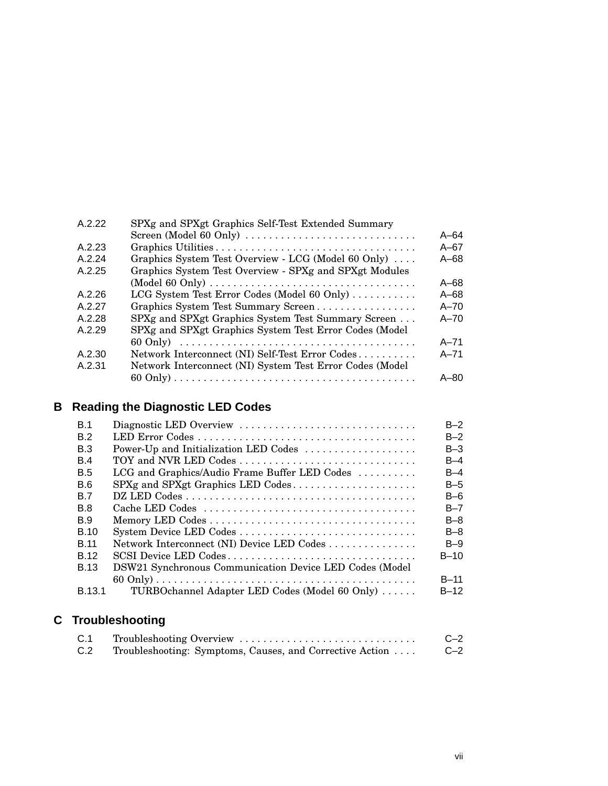| A.2.22 | SPXg and SPXgt Graphics Self-Test Extended Summary       |          |
|--------|----------------------------------------------------------|----------|
|        | Screen (Model 60 Only)                                   | $A - 64$ |
| A.2.23 |                                                          | $A - 67$ |
| A.2.24 | Graphics System Test Overview - LCG (Model 60 Only)      | $A - 68$ |
| A.2.25 | Graphics System Test Overview - SPXg and SPXgt Modules   |          |
|        |                                                          | $A - 68$ |
| A.2.26 | LCG System Test Error Codes (Model 60 Only)              | $A - 68$ |
| A.2.27 | Graphics System Test Summary Screen                      | $A - 70$ |
| A.2.28 | SPXg and SPXgt Graphics System Test Summary Screen       | $A - 70$ |
| A.2.29 | SPXg and SPXgt Graphics System Test Error Codes (Model   |          |
|        |                                                          | $A - 71$ |
| A.2.30 | Network Interconnect (NI) Self-Test Error Codes          | $A - 71$ |
| A.2.31 | Network Interconnect (NI) System Test Error Codes (Model |          |
|        |                                                          | $A - 80$ |
|        |                                                          |          |

## **B Reading the Diagnostic LED Codes**

| B.1         | Diagnostic LED Overview                                 | $B-2$    |
|-------------|---------------------------------------------------------|----------|
| B.2         |                                                         | $B-2$    |
| <b>B.3</b>  | Power-Up and Initialization LED Codes                   | $B-3$    |
| B.4         |                                                         | B-4      |
| <b>B.5</b>  | LCG and Graphics/Audio Frame Buffer LED Codes           | B-4      |
| B.6         | SPXg and SPXgt Graphics LED Codes                       | $B-5$    |
| <b>B.7</b>  |                                                         | $B-6$    |
| <b>B.8</b>  |                                                         | $B - 7$  |
| <b>B.9</b>  |                                                         | $B-8$    |
| <b>B.10</b> |                                                         | $B-8$    |
| <b>B</b> 11 | Network Interconnect (NI) Device LED Codes              | $B-9$    |
| <b>B.12</b> | SCSI Device LED Codes                                   | $B-10$   |
| B.13        | DSW21 Synchronous Communication Device LED Codes (Model |          |
|             |                                                         | $B-11$   |
| B.13.1      | TURBOchannel Adapter LED Codes (Model 60 Only)          | $B - 12$ |
|             |                                                         |          |
|             |                                                         |          |

## **C Troubleshooting**

| C.1 | Troubleshooting Overview                                 | $C-2$ |
|-----|----------------------------------------------------------|-------|
| C.2 | Troubleshooting: Symptoms, Causes, and Corrective Action | $C-2$ |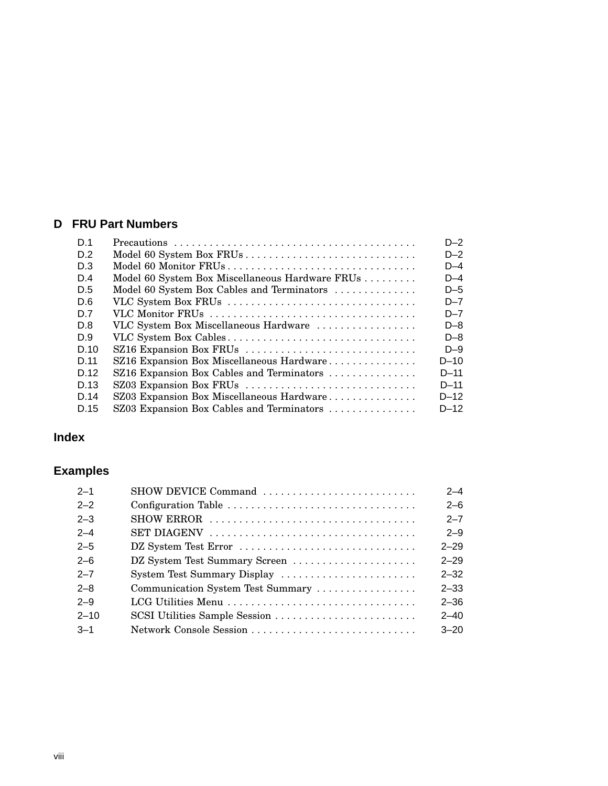#### **D FRU Part Numbers**

| D <sub>1</sub> |                                                 | $D-2$    |
|----------------|-------------------------------------------------|----------|
| D.2            |                                                 | $D-2$    |
| D.3            | Model 60 Monitor FRUs                           | $D-4$    |
| D.4            | Model 60 System Box Miscellaneous Hardware FRUs | $D-4$    |
| D.5            | Model 60 System Box Cables and Terminators      | D-5      |
| D.6            | VLC System Box FRUs                             | $D - 7$  |
| D.7            | VLC Monitor FRUs                                | $D - 7$  |
| D.8            | VLC System Box Miscellaneous Hardware           | $D-8$    |
| D.9            | VLC System Box Cables                           | $D-8$    |
| D.10           | SZ16 Expansion Box FRUs                         | $D-9$    |
| D 11           | SZ16 Expansion Box Miscellaneous Hardware       | $D-10$   |
| D 12           | SZ16 Expansion Box Cables and Terminators       | $D-11$   |
| D.13           | SZ03 Expansion Box FRUs                         | $D - 11$ |
| D.14           | SZ03 Expansion Box Miscellaneous Hardware       | $D-12$   |
| D.15           | SZ03 Expansion Box Cables and Terminators       | $D-12$   |

#### **Index**

## **Examples**

| $2 - 1$  | SHOW DEVICE Command               | $2 - 4$  |
|----------|-----------------------------------|----------|
| $2 - 2$  | Configuration Table               | $2 - 6$  |
| $2 - 3$  |                                   | $2 - 7$  |
| $2 - 4$  |                                   | $2 - 9$  |
| $2 - 5$  | DZ System Test Error              | $2 - 29$ |
| $2 - 6$  | DZ System Test Summary Screen     | $2 - 29$ |
| $2 - 7$  | System Test Summary Display       | $2 - 32$ |
| $2 - 8$  | Communication System Test Summary | $2 - 33$ |
| $2 - 9$  | LCG Utilities Menu                | $2 - 36$ |
| $2 - 10$ | SCSI Utilities Sample Session     | $2 - 40$ |
| $-3-1$   | Network Console Session           | $3 - 20$ |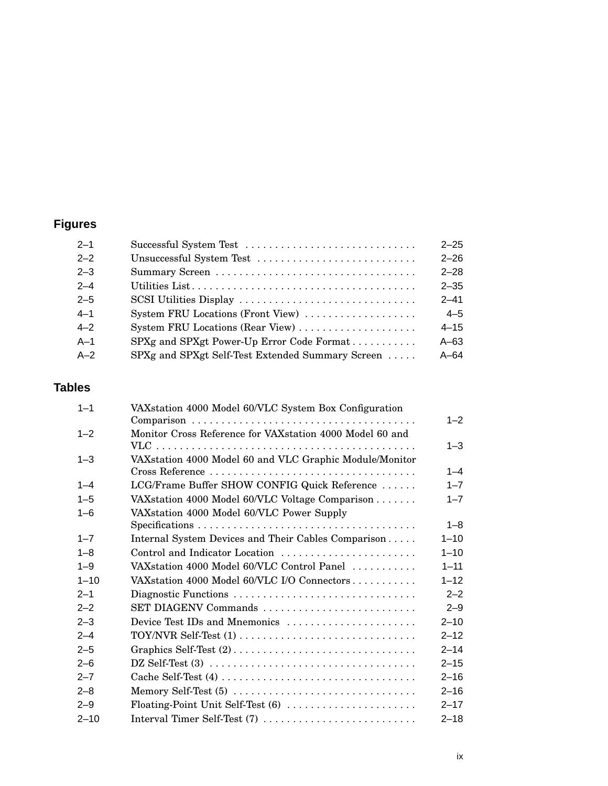## **Figures**

| Successful System Test                           | $2 - 25$ |
|--------------------------------------------------|----------|
| Unsuccessful System Test                         | $2 - 26$ |
|                                                  | $2 - 28$ |
|                                                  | $2 - 35$ |
|                                                  | $2 - 41$ |
| System FRU Locations (Front View)                | $4 - 5$  |
| System FRU Locations (Rear View)                 | $4 - 15$ |
| SPXg and SPXgt Power-Up Error Code Format        | $A-63$   |
| SPXg and SPXgt Self-Test Extended Summary Screen | $A - 64$ |
|                                                  |          |

## **Tables**

| $1 - 1$  | VAXstation 4000 Model 60/VLC System Box Configuration                                         | $1 - 2$  |
|----------|-----------------------------------------------------------------------------------------------|----------|
| $1 - 2$  | Monitor Cross Reference for VAXstation 4000 Model 60 and                                      |          |
|          |                                                                                               | $1 - 3$  |
| $1 - 3$  | VAXstation 4000 Model 60 and VLC Graphic Module/Monitor                                       |          |
|          |                                                                                               | $1 - 4$  |
| $1 - 4$  | LCG/Frame Buffer SHOW CONFIG Quick Reference                                                  | $1 - 7$  |
| $1 - 5$  | VAX station 4000 Model 60/VLC Voltage Comparison                                              | $1 - 7$  |
| $1 - 6$  | VAX station 4000 Model 60/VLC Power Supply                                                    |          |
|          | $Specifications \ldots \ldots \ldots \ldots \ldots \ldots \ldots \ldots \ldots \ldots \ldots$ | $1 - 8$  |
| $1 - 7$  | Internal System Devices and Their Cables Comparison                                           | $1 - 10$ |
| $1 - 8$  | Control and Indicator Location                                                                | $1 - 10$ |
| $1 - 9$  | VAXstation 4000 Model 60/VLC Control Panel                                                    | $1 - 11$ |
| $1 - 10$ | VAX station 4000 Model 60/VLC I/O Connectors                                                  | $1 - 12$ |
| $2 - 1$  | Diagnostic Functions                                                                          | $2 - 2$  |
| $2 - 2$  | SET DIAGENV Commands                                                                          | $2 - 9$  |
| $2 - 3$  | Device Test IDs and Mnemonics                                                                 | $2 - 10$ |
| $2 - 4$  |                                                                                               | $2 - 12$ |
| $2 - 5$  |                                                                                               | $2 - 14$ |
| $2 - 6$  |                                                                                               | $2 - 15$ |
| $2 - 7$  |                                                                                               | $2 - 16$ |
| $2 - 8$  | Memory Self-Test (5)                                                                          | $2 - 16$ |
| $2 - 9$  | Floating-Point Unit Self-Test (6)                                                             | $2 - 17$ |
| $2 - 10$ | Interval Timer Self-Test (7)                                                                  | $2 - 18$ |
|          |                                                                                               |          |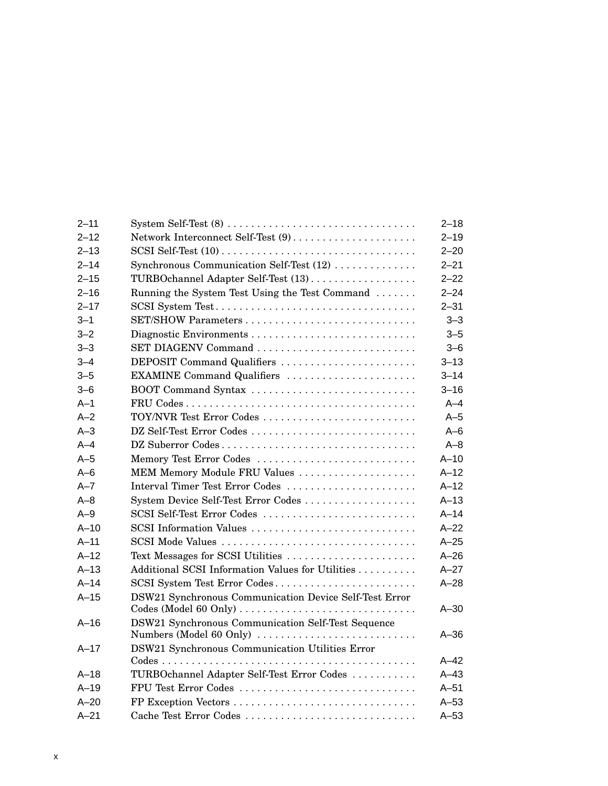| $2 - 11$ |                                                        | $2 - 18$ |
|----------|--------------------------------------------------------|----------|
| $2 - 12$ |                                                        | $2 - 19$ |
| $2 - 13$ |                                                        | $2 - 20$ |
| $2 - 14$ | Synchronous Communication Self-Test (12)               | $2 - 21$ |
| $2 - 15$ | TURBOchannel Adapter Self-Test (13)                    | $2 - 22$ |
| $2 - 16$ | Running the System Test Using the Test Command         | $2 - 24$ |
| $2 - 17$ | SCSI System Test                                       | $2 - 31$ |
| $3 - 1$  | SET/SHOW Parameters                                    | $3 - 3$  |
| $3 - 2$  | Diagnostic Environments                                | $3 - 5$  |
| $3 - 3$  | SET DIAGENV Command                                    | $3 - 6$  |
| $3 - 4$  | DEPOSIT Command Qualifiers                             | $3 - 13$ |
| $3 - 5$  | EXAMINE Command Qualifiers                             | $3 - 14$ |
| $3 - 6$  | BOOT Command Syntax                                    | $3 - 16$ |
| $A-1$    |                                                        | $A - 4$  |
| $A-2$    | TOY/NVR Test Error Codes                               | $A-5$    |
| $A-3$    | DZ Self-Test Error Codes                               | $A - 6$  |
| $A-4$    | DZ Suberror Codes                                      | $A - 8$  |
| $A-5$    | Memory Test Error Codes                                | $A-10$   |
| $A-6$    | MEM Memory Module FRU Values                           | $A-12$   |
| $A - 7$  | Interval Timer Test Error Codes                        | $A-12$   |
| $A - 8$  | System Device Self-Test Error Codes                    | $A-13$   |
| $A-9$    | SCSI Self-Test Error Codes                             | $A-14$   |
| $A-10$   | SCSI Information Values                                | $A-22$   |
| $A-11$   | SCSI Mode Values                                       | $A-25$   |
| $A-12$   | Text Messages for SCSI Utilities                       | $A - 26$ |
| $A-13$   | Additional SCSI Information Values for Utilities       | $A-27$   |
| $A-14$   | SCSI System Test Error Codes                           | $A - 28$ |
| $A-15$   | DSW21 Synchronous Communication Device Self-Test Error |          |
|          | Codes (Model 60 Only)                                  | $A - 30$ |
| $A-16$   | DSW21 Synchronous Communication Self-Test Sequence     |          |
|          | Numbers (Model 60 Only)                                | $A - 36$ |
| $A-17$   | DSW21 Synchronous Communication Utilities Error        |          |
|          |                                                        | $A-42$   |
| $A-18$   | TURBOchannel Adapter Self-Test Error Codes             | $A-43$   |
| $A-19$   | FPU Test Error Codes                                   | $A-51$   |
| $A - 20$ | FP Exception Vectors                                   | $A-53$   |
| $A - 21$ | Cache Test Error Codes                                 | $A-53$   |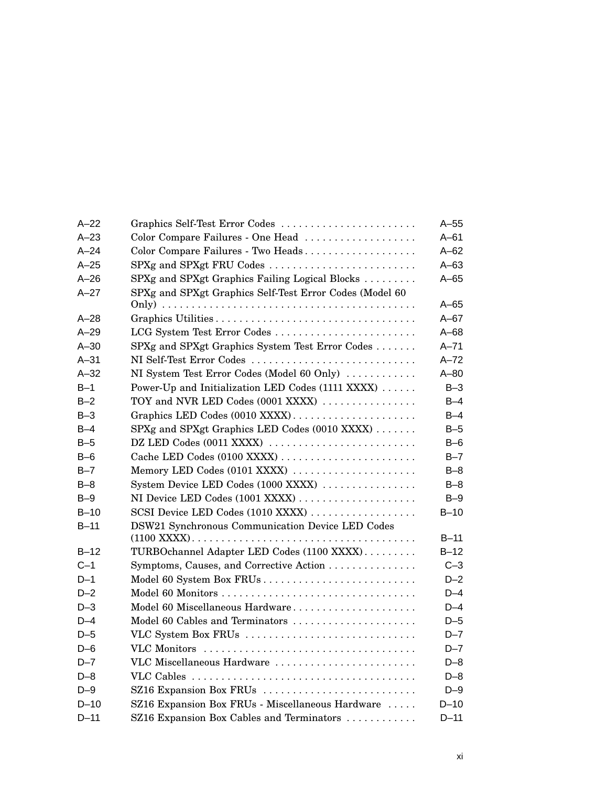| $A-22$   | Graphics Self-Test Error Codes                          | $A-55$   |
|----------|---------------------------------------------------------|----------|
| $A-23$   | Color Compare Failures - One Head                       | $A-61$   |
| $A - 24$ | Color Compare Failures - Two Heads                      | $A-62$   |
| $A-25$   | SPXg and SPXgt FRU Codes                                | $A-63$   |
| $A-26$   | SPXg and SPXgt Graphics Failing Logical Blocks          | $A-65$   |
| $A-27$   | SPXg and SPXgt Graphics Self-Test Error Codes (Model 60 |          |
|          |                                                         | $A - 65$ |
| $A-28$   |                                                         | $A-67$   |
| $A-29$   | LCG System Test Error Codes                             | $A - 68$ |
| $A-30$   | SPXg and SPXgt Graphics System Test Error Codes         | $A - 71$ |
| $A-31$   | NI Self-Test Error Codes                                | $A-72$   |
| $A-32$   | NI System Test Error Codes (Model 60 Only)              | $A - 80$ |
| $B-1$    | Power-Up and Initialization LED Codes (1111 XXXX)       | $B-3$    |
| $B-2$    | TOY and NVR LED Codes (0001 XXXX)                       | $B-4$    |
| $B-3$    | Graphics LED Codes (0010 XXXX)                          | $B-4$    |
| $B-4$    | SPXg and SPXgt Graphics LED Codes (0010 XXXX)           | $B-5$    |
| $B-5$    | DZ LED Codes (0011 XXXX)                                | $B-6$    |
| $B-6$    | Cache LED Codes (0100 XXXX)                             | $B-7$    |
| $B - 7$  | Memory LED Codes (0101 XXXX)                            | $B-8$    |
| $B-8$    | System Device LED Codes (1000 XXXX)                     | $B-8$    |
| $B-9$    | NI Device LED Codes (1001 XXXX)                         | $B-9$    |
| $B-10$   | SCSI Device LED Codes (1010 XXXX)                       | $B-10$   |
| $B-11$   | DSW21 Synchronous Communication Device LED Codes        |          |
|          |                                                         | $B-11$   |
| $B-12$   | TURBOchannel Adapter LED Codes (1100 XXXX)              | $B-12$   |
| $C-1$    | Symptoms, Causes, and Corrective Action                 | $C-3$    |
| $D-1$    | Model 60 System Box FRUs                                | $D-2$    |
| $D-2$    | Model 60 Monitors                                       | $D-4$    |
| $D-3$    | Model 60 Miscellaneous Hardware                         | $D-4$    |
| $D-4$    | Model 60 Cables and Terminators                         | $D-5$    |
| $D-5$    | VLC System Box FRUs                                     | $D - 7$  |
| $D-6$    |                                                         | $D - 7$  |
| $D - 7$  | VLC Miscellaneous Hardware                              | $D-8$    |
| $D-8$    |                                                         | $D-8$    |
| $D-9$    | SZ16 Expansion Box FRUs                                 | $D-9$    |
| $D-10$   | SZ16 Expansion Box FRUs - Miscellaneous Hardware        | $D-10$   |
| $D-11$   | SZ16 Expansion Box Cables and Terminators               | $D-11$   |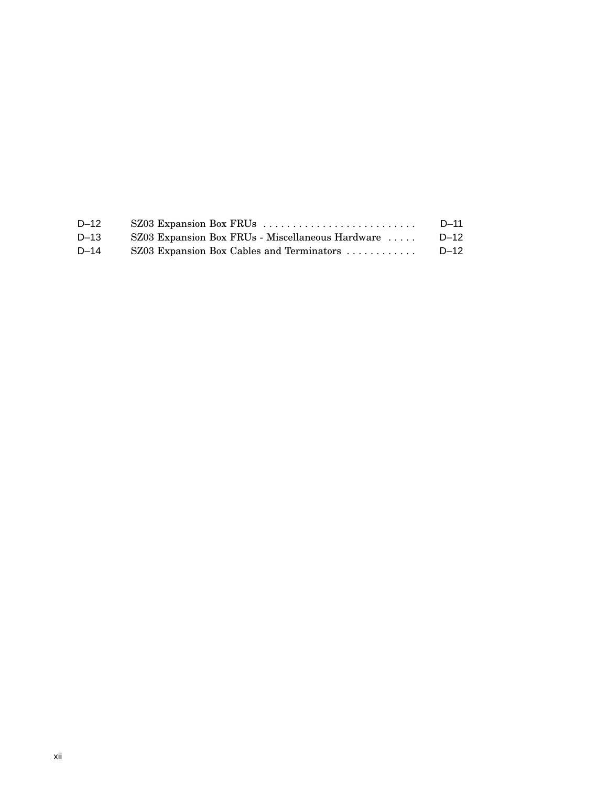| $D-12$   |                                                  | D-11     |
|----------|--------------------------------------------------|----------|
| $D - 13$ | SZ03 Expansion Box FRUs - Miscellaneous Hardware | $D - 12$ |
| $D - 14$ | SZ03 Expansion Box Cables and Terminators        | $D - 12$ |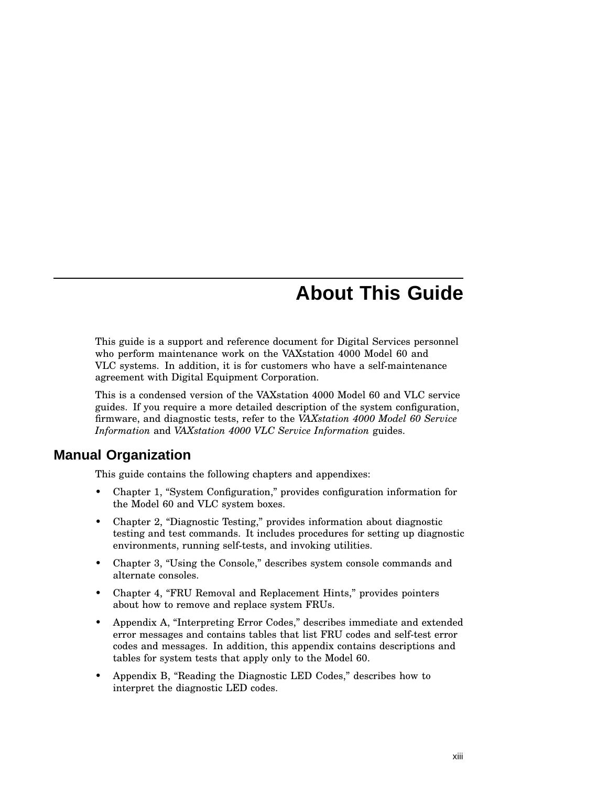## **About This Guide**

This guide is a support and reference document for Digital Services personnel who perform maintenance work on the VAXstation 4000 Model 60 and VLC systems. In addition, it is for customers who have a self-maintenance agreement with Digital Equipment Corporation.

This is a condensed version of the VAXstation 4000 Model 60 and VLC service guides. If you require a more detailed description of the system configuration, firmware, and diagnostic tests, refer to the *VAXstation 4000 Model 60 Service Information* and *VAXstation 4000 VLC Service Information* guides.

#### **Manual Organization**

This guide contains the following chapters and appendixes:

- Chapter 1, ''System Configuration,'' provides configuration information for the Model 60 and VLC system boxes.
- Chapter 2, "Diagnostic Testing," provides information about diagnostic testing and test commands. It includes procedures for setting up diagnostic environments, running self-tests, and invoking utilities.
- Chapter 3, "Using the Console," describes system console commands and alternate consoles.
- Chapter 4, "FRU Removal and Replacement Hints," provides pointers about how to remove and replace system FRUs.
- Appendix A, ''Interpreting Error Codes,'' describes immediate and extended error messages and contains tables that list FRU codes and self-test error codes and messages. In addition, this appendix contains descriptions and tables for system tests that apply only to the Model 60.
- Appendix B, "Reading the Diagnostic LED Codes," describes how to interpret the diagnostic LED codes.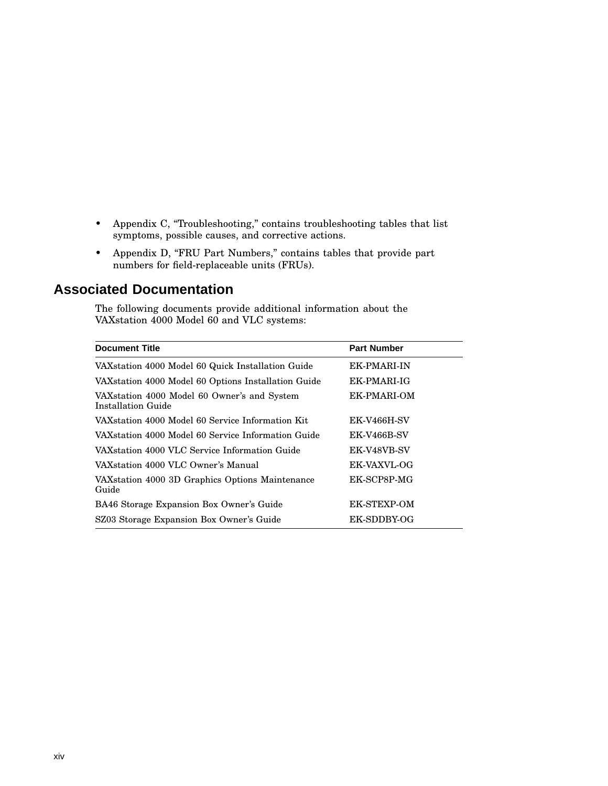- Appendix C, "Troubleshooting," contains troubleshooting tables that list symptoms, possible causes, and corrective actions.
- Appendix D, "FRU Part Numbers," contains tables that provide part numbers for field-replaceable units (FRUs).

#### **Associated Documentation**

The following documents provide additional information about the VAXstation 4000 Model 60 and VLC systems:

| <b>Document Title</b>                                              | <b>Part Number</b> |
|--------------------------------------------------------------------|--------------------|
| VAX station 4000 Model 60 Quick Installation Guide                 | <b>EK-PMARI-IN</b> |
| VAX station 4000 Model 60 Options Installation Guide               | EK-PMARI-IG        |
| VAX station 4000 Model 60 Owner's and System<br>Installation Guide | EK-PMARI-OM        |
| VAX station 4000 Model 60 Service Information Kit                  | <b>EK-V466H-SV</b> |
| VAX station 4000 Model 60 Service Information Guide                | <b>EK-V466B-SV</b> |
| VAX station 4000 VLC Service Information Guide                     | EK-V48VB-SV        |
| VAXstation 4000 VLC Owner's Manual                                 | <b>EK-VAXVL-OG</b> |
| VAX station 4000 3D Graphics Options Maintenance<br>Guide          | EK-SCP8P-MG        |
| BA46 Storage Expansion Box Owner's Guide                           | <b>EK-STEXP-OM</b> |
| SZ03 Storage Expansion Box Owner's Guide                           | EK-SDDBY-OG        |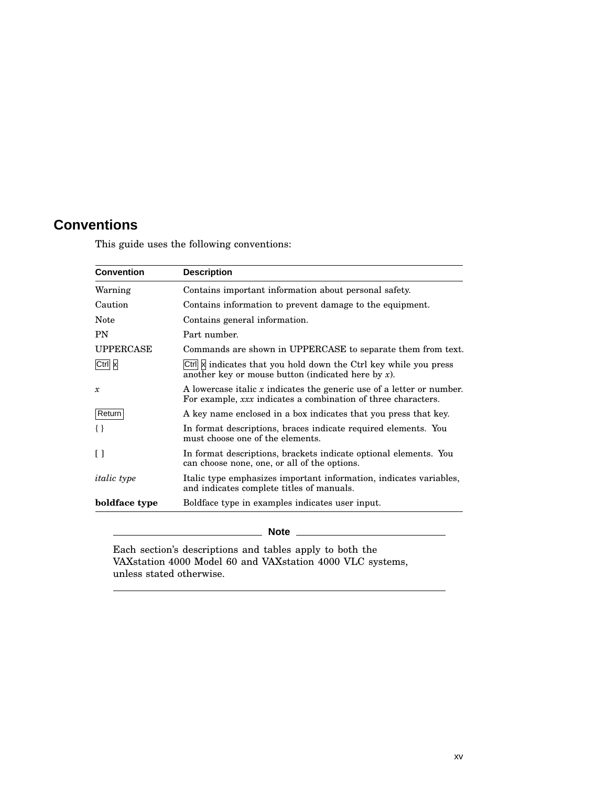## **Conventions**

This guide uses the following conventions:

| <b>Convention</b>  | <b>Description</b>                                                                                                                       |
|--------------------|------------------------------------------------------------------------------------------------------------------------------------------|
| Warning            | Contains important information about personal safety.                                                                                    |
| Caution            | Contains information to prevent damage to the equipment.                                                                                 |
| Note               | Contains general information.                                                                                                            |
| <b>PN</b>          | Part number.                                                                                                                             |
| <b>UPPERCASE</b>   | Commands are shown in UPPERCASE to separate them from text.                                                                              |
| Ctrl x             | Ctrl  x  indicates that you hold down the Ctrl key while you press<br>another key or mouse button (indicated here by $x$ ).              |
| $\mathcal{X}$      | A lowercase italic $x$ indicates the generic use of a letter or number.<br>For example, xxx indicates a combination of three characters. |
| Return             | A key name enclosed in a box indicates that you press that key.                                                                          |
| $\{\}$             | In format descriptions, braces indicate required elements. You<br>must choose one of the elements.                                       |
| Γl                 | In format descriptions, brackets indicate optional elements. You<br>can choose none, one, or all of the options.                         |
| <i>italic</i> type | Italic type emphasizes important information, indicates variables,<br>and indicates complete titles of manuals.                          |
| boldface type      | Boldface type in examples indicates user input.                                                                                          |

**Note**

Each section's descriptions and tables apply to both the VAXstation 4000 Model 60 and VAXstation 4000 VLC systems, unless stated otherwise.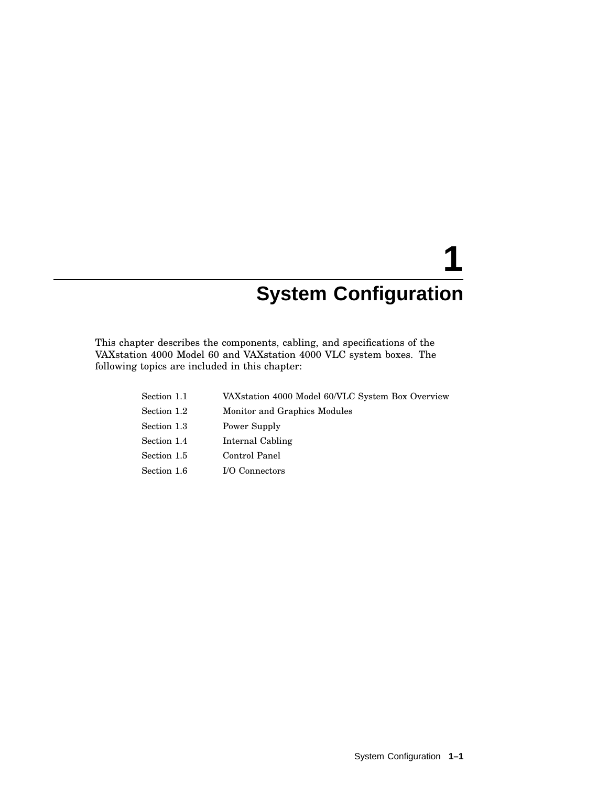# **1 System Configuration**

This chapter describes the components, cabling, and specifications of the VAXstation 4000 Model 60 and VAXstation 4000 VLC system boxes. The following topics are included in this chapter:

| Section 1.1 | VAXstation 4000 Model 60/VLC System Box Overview |
|-------------|--------------------------------------------------|
| Section 1.2 | Monitor and Graphics Modules                     |
| Section 1.3 | Power Supply                                     |
| Section 1.4 | Internal Cabling                                 |
| Section 1.5 | Control Panel                                    |
| Section 1.6 | I/O Connectors                                   |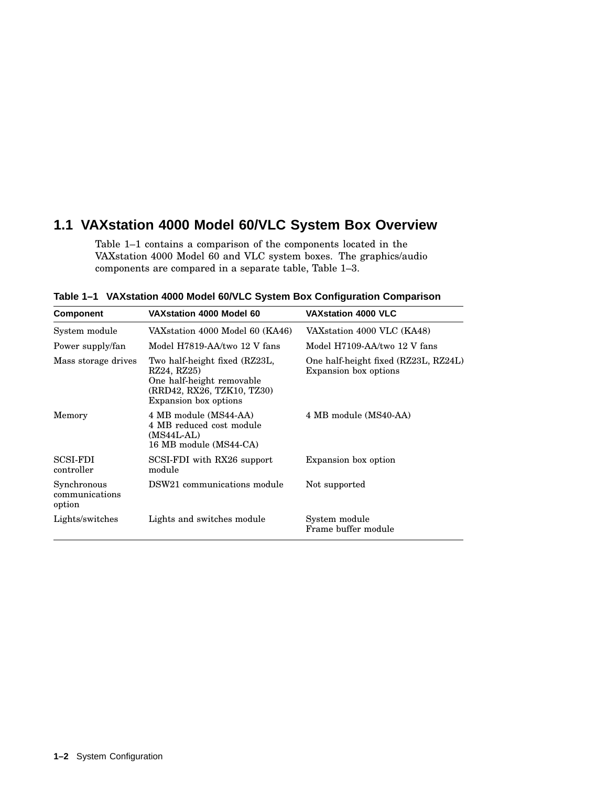## **1.1 VAXstation 4000 Model 60/VLC System Box Overview**

Table 1–1 contains a comparison of the components located in the VAXstation 4000 Model 60 and VLC system boxes. The graphics/audio components are compared in a separate table, Table 1–3.

| <b>Component</b>                        | VAX station 4000 Model 60                                                                                                        | <b>VAXstation 4000 VLC</b>                                    |  |  |
|-----------------------------------------|----------------------------------------------------------------------------------------------------------------------------------|---------------------------------------------------------------|--|--|
| System module                           | VAXstation 4000 Model 60 (KA46)                                                                                                  | VAX station 4000 VLC (KA48)                                   |  |  |
| Power supply/fan                        | Model H7819-AA/two 12 V fans                                                                                                     | Model H7109-AA/two 12 V fans                                  |  |  |
| Mass storage drives                     | Two half-height fixed (RZ23L,<br>RZ24, RZ25)<br>One half-height removable<br>(RRD42, RX26, TZK10, TZ30)<br>Expansion box options | One half-height fixed (RZ23L, RZ24L)<br>Expansion box options |  |  |
| Memory                                  | 4 MB module (MS44-AA)<br>4 MB reduced cost module<br>(MS44L-AL)<br>16 MB module (MS44-CA)                                        | 4 MB module (MS40-AA)                                         |  |  |
| <b>SCSI-FDI</b><br>controller           | SCSI-FDI with RX26 support<br>module                                                                                             | Expansion box option                                          |  |  |
| Synchronous<br>communications<br>option | DSW21 communications module                                                                                                      | Not supported                                                 |  |  |
| Lights/switches                         | Lights and switches module                                                                                                       | System module<br>Frame buffer module                          |  |  |

**Table 1–1 VAXstation 4000 Model 60/VLC System Box Configuration Comparison**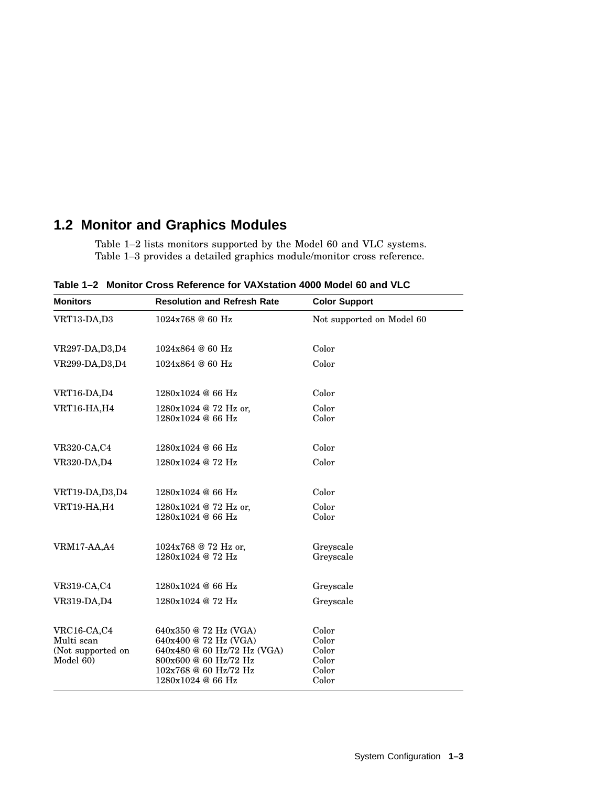## **1.2 Monitor and Graphics Modules**

Table 1–2 lists monitors supported by the Model 60 and VLC systems. Table 1–3 provides a detailed graphics module/monitor cross reference.

| <b>Monitors</b>                                             | <b>Resolution and Refresh Rate</b>                                                                                                                   | <b>Color Support</b>                               |  |  |
|-------------------------------------------------------------|------------------------------------------------------------------------------------------------------------------------------------------------------|----------------------------------------------------|--|--|
| VRT13-DA,D3                                                 | 1024x768 @ 60 Hz                                                                                                                                     | Not supported on Model 60                          |  |  |
|                                                             |                                                                                                                                                      |                                                    |  |  |
| VR297-DA, D3, D4                                            | 1024x864 @ 60 Hz                                                                                                                                     | Color                                              |  |  |
| VR299-DA, D3, D4                                            | 1024x864 @ 60 Hz                                                                                                                                     | Color                                              |  |  |
| VRT16-DA,D4                                                 | 1280x1024@66Hz                                                                                                                                       | Color                                              |  |  |
| <b>VRT16-HA,H4</b>                                          | 1280x1024 @ 72 Hz or,<br>1280x1024@66Hz                                                                                                              | Color<br>Color                                     |  |  |
| VR320-CA,C4                                                 | 1280x1024 @ 66 Hz                                                                                                                                    | Color                                              |  |  |
| <b>VR320-DA,D4</b>                                          | 1280x1024 @ 72 Hz                                                                                                                                    | Color                                              |  |  |
| VRT19-DA, D3, D4                                            | 1280x1024 @ 66 Hz                                                                                                                                    | Color                                              |  |  |
| VRT19-HA,H4                                                 | 1280x1024 @ 72 Hz or,<br>1280x1024 @ 66 Hz                                                                                                           | Color<br>Color                                     |  |  |
| <b>VRM17-AA,A4</b>                                          | 1024x768 @ 72 Hz or,<br>1280x1024 @ 72 Hz                                                                                                            | Greyscale<br>Greyscale                             |  |  |
| VR319-CA,C4                                                 | 1280x1024 @ 66 Hz                                                                                                                                    | Greyscale                                          |  |  |
| VR319-DA, D4                                                | 1280x1024 @ 72 Hz                                                                                                                                    | Greyscale                                          |  |  |
| VRC16-CA,C4<br>Multi scan<br>(Not supported on<br>Model 60) | 640x350 @ 72 Hz (VGA)<br>640x400 @ 72 Hz (VGA)<br>640x480 @ 60 Hz/72 Hz (VGA)<br>800x600 @ 60 Hz/72 Hz<br>102x768 @ 60 Hz/72 Hz<br>1280x1024 @ 66 Hz | Color<br>Color<br>Color<br>Color<br>Color<br>Color |  |  |

**Table 1–2 Monitor Cross Reference for VAXstation 4000 Model 60 and VLC**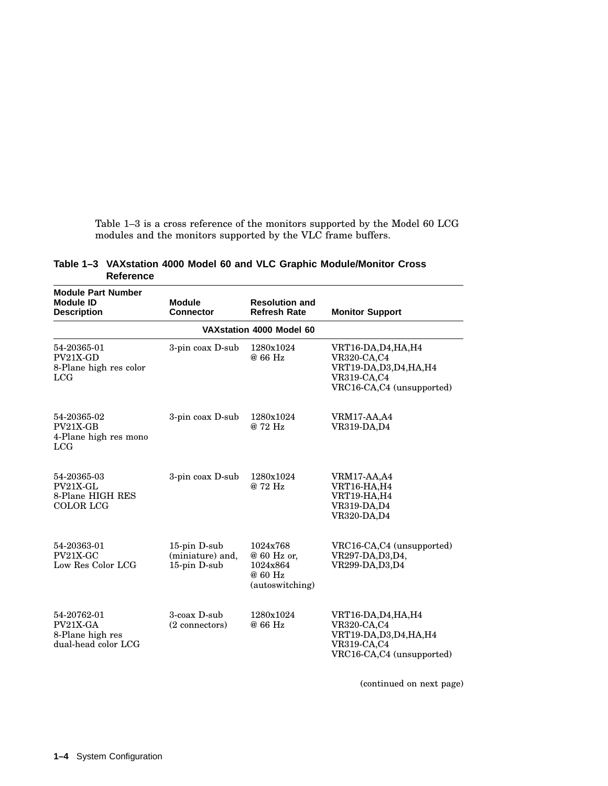Table 1–3 is a cross reference of the monitors supported by the Model 60 LCG modules and the monitors supported by the VLC frame buffers.

|           |  |  |  | Table 1-3 VAX station 4000 Model 60 and VLC Graphic Module/Monitor Cross |  |
|-----------|--|--|--|--------------------------------------------------------------------------|--|
| Reference |  |  |  |                                                                          |  |

| <b>Module Part Number</b><br><b>Module ID</b><br><b>Description</b> | <b>Module</b><br><b>Connector</b>                |                                                                   | <b>Monitor Support</b>                                                                                             |  |  |  |  |
|---------------------------------------------------------------------|--------------------------------------------------|-------------------------------------------------------------------|--------------------------------------------------------------------------------------------------------------------|--|--|--|--|
| VAX station 4000 Model 60                                           |                                                  |                                                                   |                                                                                                                    |  |  |  |  |
| 54-20365-01<br>PV21X-GD<br>8-Plane high res color<br>LCG            | 3-pin coax D-sub                                 | 1280x1024<br>@ 66 Hz                                              | VRT16-DA,D4,HA,H4<br><b>VR320-CA,C4</b><br>VRT19-DA, D3, D4, HA, H4<br>VR319-CA,C4<br>VRC16-CA,C4 (unsupported)    |  |  |  |  |
| 54-20365-02<br>PV21X-GB<br>4-Plane high res mono<br>LCG             | 3-pin coax D-sub                                 | 1280x1024<br>@ 72 Hz                                              | <b>VRM17-AA,A4</b><br>VR319-DA, D4                                                                                 |  |  |  |  |
| 54-20365-03<br>PV21X-GL<br>8-Plane HIGH RES<br><b>COLOR LCG</b>     | 3-pin coax D-sub                                 | 1280x1024<br>@ 72 Hz                                              | <b>VRM17-AA,A4</b><br>VRT16-HA, H4<br><b>VRT19-HA, H4</b><br>VR319-DA,D4<br><b>VR320-DA,D4</b>                     |  |  |  |  |
| 54-20363-01<br>$PV21X-GC$<br>Low Res Color LCG                      | 15-pin D-sub<br>(miniature) and,<br>15-pin D-sub | 1024x768<br>@ 60 Hz or,<br>1024x864<br>@ 60 Hz<br>(autoswitching) | VRC16-CA,C4 (unsupported)<br>VR297-DA, D3, D4,<br>VR299-DA, D3, D4                                                 |  |  |  |  |
| 54-20762-01<br>PV21X-GA<br>8-Plane high res<br>dual-head color LCG  | 3-coax D-sub<br>(2 connectors)                   | 1280x1024<br>@ 66 Hz                                              | VRT16-DA, D4, HA, H4<br><b>VR320-CA,C4</b><br>VRT19-DA, D3, D4, HA, H4<br>VR319-CA,C4<br>VRC16-CA,C4 (unsupported) |  |  |  |  |

(continued on next page)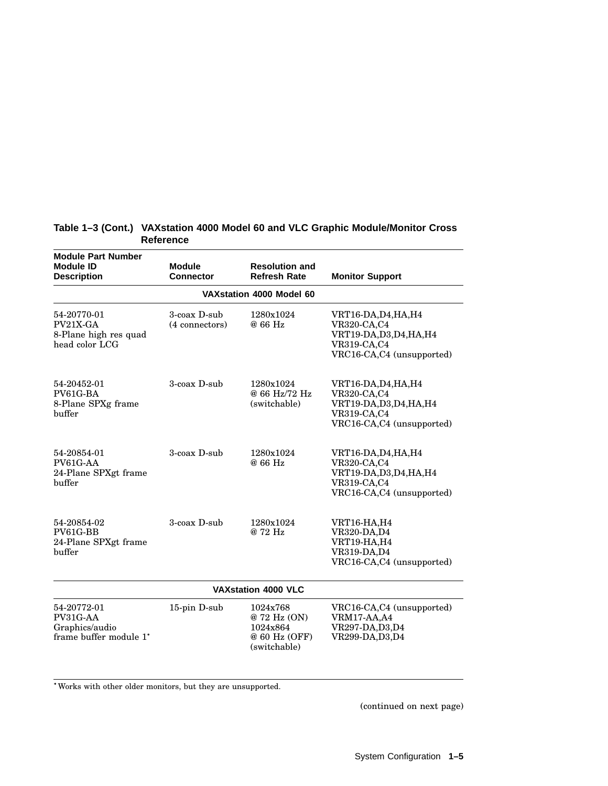| <b>Module Part Number</b><br><b>Module ID</b><br><b>Description</b> | <b>Module</b><br><b>Connector</b> | <b>Resolution and</b><br><b>Refresh Rate</b>                         | <b>Monitor Support</b>                                                                                          |  |  |
|---------------------------------------------------------------------|-----------------------------------|----------------------------------------------------------------------|-----------------------------------------------------------------------------------------------------------------|--|--|
|                                                                     |                                   | VAXstation 4000 Model 60                                             |                                                                                                                 |  |  |
| 54-20770-01<br>PV21X-GA<br>8-Plane high res quad<br>head color LCG  | 3-coax D-sub<br>(4 connectors)    | 1280x1024<br>@ 66 Hz                                                 | VRT16-DA,D4,HA,H4<br><b>VR320-CA,C4</b><br>VRT19-DA, D3, D4, HA, H4<br>VR319-CA,C4<br>VRC16-CA,C4 (unsupported) |  |  |
| 54-20452-01<br>PV61G-BA<br>8-Plane SPXg frame<br>buffer             | 3-coax D-sub                      | 1280x1024<br>@ 66 Hz/72 Hz<br>(switchable)                           | VRT16-DA, D4, HA, H4<br>VR320-CA,C4<br>VRT19-DA, D3, D4, HA, H4<br>VR319-CA,C4<br>VRC16-CA,C4 (unsupported)     |  |  |
| 54-20854-01<br>PV61G-AA<br>24-Plane SPXgt frame<br>buffer           | 3-coax D-sub                      | 1280x1024<br>@ 66 Hz                                                 | VRT16-DA, D4, HA, H4<br>VR320-CA,C4<br>VRT19-DA, D3, D4, HA, H4<br>VR319-CA,C4<br>VRC16-CA,C4 (unsupported)     |  |  |
| 54-20854-02<br>PV61G-BB<br>24-Plane SPXgt frame<br>buffer           | 3-coax D-sub                      | 1280x1024<br>@ 72 Hz                                                 | VRT16-HA, H4<br>VR320-DA, D4<br>VRT19-HA, H4<br>VR319-DA, D4<br>VRC16-CA,C4 (unsupported)                       |  |  |
| <b>VAXstation 4000 VLC</b>                                          |                                   |                                                                      |                                                                                                                 |  |  |
| 54-20772-01<br>PV31G-AA<br>Graphics/audio<br>frame buffer module 1* | 15-pin D-sub                      | 1024x768<br>@72 Hz (ON)<br>1024x864<br>@ 60 Hz (OFF)<br>(switchable) | VRC16-CA,C4 (unsupported)<br>VRM17-AA,A4<br>VR297-DA, D3, D4<br>VR299-DA, D3, D4                                |  |  |

#### **Table 1–3 (Cont.) VAXstation 4000 Model 60 and VLC Graphic Module/Monitor Cross Reference**

Works with other older monitors, but they are unsupported.

(continued on next page)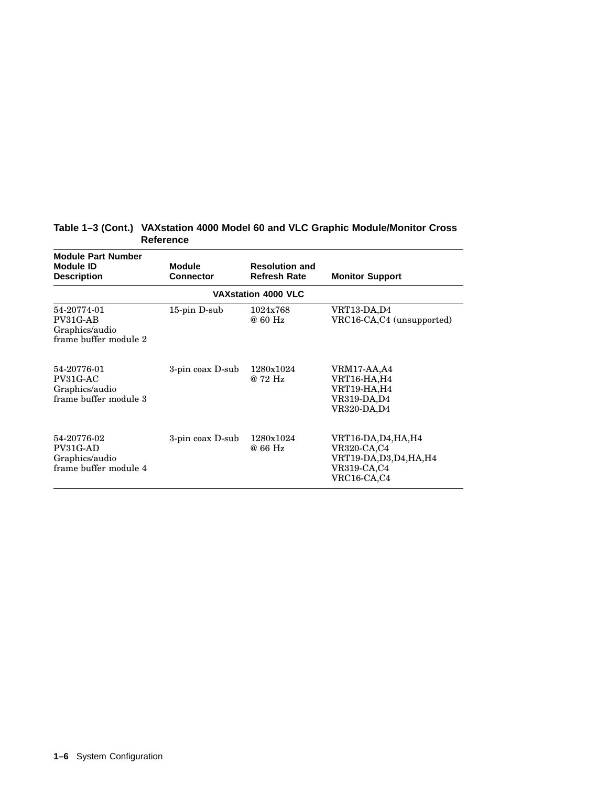| <b>Module Part Number</b><br><b>Module ID</b><br><b>Description</b> | <b>Module</b><br><b>Connector</b> | <b>Resolution and</b><br><b>Refresh Rate</b> | <b>Monitor Support</b>                                                                        |
|---------------------------------------------------------------------|-----------------------------------|----------------------------------------------|-----------------------------------------------------------------------------------------------|
|                                                                     |                                   | <b>VAXstation 4000 VLC</b>                   |                                                                                               |
| 54-20774-01<br>PV31G-AB<br>Graphics/audio<br>frame buffer module 2  | $15$ -pin D-sub                   | 1024x768<br>@ 60 Hz                          | VRT13-DA,D4<br>VRC16-CA,C4 (unsupported)                                                      |
| 54-20776-01<br>PV31G-AC<br>Graphics/audio<br>frame buffer module 3  | 3-pin coax D-sub                  | 1280x1024<br>@ 72 Hz                         | VRM17-AA,A4<br><b>VRT16-HA,H4</b><br><b>VRT19-HA,H4</b><br>VR319-DA,D4<br><b>VR320-DA,D4</b>  |
| 54-20776-02<br>PV31G-AD<br>Graphics/audio<br>frame buffer module 4  | 3-pin coax D-sub                  | 1280x1024<br>@ 66 Hz                         | VRT16-DA,D4,HA,H4<br><b>VR320-CA,C4</b><br>VRT19-DA,D3,D4,HA,H4<br>VR319-CA,C4<br>VRC16-CA,C4 |

#### **Table 1–3 (Cont.) VAXstation 4000 Model 60 and VLC Graphic Module/Monitor Cross Reference**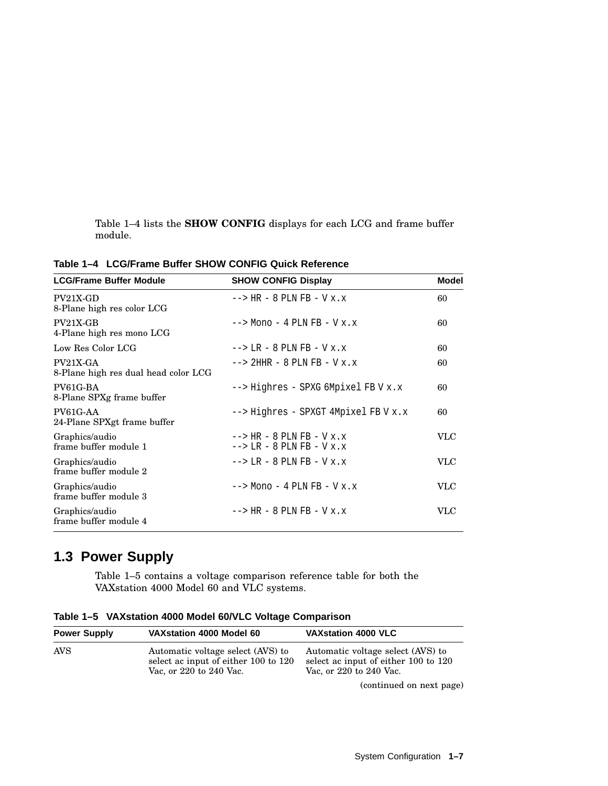Table 1–4 lists the **SHOW CONFIG** displays for each LCG and frame buffer module.

| <b>LCG/Frame Buffer Module</b>                     | <b>SHOW CONFIG Display</b>                                                    | Model      |
|----------------------------------------------------|-------------------------------------------------------------------------------|------------|
| $PV21X-GD$<br>8-Plane high res color LCG           | $--$ HR - 8 PLN FB - V x.x                                                    | 60         |
| $PV21X-GB$<br>4-Plane high res mono LCG            | $\leftarrow$ > Mono - 4 PLN FB - V x.x                                        | 60         |
| Low Res Color LCG                                  | $\leftarrow$ > LR - 8 PLN FB - V x.x                                          | 60         |
| $PV21X-GA$<br>8-Plane high res dual head color LCG | $--$ 2HHR - 8 PLN FB - V x.x                                                  | 60         |
| PV61G-BA<br>8-Plane SPXg frame buffer              | $\rightarrow$ --> Highres - SPXG 6Mpixel FB V x.x                             | 60         |
| PV61G-AA<br>24-Plane SPXgt frame buffer            | --> Highres - SPXGT 4Mpixel FB V x.x                                          | 60         |
| Graphics/audio<br>frame buffer module 1            | $\leftarrow$ > HR - 8 PLN FB - V x.x<br>$\leftarrow$ > LR - 8 PLN FB - V x, x | <b>VLC</b> |
| Graphics/audio<br>frame buffer module 2            | $\leftarrow$ > LR - 8 PLN FB - V x, x                                         | <b>VLC</b> |
| Graphics/audio<br>frame buffer module 3            | $\leftarrow$ > Mono - 4 PLN FB - V x.x                                        | VLC        |
| Graphics/audio<br>frame buffer module 4            | $\leftarrow$ > HR - 8 PLN FB - V x, x                                         | VLC        |

**Table 1–4 LCG/Frame Buffer SHOW CONFIG Quick Reference**

## **1.3 Power Supply**

Table 1–5 contains a voltage comparison reference table for both the VAXstation 4000 Model 60 and VLC systems.

|  |  |  |  |  | Table 1-5 VAXstation 4000 Model 60/VLC Voltage Comparison |
|--|--|--|--|--|-----------------------------------------------------------|
|--|--|--|--|--|-----------------------------------------------------------|

| <b>Power Supply</b> | VAX station 4000 Model 60                                                                            | <b>VAXstation 4000 VLC</b>                                                                           |
|---------------------|------------------------------------------------------------------------------------------------------|------------------------------------------------------------------------------------------------------|
| AVS                 | Automatic voltage select (AVS) to<br>select ac input of either 100 to 120<br>Vac. or 220 to 240 Vac. | Automatic voltage select (AVS) to<br>select ac input of either 100 to 120<br>Vac. or 220 to 240 Vac. |
|                     |                                                                                                      |                                                                                                      |

(continued on next page)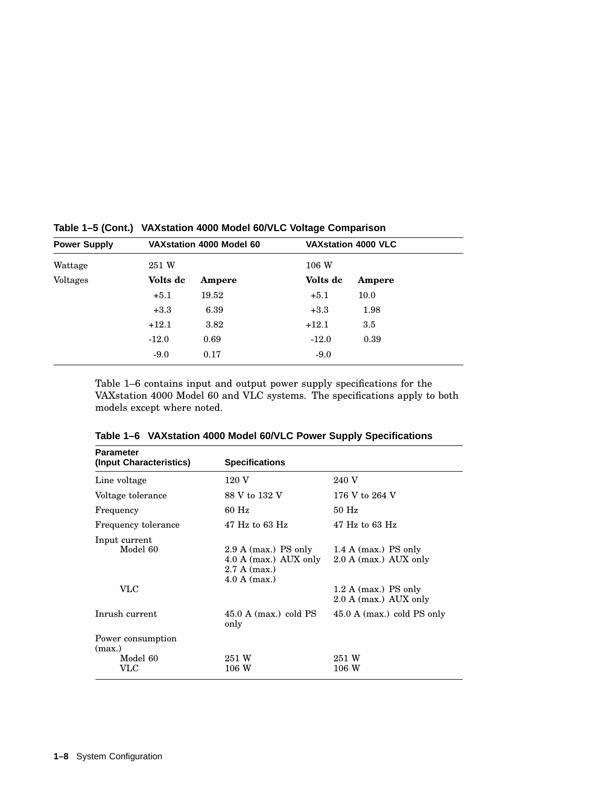|          |        |                           | <b>VAXstation 4000 VLC</b> |
|----------|--------|---------------------------|----------------------------|
| 251 W    |        | 106W                      |                            |
| Volts de | Ampere | Volts de                  | Ampere                     |
| $+5.1$   | 19.52  | $+5.1$                    | 10.0                       |
| $+3.3$   | 6.39   | $+3.3$                    | 1.98                       |
| $+12.1$  | 3.82   | $+12.1$                   | $3.5\,$                    |
| $-12.0$  | 0.69   | $-12.0$                   | 0.39                       |
| $-9.0$   | 0.17   | $-9.0$                    |                            |
|          |        | VAX station 4000 Model 60 |                            |

**Table 1–5 (Cont.) VAXstation 4000 Model 60/VLC Voltage Comparison**

Table 1–6 contains input and output power supply specifications for the VAXstation 4000 Model 60 and VLC systems. The specifications apply to both models except where noted.

| <b>Parameter</b>                 |                                                                                       |                                                                         |
|----------------------------------|---------------------------------------------------------------------------------------|-------------------------------------------------------------------------|
| (Input Characteristics)          | <b>Specifications</b>                                                                 |                                                                         |
| Line voltage                     | 120 V                                                                                 | 240 V                                                                   |
| Voltage tolerance                | 88 V to 132 V                                                                         | 176 V to 264 V                                                          |
| Frequency                        | 60 Hz                                                                                 | $50$ Hz                                                                 |
| Frequency tolerance              | $47$ Hz to 63 Hz                                                                      | $47$ Hz to 63 Hz                                                        |
| Input current<br>Model 60<br>VLC | $2.9$ A (max.) PS only<br>$4.0$ A (max.) AUX only<br>$2.7 A$ (max.)<br>$4.0 A$ (max.) | 1.4 A (max.) PS only<br>2.0 A (max.) AUX only<br>$1.2$ A (max.) PS only |
|                                  |                                                                                       | 2.0 A (max.) AUX only                                                   |
| Inrush current                   | $45.0 A (max.)$ cold PS<br>only                                                       | $45.0 A (max.)$ cold PS only                                            |
| Power consumption<br>(max.)      |                                                                                       |                                                                         |
| Model 60<br>$\rm VLC$            | 251 W<br>106W                                                                         | 251 W<br>106W                                                           |

**Table 1–6 VAXstation 4000 Model 60/VLC Power Supply Specifications**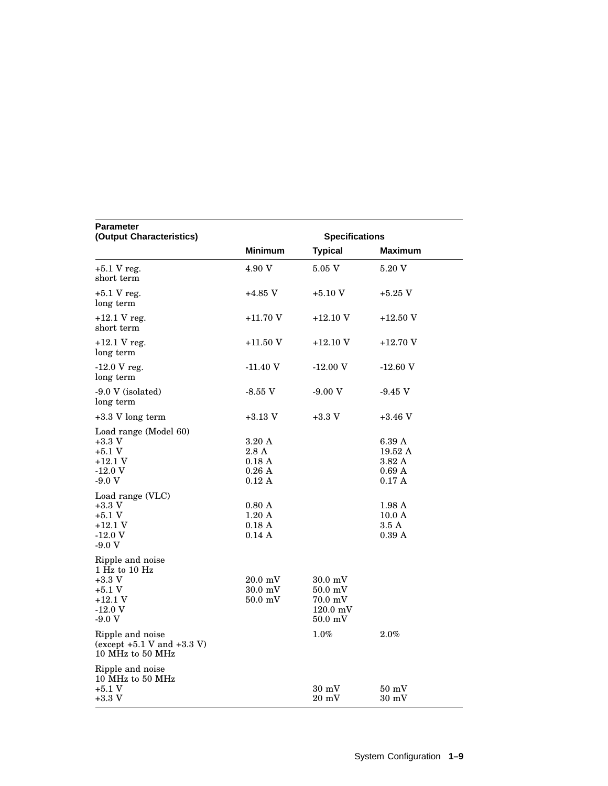| <b>Parameter</b><br>(Output Characteristics)                                                |                                                                  | <b>Specifications</b>                                                          |                                                         |
|---------------------------------------------------------------------------------------------|------------------------------------------------------------------|--------------------------------------------------------------------------------|---------------------------------------------------------|
|                                                                                             | <b>Minimum</b>                                                   | <b>Typical</b>                                                                 | <b>Maximum</b>                                          |
| $+5.1$ V reg.<br>short term                                                                 | 4.90 V                                                           | 5.05 V                                                                         | 5.20 V                                                  |
| $+5.1$ V reg.<br>long term                                                                  | $+4.85$ V                                                        | $+5.10$ V                                                                      | $+5.25$ V                                               |
| $+12.1$ V reg.<br>short term                                                                | $+11.70V$                                                        | $+12.10$ V                                                                     | +12.50 V                                                |
| $+12.1$ V reg.<br>long term                                                                 | $+11.50$ V                                                       | $+12.10$ V                                                                     | +12.70 V                                                |
| $-12.0$ V reg.<br>long term                                                                 | $-11.40$ V                                                       | $-12.00V$                                                                      | $-12.60$ V                                              |
| -9.0 V (isolated)<br>long term                                                              | -8.55 V                                                          | $-9.00V$                                                                       | $-9.45$ V                                               |
| +3.3 V long term                                                                            | $+3.13$ V                                                        | $+3.3$ V                                                                       | $+3.46$ V                                               |
| Load range (Model 60)<br>$+3.3$ V<br>$+5.1V$<br>$+12.1V$<br>$-12.0V$<br>$-9.0V$             | 3.20A<br>2.8A<br>$0.18\ \mathrm{A}$<br>0.26A<br>$0.12 \text{ A}$ |                                                                                | 6.39 A<br>19.52 A<br>3.82A<br>0.69A<br>$0.17 \;{\rm A}$ |
| Load range (VLC)<br>$+3.3$ V<br>$+5.1V$<br>$+12.1V$<br>$-12.0V$<br>$-9.0V$                  | 0.80A<br>$1.20 \text{ A}$<br>$0.18\;{\rm A}$<br>0.14A            |                                                                                | 1.98A<br>10.0 A<br>$3.5\;{\rm A}$<br>0.39A              |
| Ripple and noise<br>1 Hz to 10 Hz<br>$+3.3$ V<br>$+5.1V$<br>$+12.1V$<br>$-12.0V$<br>$-9.0V$ | $20.0 \text{ mV}$<br>$30.0 \text{ mV}$<br>$50.0$ mV              | $30.0 \text{ mV}$<br>$50.0$ mV<br>$70.0 \text{ mV}$<br>$120.0$ mV<br>$50.0$ mV |                                                         |
| Ripple and noise<br>(except $+5.1$ V and $+3.3$ V)<br>10 MHz to 50 MHz                      |                                                                  | $1.0\%$                                                                        | $2.0\%$                                                 |
| Ripple and noise<br>10 MHz to 50 MHz<br>$+5.1V$                                             |                                                                  | $30\ \mathrm{mV}$                                                              | 50~mV                                                   |
| $+3.3$ V                                                                                    |                                                                  | $20 \text{ mV}$                                                                | $30\;{\rm mV}$                                          |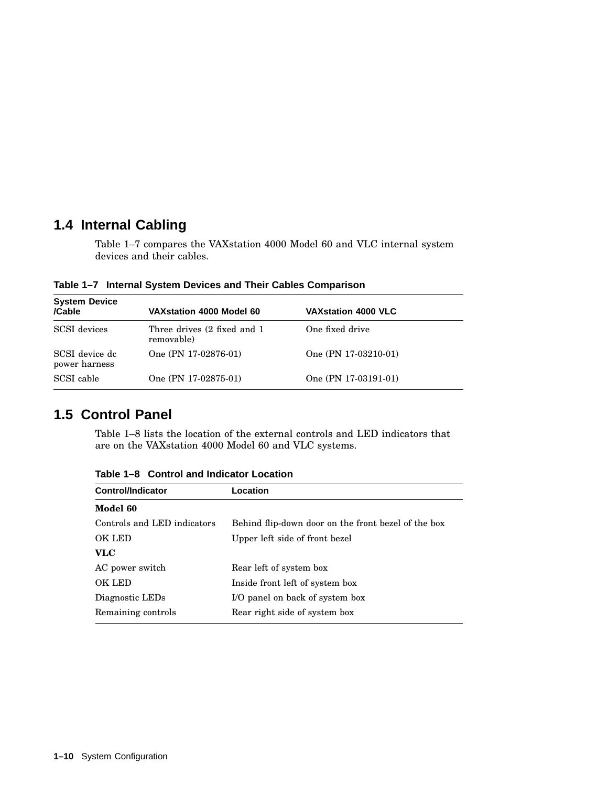## **1.4 Internal Cabling**

Table 1–7 compares the VAXstation 4000 Model 60 and VLC internal system devices and their cables.

**Table 1–7 Internal System Devices and Their Cables Comparison**

| <b>System Device</b><br>/Cable  | VAX station 4000 Model 60                  | <b>VAXstation 4000 VLC</b> |  |
|---------------------------------|--------------------------------------------|----------------------------|--|
| <b>SCSI</b> devices             | Three drives (2 fixed and 1)<br>removable) | One fixed drive            |  |
| SCSI device dc<br>power harness | One (PN 17-02876-01)                       | One $(PN 17-03210-01)$     |  |
| SCSI cable                      | One (PN 17-02875-01)                       | One (PN 17-03191-01)       |  |

#### **1.5 Control Panel**

Table 1–8 lists the location of the external controls and LED indicators that are on the VAXstation 4000 Model 60 and VLC systems.

| <b>Control/Indicator</b>    | Location                                            |
|-----------------------------|-----------------------------------------------------|
| Model 60                    |                                                     |
| Controls and LED indicators | Behind flip-down door on the front bezel of the box |
| OK LED                      | Upper left side of front bezel                      |
| VLC                         |                                                     |
| AC power switch             | Rear left of system box                             |
| OK LED                      | Inside front left of system box                     |
| Diagnostic LEDs             | I/O panel on back of system box                     |
| Remaining controls          | Rear right side of system box                       |
|                             |                                                     |

**Table 1–8 Control and Indicator Location**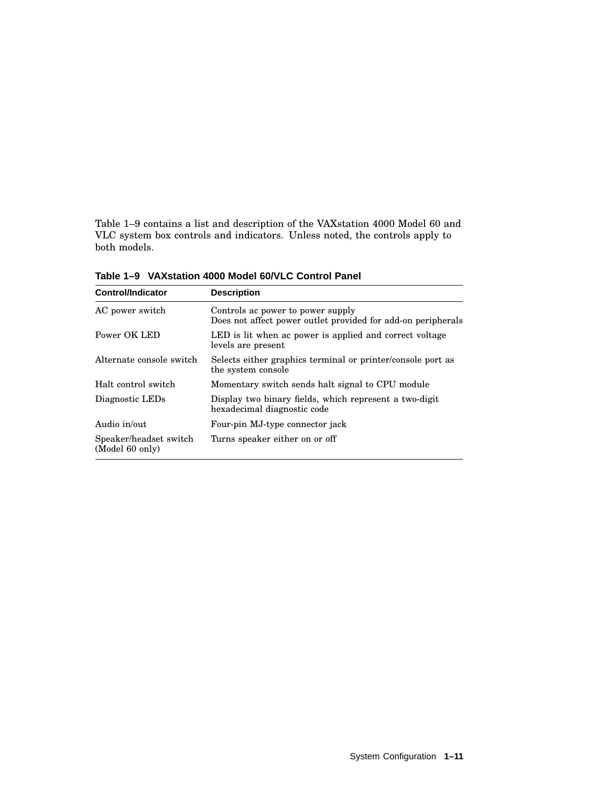Table 1–9 contains a list and description of the VAXstation 4000 Model 60 and VLC system box controls and indicators. Unless noted, the controls apply to both models.

| <b>Control/Indicator</b>                  | <b>Description</b>                                                                                |
|-------------------------------------------|---------------------------------------------------------------------------------------------------|
| AC power switch                           | Controls ac power to power supply<br>Does not affect power outlet provided for add-on peripherals |
| Power OK LED                              | LED is lit when ac power is applied and correct voltage<br>levels are present                     |
| Alternate console switch                  | Selects either graphics terminal or printer/console port as<br>the system console                 |
| Halt control switch                       | Momentary switch sends halt signal to CPU module                                                  |
| Diagnostic LEDs                           | Display two binary fields, which represent a two-digit<br>hexadecimal diagnostic code             |
| Audio in/out                              | Four-pin MJ-type connector jack                                                                   |
| Speaker/headset switch<br>(Model 60 only) | Turns speaker either on or off                                                                    |

**Table 1–9 VAXstation 4000 Model 60/VLC Control Panel**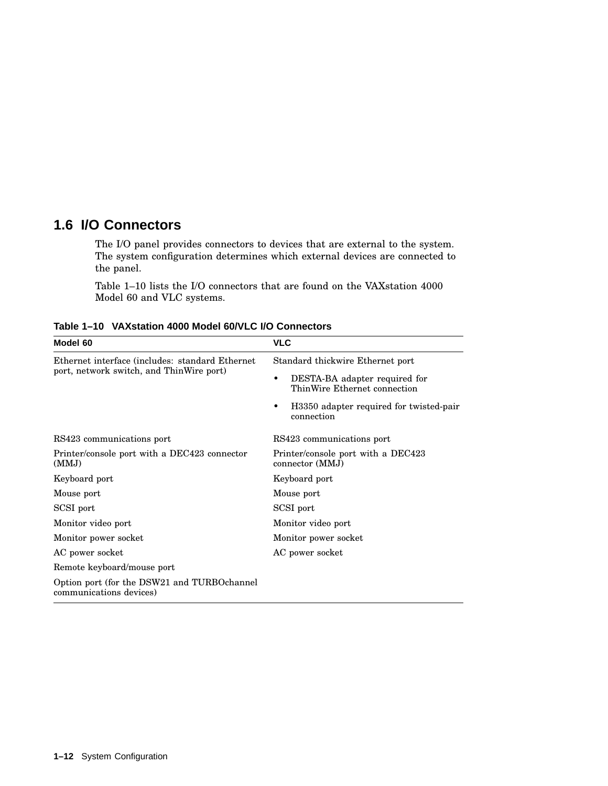## **1.6 I/O Connectors**

The I/O panel provides connectors to devices that are external to the system. The system configuration determines which external devices are connected to the panel.

Table 1–10 lists the I/O connectors that are found on the VAXstation 4000 Model 60 and VLC systems.

| Model 60                                                               | <b>VLC</b>                                                    |  |  |
|------------------------------------------------------------------------|---------------------------------------------------------------|--|--|
| Ethernet interface (includes: standard Ethernet)                       | Standard thickwire Ethernet port                              |  |  |
| port, network switch, and ThinWire port)                               | DESTA-BA adapter required for<br>ThinWire Ethernet connection |  |  |
|                                                                        | H3350 adapter required for twisted-pair<br>connection         |  |  |
| RS423 communications port                                              | RS423 communications port                                     |  |  |
| Printer/console port with a DEC423 connector<br>(MMJ)                  | Printer/console port with a DEC423<br>connector (MMJ)         |  |  |
| Keyboard port                                                          | Keyboard port                                                 |  |  |
| Mouse port                                                             | Mouse port                                                    |  |  |
| SCSI port                                                              | SCSI port                                                     |  |  |
| Monitor video port                                                     | Monitor video port                                            |  |  |
| Monitor power socket                                                   | Monitor power socket                                          |  |  |
| AC power socket                                                        | AC power socket                                               |  |  |
| Remote keyboard/mouse port                                             |                                                               |  |  |
| Option port (for the DSW21 and TURBOchannel<br>communications devices) |                                                               |  |  |

**Table 1–10 VAXstation 4000 Model 60/VLC I/O Connectors**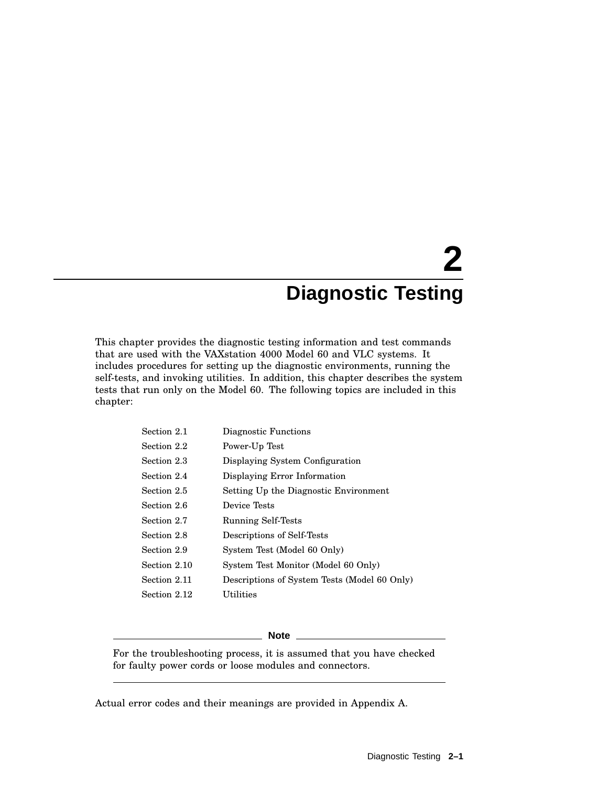# **2 Diagnostic Testing**

This chapter provides the diagnostic testing information and test commands that are used with the VAXstation 4000 Model 60 and VLC systems. It includes procedures for setting up the diagnostic environments, running the self-tests, and invoking utilities. In addition, this chapter describes the system tests that run only on the Model 60. The following topics are included in this chapter:

| Section 2.1  | Diagnostic Functions                         |
|--------------|----------------------------------------------|
| Section 2.2  | Power-Up Test                                |
| Section 2.3  | Displaying System Configuration              |
| Section 2.4  | Displaying Error Information                 |
| Section 2.5  | Setting Up the Diagnostic Environment        |
| Section 2.6  | Device Tests                                 |
| Section 2.7  | <b>Running Self-Tests</b>                    |
| Section 2.8  | Descriptions of Self-Tests                   |
| Section 2.9  | System Test (Model 60 Only)                  |
| Section 2.10 | System Test Monitor (Model 60 Only)          |
| Section 2.11 | Descriptions of System Tests (Model 60 Only) |
| Section 2.12 | Utilities                                    |
|              |                                              |

#### **Note**

For the troubleshooting process, it is assumed that you have checked for faulty power cords or loose modules and connectors.

Actual error codes and their meanings are provided in Appendix A.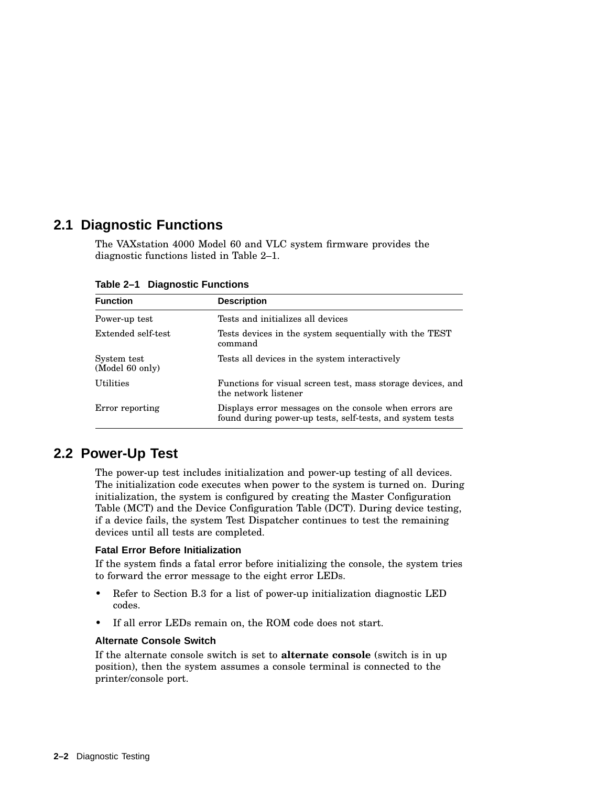#### **2.1 Diagnostic Functions**

The VAXstation 4000 Model 60 and VLC system firmware provides the diagnostic functions listed in Table 2–1.

| <b>Function</b>                | <b>Description</b>                                                                                                  |  |
|--------------------------------|---------------------------------------------------------------------------------------------------------------------|--|
| Power-up test                  | Tests and initializes all devices                                                                                   |  |
| Extended self-test             | Tests devices in the system sequentially with the TEST<br>command                                                   |  |
| System test<br>(Model 60 only) | Tests all devices in the system interactively                                                                       |  |
| <b>Utilities</b>               | Functions for visual screen test, mass storage devices, and<br>the network listener                                 |  |
| Error reporting                | Displays error messages on the console when errors are<br>found during power-up tests, self-tests, and system tests |  |

**Table 2–1 Diagnostic Functions**

#### **2.2 Power-Up Test**

The power-up test includes initialization and power-up testing of all devices. The initialization code executes when power to the system is turned on. During initialization, the system is configured by creating the Master Configuration Table (MCT) and the Device Configuration Table (DCT). During device testing, if a device fails, the system Test Dispatcher continues to test the remaining devices until all tests are completed.

#### **Fatal Error Before Initialization**

If the system finds a fatal error before initializing the console, the system tries to forward the error message to the eight error LEDs.

- Refer to Section B.3 for a list of power-up initialization diagnostic LED codes.
- If all error LEDs remain on, the ROM code does not start.

#### **Alternate Console Switch**

If the alternate console switch is set to **alternate console** (switch is in up position), then the system assumes a console terminal is connected to the printer/console port.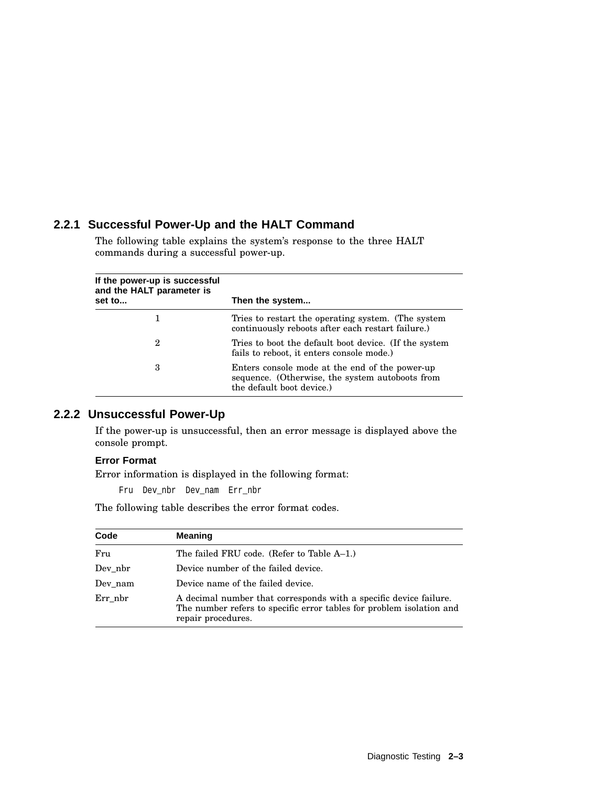#### **2.2.1 Successful Power-Up and the HALT Command**

The following table explains the system's response to the three HALT commands during a successful power-up.

| If the power-up is successful<br>and the HALT parameter is |                                                                                                                                |
|------------------------------------------------------------|--------------------------------------------------------------------------------------------------------------------------------|
| set to                                                     | Then the system                                                                                                                |
|                                                            | Tries to restart the operating system. (The system<br>continuously reboots after each restart failure.)                        |
| 2                                                          | Tries to boot the default boot device. (If the system<br>fails to reboot, it enters console mode.)                             |
| 3                                                          | Enters console mode at the end of the power-up<br>sequence. (Otherwise, the system autoboots from<br>the default boot device.) |

#### **2.2.2 Unsuccessful Power-Up**

If the power-up is unsuccessful, then an error message is displayed above the console prompt.

#### **Error Format**

Error information is displayed in the following format:

Fru Dev\_nbr Dev\_nam Err\_nbr

The following table describes the error format codes.

| Code    | <b>Meaning</b>                                                                                                                                                  |
|---------|-----------------------------------------------------------------------------------------------------------------------------------------------------------------|
| Fru     | The failed FRU code. (Refer to Table A-1.)                                                                                                                      |
| Dev nbr | Device number of the failed device.                                                                                                                             |
| Dev nam | Device name of the failed device.                                                                                                                               |
| Err nbr | A decimal number that corresponds with a specific device failure.<br>The number refers to specific error tables for problem isolation and<br>repair procedures. |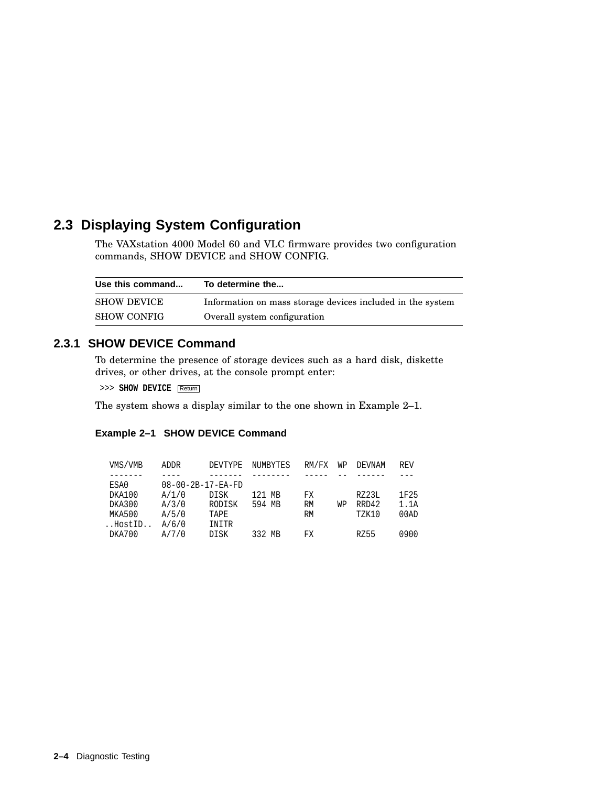## **2.3 Displaying System Configuration**

The VAXstation 4000 Model 60 and VLC firmware provides two configuration commands, SHOW DEVICE and SHOW CONFIG.

| Use this command   | To determine the                                           |
|--------------------|------------------------------------------------------------|
| <b>SHOW DEVICE</b> | Information on mass storage devices included in the system |
| <b>SHOW CONFIG</b> | Overall system configuration                               |

#### **2.3.1 SHOW DEVICE Command**

To determine the presence of storage devices such as a hard disk, diskette drives, or other drives, at the console prompt enter:

>>> **SHOW DEVICE** Return

The system shows a display similar to the one shown in Example 2–1.

#### **Example 2–1 SHOW DEVICE Command**

| VMS/VMB | ADDR                          | DEVTYPE | NUMBYTES | RM/FX     | WP | DEVNAM       | <b>REV</b> |
|---------|-------------------------------|---------|----------|-----------|----|--------------|------------|
|         |                               |         |          |           |    |              |            |
| ESA0    | $08 - 00 - 2B - 17 - EA - FD$ |         |          |           |    |              |            |
| DKA100  | A/1/0                         | DISK    | 121 MB   | FX        |    | RZ23L        | 1F25       |
| DKA300  | A/3/0                         | RODISK  | 594 MB   | <b>RM</b> | WΡ | RRD42        | 1.1A       |
| MKA500  | A/5/0                         | TAPE    |          | RM        |    | <b>TZK10</b> | 00AD       |
| HostID  | A/6/0                         | INITR   |          |           |    |              |            |
| DKA700  | A/7/0                         | DISK    | 332 MB   | FX        |    | RZ55         | 0900       |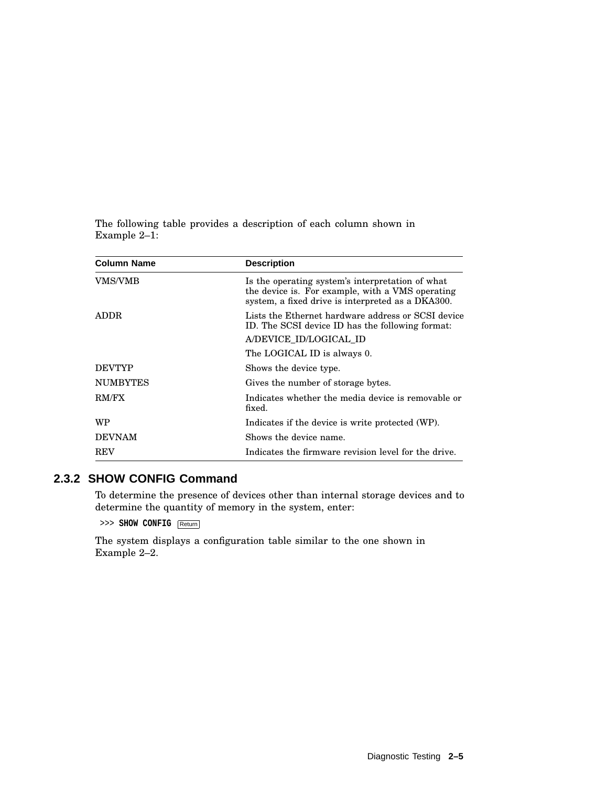The following table provides a description of each column shown in Example 2–1:

| <b>Column Name</b> | <b>Description</b>                                                                                                                                        |  |
|--------------------|-----------------------------------------------------------------------------------------------------------------------------------------------------------|--|
| <b>VMS/VMB</b>     | Is the operating system's interpretation of what<br>the device is. For example, with a VMS operating<br>system, a fixed drive is interpreted as a DKA300. |  |
| ADDR.              | Lists the Ethernet hardware address or SCSI device<br>ID. The SCSI device ID has the following format:                                                    |  |
|                    | A/DEVICE_ID/LOGICAL_ID                                                                                                                                    |  |
|                    | The LOGICAL ID is always 0.                                                                                                                               |  |
| <b>DEVTYP</b>      | Shows the device type.                                                                                                                                    |  |
| <b>NUMBYTES</b>    | Gives the number of storage bytes.                                                                                                                        |  |
| RM/FX              | Indicates whether the media device is removable or<br>fixed.                                                                                              |  |
| WP                 | Indicates if the device is write protected (WP).                                                                                                          |  |
| <b>DEVNAM</b>      | Shows the device name.                                                                                                                                    |  |
| <b>REV</b>         | Indicates the firmware revision level for the drive.                                                                                                      |  |

#### **2.3.2 SHOW CONFIG Command**

To determine the presence of devices other than internal storage devices and to determine the quantity of memory in the system, enter:

>>> **SHOW CONFIG** Return

The system displays a configuration table similar to the one shown in Example 2–2.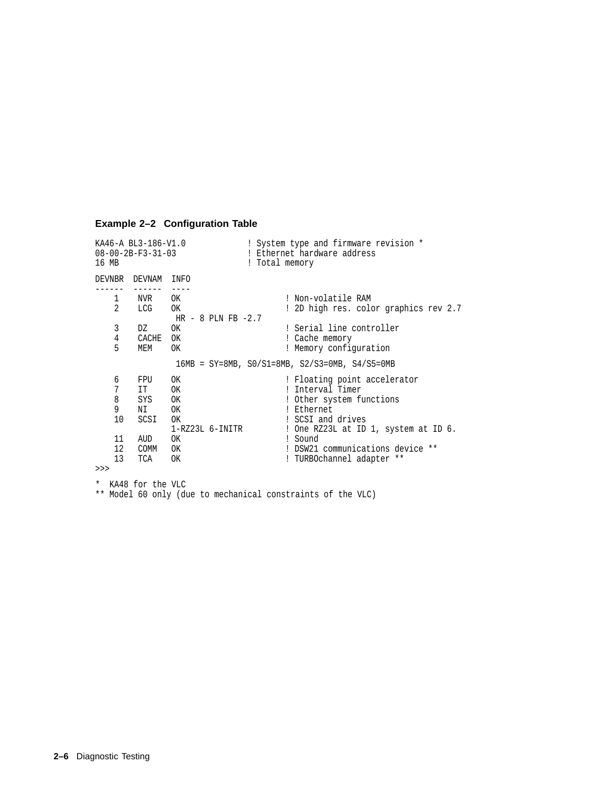#### **Example 2–2 Configuration Table**

KA46-A BL3-186-V1.0 <br>
08-00-2B-F3-31-03 <br>
208-00-2B-F3-31-03 <br>
2011 <br>
Ethernet hardware address 08-00-2B-F3-31-03 ! Ethernet hardware address<br>16 MB ! Total memory ! Total memory DEVNBR DEVNAM INFO ------ ------ ----<br>1 NVR OK 1 NVR OK ! Non-volatile RAM<br>2 LCG OK ! 2D high res. colo 2 LCG OK ! 2D high res. color graphics rev 2.7 HR - 8 PLN FB -2.7<br>3 DZ OK DZ OK ! Serial line controller<br>CACHE OK ! Cache memory 4 CACHE OK <br>5 MEM OK : Memory confic ! Memory configuration 16MB = SY=8MB, S0/S1=8MB, S2/S3=0MB, S4/S5=0MB 6 FPU OK ! Floating point accelerator 7 IT OK : Interval Timer<br>8 SYS OK : Other system fi 8 SYS OK ! Other system functions<br>
9 NI OK ! Ethernet 9 NI OK<br>10 SCSI OK ! SCSI and drives 1-RZ23L 6-INITR ! One RZ23L at ID 1, system at ID 6. 11 AUD OK<br>12 COMM OK ! DSW21 communications device \*\* 13 TCA OK ! TURBOchannel adapter \*\* >>> \* KA48 for the VLC \*\* Model 60 only (due to mechanical constraints of the VLC)

**2–6** Diagnostic Testing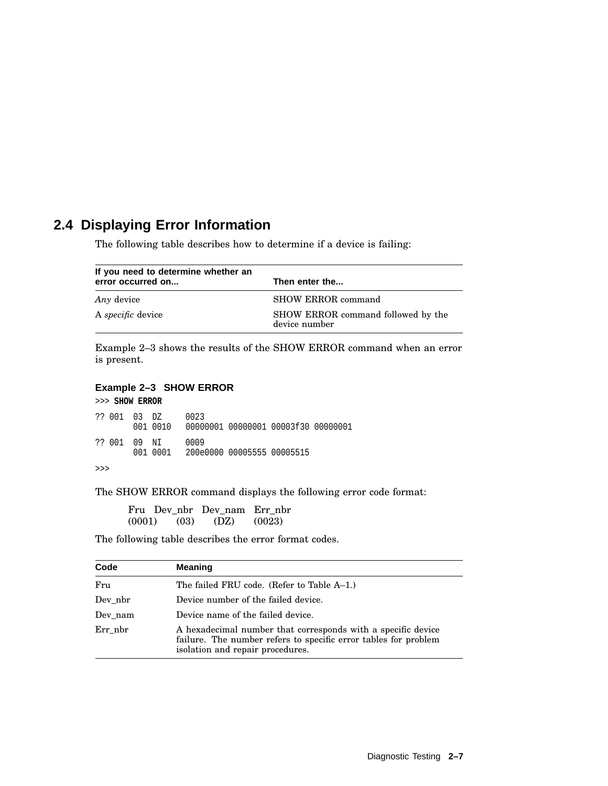## **2.4 Displaying Error Information**

The following table describes how to determine if a device is failing:

| If you need to determine whether an<br>error occurred on | Then enter the                                      |
|----------------------------------------------------------|-----------------------------------------------------|
| Any device                                               | SHOW ERROR command                                  |
| A <i>specific</i> device                                 | SHOW ERROR command followed by the<br>device number |

Example 2–3 shows the results of the SHOW ERROR command when an error is present.

#### **Example 2–3 SHOW ERROR**

>>> **SHOW ERROR** ?? 001 03 DZ 0023 001 0010 00000001 00000001 00003f30 00000001 ?? 001 09 NI 0009 001 0001 200e0000 00005555 00005515 >>>

The SHOW ERROR command displays the following error code format:

Fru Dev\_nbr Dev\_nam Err\_nbr (0001) (03) (DZ) (0023)

The following table describes the error format codes.

| Code    | <b>Meaning</b>                                                                                                                                                      |
|---------|---------------------------------------------------------------------------------------------------------------------------------------------------------------------|
| Fru     | The failed FRU code. (Refer to Table A–1.)                                                                                                                          |
| Dev nbr | Device number of the failed device.                                                                                                                                 |
| Dev nam | Device name of the failed device.                                                                                                                                   |
| Err nbr | A hexadecimal number that corresponds with a specific device<br>failure. The number refers to specific error tables for problem<br>isolation and repair procedures. |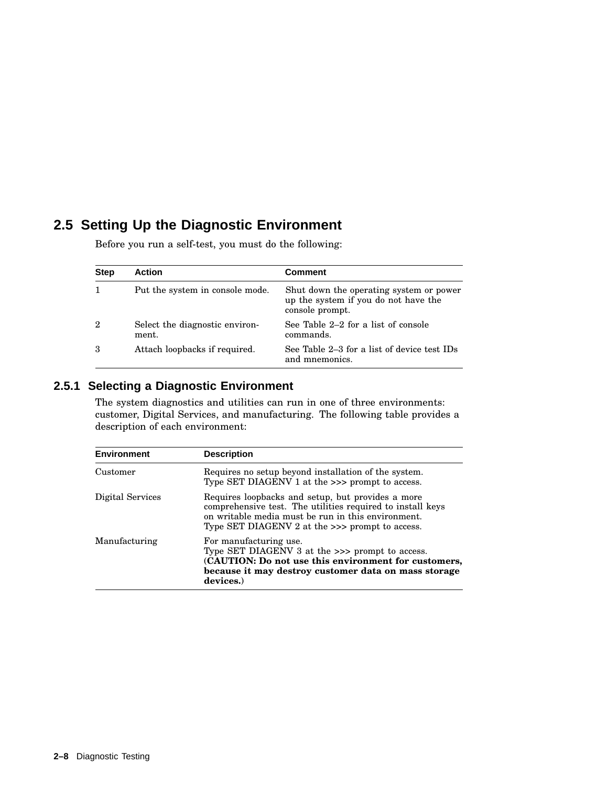## **2.5 Setting Up the Diagnostic Environment**

| <b>Step</b>    | <b>Action</b>                           | <b>Comment</b>                                                                                     |
|----------------|-----------------------------------------|----------------------------------------------------------------------------------------------------|
| 1              | Put the system in console mode.         | Shut down the operating system or power<br>up the system if you do not have the<br>console prompt. |
| $\overline{2}$ | Select the diagnostic environ-<br>ment. | See Table 2–2 for a list of console<br>commands.                                                   |
| 3              | Attach loopbacks if required.           | See Table 2–3 for a list of device test IDs<br>and mnemonics.                                      |

Before you run a self-test, you must do the following:

#### **2.5.1 Selecting a Diagnostic Environment**

The system diagnostics and utilities can run in one of three environments: customer, Digital Services, and manufacturing. The following table provides a description of each environment:

| <b>Environment</b> | <b>Description</b>                                                                                                                                                                                                         |
|--------------------|----------------------------------------------------------------------------------------------------------------------------------------------------------------------------------------------------------------------------|
| Customer           | Requires no setup beyond installation of the system.<br>Type SET DIAGENV 1 at the >>> prompt to access.                                                                                                                    |
| Digital Services   | Requires loopbacks and setup, but provides a more<br>comprehensive test. The utilities required to install keys<br>on writable media must be run in this environment.<br>Type SET DIAGENV 2 at the $\gg$ prompt to access. |
| Manufacturing      | For manufacturing use.<br>Type SET DIAGENV 3 at the >>> prompt to access.<br>(CAUTION: Do not use this environment for customers,<br>because it may destroy customer data on mass storage<br>devices.                      |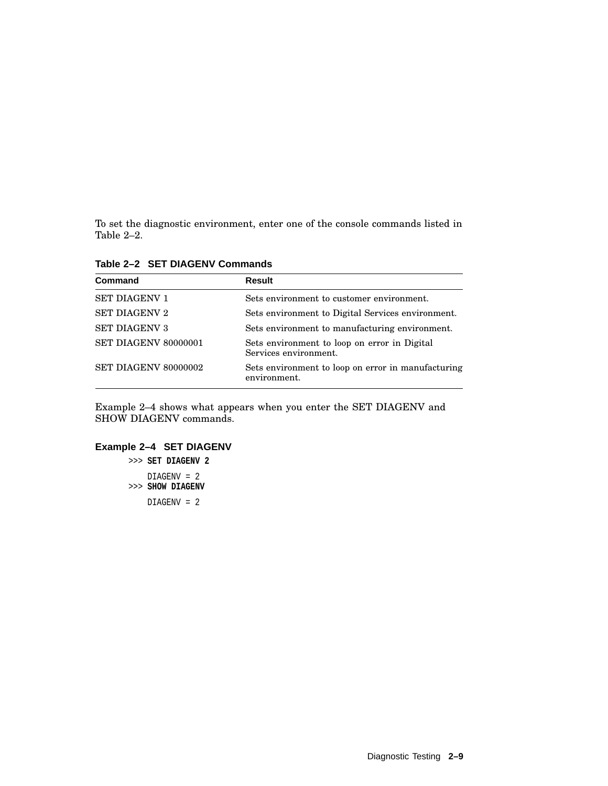To set the diagnostic environment, enter one of the console commands listed in Table 2–2.

| Command              | Result                                                                |
|----------------------|-----------------------------------------------------------------------|
| <b>SET DIAGENV 1</b> | Sets environment to customer environment.                             |
| <b>SET DIAGENV 2</b> | Sets environment to Digital Services environment.                     |
| <b>SET DIAGENV 3</b> | Sets environment to manufacturing environment.                        |
| SET DIAGENV 80000001 | Sets environment to loop on error in Digital<br>Services environment. |
| SET DIAGENV 80000002 | Sets environment to loop on error in manufacturing<br>environment.    |

**Table 2–2 SET DIAGENV Commands**

Example 2–4 shows what appears when you enter the SET DIAGENV and SHOW DIAGENV commands.

### **Example 2–4 SET DIAGENV**

>>> **SET DIAGENV 2** DIAGENV = 2 >>> **SHOW DIAGENV** DIAGENV = 2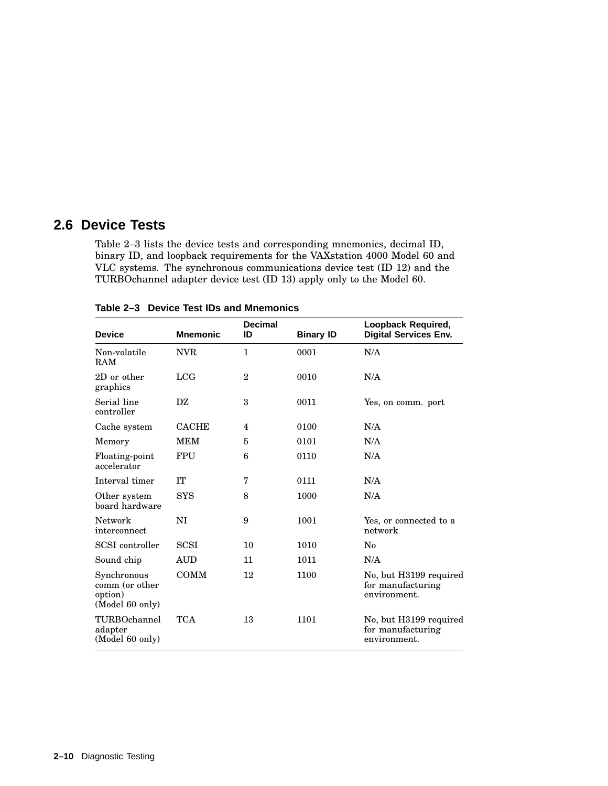# **2.6 Device Tests**

Table 2–3 lists the device tests and corresponding mnemonics, decimal ID, binary ID, and loopback requirements for the VAXstation 4000 Model 60 and VLC systems. The synchronous communications device test (ID 12) and the TURBOchannel adapter device test (ID 13) apply only to the Model 60.

| <b>Device</b>                                               | <b>Mnemonic</b> | <b>Decimal</b><br>ID | <b>Binary ID</b> | Loopback Required,<br><b>Digital Services Env.</b>          |
|-------------------------------------------------------------|-----------------|----------------------|------------------|-------------------------------------------------------------|
| Non-volatile<br>RAM                                         | <b>NVR</b>      | $\mathbf{1}$         | 0001             | N/A                                                         |
| 2D or other<br>graphics                                     | <b>LCG</b>      | $\overline{2}$       | 0010             | N/A                                                         |
| Serial line<br>controller                                   | DZ              | 3                    | 0011             | Yes, on comm. port                                          |
| Cache system                                                | <b>CACHE</b>    | 4                    | 0100             | N/A                                                         |
| Memory                                                      | <b>MEM</b>      | 5                    | 0101             | N/A                                                         |
| Floating-point<br>accelerator                               | <b>FPU</b>      | 6                    | 0110             | N/A                                                         |
| Interval timer                                              | <b>TT</b>       | 7                    | 0111             | N/A                                                         |
| Other system<br>board hardware                              | <b>SYS</b>      | 8                    | 1000             | N/A                                                         |
| <b>Network</b><br>interconnect                              | NI              | 9                    | 1001             | Yes, or connected to a<br>network                           |
| <b>SCSI</b> controller                                      | <b>SCSI</b>     | 10                   | 1010             | $\rm No$                                                    |
| Sound chip                                                  | <b>AUD</b>      | 11                   | 1011             | N/A                                                         |
| Synchronous<br>comm (or other<br>option)<br>(Model 60 only) | <b>COMM</b>     | 12                   | 1100             | No, but H3199 required<br>for manufacturing<br>environment. |
| TURBOchannel<br>adapter<br>(Model 60 only)                  | <b>TCA</b>      | 13                   | 1101             | No, but H3199 required<br>for manufacturing<br>environment. |

**Table 2–3 Device Test IDs and Mnemonics**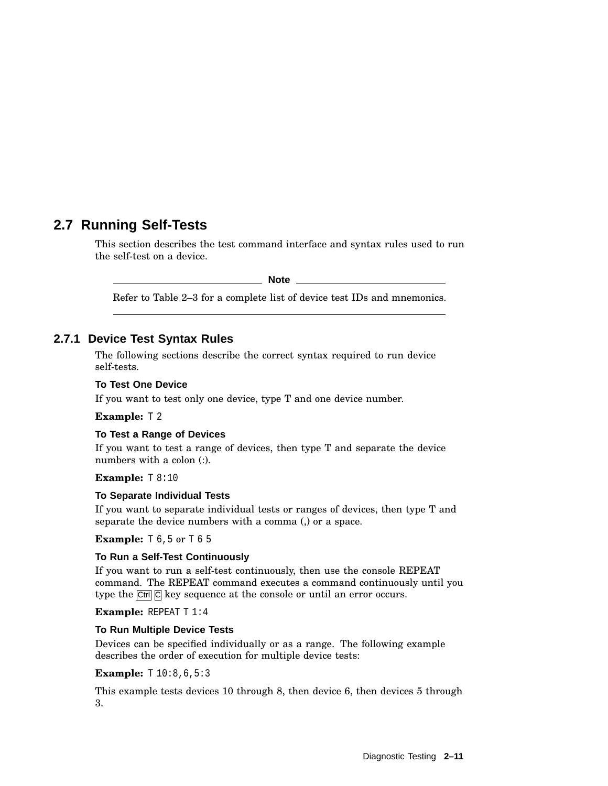# **2.7 Running Self-Tests**

This section describes the test command interface and syntax rules used to run the self-test on a device.

**Note**

Refer to Table 2–3 for a complete list of device test IDs and mnemonics.

## **2.7.1 Device Test Syntax Rules**

The following sections describe the correct syntax required to run device self-tests.

### **To Test One Device**

If you want to test only one device, type T and one device number.

**Example:** T 2

#### **To Test a Range of Devices**

If you want to test a range of devices, then type T and separate the device numbers with a colon (:).

**Example:** T 8:10

#### **To Separate Individual Tests**

If you want to separate individual tests or ranges of devices, then type T and separate the device numbers with a comma (,) or a space.

**Example:** T 6, 5 or T 6 5

#### **To Run a Self-Test Continuously**

If you want to run a self-test continuously, then use the console REPEAT command. The REPEAT command executes a command continuously until you type the  $\boxed{\text{Ctrl}}$   $\boxed{\text{C}}$  key sequence at the console or until an error occurs.

**Example:** REPEAT T 1:4

#### **To Run Multiple Device Tests**

Devices can be specified individually or as a range. The following example describes the order of execution for multiple device tests:

**Example:** T 10:8,6,5:3

This example tests devices 10 through 8, then device 6, then devices 5 through 3.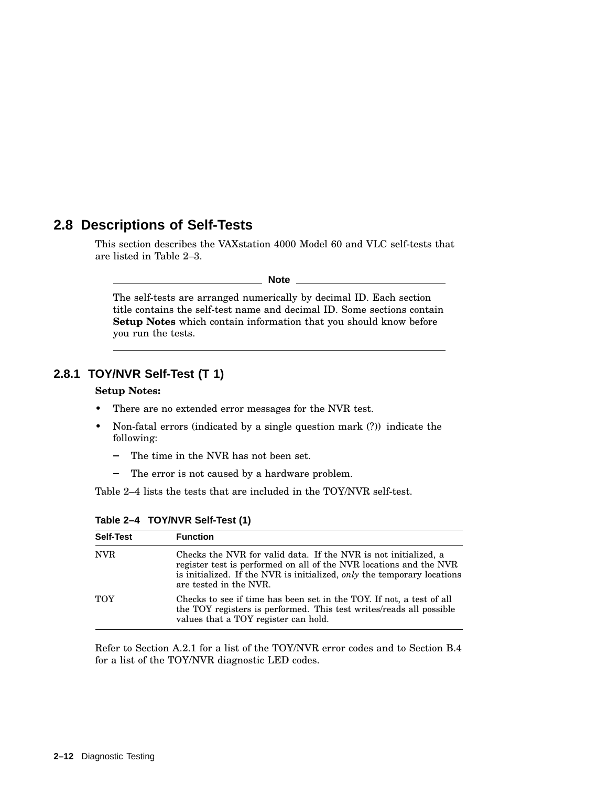# **2.8 Descriptions of Self-Tests**

This section describes the VAXstation 4000 Model 60 and VLC self-tests that are listed in Table 2–3.

**Note**

The self-tests are arranged numerically by decimal ID. Each section title contains the self-test name and decimal ID. Some sections contain **Setup Notes** which contain information that you should know before you run the tests.

## **2.8.1 TOY/NVR Self-Test (T 1)**

#### **Setup Notes:**

- There are no extended error messages for the NVR test.
- Non-fatal errors (indicated by a single question mark (?)) indicate the following:
	- The time in the NVR has not been set.  $\blacksquare$
	- The error is not caused by a hardware problem.  $\overline{\phantom{a}}$

Table 2–4 lists the tests that are included in the TOY/NVR self-test.

| <b>Self-Test</b> | <b>Function</b>                                                                                                                                                                                                                            |
|------------------|--------------------------------------------------------------------------------------------------------------------------------------------------------------------------------------------------------------------------------------------|
| <b>NVR</b>       | Checks the NVR for valid data. If the NVR is not initialized, a<br>register test is performed on all of the NVR locations and the NVR<br>is initialized. If the NVR is initialized, only the temporary locations<br>are tested in the NVR. |
| TOY              | Checks to see if time has been set in the TOY. If not, a test of all<br>the TOY registers is performed. This test writes/reads all possible<br>values that a TOY register can hold.                                                        |

**Table 2–4 TOY/NVR Self-Test (1)**

Refer to Section A.2.1 for a list of the TOY/NVR error codes and to Section B.4 for a list of the TOY/NVR diagnostic LED codes.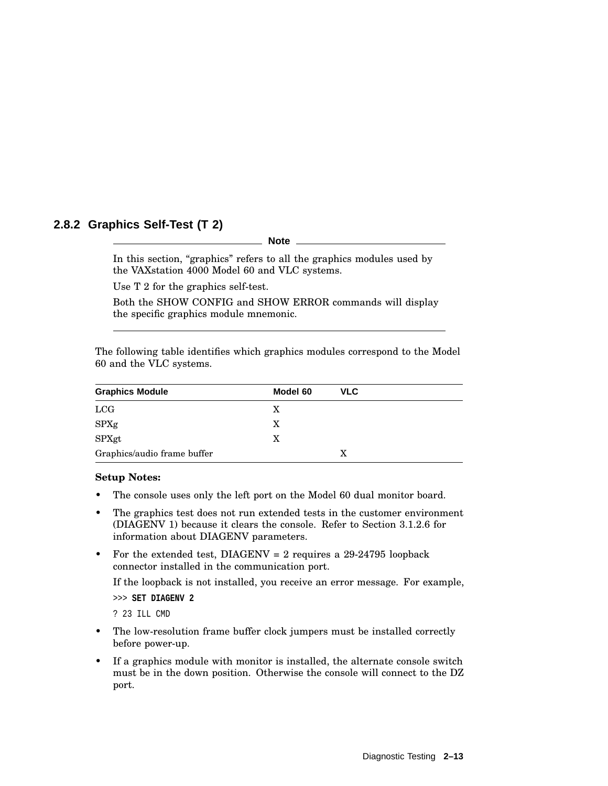## **2.8.2 Graphics Self-Test (T 2)**

**Note**

In this section, "graphics" refers to all the graphics modules used by the VAXstation 4000 Model 60 and VLC systems.

Use T 2 for the graphics self-test.

Both the SHOW CONFIG and SHOW ERROR commands will display the specific graphics module mnemonic.

The following table identifies which graphics modules correspond to the Model 60 and the VLC systems.

| <b>Graphics Module</b>      | Model 60 | <b>VLC</b> |
|-----------------------------|----------|------------|
| LCG                         | X        |            |
| <b>SPXg</b>                 | X        |            |
| SPXgt                       | X        |            |
| Graphics/audio frame buffer |          | X          |

#### **Setup Notes:**

- The console uses only the left port on the Model 60 dual monitor board.
- The graphics test does not run extended tests in the customer environment (DIAGENV 1) because it clears the console. Refer to Section 3.1.2.6 for information about DIAGENV parameters.
- For the extended test,  $DIAGENV = 2$  requires a 29-24795 loopback connector installed in the communication port.

If the loopback is not installed, you receive an error message. For example,

>>> **SET DIAGENV 2**

? 23 ILL CMD

- The low-resolution frame buffer clock jumpers must be installed correctly before power-up.
- If a graphics module with monitor is installed, the alternate console switch must be in the down position. Otherwise the console will connect to the DZ port.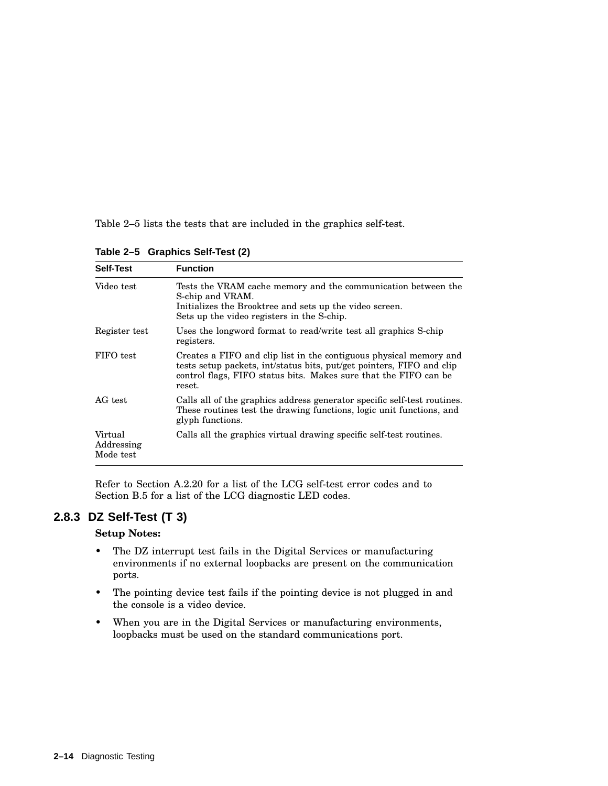Table 2–5 lists the tests that are included in the graphics self-test.

**Table 2–5 Graphics Self-Test (2)**

| <b>Self-Test</b>                   | <b>Function</b>                                                                                                                                                                                                           |
|------------------------------------|---------------------------------------------------------------------------------------------------------------------------------------------------------------------------------------------------------------------------|
| Video test                         | Tests the VRAM cache memory and the communication between the<br>S-chip and VRAM.<br>Initializes the Brooktree and sets up the video screen.<br>Sets up the video registers in the S-chip.                                |
| Register test                      | Uses the longword format to read/write test all graphics S-chip<br>registers.                                                                                                                                             |
| FIFO test                          | Creates a FIFO and clip list in the contiguous physical memory and<br>tests setup packets, int/status bits, put/get pointers, FIFO and clip<br>control flags, FIFO status bits. Makes sure that the FIFO can be<br>reset. |
| AG test                            | Calls all of the graphics address generator specific self-test routines.<br>These routines test the drawing functions, logic unit functions, and<br>glyph functions.                                                      |
| Virtual<br>Addressing<br>Mode test | Calls all the graphics virtual drawing specific self-test routines.                                                                                                                                                       |

Refer to Section A.2.20 for a list of the LCG self-test error codes and to Section B.5 for a list of the LCG diagnostic LED codes.

## **2.8.3 DZ Self-Test (T 3)**

#### **Setup Notes:**

- The DZ interrupt test fails in the Digital Services or manufacturing environments if no external loopbacks are present on the communication ports.
- The pointing device test fails if the pointing device is not plugged in and the console is a video device.
- When you are in the Digital Services or manufacturing environments, loopbacks must be used on the standard communications port.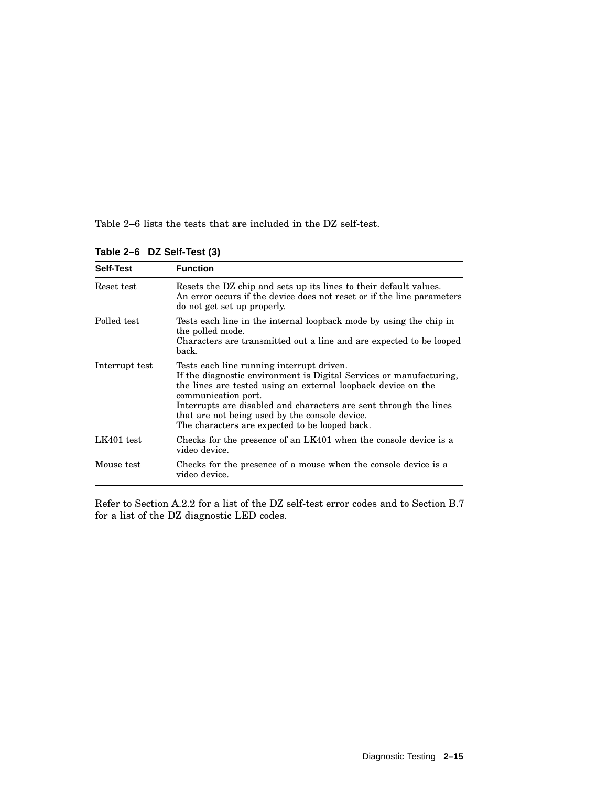Table 2–6 lists the tests that are included in the DZ self-test.

| <b>Self-Test</b> | <b>Function</b>                                                                                                                                                                                                                                                                                                                                                                   |
|------------------|-----------------------------------------------------------------------------------------------------------------------------------------------------------------------------------------------------------------------------------------------------------------------------------------------------------------------------------------------------------------------------------|
| Reset test       | Resets the DZ chip and sets up its lines to their default values.<br>An error occurs if the device does not reset or if the line parameters<br>do not get set up properly.                                                                                                                                                                                                        |
| Polled test      | Tests each line in the internal loopback mode by using the chip in<br>the polled mode.<br>Characters are transmitted out a line and are expected to be looped<br>back.                                                                                                                                                                                                            |
| Interrupt test   | Tests each line running interrupt driven.<br>If the diagnostic environment is Digital Services or manufacturing,<br>the lines are tested using an external loopback device on the<br>communication port.<br>Interrupts are disabled and characters are sent through the lines<br>that are not being used by the console device.<br>The characters are expected to be looped back. |
| $LK401$ test     | Checks for the presence of an LK401 when the console device is a<br>video device.                                                                                                                                                                                                                                                                                                 |
| Mouse test       | Checks for the presence of a mouse when the console device is a<br>video device.                                                                                                                                                                                                                                                                                                  |

**Table 2–6 DZ Self-Test (3)**

Refer to Section A.2.2 for a list of the DZ self-test error codes and to Section B.7 for a list of the DZ diagnostic LED codes.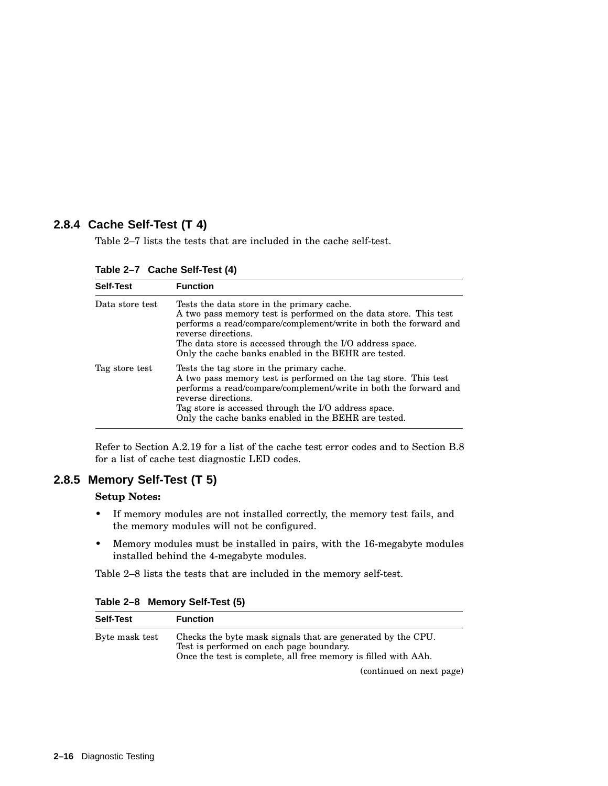## **2.8.4 Cache Self-Test (T 4)**

Table 2–7 lists the tests that are included in the cache self-test.

| <b>Self-Test</b> | <b>Function</b>                                                                                                                                                                                                                                                                                                                |
|------------------|--------------------------------------------------------------------------------------------------------------------------------------------------------------------------------------------------------------------------------------------------------------------------------------------------------------------------------|
| Data store test  | Tests the data store in the primary cache.<br>A two pass memory test is performed on the data store. This test<br>performs a read/compare/complement/write in both the forward and<br>reverse directions.<br>The data store is accessed through the I/O address space.<br>Only the cache banks enabled in the BEHR are tested. |
| Tag store test   | Tests the tag store in the primary cache.<br>A two pass memory test is performed on the tag store. This test<br>performs a read/compare/complement/write in both the forward and<br>reverse directions.<br>Tag store is accessed through the I/O address space.<br>Only the cache banks enabled in the BEHR are tested.        |

**Table 2–7 Cache Self-Test (4)**

Refer to Section A.2.19 for a list of the cache test error codes and to Section B.8 for a list of cache test diagnostic LED codes.

## **2.8.5 Memory Self-Test (T 5)**

### **Setup Notes:**

- If memory modules are not installed correctly, the memory test fails, and the memory modules will not be configured.
- Memory modules must be installed in pairs, with the 16-megabyte modules installed behind the 4-megabyte modules.

Table 2–8 lists the tests that are included in the memory self-test.

| <b>Self-Test</b> | <b>Function</b>                                                                                                                                                           |
|------------------|---------------------------------------------------------------------------------------------------------------------------------------------------------------------------|
| Byte mask test   | Checks the byte mask signals that are generated by the CPU.<br>Test is performed on each page boundary.<br>Once the test is complete, all free memory is filled with AAh. |
|                  | (continued on next page)                                                                                                                                                  |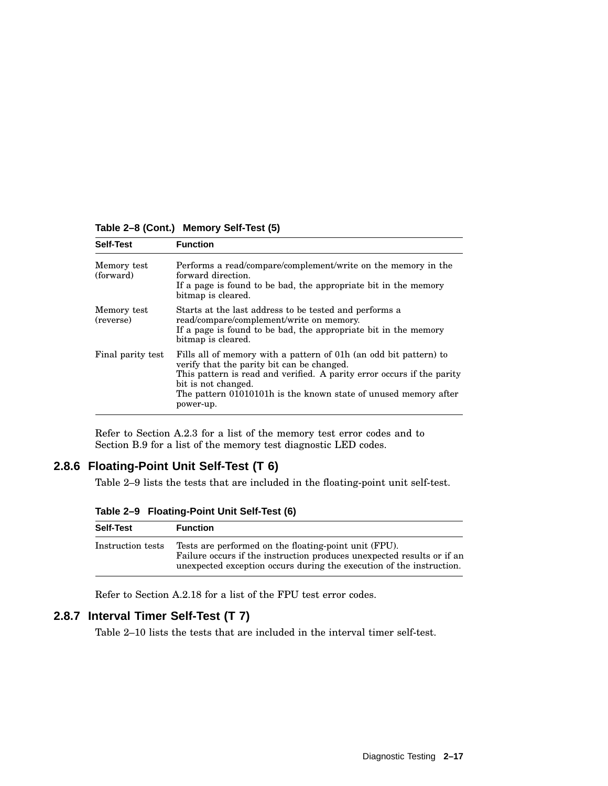**Table 2–8 (Cont.) Memory Self-Test (5)**

| <b>Self-Test</b>         | <b>Function</b>                                                                                                                                                                                                                                                                                  |
|--------------------------|--------------------------------------------------------------------------------------------------------------------------------------------------------------------------------------------------------------------------------------------------------------------------------------------------|
| Memory test<br>(forward) | Performs a read/compare/complement/write on the memory in the<br>forward direction.<br>If a page is found to be bad, the appropriate bit in the memory<br>bitmap is cleared.                                                                                                                     |
| Memory test<br>(reverse) | Starts at the last address to be tested and performs a<br>read/compare/complement/write on memory.<br>If a page is found to be bad, the appropriate bit in the memory<br>bitmap is cleared.                                                                                                      |
| Final parity test        | Fills all of memory with a pattern of 01h (an odd bit pattern) to<br>verify that the parity bit can be changed.<br>This pattern is read and verified. A parity error occurs if the parity<br>bit is not changed.<br>The pattern 01010101h is the known state of unused memory after<br>power-up. |

Refer to Section A.2.3 for a list of the memory test error codes and to Section B.9 for a list of the memory test diagnostic LED codes.

# **2.8.6 Floating-Point Unit Self-Test (T 6)**

Table 2–9 lists the tests that are included in the floating-point unit self-test.

**Table 2–9 Floating-Point Unit Self-Test (6)**

| <b>Self-Test</b>  | <b>Function</b>                                                                                                                                                                                         |
|-------------------|---------------------------------------------------------------------------------------------------------------------------------------------------------------------------------------------------------|
| Instruction tests | Tests are performed on the floating-point unit (FPU).<br>Failure occurs if the instruction produces unexpected results or if an<br>unexpected exception occurs during the execution of the instruction. |

Refer to Section A.2.18 for a list of the FPU test error codes.

## **2.8.7 Interval Timer Self-Test (T 7)**

Table 2–10 lists the tests that are included in the interval timer self-test.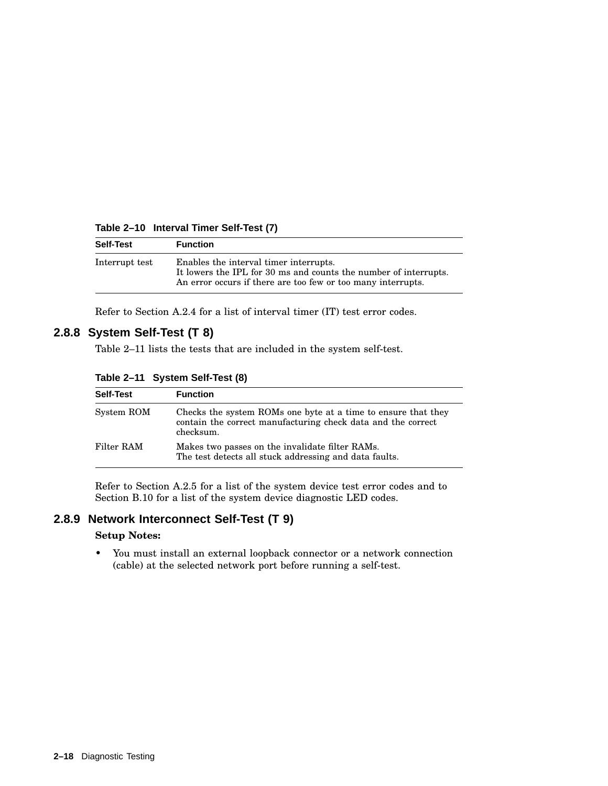**Table 2–10 Interval Timer Self-Test (7)**

| <b>Self-Test</b> | <b>Function</b>                                                                                                                                                            |
|------------------|----------------------------------------------------------------------------------------------------------------------------------------------------------------------------|
| Interrupt test   | Enables the interval timer interrupts.<br>It lowers the IPL for 30 ms and counts the number of interrupts.<br>An error occurs if there are too few or too many interrupts. |

Refer to Section A.2.4 for a list of interval timer (IT) test error codes.

## **2.8.8 System Self-Test (T 8)**

Table 2–11 lists the tests that are included in the system self-test.

**Table 2–11 System Self-Test (8)**

| <b>Self-Test</b> | <b>Function</b>                                                                                                                            |
|------------------|--------------------------------------------------------------------------------------------------------------------------------------------|
| System ROM       | Checks the system ROMs one byte at a time to ensure that they<br>contain the correct manufacturing check data and the correct<br>checksum. |
| Filter RAM       | Makes two passes on the invalidate filter RAMs.<br>The test detects all stuck addressing and data faults.                                  |

Refer to Section A.2.5 for a list of the system device test error codes and to Section B.10 for a list of the system device diagnostic LED codes.

# **2.8.9 Network Interconnect Self-Test (T 9)**

### **Setup Notes:**

• You must install an external loopback connector or a network connection (cable) at the selected network port before running a self-test.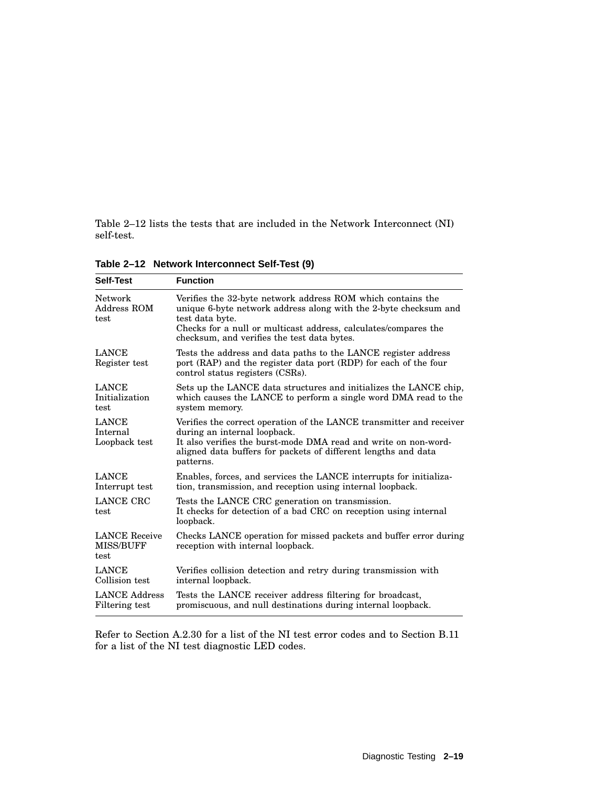Table 2–12 lists the tests that are included in the Network Interconnect (NI) self-test.

| <b>Self-Test</b>                                 | <b>Function</b>                                                                                                                                                                                                                                                      |
|--------------------------------------------------|----------------------------------------------------------------------------------------------------------------------------------------------------------------------------------------------------------------------------------------------------------------------|
| Network<br>Address ROM<br>test                   | Verifies the 32-byte network address ROM which contains the<br>unique 6-byte network address along with the 2-byte checksum and<br>test data byte.<br>Checks for a null or multicast address, calculates/compares the<br>checksum, and verifies the test data bytes. |
| <b>LANCE</b><br>Register test                    | Tests the address and data paths to the LANCE register address<br>port (RAP) and the register data port (RDP) for each of the four<br>control status registers (CSRs).                                                                                               |
| <b>LANCE</b><br>Initialization<br>test           | Sets up the LANCE data structures and initializes the LANCE chip,<br>which causes the LANCE to perform a single word DMA read to the<br>system memory.                                                                                                               |
| <b>LANCE</b><br>Internal<br>Loopback test        | Verifies the correct operation of the LANCE transmitter and receiver<br>during an internal loopback.<br>It also verifies the burst-mode DMA read and write on non-word-<br>aligned data buffers for packets of different lengths and data<br>patterns.               |
| <b>LANCE</b><br>Interrupt test                   | Enables, forces, and services the LANCE interrupts for initializa-<br>tion, transmission, and reception using internal loopback.                                                                                                                                     |
| LANCE CRC<br>test                                | Tests the LANCE CRC generation on transmission.<br>It checks for detection of a bad CRC on reception using internal<br>loopback.                                                                                                                                     |
| <b>LANCE</b> Receive<br><b>MISS/BUFF</b><br>test | Checks LANCE operation for missed packets and buffer error during<br>reception with internal loopback.                                                                                                                                                               |
| <b>LANCE</b><br>Collision test                   | Verifies collision detection and retry during transmission with<br>internal loopback.                                                                                                                                                                                |
| <b>LANCE Address</b><br>Filtering test           | Tests the LANCE receiver address filtering for broadcast,<br>promiscuous, and null destinations during internal loopback.                                                                                                                                            |

**Table 2–12 Network Interconnect Self-Test (9)**

Refer to Section A.2.30 for a list of the NI test error codes and to Section B.11 for a list of the NI test diagnostic LED codes.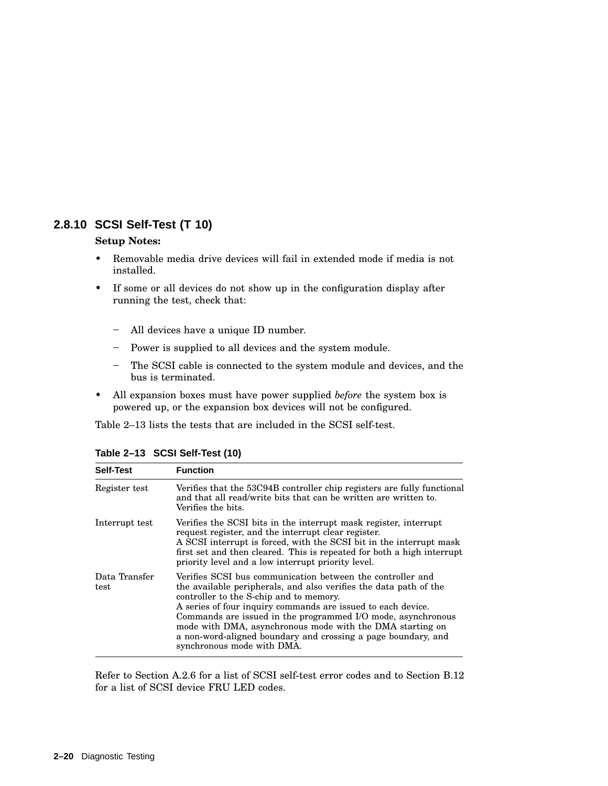## **2.8.10 SCSI Self-Test (T 10)**

#### **Setup Notes:**

- Removable media drive devices will fail in extended mode if media is not installed.
- If some or all devices do not show up in the configuration display after running the test, check that:
	- All devices have a unique ID number.
	- Power is supplied to all devices and the system module.
	- The SCSI cable is connected to the system module and devices, and the bus is terminated.
- All expansion boxes must have power supplied *before* the system box is powered up, or the expansion box devices will not be configured.

Table 2–13 lists the tests that are included in the SCSI self-test.

| <b>Self-Test</b>      | <b>Function</b>                                                                                                                                                                                                                                                                                                                                                                                                                                                        |
|-----------------------|------------------------------------------------------------------------------------------------------------------------------------------------------------------------------------------------------------------------------------------------------------------------------------------------------------------------------------------------------------------------------------------------------------------------------------------------------------------------|
| Register test         | Verifies that the 53C94B controller chip registers are fully functional<br>and that all read/write bits that can be written are written to.<br>Verifies the bits.                                                                                                                                                                                                                                                                                                      |
| Interrupt test        | Verifies the SCSI bits in the interrupt mask register, interrupt<br>request register, and the interrupt clear register.<br>A SCSI interrupt is forced, with the SCSI bit in the interrupt mask<br>first set and then cleared. This is repeated for both a high interrupt<br>priority level and a low interrupt priority level.                                                                                                                                         |
| Data Transfer<br>test | Verifies SCSI bus communication between the controller and<br>the available peripherals, and also verifies the data path of the<br>controller to the S-chip and to memory.<br>A series of four inquiry commands are issued to each device.<br>Commands are issued in the programmed I/O mode, asynchronous<br>mode with DMA, asynchronous mode with the DMA starting on<br>a non-word-aligned boundary and crossing a page boundary, and<br>synchronous mode with DMA. |

**Table 2–13 SCSI Self-Test (10)**

Refer to Section A.2.6 for a list of SCSI self-test error codes and to Section B.12 for a list of SCSI device FRU LED codes.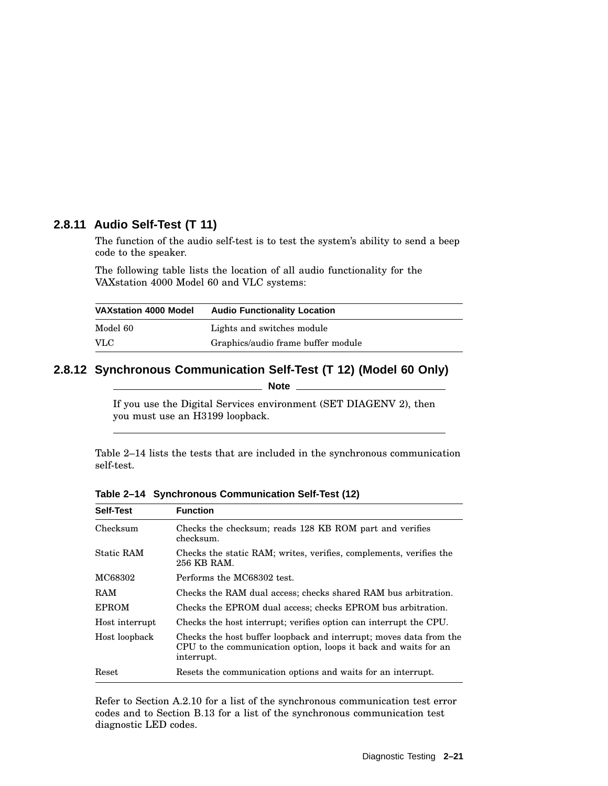## **2.8.11 Audio Self-Test (T 11)**

The function of the audio self-test is to test the system's ability to send a beep code to the speaker.

The following table lists the location of all audio functionality for the VAXstation 4000 Model 60 and VLC systems:

| <b>VAXstation 4000 Model</b> | <b>Audio Functionality Location</b> |
|------------------------------|-------------------------------------|
| Model 60                     | Lights and switches module          |
| <b>VLC</b>                   | Graphics/audio frame buffer module  |

# **2.8.12 Synchronous Communication Self-Test (T 12) (Model 60 Only)**

**Note**

If you use the Digital Services environment (SET DIAGENV 2), then you must use an H3199 loopback.

Table 2–14 lists the tests that are included in the synchronous communication self-test.

| Self-Test         | <b>Function</b>                                                                                                                                     |
|-------------------|-----------------------------------------------------------------------------------------------------------------------------------------------------|
| Checksum          | Checks the checksum; reads 128 KB ROM part and verifies<br>checksum.                                                                                |
| <b>Static RAM</b> | Checks the static RAM; writes, verifies, complements, verifies the<br>256 KB RAM.                                                                   |
| MC68302           | Performs the MC68302 test.                                                                                                                          |
| RAM               | Checks the RAM dual access; checks shared RAM bus arbitration.                                                                                      |
| <b>EPROM</b>      | Checks the EPROM dual access; checks EPROM bus arbitration.                                                                                         |
| Host interrupt    | Checks the host interrupt; verifies option can interrupt the CPU.                                                                                   |
| Host loopback     | Checks the host buffer loopback and interrupt; moves data from the<br>CPU to the communication option, loops it back and waits for an<br>interrupt. |
| Reset             | Resets the communication options and waits for an interrupt.                                                                                        |

**Table 2–14 Synchronous Communication Self-Test (12)**

Refer to Section A.2.10 for a list of the synchronous communication test error codes and to Section B.13 for a list of the synchronous communication test diagnostic LED codes.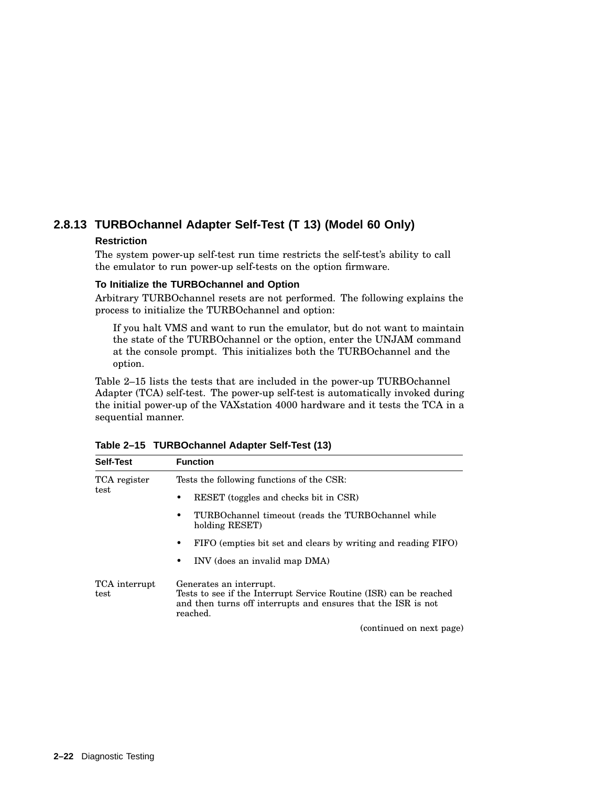# **2.8.13 TURBOchannel Adapter Self-Test (T 13) (Model 60 Only)**

### **Restriction**

The system power-up self-test run time restricts the self-test's ability to call the emulator to run power-up self-tests on the option firmware.

### **To Initialize the TURBOchannel and Option**

Arbitrary TURBOchannel resets are not performed. The following explains the process to initialize the TURBOchannel and option:

If you halt VMS and want to run the emulator, but do not want to maintain the state of the TURBOchannel or the option, enter the UNJAM command at the console prompt. This initializes both the TURBOchannel and the option.

Table 2–15 lists the tests that are included in the power-up TURBOchannel Adapter (TCA) self-test. The power-up self-test is automatically invoked during the initial power-up of the VAXstation 4000 hardware and it tests the TCA in a sequential manner.

| <b>Self-Test</b>      | <b>Function</b>                                                                                                                                                            |
|-----------------------|----------------------------------------------------------------------------------------------------------------------------------------------------------------------------|
| TCA register<br>test  | Tests the following functions of the CSR:                                                                                                                                  |
|                       | RESET (toggles and checks bit in CSR)                                                                                                                                      |
|                       | TURBOchannel timeout (reads the TURBOchannel while<br>holding RESET)                                                                                                       |
|                       | FIFO (empties bit set and clears by writing and reading FIFO)<br>$\bullet$                                                                                                 |
|                       | INV (does an invalid map DMA)<br>٠                                                                                                                                         |
| TCA interrupt<br>test | Generates an interrupt.<br>Tests to see if the Interrupt Service Routine (ISR) can be reached<br>and then turns off interrupts and ensures that the ISR is not<br>reached. |
|                       | (continued on next page)                                                                                                                                                   |

| Table 2-15 TURBOchannel Adapter Self-Test (13) |  |  |  |  |  |
|------------------------------------------------|--|--|--|--|--|
|------------------------------------------------|--|--|--|--|--|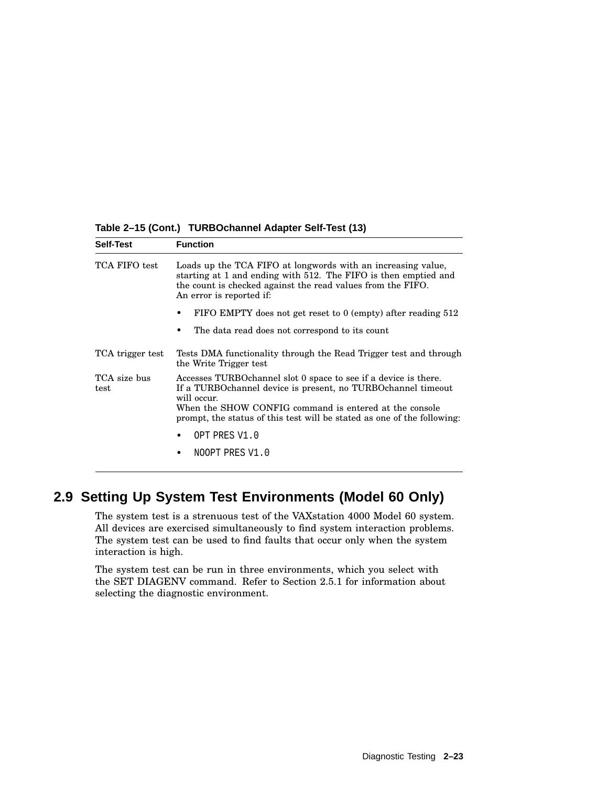| <b>Self-Test</b>     | <b>Function</b>                                                                                                                                                                                                                                                                        |  |
|----------------------|----------------------------------------------------------------------------------------------------------------------------------------------------------------------------------------------------------------------------------------------------------------------------------------|--|
| TCA FIFO test        | Loads up the TCA FIFO at longwords with an increasing value,<br>starting at 1 and ending with 512. The FIFO is then emptied and<br>the count is checked against the read values from the FIFO.<br>An error is reported if:                                                             |  |
|                      | FIFO EMPTY does not get reset to $0$ (empty) after reading $512$                                                                                                                                                                                                                       |  |
|                      | The data read does not correspond to its count                                                                                                                                                                                                                                         |  |
| TCA trigger test     | Tests DMA functionality through the Read Trigger test and through<br>the Write Trigger test                                                                                                                                                                                            |  |
| TCA size bus<br>test | Accesses TURBO channel slot 0 space to see if a device is there.<br>If a TURBO channel device is present, no TURBO channel timeout<br>will occur.<br>When the SHOW CONFIG command is entered at the console<br>prompt, the status of this test will be stated as one of the following: |  |
|                      | OPT PRES V1.0                                                                                                                                                                                                                                                                          |  |
|                      | NOOPT PRES V1.0                                                                                                                                                                                                                                                                        |  |

**Table 2–15 (Cont.) TURBOchannel Adapter Self-Test (13)**

# **2.9 Setting Up System Test Environments (Model 60 Only)**

The system test is a strenuous test of the VAXstation 4000 Model 60 system. All devices are exercised simultaneously to find system interaction problems. The system test can be used to find faults that occur only when the system interaction is high.

The system test can be run in three environments, which you select with the SET DIAGENV command. Refer to Section 2.5.1 for information about selecting the diagnostic environment.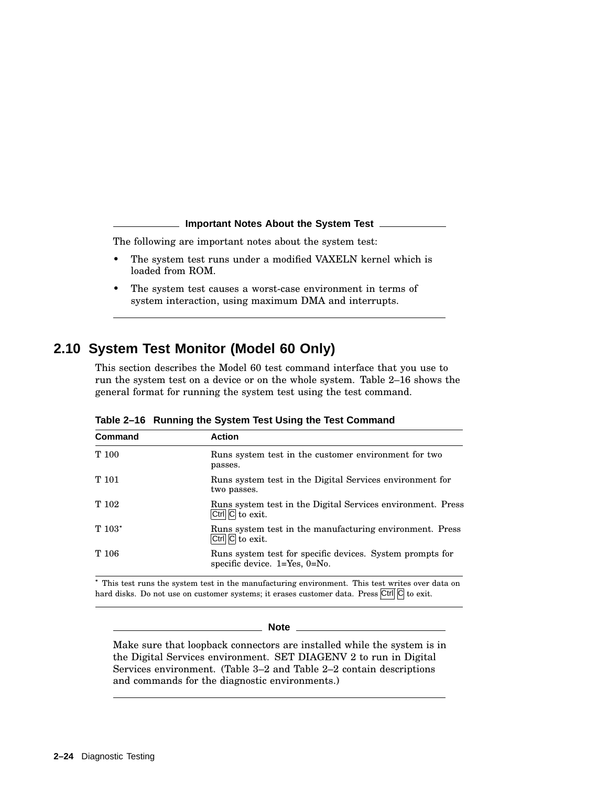#### **Important Notes About the System Test**

The following are important notes about the system test:

- The system test runs under a modified VAXELN kernel which is loaded from ROM.
- The system test causes a worst-case environment in terms of system interaction, using maximum DMA and interrupts.

# **2.10 System Test Monitor (Model 60 Only)**

This section describes the Model 60 test command interface that you use to run the system test on a device or on the whole system. Table 2–16 shows the general format for running the system test using the test command.

| Command  | <b>Action</b>                                                                                                        |
|----------|----------------------------------------------------------------------------------------------------------------------|
| T 100    | Runs system test in the customer environment for two<br>passes.                                                      |
| T 101    | Runs system test in the Digital Services environment for<br>two passes.                                              |
| T 102    | Runs system test in the Digital Services environment. Press<br>Ctrl $\overline{C}$ to exit.                          |
| $T 103*$ | Runs system test in the manufacturing environment. Press<br>$\overline{\text{Ctrl}}$ $\overline{\text{Cl}}$ to exit. |
| T 106    | Runs system test for specific devices. System prompts for<br>specific device. $1 = Yes$ , $0 = No$ .                 |

**Table 2–16 Running the System Test Using the Test Command**

 This test runs the system test in the manufacturing environment. This test writes over data on hard disks. Do not use on customer systems; it erases customer data. Press  $\overline{Ctr}$  [C] to exit.

#### **Note** \_

Make sure that loopback connectors are installed while the system is in the Digital Services environment. SET DIAGENV 2 to run in Digital Services environment. (Table 3–2 and Table 2–2 contain descriptions and commands for the diagnostic environments.)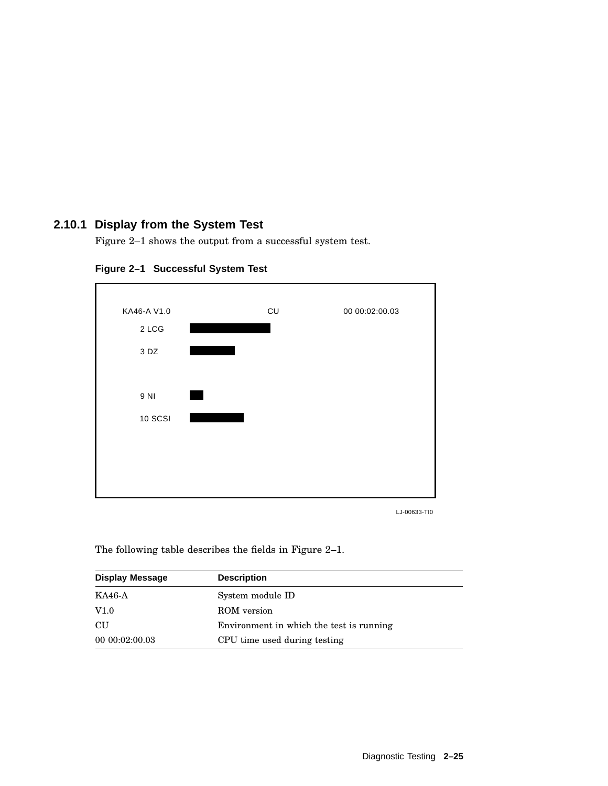# **2.10.1 Display from the System Test**

Figure 2–1 shows the output from a successful system test.



**Figure 2–1 Successful System Test**

LJ-00633-TI0

The following table describes the fields in Figure 2–1.

| <b>Display Message</b> | <b>Description</b>                       |
|------------------------|------------------------------------------|
| KA46-A                 | System module ID                         |
| V1.0                   | ROM version                              |
| <b>CU</b>              | Environment in which the test is running |
| 00 00:02:00.03         | CPU time used during testing             |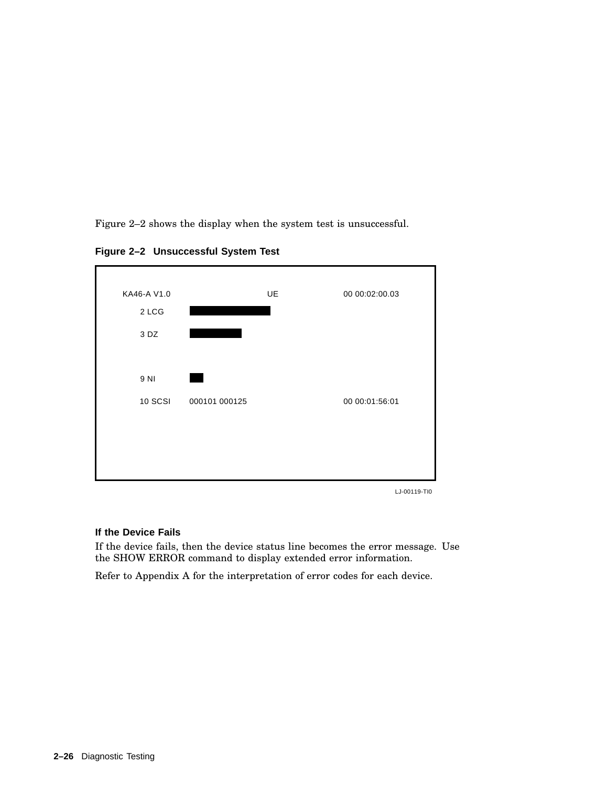Figure 2–2 shows the display when the system test is unsuccessful.

**Figure 2–2 Unsuccessful System Test**



LJ-00119-TI0

#### **If the Device Fails**

If the device fails, then the device status line becomes the error message. Use the SHOW ERROR command to display extended error information.

Refer to Appendix A for the interpretation of error codes for each device.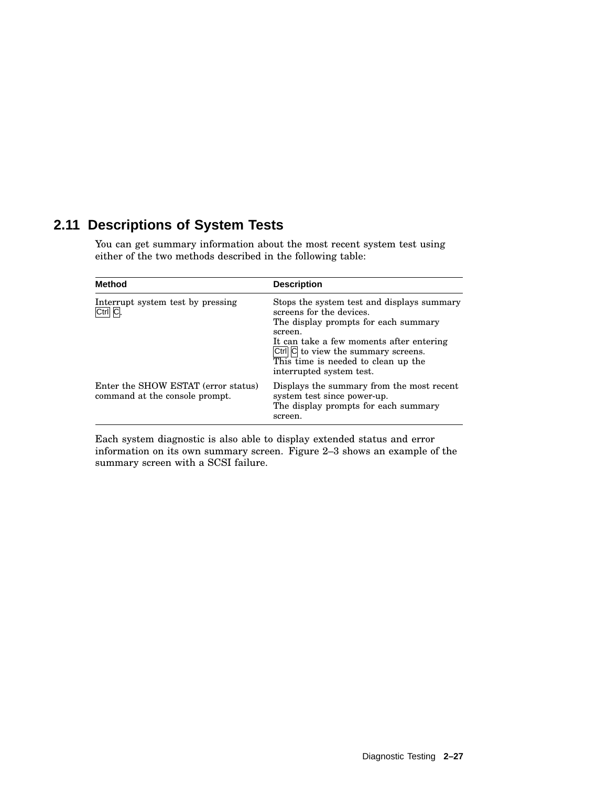# **2.11 Descriptions of System Tests**

You can get summary information about the most recent system test using either of the two methods described in the following table:

| <b>Method</b>                                                         | <b>Description</b>                                                                                                                                                                                                                                                              |
|-----------------------------------------------------------------------|---------------------------------------------------------------------------------------------------------------------------------------------------------------------------------------------------------------------------------------------------------------------------------|
| Interrupt system test by pressing<br>Ctrl C.                          | Stops the system test and displays summary<br>screens for the devices.<br>The display prompts for each summary<br>screen.<br>It can take a few moments after entering<br>Ctrl C to view the summary screens.<br>This time is needed to clean up the<br>interrupted system test. |
| Enter the SHOW ESTAT (error status)<br>command at the console prompt. | Displays the summary from the most recent<br>system test since power-up.<br>The display prompts for each summary<br>screen.                                                                                                                                                     |

Each system diagnostic is also able to display extended status and error information on its own summary screen. Figure 2–3 shows an example of the summary screen with a SCSI failure.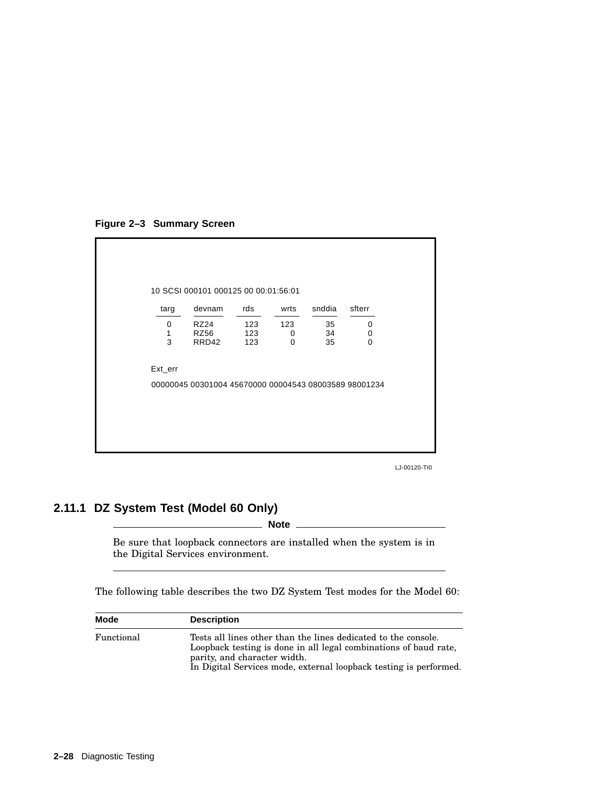**Figure 2–3 Summary Screen**



LJ-00120-TI0

# **2.11.1 DZ System Test (Model 60 Only)**

\_ Note \_

Be sure that loopback connectors are installed when the system is in the Digital Services environment.

The following table describes the two DZ System Test modes for the Model 60:

| Mode       | <b>Description</b>                                                                                                                                                                                                                      |
|------------|-----------------------------------------------------------------------------------------------------------------------------------------------------------------------------------------------------------------------------------------|
| Functional | Tests all lines other than the lines dedicated to the console.<br>Loopback testing is done in all legal combinations of baud rate,<br>parity, and character width.<br>In Digital Services mode, external loopback testing is performed. |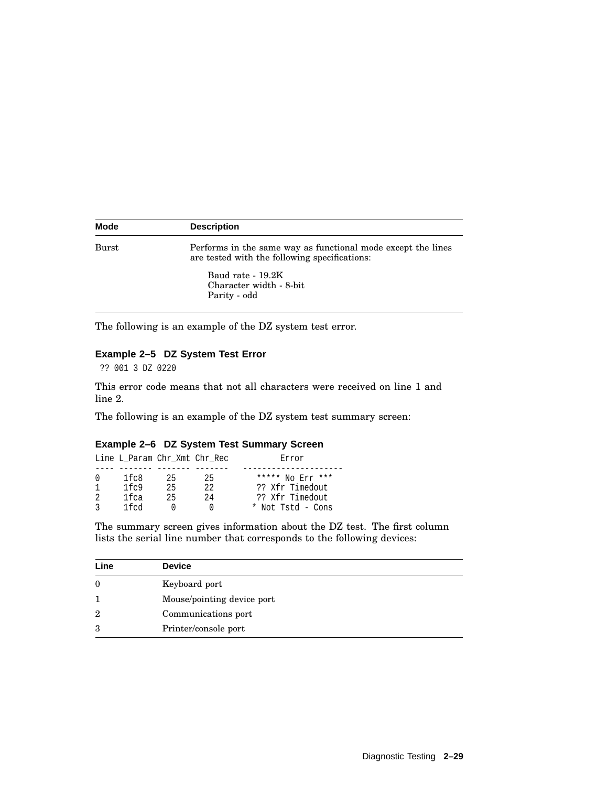| <b>Mode</b> | <b>Description</b>                                                                                            |
|-------------|---------------------------------------------------------------------------------------------------------------|
| Burst       | Performs in the same way as functional mode except the lines<br>are tested with the following specifications: |
|             | Baud rate - 19.2K<br>Character width - 8-bit<br>Parity - odd                                                  |

The following is an example of the DZ system test error.

#### **Example 2–5 DZ System Test Error**

?? 001 3 DZ 0220

This error code means that not all characters were received on line 1 and line 2.

The following is an example of the DZ system test summary screen:

### **Example 2–6 DZ System Test Summary Screen**

|              | Line L Param Chr Xmt Chr Rec |    |      | Error             |
|--------------|------------------------------|----|------|-------------------|
|              |                              |    |      |                   |
| <sup>0</sup> | 1fc8                         | 25 | 25   | ***** No Err ***  |
|              | 1f <sub>c</sub> 9            | 25 | 2.2. | ?? Xfr Timedout   |
|              | 1fca                         | 25 | 2.4  | ?? Xfr Timedout   |
|              | 1 f cd                       |    |      | * Not Tstd - Cons |

The summary screen gives information about the DZ test. The first column lists the serial line number that corresponds to the following devices:

| Line           | <b>Device</b>              |
|----------------|----------------------------|
| $\theta$       | Keyboard port              |
| 1              | Mouse/pointing device port |
| $\overline{2}$ | Communications port        |
| 3              | Printer/console port       |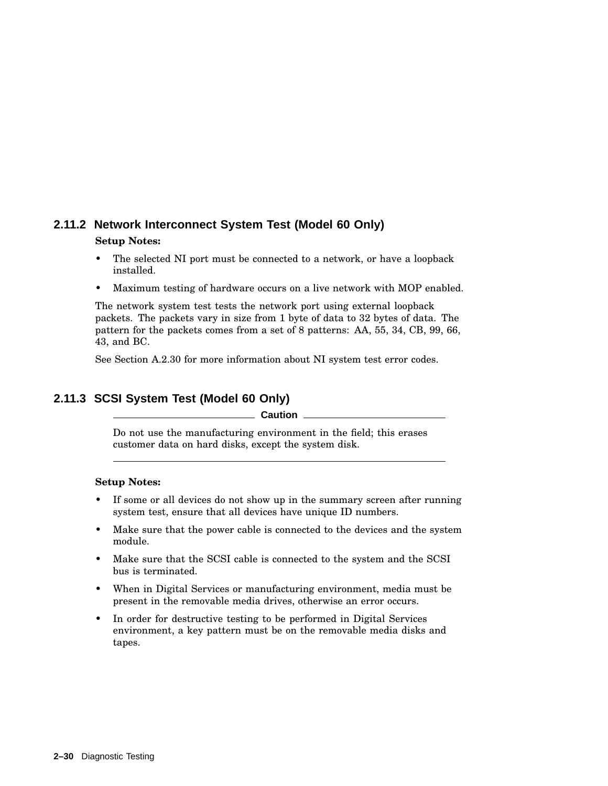# **2.11.2 Network Interconnect System Test (Model 60 Only)**

#### **Setup Notes:**

- The selected NI port must be connected to a network, or have a loopback installed.
- Maximum testing of hardware occurs on a live network with MOP enabled.

The network system test tests the network port using external loopback packets. The packets vary in size from 1 byte of data to 32 bytes of data. The pattern for the packets comes from a set of 8 patterns: AA, 55, 34, CB, 99, 66, 43, and BC.

See Section A.2.30 for more information about NI system test error codes.

# **2.11.3 SCSI System Test (Model 60 Only)**

#### **Caution**

Do not use the manufacturing environment in the field; this erases customer data on hard disks, except the system disk.

### **Setup Notes:**

- If some or all devices do not show up in the summary screen after running system test, ensure that all devices have unique ID numbers.
- Make sure that the power cable is connected to the devices and the system module.
- Make sure that the SCSI cable is connected to the system and the SCSI bus is terminated.
- When in Digital Services or manufacturing environment, media must be present in the removable media drives, otherwise an error occurs.
- In order for destructive testing to be performed in Digital Services environment, a key pattern must be on the removable media disks and tapes.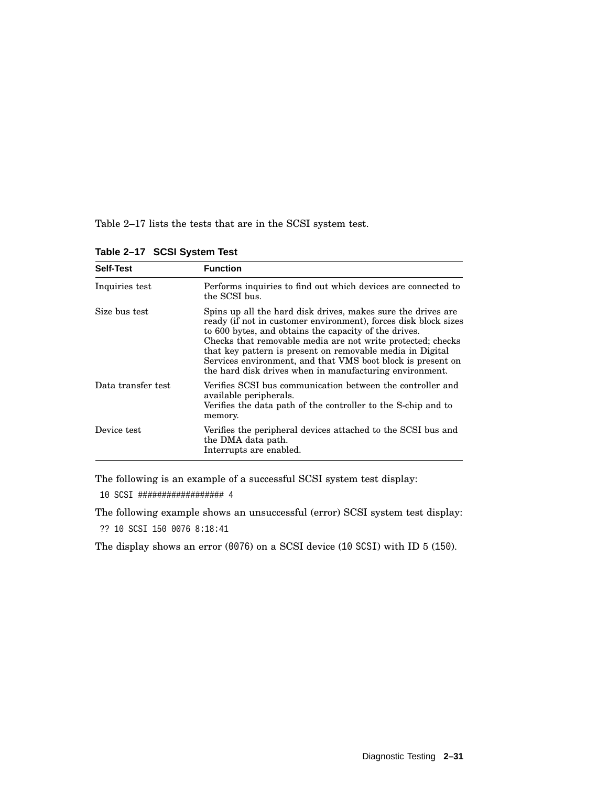Table 2–17 lists the tests that are in the SCSI system test.

| <b>Self-Test</b>   | <b>Function</b>                                                                                                                                                                                                                                                                                                                                                                                                                                |
|--------------------|------------------------------------------------------------------------------------------------------------------------------------------------------------------------------------------------------------------------------------------------------------------------------------------------------------------------------------------------------------------------------------------------------------------------------------------------|
| Inquiries test     | Performs inquiries to find out which devices are connected to<br>the SCSI bus.                                                                                                                                                                                                                                                                                                                                                                 |
| Size bus test      | Spins up all the hard disk drives, makes sure the drives are<br>ready (if not in customer environment), forces disk block sizes<br>to 600 bytes, and obtains the capacity of the drives.<br>Checks that removable media are not write protected; checks<br>that key pattern is present on removable media in Digital<br>Services environment, and that VMS boot block is present on<br>the hard disk drives when in manufacturing environment. |
| Data transfer test | Verifies SCSI bus communication between the controller and<br>available peripherals.<br>Verifies the data path of the controller to the S-chip and to<br>memory.                                                                                                                                                                                                                                                                               |
| Device test        | Verifies the peripheral devices attached to the SCSI bus and<br>the DMA data path.<br>Interrupts are enabled.                                                                                                                                                                                                                                                                                                                                  |

**Table 2–17 SCSI System Test**

The following is an example of a successful SCSI system test display:

10 SCSI ################## 4

The following example shows an unsuccessful (error) SCSI system test display:

?? 10 SCSI 150 0076 8:18:41

The display shows an error (0076) on a SCSI device (10 SCSI) with ID 5 (150).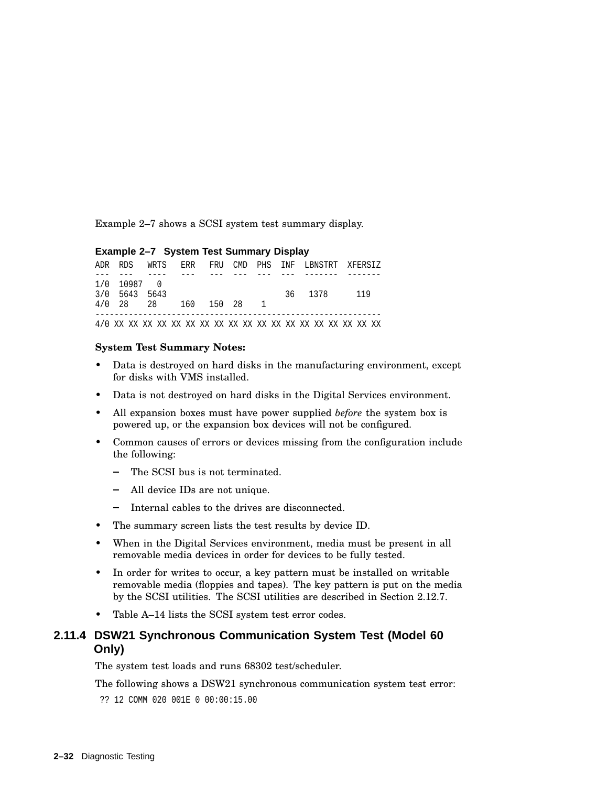Example 2–7 shows a SCSI system test summary display.

#### **Example 2–7 System Test Summary Display**

|                      |  |  |  | ADR RDS WRTS ERR FRU CMD PHS INF LBNSTRT XFERSIZ |  |
|----------------------|--|--|--|--------------------------------------------------|--|
|                      |  |  |  |                                                  |  |
| 1/0 10987 0          |  |  |  |                                                  |  |
| 3/0 5643 5643        |  |  |  | 36 1378 119                                      |  |
| 4/0 28 28 160 150 28 |  |  |  |                                                  |  |
|                      |  |  |  |                                                  |  |
|                      |  |  |  |                                                  |  |

#### **System Test Summary Notes:**

- Data is destroyed on hard disks in the manufacturing environment, except for disks with VMS installed.
- Data is not destroyed on hard disks in the Digital Services environment.
- All expansion boxes must have power supplied *before* the system box is powered up, or the expansion box devices will not be configured.
- Common causes of errors or devices missing from the configuration include the following:
	- The SCSI bus is not terminated.
	- $\sim$ All device IDs are not unique.
	- Internal cables to the drives are disconnected.
- The summary screen lists the test results by device ID.
- When in the Digital Services environment, media must be present in all removable media devices in order for devices to be fully tested.
- In order for writes to occur, a key pattern must be installed on writable removable media (floppies and tapes). The key pattern is put on the media by the SCSI utilities. The SCSI utilities are described in Section 2.12.7.
- Table A–14 lists the SCSI system test error codes.

## **2.11.4 DSW21 Synchronous Communication System Test (Model 60 Only)**

The system test loads and runs 68302 test/scheduler.

The following shows a DSW21 synchronous communication system test error:

?? 12 COMM 020 001E 0 00:00:15.00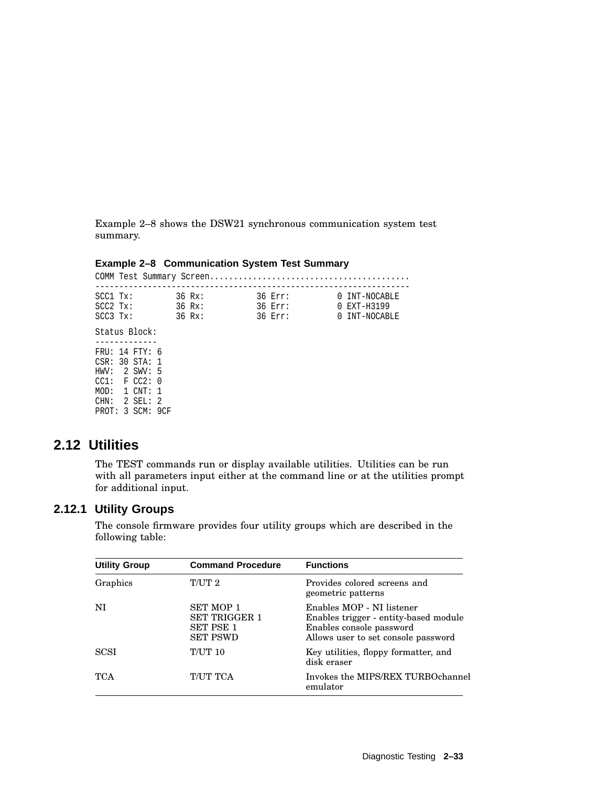Example 2–8 shows the DSW21 synchronous communication system test summary.

### **Example 2–8 Communication System Test Summary**

| SCC1 Tx:<br>SCC2 Tx: |                  | 36 Rx:<br>$36 Rx$ : |  | 36 Err:<br>36 Err: | 0 INT-NOCABLE<br>0 EXT-H3199 |
|----------------------|------------------|---------------------|--|--------------------|------------------------------|
| SCC3 Tx:             |                  | 36 Rx:              |  | 36 Err:            | 0 INT-NOCABLE                |
|                      | Status Block:    |                     |  |                    |                              |
|                      | FRU: 14 FTY: 6   |                     |  |                    |                              |
|                      | CSR: 30 STA: 1   |                     |  |                    |                              |
|                      | HWV: 2 SWV: 5    |                     |  |                    |                              |
|                      | CC1: FCC2: 0     |                     |  |                    |                              |
|                      | MOD: 1 CNT: 1    |                     |  |                    |                              |
|                      | $CHN: 2$ SEL: 2  |                     |  |                    |                              |
|                      | PROT: 3 SCM: 9CF |                     |  |                    |                              |

# **2.12 Utilities**

The TEST commands run or display available utilities. Utilities can be run with all parameters input either at the command line or at the utilities prompt for additional input.

### **2.12.1 Utility Groups**

The console firmware provides four utility groups which are described in the following table:

| <b>Utility Group</b> | <b>Command Procedure</b>                                                        | <b>Functions</b>                                                                                                                      |
|----------------------|---------------------------------------------------------------------------------|---------------------------------------------------------------------------------------------------------------------------------------|
| Graphics             | T/UT 2                                                                          | Provides colored screens and<br>geometric patterns                                                                                    |
| NI                   | <b>SET MOP 1</b><br><b>SET TRIGGER 1</b><br><b>SET PSE 1</b><br><b>SET PSWD</b> | Enables MOP - NI listener<br>Enables trigger - entity-based module<br>Enables console password<br>Allows user to set console password |
| <b>SCSI</b>          | <b>T/UT 10</b>                                                                  | Key utilities, floppy formatter, and<br>disk eraser                                                                                   |
| <b>TCA</b>           | T/UT TCA                                                                        | Invokes the MIPS/REX TURBOchannel<br>emulator                                                                                         |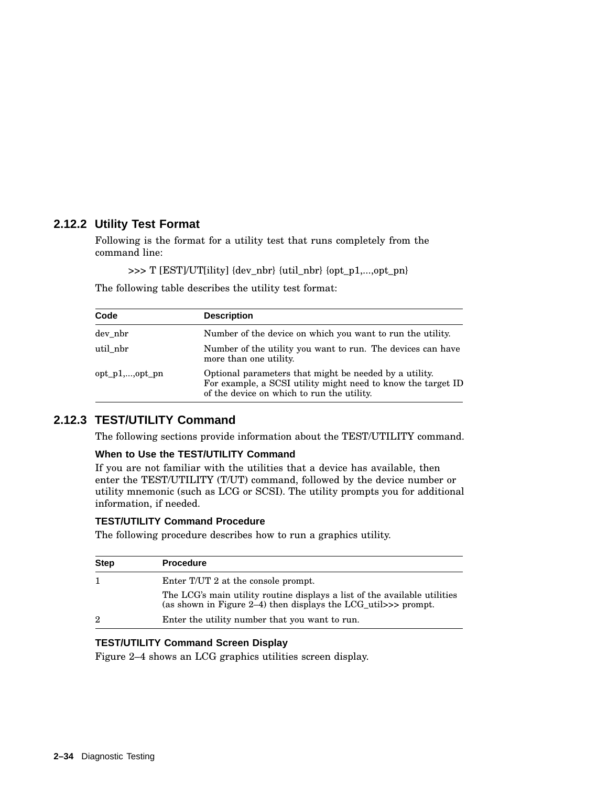## **2.12.2 Utility Test Format**

Following is the format for a utility test that runs completely from the command line:

>>> T [EST]/UT[ility] {dev\_nbr} {util\_nbr} {opt\_p1,...,opt\_pn}

The following table describes the utility test format:

| Code               | <b>Description</b>                                                                                                                                                   |
|--------------------|----------------------------------------------------------------------------------------------------------------------------------------------------------------------|
| dev nbr            | Number of the device on which you want to run the utility.                                                                                                           |
| util nbr           | Number of the utility you want to run. The devices can have<br>more than one utility.                                                                                |
| $opt\_p1$ ,,opt pn | Optional parameters that might be needed by a utility.<br>For example, a SCSI utility might need to know the target ID<br>of the device on which to run the utility. |

## **2.12.3 TEST/UTILITY Command**

The following sections provide information about the TEST/UTILITY command.

### **When to Use the TEST/UTILITY Command**

If you are not familiar with the utilities that a device has available, then enter the TEST/UTILITY (T/UT) command, followed by the device number or utility mnemonic (such as LCG or SCSI). The utility prompts you for additional information, if needed.

#### **TEST/UTILITY Command Procedure**

The following procedure describes how to run a graphics utility.

| <b>Step</b> | <b>Procedure</b>                                                                                                                                |
|-------------|-------------------------------------------------------------------------------------------------------------------------------------------------|
|             | Enter T/UT 2 at the console prompt.                                                                                                             |
|             | The LCG's main utility routine displays a list of the available utilities<br>(as shown in Figure 2–4) then displays the $LCG_{util} >>$ prompt. |
| 2           | Enter the utility number that you want to run.                                                                                                  |

#### **TEST/UTILITY Command Screen Display**

Figure 2–4 shows an LCG graphics utilities screen display.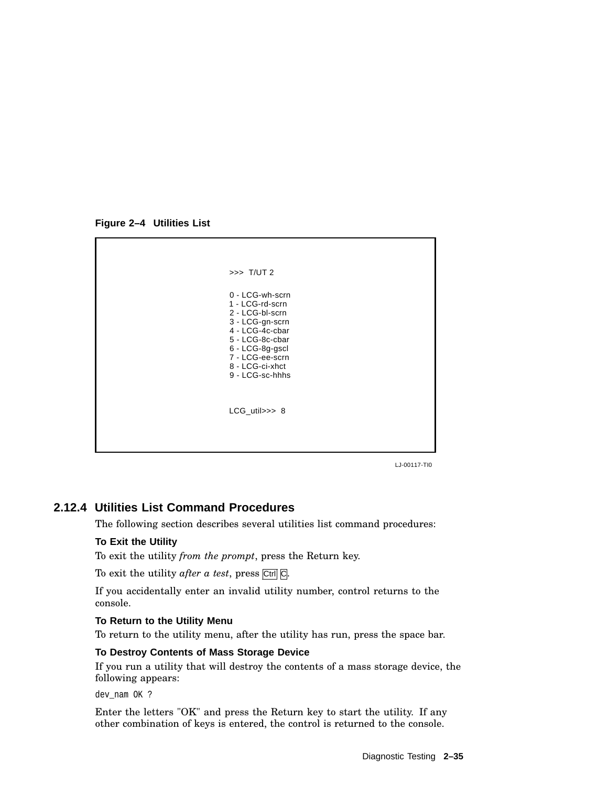**Figure 2–4 Utilities List**



LJ-00117-TI0

## **2.12.4 Utilities List Command Procedures**

The following section describes several utilities list command procedures:

#### **To Exit the Utility**

To exit the utility *from the prompt*, press the Return key.

To exit the utility *after a test*, press Ctrl C.

If you accidentally enter an invalid utility number, control returns to the console.

#### **To Return to the Utility Menu**

To return to the utility menu, after the utility has run, press the space bar.

#### **To Destroy Contents of Mass Storage Device**

If you run a utility that will destroy the contents of a mass storage device, the following appears:

dev nam OK ?

Enter the letters "OK" and press the Return key to start the utility. If any other combination of keys is entered, the control is returned to the console.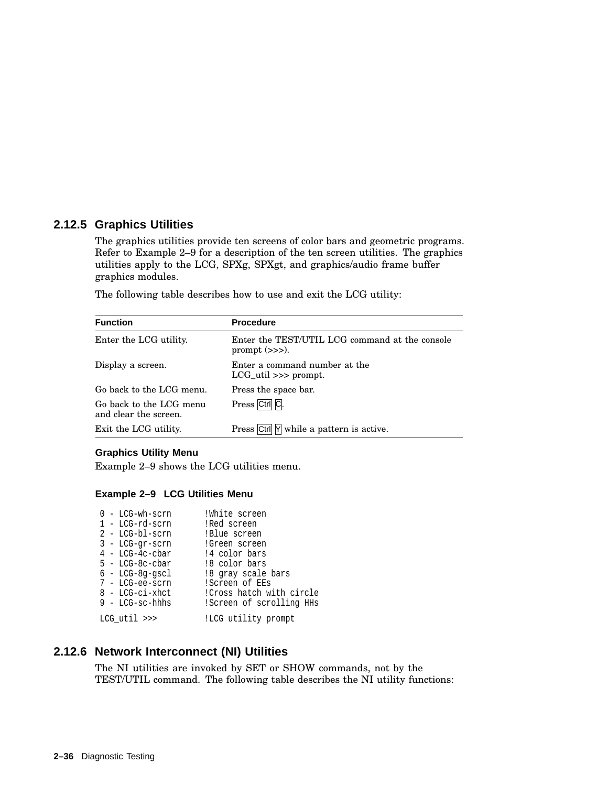### **2.12.5 Graphics Utilities**

The graphics utilities provide ten screens of color bars and geometric programs. Refer to Example 2–9 for a description of the ten screen utilities. The graphics utilities apply to the LCG, SPXg, SPXgt, and graphics/audio frame buffer graphics modules.

The following table describes how to use and exit the LCG utility:

| <b>Function</b>                                  | <b>Procedure</b>                                                   |
|--------------------------------------------------|--------------------------------------------------------------------|
| Enter the LCG utility.                           | Enter the TEST/UTIL LCG command at the console<br>prompt $(\gg)$ . |
| Display a screen.                                | Enter a command number at the<br>LCG util $\gg$ prompt.            |
| Go back to the LCG menu.                         | Press the space bar.                                               |
| Go back to the LCG menu<br>and clear the screen. | Press Ctrl C.                                                      |
| Exit the LCG utility.                            | Press Ctrl Y while a pattern is active.                            |

#### **Graphics Utility Menu**

Example 2–9 shows the LCG utilities menu.

#### **Example 2–9 LCG Utilities Menu**

|  | $0$ - LCG-wh-scrn | !White screen             |
|--|-------------------|---------------------------|
|  | $1 - LCG-rd-scrn$ | !Red screen               |
|  | $2$ - LCG-bl-scrn | !Blue screen              |
|  | $3 - LCG-qr-scrn$ | !Green screen             |
|  | $4$ - LCG-4c-cbar | !4 color bars             |
|  | $5 - LCG-8c-cbar$ | !8 color bars             |
|  | $6 - LCG-8q-qscl$ | !8 gray scale bars        |
|  | 7 - LCG-ee-scrn   | !Screen of EEs            |
|  | 8 - LCG-ci-xhct   | ! Cross hatch with circle |
|  | $9$ - LCG-sc-hhhs | !Screen of scrolling HHs  |
|  | $LCG$ util $\gg$  | !LCG utility prompt       |
|  |                   |                           |

## **2.12.6 Network Interconnect (NI) Utilities**

The NI utilities are invoked by SET or SHOW commands, not by the TEST/UTIL command. The following table describes the NI utility functions: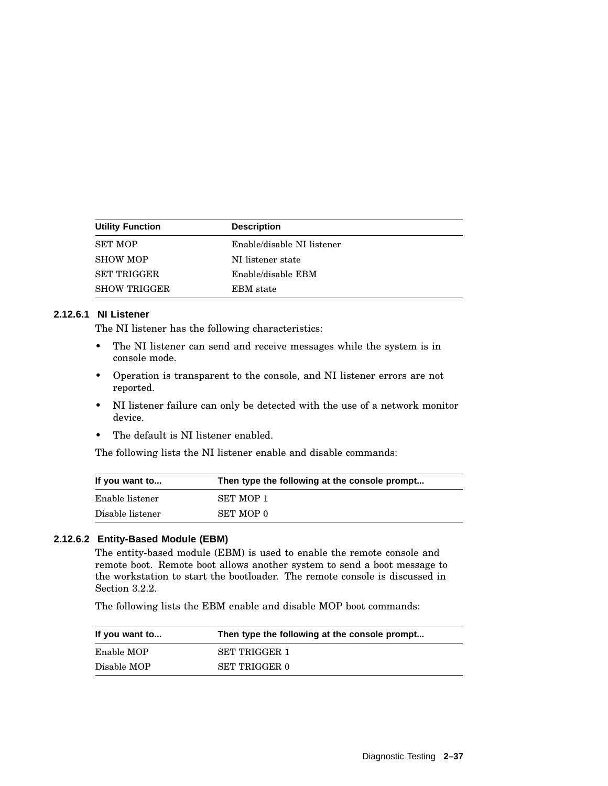| <b>Utility Function</b> | <b>Description</b>         |
|-------------------------|----------------------------|
| <b>SET MOP</b>          | Enable/disable NI listener |
| <b>SHOW MOP</b>         | NI listener state          |
| <b>SET TRIGGER</b>      | Enable/disable EBM         |
| <b>SHOW TRIGGER</b>     | EBM state                  |

#### **2.12.6.1 NI Listener**

The NI listener has the following characteristics:

- The NI listener can send and receive messages while the system is in console mode.
- Operation is transparent to the console, and NI listener errors are not reported.
- NI listener failure can only be detected with the use of a network monitor device.
- The default is NI listener enabled.

The following lists the NI listener enable and disable commands:

| If you want to   | Then type the following at the console prompt |
|------------------|-----------------------------------------------|
| Enable listener  | SET MOP 1                                     |
| Disable listener | <b>SET MOP 0</b>                              |

#### **2.12.6.2 Entity-Based Module (EBM)**

The entity-based module (EBM) is used to enable the remote console and remote boot. Remote boot allows another system to send a boot message to the workstation to start the bootloader. The remote console is discussed in Section 3.2.2.

The following lists the EBM enable and disable MOP boot commands:

| If you want to | Then type the following at the console prompt |  |  |
|----------------|-----------------------------------------------|--|--|
| Enable MOP     | <b>SET TRIGGER 1</b>                          |  |  |
| Disable MOP    | <b>SET TRIGGER 0</b>                          |  |  |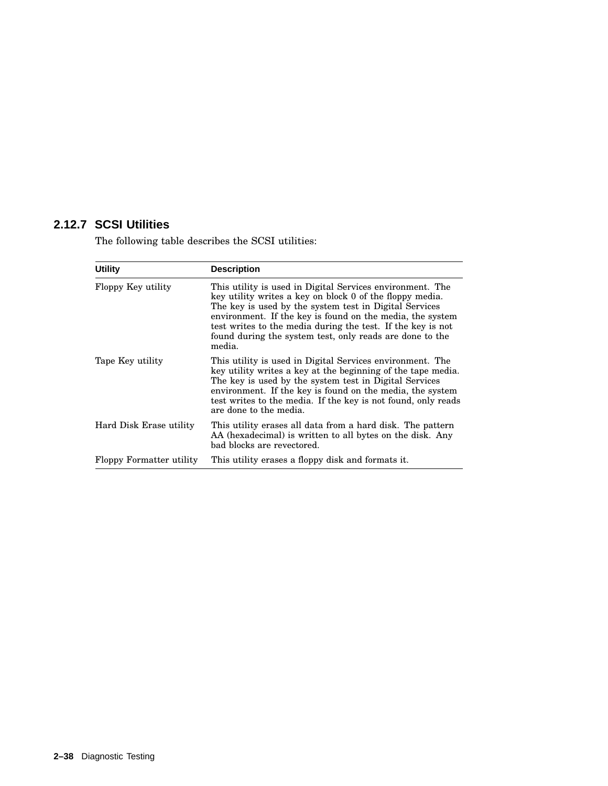## **2.12.7 SCSI Utilities**

The following table describes the SCSI utilities:

| <b>Utility</b>           | <b>Description</b>                                                                                                                                                                                                                                                                                                                                                                |
|--------------------------|-----------------------------------------------------------------------------------------------------------------------------------------------------------------------------------------------------------------------------------------------------------------------------------------------------------------------------------------------------------------------------------|
| Floppy Key utility       | This utility is used in Digital Services environment. The<br>key utility writes a key on block 0 of the floppy media.<br>The key is used by the system test in Digital Services<br>environment. If the key is found on the media, the system<br>test writes to the media during the test. If the key is not<br>found during the system test, only reads are done to the<br>media. |
| Tape Key utility         | This utility is used in Digital Services environment. The<br>key utility writes a key at the beginning of the tape media.<br>The key is used by the system test in Digital Services<br>environment. If the key is found on the media, the system<br>test writes to the media. If the key is not found, only reads<br>are done to the media.                                       |
| Hard Disk Erase utility  | This utility erases all data from a hard disk. The pattern<br>AA (hexadecimal) is written to all bytes on the disk. Any<br>bad blocks are revectored.                                                                                                                                                                                                                             |
| Floppy Formatter utility | This utility erases a floppy disk and formats it.                                                                                                                                                                                                                                                                                                                                 |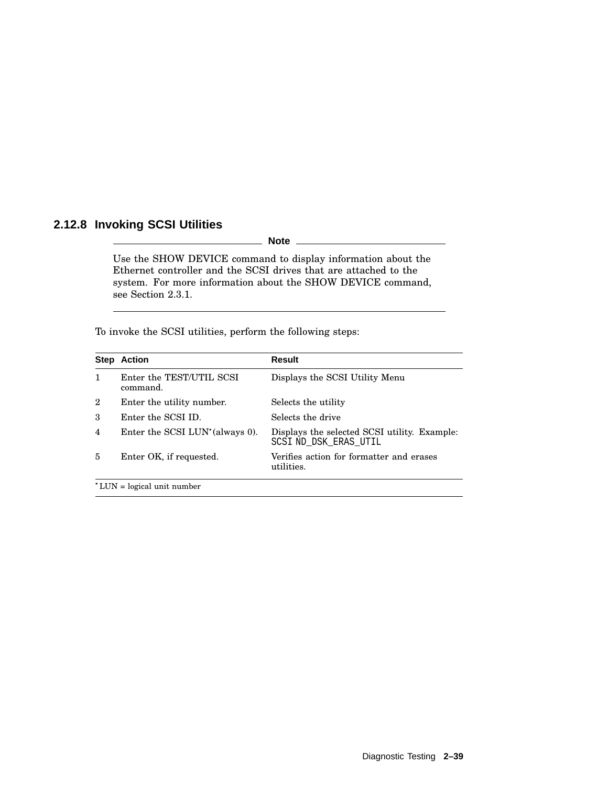## **2.12.8 Invoking SCSI Utilities**

**Note**

Use the SHOW DEVICE command to display information about the Ethernet controller and the SCSI drives that are attached to the system. For more information about the SHOW DEVICE command, see Section 2.3.1.

To invoke the SCSI utilities, perform the following steps:

| <b>Step Action</b>                          | <b>Result</b>                                                         |
|---------------------------------------------|-----------------------------------------------------------------------|
| Enter the TEST/UTIL SCSI<br>command.        | Displays the SCSI Utility Menu                                        |
| Enter the utility number.                   | Selects the utility                                                   |
| Enter the SCSI ID.                          | Selects the drive                                                     |
| Enter the SCSI LUN <sup>*</sup> (always 0). | Displays the selected SCSI utility. Example:<br>SCSI ND DSK ERAS UTIL |
| Enter OK, if requested.                     | Verifies action for formatter and erases<br>utilities.                |
|                                             |                                                                       |

LUN = logical unit number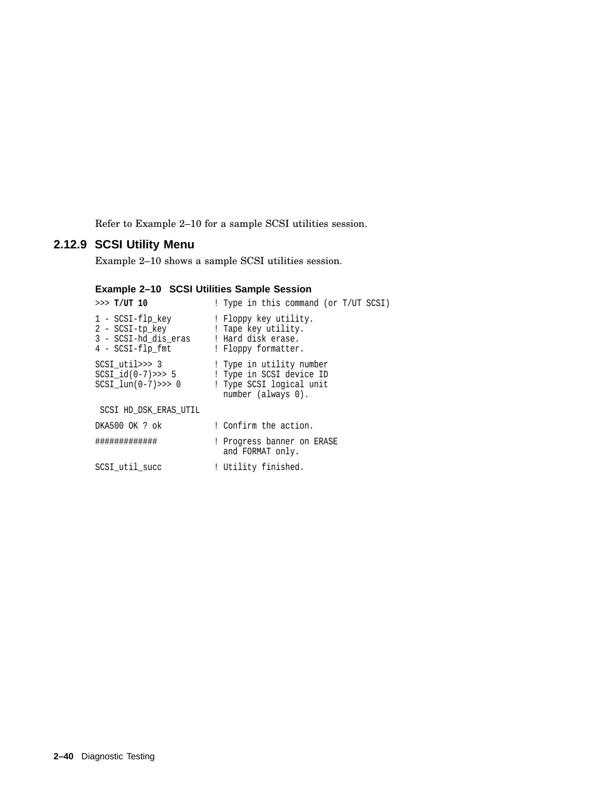Refer to Example 2–10 for a sample SCSI utilities session.

# **2.12.9 SCSI Utility Menu**

Example 2–10 shows a sample SCSI utilities session.

## **Example 2–10 SCSI Utilities Sample Session**

| >> T/UT 10                                                                      | ! Type in this command (or T/UT SCSI)                                                                  |
|---------------------------------------------------------------------------------|--------------------------------------------------------------------------------------------------------|
| 1 - SCSI-flp key<br>2 - SCSI-tp key<br>3 - SCSI-hd dis eras<br>4 - SCSI-flp fmt | ! Floppy key utility.<br>! Tape key utility.<br>! Hard disk erase.<br>! Floppy formatter.              |
| SCSI util>>> 3<br>SCSI $id(0-7) >> 5$<br>SCSI $lun(0-7) >> 0$                   | ! Type in utility number<br>! Type in SCSI device ID<br>! Type SCSI logical unit<br>number (always 0). |
| SCSI HD DSK ERAS UTIL                                                           |                                                                                                        |
| DKA500 OK ? ok                                                                  | ! Confirm the action.                                                                                  |
| ############                                                                    | ! Progress banner on ERASE<br>and FORMAT only.                                                         |
| SCSI util succ                                                                  | ! Utility finished.                                                                                    |
|                                                                                 |                                                                                                        |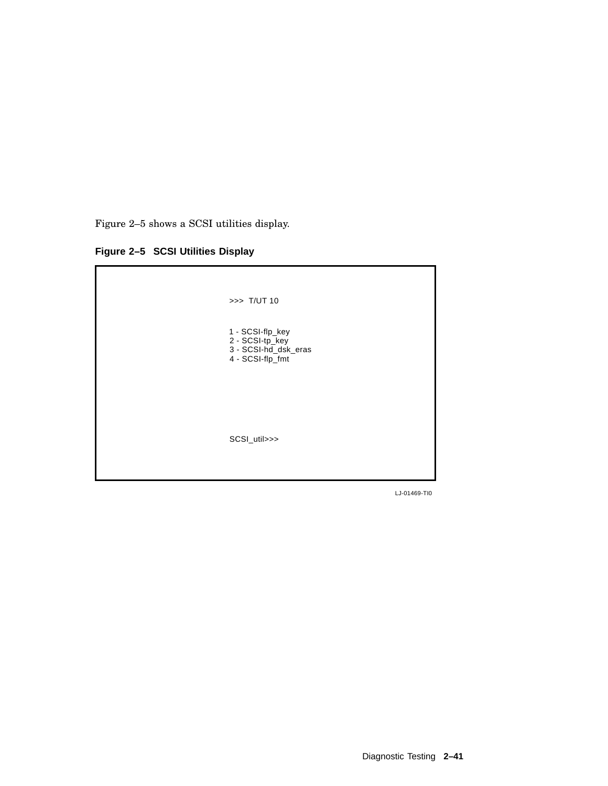Figure 2–5 shows a SCSI utilities display.

**Figure 2–5 SCSI Utilities Display**



LJ-01469-TI0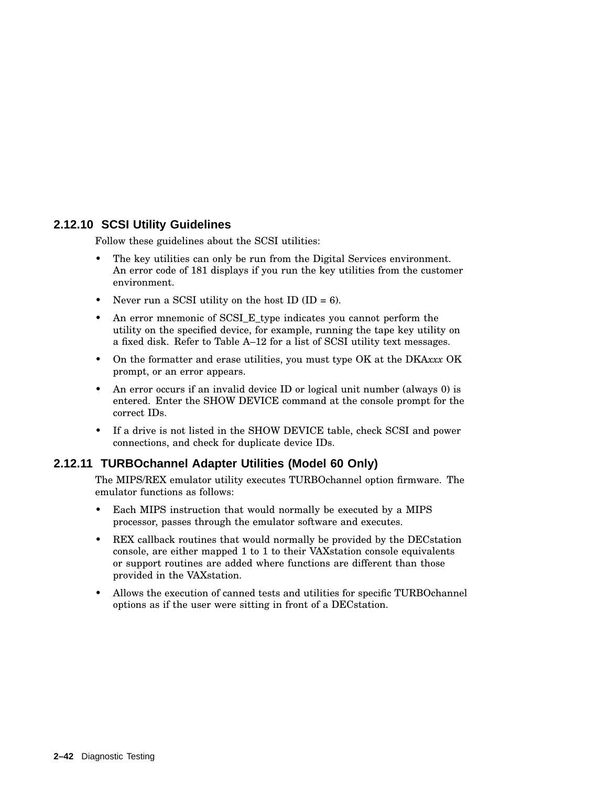## **2.12.10 SCSI Utility Guidelines**

Follow these guidelines about the SCSI utilities:

- The key utilities can only be run from the Digital Services environment. An error code of 181 displays if you run the key utilities from the customer environment.
- Never run a SCSI utility on the host ID (ID =  $6$ ).
- An error mnemonic of SCSI\_E\_type indicates you cannot perform the utility on the specified device, for example, running the tape key utility on a fixed disk. Refer to Table A–12 for a list of SCSI utility text messages.
- On the formatter and erase utilities, you must type OK at the DKA*xxx* OK prompt, or an error appears.
- An error occurs if an invalid device ID or logical unit number (always 0) is entered. Enter the SHOW DEVICE command at the console prompt for the correct IDs.
- If a drive is not listed in the SHOW DEVICE table, check SCSI and power connections, and check for duplicate device IDs.

### **2.12.11 TURBOchannel Adapter Utilities (Model 60 Only)**

The MIPS/REX emulator utility executes TURBOchannel option firmware. The emulator functions as follows:

- Each MIPS instruction that would normally be executed by a MIPS processor, passes through the emulator software and executes.
- REX callback routines that would normally be provided by the DECstation console, are either mapped 1 to 1 to their VAXstation console equivalents or support routines are added where functions are different than those provided in the VAXstation.
- Allows the execution of canned tests and utilities for specific TURBOchannel options as if the user were sitting in front of a DECstation.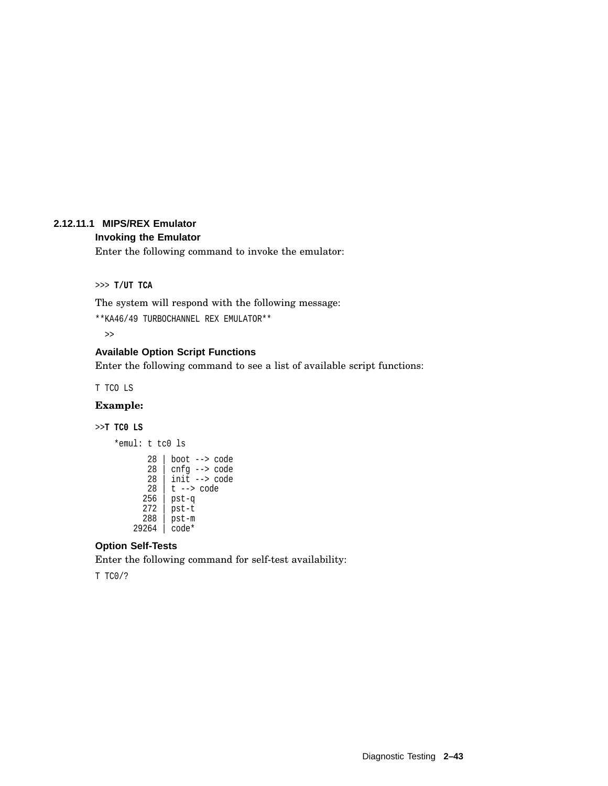### **2.12.11.1 MIPS/REX Emulator**

#### **Invoking the Emulator**

Enter the following command to invoke the emulator:

>>> **T/UT TCA**

The system will respond with the following message:

\*\*KA46/49 TURBOCHANNEL REX EMULATOR\*\*

>>

### **Available Option Script Functions**

Enter the following command to see a list of available script functions:

T TCO LS

### **Example:**

#### >>**T TC0 LS**

\*emul: t tc0 ls 28 | boot --> code  $28$   $cnfq$  -->  $code$ 28 | init --> code  $28$  | t --> code 256 | pst-q 272 | pst-t 288 | pst-m 29264 | code\*

### **Option Self-Tests**

Enter the following command for self-test availability:

T TC0/?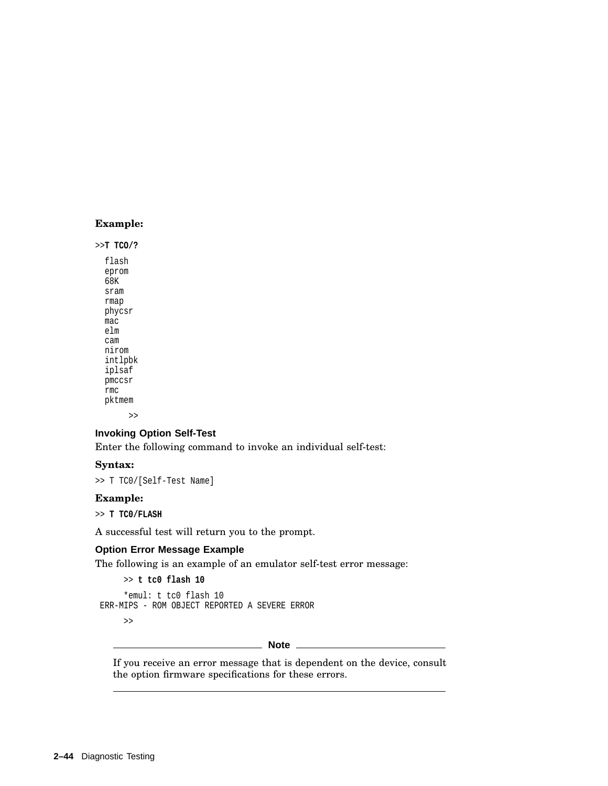### **Example:**

>>**T TCO/?**

flash eprom  $68K$ sram rmap phycsr mac elm cam nirom intlpbk iplsaf pmccsr rmc pktmem >>

## **Invoking Option Self-Test**

Enter the following command to invoke an individual self-test:

#### **Syntax:**

>> T TC0/[Self-Test Name]

#### **Example:**

>> **T TC0/FLASH**

A successful test will return you to the prompt.

#### **Option Error Message Example**

The following is an example of an emulator self-test error message:

```
>> t tc0 flash 10
     *emul: t tc0 flash 10
ERR-MIPS - ROM OBJECT REPORTED A SEVERE ERROR
```
>>

**Note**

If you receive an error message that is dependent on the device, consult the option firmware specifications for these errors.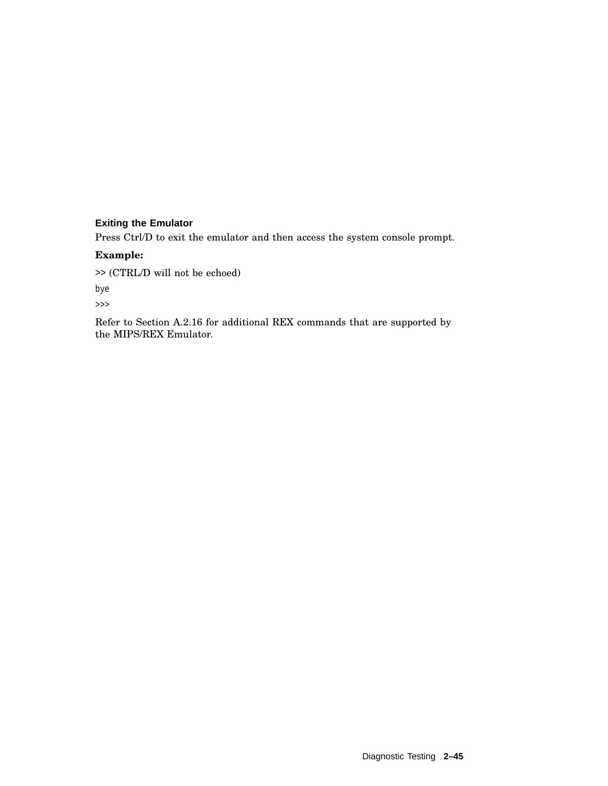## **Exiting the Emulator**

Press Ctrl/D to exit the emulator and then access the system console prompt.

#### **Example:**

>> (CTRL/D will not be echoed)

bye

>>>

Refer to Section A.2.16 for additional REX commands that are supported by the MIPS/REX Emulator.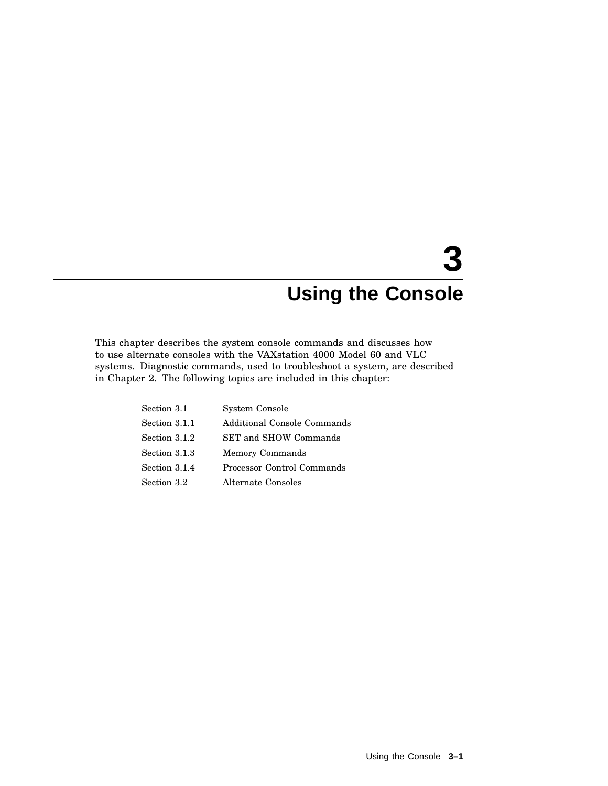# **3 Using the Console**

This chapter describes the system console commands and discusses how to use alternate consoles with the VAXstation 4000 Model 60 and VLC systems. Diagnostic commands, used to troubleshoot a system, are described in Chapter 2. The following topics are included in this chapter:

| Section 3.1   | System Console              |
|---------------|-----------------------------|
| Section 3.1.1 | Additional Console Commands |
| Section 3.1.2 | SET and SHOW Commands       |
| Section 3.1.3 | <b>Memory Commands</b>      |
| Section 3.1.4 | Processor Control Commands  |
| Section 3.2   | Alternate Consoles          |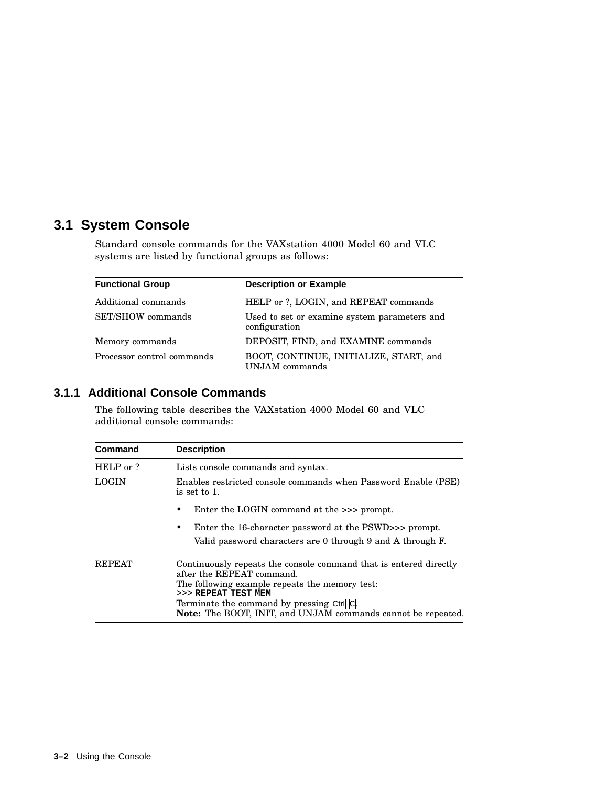# **3.1 System Console**

Standard console commands for the VAXstation 4000 Model 60 and VLC systems are listed by functional groups as follows:

| <b>Functional Group</b>    | <b>Description or Example</b>                                 |
|----------------------------|---------------------------------------------------------------|
| Additional commands        | HELP or ?, LOGIN, and REPEAT commands                         |
| SET/SHOW commands          | Used to set or examine system parameters and<br>configuration |
| Memory commands            | DEPOSIT, FIND, and EXAMINE commands                           |
| Processor control commands | BOOT, CONTINUE, INITIALIZE, START, and<br>UNJAM commands      |

# **3.1.1 Additional Console Commands**

The following table describes the VAXstation 4000 Model 60 and VLC additional console commands:

| <b>Command</b> | <b>Description</b>                                                                                                                                                                                                                                                                          |
|----------------|---------------------------------------------------------------------------------------------------------------------------------------------------------------------------------------------------------------------------------------------------------------------------------------------|
| HELP or ?      | Lists console commands and syntax.                                                                                                                                                                                                                                                          |
| <b>LOGIN</b>   | Enables restricted console commands when Password Enable (PSE)<br>is set to 1.                                                                                                                                                                                                              |
|                | Enter the LOGIN command at the $\gg$ prompt.                                                                                                                                                                                                                                                |
|                | Enter the 16-character password at the PSWD>>> prompt.<br>٠<br>Valid password characters are 0 through 9 and A through F.                                                                                                                                                                   |
| <b>REPEAT</b>  | Continuously repeats the console command that is entered directly<br>after the REPEAT command.<br>The following example repeats the memory test:<br>>>> REPEAT TEST MEM<br>Terminate the command by pressing Ctrl C.<br><b>Note:</b> The BOOT, INIT, and UNJAM commands cannot be repeated. |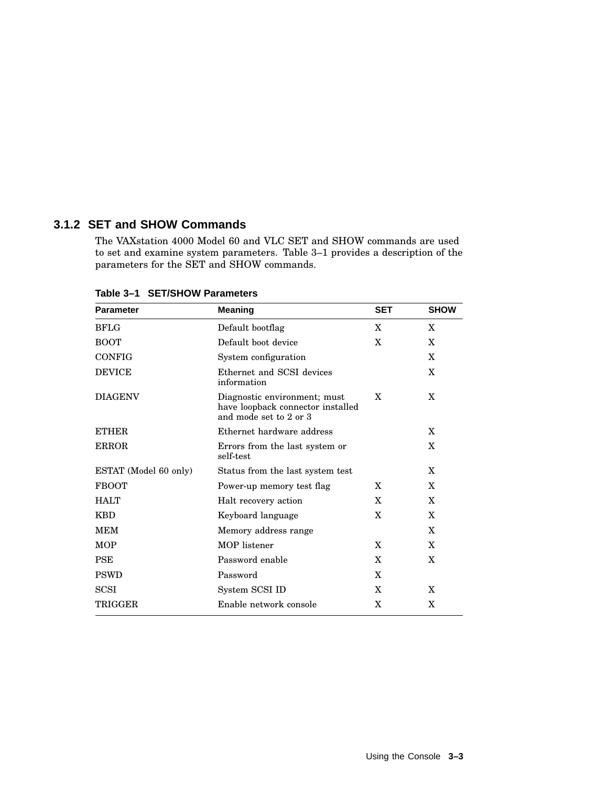## **3.1.2 SET and SHOW Commands**

The VAXstation 4000 Model 60 and VLC SET and SHOW commands are used to set and examine system parameters. Table 3–1 provides a description of the parameters for the SET and SHOW commands.

| <b>Parameter</b>      | <b>Meaning</b>                                                                                   | <b>SET</b> | <b>SHOW</b>  |
|-----------------------|--------------------------------------------------------------------------------------------------|------------|--------------|
| <b>BFLG</b>           | Default bootflag                                                                                 | X          | X            |
| <b>BOOT</b>           | Default boot device                                                                              | X          | X            |
| <b>CONFIG</b>         | System configuration                                                                             |            | X            |
| <b>DEVICE</b>         | Ethernet and SCSI devices<br>information                                                         |            | $\mathbf{X}$ |
| <b>DIAGENV</b>        | X<br>Diagnostic environment; must<br>have loopback connector installed<br>and mode set to 2 or 3 |            | X            |
| <b>ETHER</b>          | Ethernet hardware address                                                                        |            | X            |
| <b>ERROR</b>          | Errors from the last system or<br>self-test                                                      |            | X            |
| ESTAT (Model 60 only) | Status from the last system test                                                                 |            | X            |
| <b>FBOOT</b>          | Power-up memory test flag                                                                        | X          | X            |
| <b>HALT</b>           | Halt recovery action                                                                             | X          | X            |
| <b>KBD</b>            | Keyboard language                                                                                | X          | $\mathbf{X}$ |
| <b>MEM</b>            | Memory address range                                                                             |            | X            |
| <b>MOP</b>            | <b>MOP</b> listener                                                                              | X          | X            |
| <b>PSE</b>            | Password enable                                                                                  | X          | X            |
| <b>PSWD</b>           | Password                                                                                         | X          |              |
| <b>SCSI</b>           | System SCSI ID                                                                                   | X          | X            |
| TRIGGER               | Enable network console                                                                           | X          | X            |

**Table 3–1 SET/SHOW Parameters**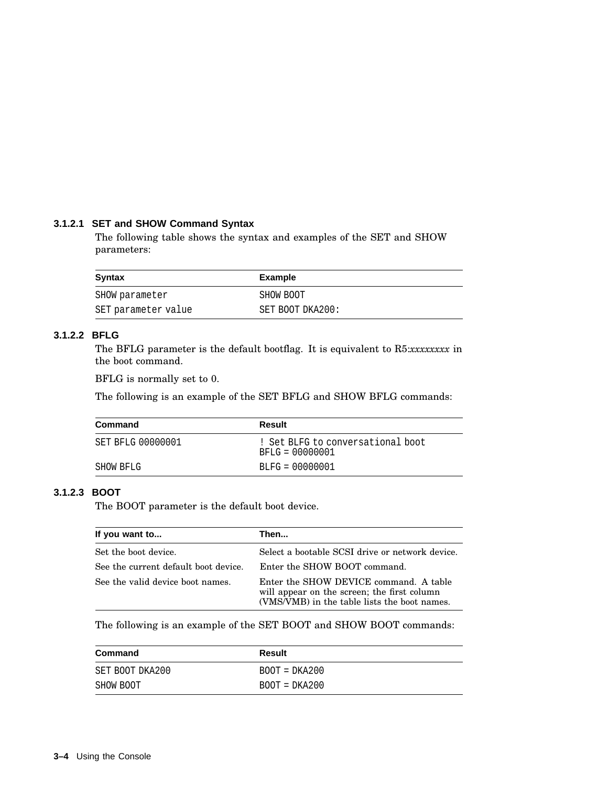### **3.1.2.1 SET and SHOW Command Syntax**

The following table shows the syntax and examples of the SET and SHOW parameters:

| <b>Syntax</b>       | Example          |
|---------------------|------------------|
| SHOW parameter      | SHOW BOOT        |
| SET parameter value | SET BOOT DKA200: |

## **3.1.2.2 BFLG**

The BFLG parameter is the default bootflag. It is equivalent to R5:*xxxxxxxx* in the boot command.

BFLG is normally set to 0.

The following is an example of the SET BFLG and SHOW BFLG commands:

| Command                  | Result                                                 |
|--------------------------|--------------------------------------------------------|
| <b>SET BFLG 00000001</b> | ! Set BLFG to conversational boot<br>$BFLG = 00000001$ |
| SHOW BFLG                | $BLFG = 00000001$                                      |

## **3.1.2.3 BOOT**

The BOOT parameter is the default boot device.

| If you want to                       | Then                                                                                                                                  |
|--------------------------------------|---------------------------------------------------------------------------------------------------------------------------------------|
| Set the boot device.                 | Select a bootable SCSI drive or network device.                                                                                       |
| See the current default boot device. | Enter the SHOW BOOT command.                                                                                                          |
| See the valid device boot names.     | Enter the SHOW DEVICE command. A table<br>will appear on the screen; the first column<br>(VMS/VMB) in the table lists the boot names. |

The following is an example of the SET BOOT and SHOW BOOT commands:

| Command         | Result          |
|-----------------|-----------------|
| SET BOOT DKA200 | $BOOT = DKA200$ |
| SHOW BOOT       | $BOOT = DKA200$ |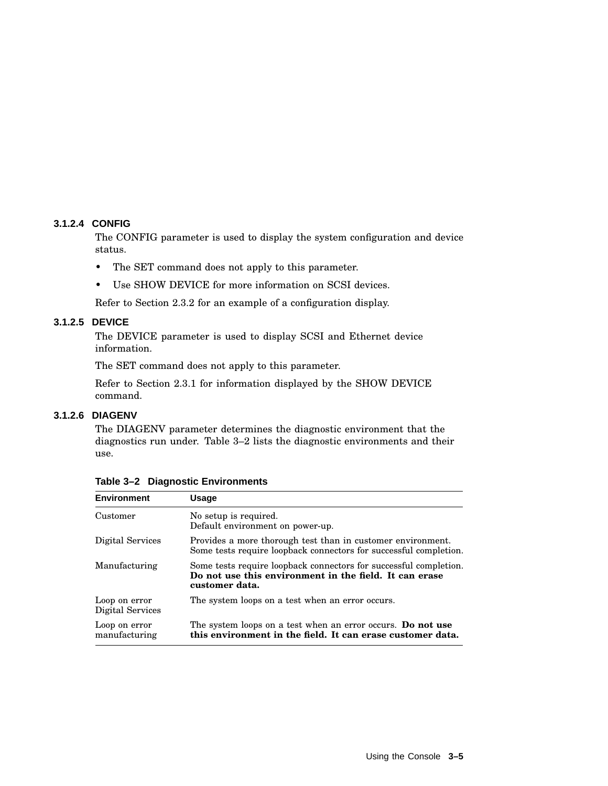#### **3.1.2.4 CONFIG**

The CONFIG parameter is used to display the system configuration and device status.

- The SET command does not apply to this parameter.
- Use SHOW DEVICE for more information on SCSI devices.

Refer to Section 2.3.2 for an example of a configuration display.

#### **3.1.2.5 DEVICE**

The DEVICE parameter is used to display SCSI and Ethernet device information.

The SET command does not apply to this parameter.

Refer to Section 2.3.1 for information displayed by the SHOW DEVICE command.

## **3.1.2.6 DIAGENV**

The DIAGENV parameter determines the diagnostic environment that the diagnostics run under. Table 3–2 lists the diagnostic environments and their use.

| <b>Environment</b>                | <b>Usage</b>                                                                                                                                  |
|-----------------------------------|-----------------------------------------------------------------------------------------------------------------------------------------------|
| Customer                          | No setup is required.<br>Default environment on power-up.                                                                                     |
| Digital Services                  | Provides a more thorough test than in customer environment.<br>Some tests require loopback connectors for successful completion.              |
| Manufacturing                     | Some tests require loopback connectors for successful completion.<br>Do not use this environment in the field. It can erase<br>customer data. |
| Loop on error<br>Digital Services | The system loops on a test when an error occurs.                                                                                              |
| Loop on error<br>manufacturing    | The system loops on a test when an error occurs. Do not use<br>this environment in the field. It can erase customer data.                     |

**Table 3–2 Diagnostic Environments**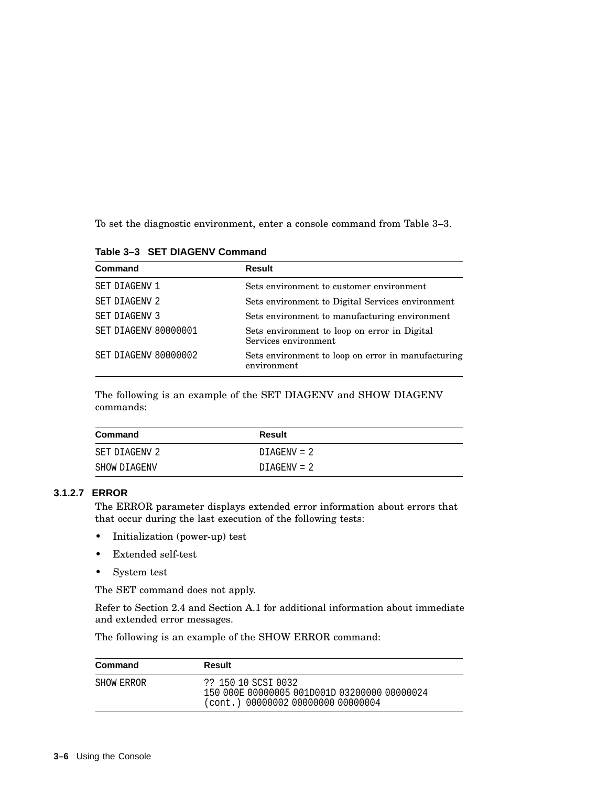To set the diagnostic environment, enter a console command from Table 3–3.

| Table 3-3 SET DIAGENV Command |  |
|-------------------------------|--|
|                               |  |

| Command              | <b>Result</b>                                                        |
|----------------------|----------------------------------------------------------------------|
| SET DIAGENV 1        | Sets environment to customer environment                             |
| <b>SET DIAGENV 2</b> | Sets environment to Digital Services environment                     |
| <b>SET DIAGENV 3</b> | Sets environment to manufacturing environment                        |
| SET DIAGENV 80000001 | Sets environment to loop on error in Digital<br>Services environment |
| SET DIAGENV 80000002 | Sets environment to loop on error in manufacturing<br>environment    |

The following is an example of the SET DIAGENV and SHOW DIAGENV commands:

| Command       | Result        |
|---------------|---------------|
| SET DIAGENV 2 | $DIAGENV = 2$ |
| SHOW DIAGENV  | DIAGENV = 2   |

#### **3.1.2.7 ERROR**

The ERROR parameter displays extended error information about errors that that occur during the last execution of the following tests:

- Initialization (power-up) test
- Extended self-test
- System test

The SET command does not apply.

Refer to Section 2.4 and Section A.1 for additional information about immediate and extended error messages.

The following is an example of the SHOW ERROR command:

| Command    | Result                                                                                                    |
|------------|-----------------------------------------------------------------------------------------------------------|
| SHOW ERROR | ?? 150 10 SCSI 0032<br>150 000E 00000005 001D001D 03200000 00000024<br>(cont.) 00000002 00000000 00000004 |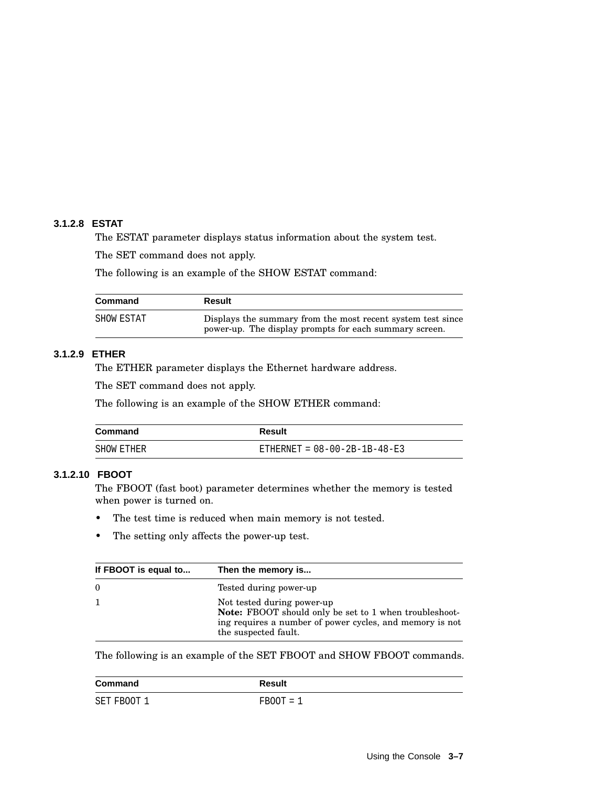## **3.1.2.8 ESTAT**

The ESTAT parameter displays status information about the system test.

The SET command does not apply.

The following is an example of the SHOW ESTAT command:

| Command    | Result                                                                                                                |
|------------|-----------------------------------------------------------------------------------------------------------------------|
| SHOW ESTAT | Displays the summary from the most recent system test since<br>power-up. The display prompts for each summary screen. |

#### **3.1.2.9 ETHER**

The ETHER parameter displays the Ethernet hardware address.

The SET command does not apply.

The following is an example of the SHOW ETHER command:

| Command    | Result                         |
|------------|--------------------------------|
| SHOW ETHER | ETHERNET = $08-00-2B-1B-48-E3$ |

## **3.1.2.10 FBOOT**

The FBOOT (fast boot) parameter determines whether the memory is tested when power is turned on.

- The test time is reduced when main memory is not tested.
- The setting only affects the power-up test.

| If FBOOT is equal to | Then the memory is                                                                                                                                                       |
|----------------------|--------------------------------------------------------------------------------------------------------------------------------------------------------------------------|
| - 0                  | Tested during power-up                                                                                                                                                   |
|                      | Not tested during power-up<br>Note: FBOOT should only be set to 1 when troubleshoot-<br>ing requires a number of power cycles, and memory is not<br>the suspected fault. |

The following is an example of the SET FBOOT and SHOW FBOOT commands.

| Command     | Result      |
|-------------|-------------|
| SET FBOOT 1 | $FBOOT = 1$ |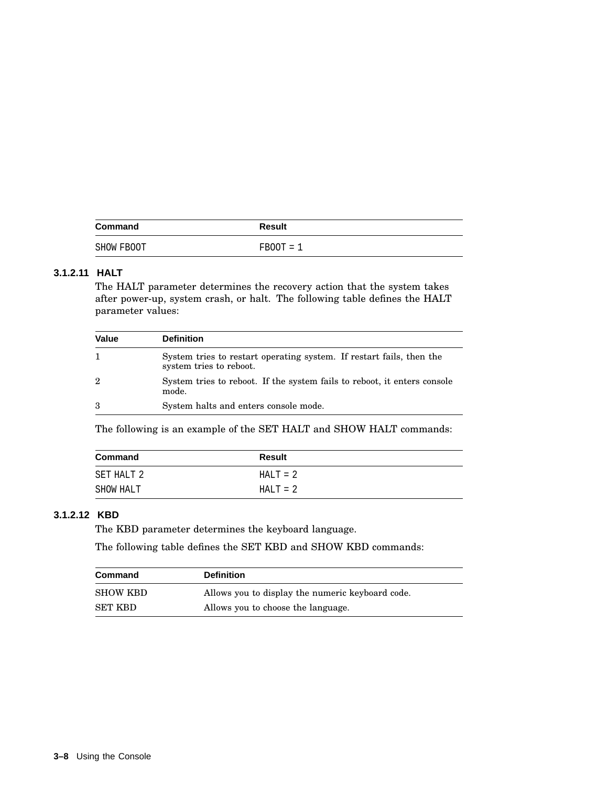| Command    | <b>Result</b> |
|------------|---------------|
| SHOW FBOOT | $FBOOT = 1$   |

## **3.1.2.11 HALT**

The HALT parameter determines the recovery action that the system takes after power-up, system crash, or halt. The following table defines the HALT parameter values:

| Value          | <b>Definition</b>                                                                               |
|----------------|-------------------------------------------------------------------------------------------------|
|                | System tries to restart operating system. If restart fails, then the<br>system tries to reboot. |
| $\overline{2}$ | System tries to reboot. If the system fails to reboot, it enters console<br>mode.               |
| 3              | System halts and enters console mode.                                                           |

The following is an example of the SET HALT and SHOW HALT commands:

| Command    | Result      |  |
|------------|-------------|--|
| SET HALT 2 | $HAI.T = 2$ |  |
| SHOW HALT  | $HALT = 2$  |  |

## **3.1.2.12 KBD**

The KBD parameter determines the keyboard language.

The following table defines the SET KBD and SHOW KBD commands:

| <b>Command</b>  | <b>Definition</b>                                |
|-----------------|--------------------------------------------------|
| <b>SHOW KBD</b> | Allows you to display the numeric keyboard code. |
| <b>SET KBD</b>  | Allows you to choose the language.               |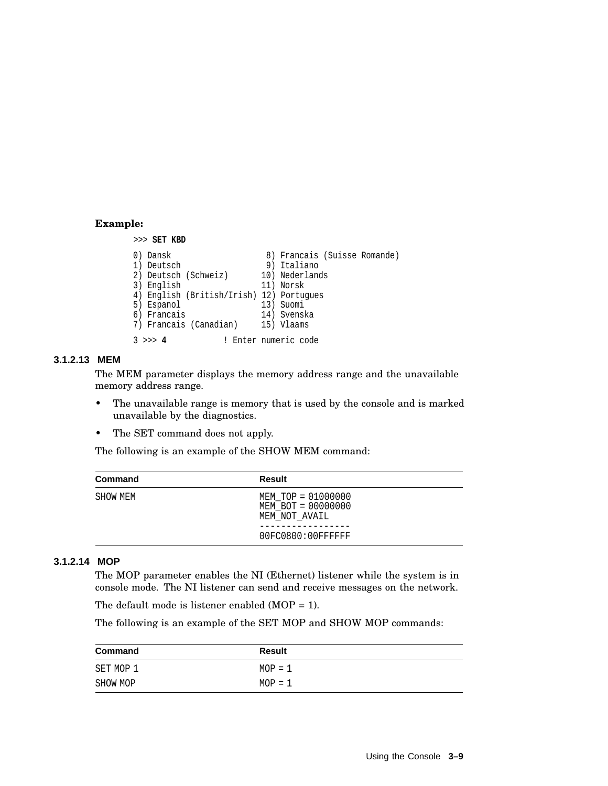#### **Example:**

```
>>> SET KBD
0) Dansk 8) Francais (Suisse Romande)<br>1) Deutsch 8) Italiano
1) Deutsch 9) Italiano
2) Deutsch (Schweiz) 10) Nederlands
3) English 11) Norsk
4) English (British/Irish) 12) Portugues
            13) Suomi<br>14) Svenska
6) Francais
7) Francais (Canadian) 15) Vlaams
3 >>> 4 ! Enter numeric code
```
#### **3.1.2.13 MEM**

The MEM parameter displays the memory address range and the unavailable memory address range.

- The unavailable range is memory that is used by the console and is marked unavailable by the diagnostics.
- The SET command does not apply.

The following is an example of the SHOW MEM command:

| Command  | Result                                                    |  |
|----------|-----------------------------------------------------------|--|
| SHOW MEM | MEM TOP = 01000000<br>MEM BOT = 00000000<br>MEM NOT AVAIL |  |
|          | 00FC0800:00FFFFFFF                                        |  |

#### **3.1.2.14 MOP**

The MOP parameter enables the NI (Ethernet) listener while the system is in console mode. The NI listener can send and receive messages on the network.

The default mode is listener enabled (MOP = 1).

The following is an example of the SET MOP and SHOW MOP commands:

| Command   | Result    |  |
|-----------|-----------|--|
| SET MOP 1 | $MOP = 1$ |  |
| SHOW MOP  | $MOP = 1$ |  |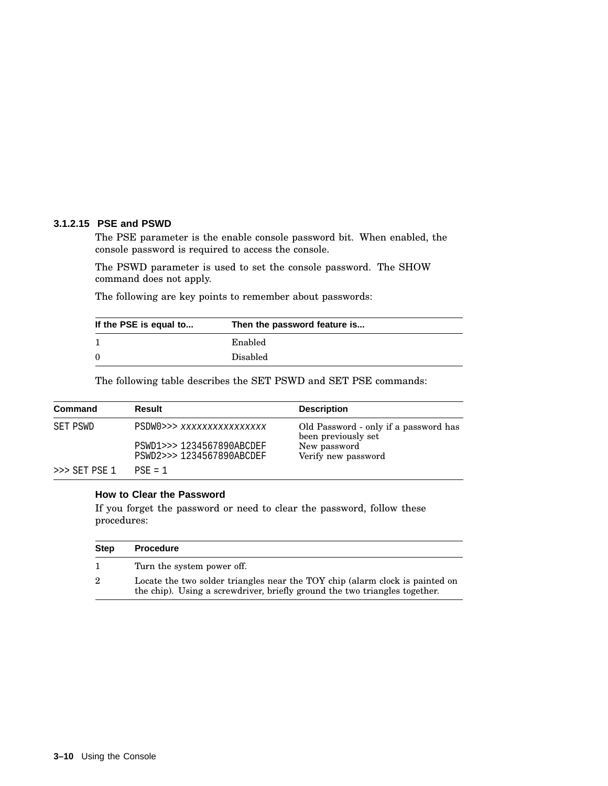#### **3.1.2.15 PSE and PSWD**

The PSE parameter is the enable console password bit. When enabled, the console password is required to access the console.

The PSWD parameter is used to set the console password. The SHOW command does not apply.

The following are key points to remember about passwords:

| If the PSE is equal to | Then the password feature is |
|------------------------|------------------------------|
|                        | Enabled                      |
| $\Omega$               | Disabled                     |

The following table describes the SET PSWD and SET PSE commands:

| Command       | Result                                                 | <b>Description</b>                                           |
|---------------|--------------------------------------------------------|--------------------------------------------------------------|
| SET PSWD      | PSDW0>>> xxxxxxxxxxxxxxxx                              | Old Password - only if a password has<br>been previously set |
|               | PSWD1>>> 1234567890ABCDEF<br>PSWD2>>> 1234567890ABCDEF | New password<br>Verify new password                          |
| >>> SET PSE 1 | $PSE = 1$                                              |                                                              |

#### **How to Clear the Password**

If you forget the password or need to clear the password, follow these procedures:

| <b>Step</b> | <b>Procedure</b>                                                                                                                                           |
|-------------|------------------------------------------------------------------------------------------------------------------------------------------------------------|
|             | Turn the system power off.                                                                                                                                 |
| 2           | Locate the two solder triangles near the TOY chip (alarm clock is painted on<br>the chip). Using a screwdriver, briefly ground the two triangles together. |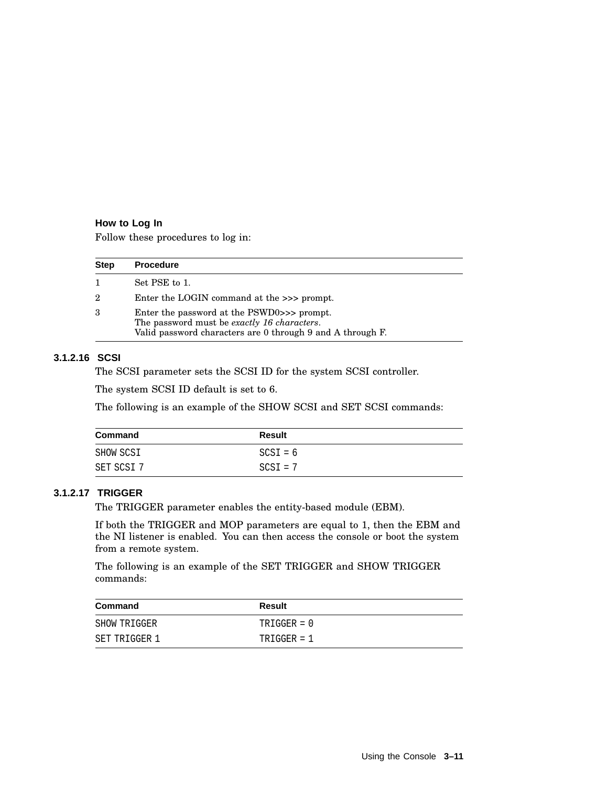#### **How to Log In**

Follow these procedures to log in:

| <b>Step</b> | <b>Procedure</b>                                                                                                                                        |
|-------------|---------------------------------------------------------------------------------------------------------------------------------------------------------|
|             | Set PSE to 1.                                                                                                                                           |
| 2           | Enter the LOGIN command at the $\gg$ prompt.                                                                                                            |
| 3           | Enter the password at the PSWD0>>> prompt.<br>The password must be exactly 16 characters.<br>Valid password characters are 0 through 9 and A through F. |

#### **3.1.2.16 SCSI**

The SCSI parameter sets the SCSI ID for the system SCSI controller.

The system SCSI ID default is set to 6.

The following is an example of the SHOW SCSI and SET SCSI commands:

| Command    | <b>Result</b> |
|------------|---------------|
| SHOW SCSI  | $SCSI = 6$    |
| SET SCSI 7 | $SCSI = 7$    |

#### **3.1.2.17 TRIGGER**

The TRIGGER parameter enables the entity-based module (EBM).

If both the TRIGGER and MOP parameters are equal to 1, then the EBM and the NI listener is enabled. You can then access the console or boot the system from a remote system.

The following is an example of the SET TRIGGER and SHOW TRIGGER commands:

| Command       | Result        |
|---------------|---------------|
| SHOW TRIGGER  | $TRIGGER = 0$ |
| SET TRIGGER 1 | $TRIGGER = 1$ |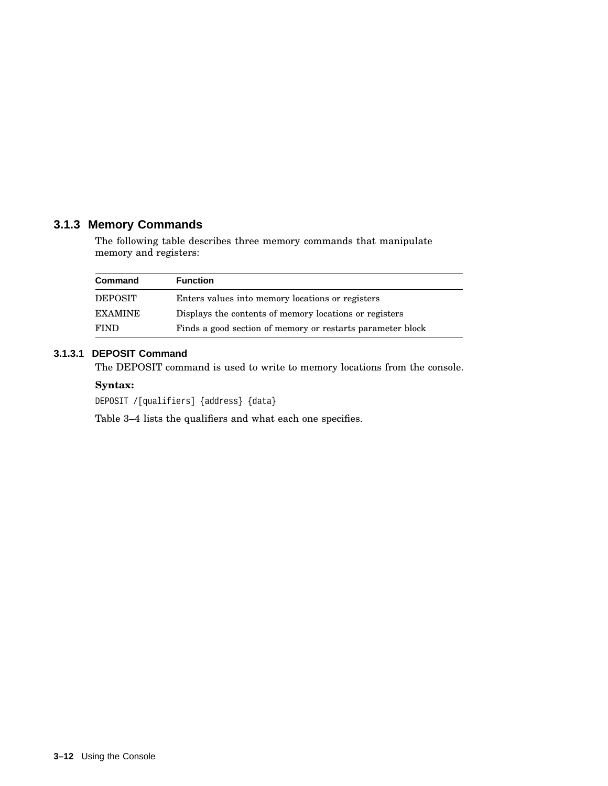## **3.1.3 Memory Commands**

The following table describes three memory commands that manipulate memory and registers:

| Command        | <b>Function</b>                                            |
|----------------|------------------------------------------------------------|
| <b>DEPOSIT</b> | Enters values into memory locations or registers           |
| EXAMINE        | Displays the contents of memory locations or registers     |
| <b>FIND</b>    | Finds a good section of memory or restarts parameter block |

## **3.1.3.1 DEPOSIT Command**

The DEPOSIT command is used to write to memory locations from the console.

#### **Syntax:**

DEPOSIT /[qualifiers] {address} {data}

Table 3–4 lists the qualifiers and what each one specifies.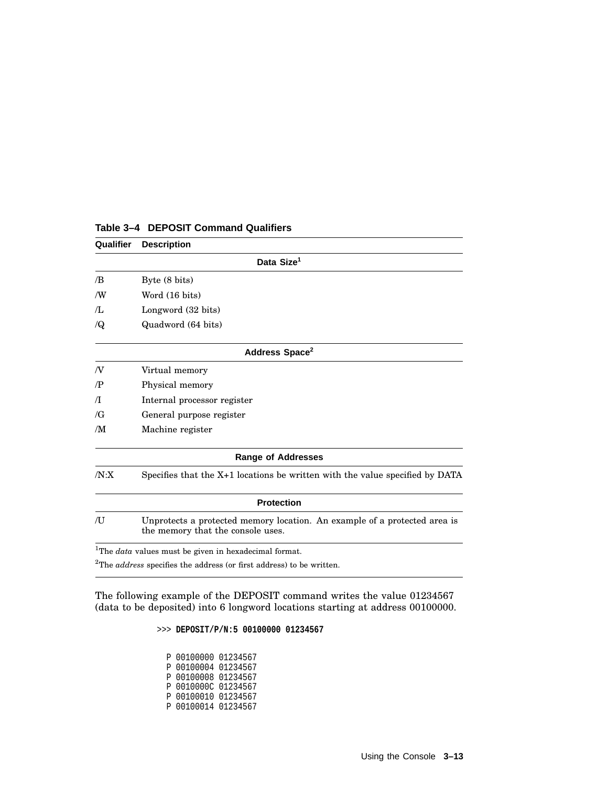| Qualifier      | <b>Description</b>                                                                                             |
|----------------|----------------------------------------------------------------------------------------------------------------|
|                | Data Size <sup>1</sup>                                                                                         |
| /B             | Byte (8 bits)                                                                                                  |
| /W             | Word (16 bits)                                                                                                 |
| $\pi$ .        | Longword (32 bits)                                                                                             |
| $\sqrt{Q}$     | Quadword (64 bits)                                                                                             |
|                | Address Space <sup>2</sup>                                                                                     |
| N              | Virtual memory                                                                                                 |
| $\mathbb{P}$   | Physical memory                                                                                                |
| $\pi$          | Internal processor register                                                                                    |
| $\sqrt{G}$     | General purpose register                                                                                       |
| /М             | Machine register                                                                                               |
|                | <b>Range of Addresses</b>                                                                                      |
| /N: X          | Specifies that the X+1 locations be written with the value specified by DATA                                   |
|                | <b>Protection</b>                                                                                              |
| $\overline{J}$ | Unprotects a protected memory location. An example of a protected area is<br>the memory that the console uses. |
|                | <sup>1</sup> The <i>data</i> values must be given in hexadecimal format.                                       |
|                | $2$ The <i>address</i> specifies the address (or first address) to be written.                                 |

#### **Table 3–4 DEPOSIT Command Qualifiers**

The following example of the DEPOSIT command writes the value 01234567 (data to be deposited) into 6 longword locations starting at address 00100000.

>>> **DEPOSIT/P/N:5 00100000 01234567**

P 00100000 01234567 P 00100004 01234567 P 00100008 01234567 P 0010000C 01234567 P 00100010 01234567 P 00100014 01234567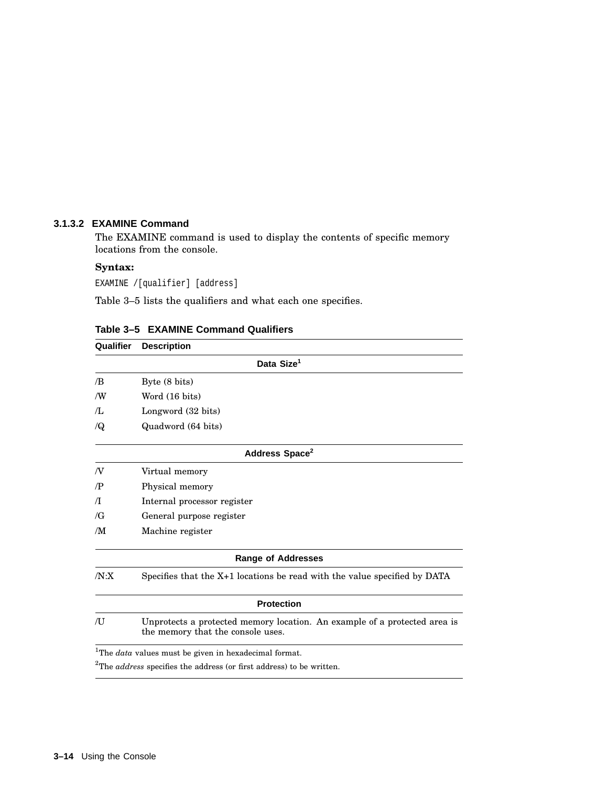#### **3.1.3.2 EXAMINE Command**

The EXAMINE command is used to display the contents of specific memory locations from the console.

#### **Syntax:**

EXAMINE /[qualifier] [address]

Table 3–5 lists the qualifiers and what each one specifies.

| Qualifier  | <b>Description</b>                                                                                             |
|------------|----------------------------------------------------------------------------------------------------------------|
|            | Data Size <sup>1</sup>                                                                                         |
| /B         | Byte (8 bits)                                                                                                  |
| ΛW         | Word (16 bits)                                                                                                 |
| Æ          | Longword (32 bits)                                                                                             |
| $\sqrt{Q}$ | Quadword (64 bits)                                                                                             |
|            | Address Space <sup>2</sup>                                                                                     |
| N          | Virtual memory                                                                                                 |
| /P         | Physical memory                                                                                                |
| $\pi$      | Internal processor register                                                                                    |
| $\sqrt{G}$ | General purpose register                                                                                       |
| /M         | Machine register                                                                                               |
|            | <b>Range of Addresses</b>                                                                                      |
| /N:X       | Specifies that the X+1 locations be read with the value specified by DATA                                      |
|            | <b>Protection</b>                                                                                              |
| /U         | Unprotects a protected memory location. An example of a protected area is<br>the memory that the console uses. |
|            | <sup>1</sup> The <i>data</i> values must be given in hexadecimal format.                                       |

**Table 3–5 EXAMINE Command Qualifiers**

 $2$ The *address* specifies the address (or first address) to be written.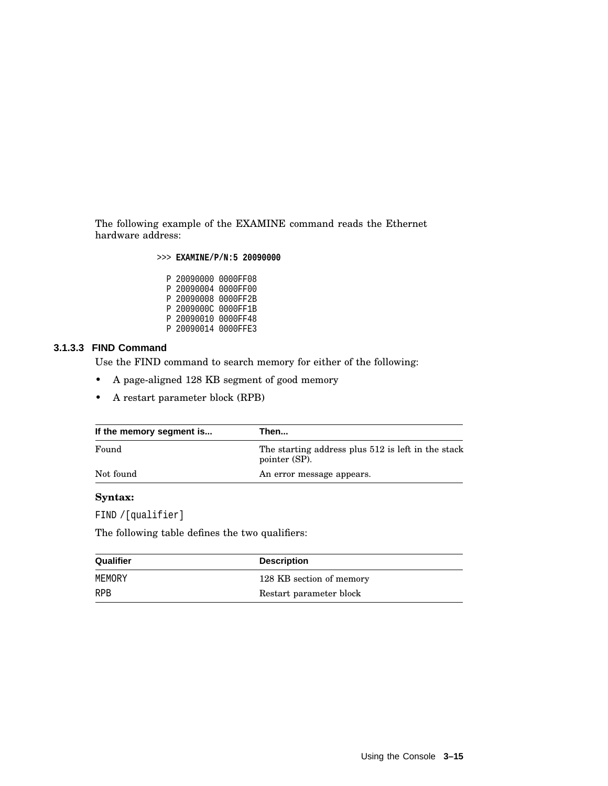The following example of the EXAMINE command reads the Ethernet hardware address:

>>> **EXAMINE/P/N:5 20090000**

P 20090000 0000FF08 P 20090004 0000FF00 P 20090008 0000FF2B P 2009000C 0000FF1B P 20090010 0000FF48 P 20090014 0000FFE3

#### **3.1.3.3 FIND Command**

Use the FIND command to search memory for either of the following:

- A page-aligned 128 KB segment of good memory
- A restart parameter block (RPB)

| If the memory segment is | Then                                                                |
|--------------------------|---------------------------------------------------------------------|
| Found                    | The starting address plus 512 is left in the stack<br>pointer (SP). |
| Not found                | An error message appears.                                           |

#### **Syntax:**

FIND /[qualifier]

The following table defines the two qualifiers:

| Qualifier  | <b>Description</b>       |
|------------|--------------------------|
| MEMORY     | 128 KB section of memory |
| <b>RPB</b> | Restart parameter block  |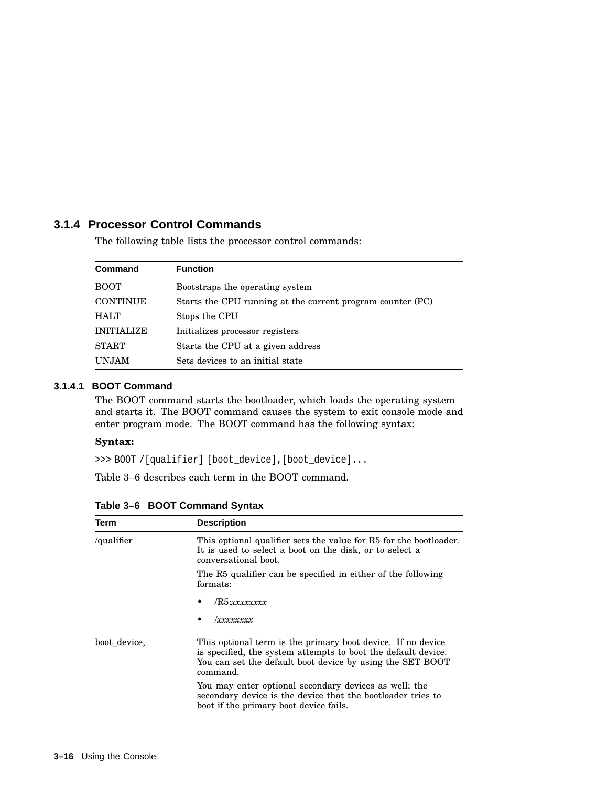## **3.1.4 Processor Control Commands**

The following table lists the processor control commands:

| Command           | <b>Function</b>                                            |
|-------------------|------------------------------------------------------------|
| <b>BOOT</b>       | Bootstraps the operating system                            |
| <b>CONTINUE</b>   | Starts the CPU running at the current program counter (PC) |
| <b>HALT</b>       | Stops the CPU                                              |
| <b>INITIALIZE</b> | Initializes processor registers                            |
| <b>START</b>      | Starts the CPU at a given address                          |
| <b>UNJAM</b>      | Sets devices to an initial state                           |

## **3.1.4.1 BOOT Command**

The BOOT command starts the bootloader, which loads the operating system and starts it. The BOOT command causes the system to exit console mode and enter program mode. The BOOT command has the following syntax:

#### **Syntax:**

>>> BOOT /[qualifier] [boot\_device],[boot\_device]...

Table 3–6 describes each term in the BOOT command.

| Term         | <b>Description</b>                                                                                                                                                                                    |
|--------------|-------------------------------------------------------------------------------------------------------------------------------------------------------------------------------------------------------|
| /qualifier   | This optional qualifier sets the value for R5 for the bootloader.<br>It is used to select a boot on the disk, or to select a<br>conversational boot.                                                  |
|              | The R5 qualifier can be specified in either of the following<br>formats:                                                                                                                              |
|              | /R5:xxxxxxxx                                                                                                                                                                                          |
|              | xxxxxxxx                                                                                                                                                                                              |
| boot device. | This optional term is the primary boot device. If no device<br>is specified, the system attempts to boot the default device.<br>You can set the default boot device by using the SET BOOT<br>command. |
|              | You may enter optional secondary devices as well; the<br>secondary device is the device that the bootloader tries to<br>boot if the primary boot device fails.                                        |

**Table 3–6 BOOT Command Syntax**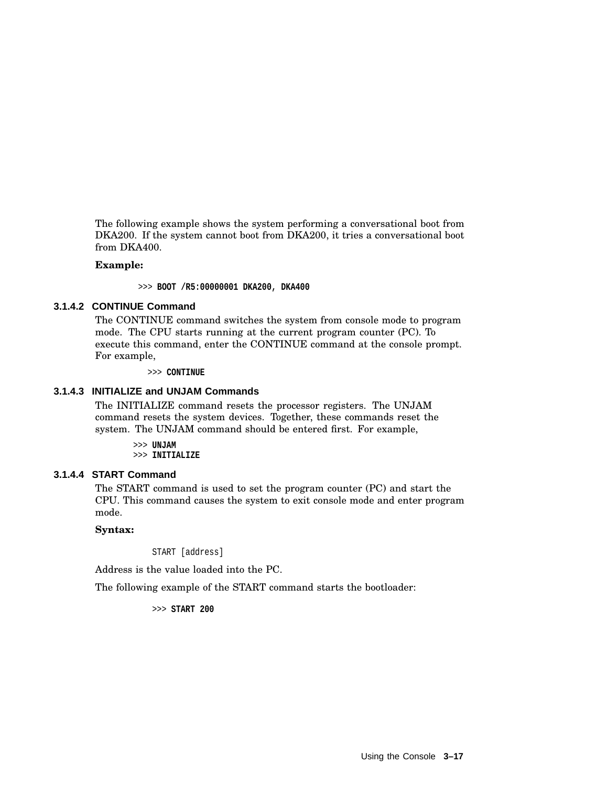The following example shows the system performing a conversational boot from DKA200. If the system cannot boot from DKA200, it tries a conversational boot from DKA400.

#### **Example:**

>>> **BOOT /R5:00000001 DKA200, DKA400**

#### **3.1.4.2 CONTINUE Command**

The CONTINUE command switches the system from console mode to program mode. The CPU starts running at the current program counter (PC). To execute this command, enter the CONTINUE command at the console prompt. For example,

>>> **CONTINUE**

#### **3.1.4.3 INITIALIZE and UNJAM Commands**

The INITIALIZE command resets the processor registers. The UNJAM command resets the system devices. Together, these commands reset the system. The UNJAM command should be entered first. For example,

> >>> **UNJAM** >>> **INITIALIZE**

#### **3.1.4.4 START Command**

The START command is used to set the program counter (PC) and start the CPU. This command causes the system to exit console mode and enter program mode.

#### **Syntax:**

START [address]

Address is the value loaded into the PC.

The following example of the START command starts the bootloader:

>>> **START 200**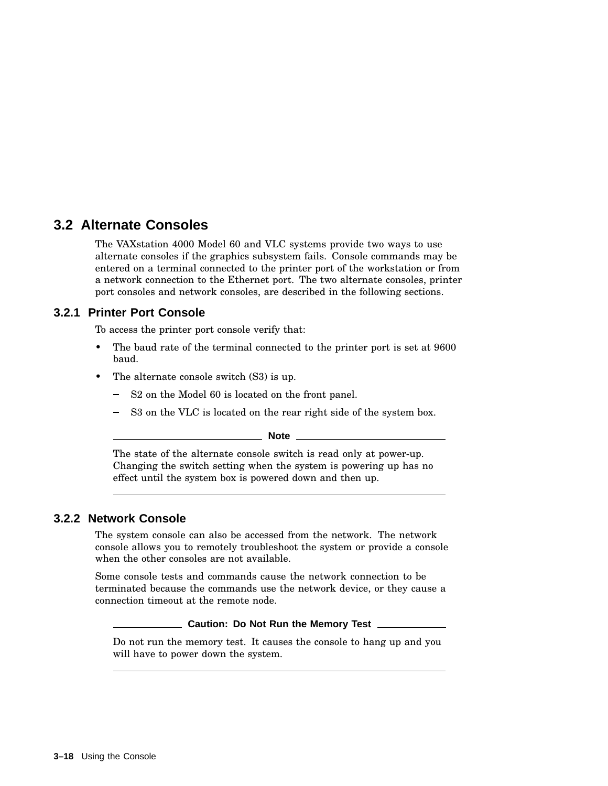# **3.2 Alternate Consoles**

The VAXstation 4000 Model 60 and VLC systems provide two ways to use alternate consoles if the graphics subsystem fails. Console commands may be entered on a terminal connected to the printer port of the workstation or from a network connection to the Ethernet port. The two alternate consoles, printer port consoles and network consoles, are described in the following sections.

## **3.2.1 Printer Port Console**

To access the printer port console verify that:

- The baud rate of the terminal connected to the printer port is set at 9600 baud.
- The alternate console switch  $(S3)$  is up.
	- S2 on the Model 60 is located on the front panel.
	- S3 on the VLC is located on the rear right side of the system box.

**Note**

The state of the alternate console switch is read only at power-up. Changing the switch setting when the system is powering up has no effect until the system box is powered down and then up.

## **3.2.2 Network Console**

The system console can also be accessed from the network. The network console allows you to remotely troubleshoot the system or provide a console when the other consoles are not available.

Some console tests and commands cause the network connection to be terminated because the commands use the network device, or they cause a connection timeout at the remote node.

**Caution: Do Not Run the Memory Test**

Do not run the memory test. It causes the console to hang up and you will have to power down the system.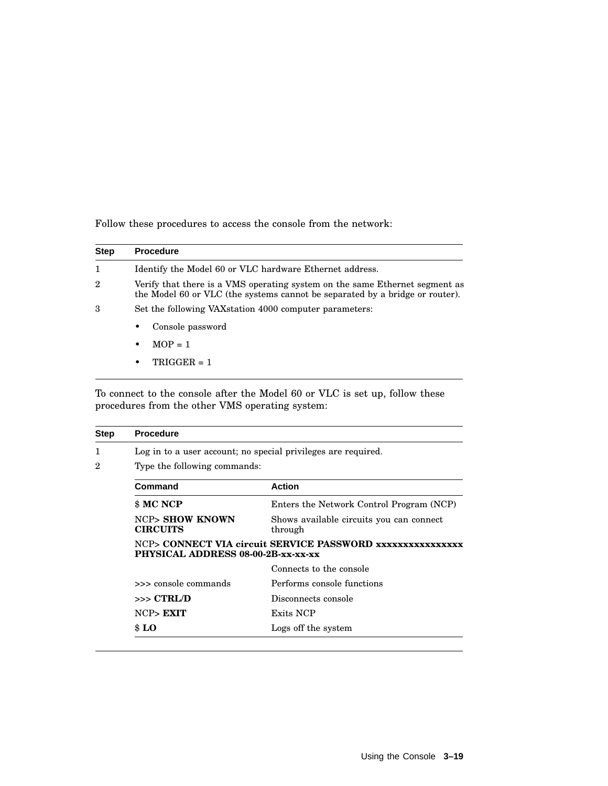Follow these procedures to access the console from the network:

| <b>Step</b>    | <b>Procedure</b>                                                                                                                                            |
|----------------|-------------------------------------------------------------------------------------------------------------------------------------------------------------|
| $\mathbf{1}$   | Identify the Model 60 or VLC hardware Ethernet address.                                                                                                     |
| $\overline{2}$ | Verify that there is a VMS operating system on the same Ethernet segment as<br>the Model 60 or VLC (the systems cannot be separated by a bridge or router). |
| 3              | Set the following VAX station 4000 computer parameters:                                                                                                     |
|                | Console password<br>٠                                                                                                                                       |
|                | $MOP = 1$<br>$\bullet$                                                                                                                                      |
|                | $TRIGGER = 1$<br>٠                                                                                                                                          |

To connect to the console after the Model 60 or VLC is set up, follow these procedures from the other VMS operating system:

|  | <b>Procedure</b>                                                                                |                                                               |  |
|--|-------------------------------------------------------------------------------------------------|---------------------------------------------------------------|--|
|  |                                                                                                 | Log in to a user account; no special privileges are required. |  |
|  | Type the following commands:                                                                    |                                                               |  |
|  | Command                                                                                         | <b>Action</b>                                                 |  |
|  | \$ MC NCP                                                                                       | Enters the Network Control Program (NCP)                      |  |
|  | <b>NCP&gt; SHOW KNOWN</b><br><b>CIRCUITS</b>                                                    | Shows available circuits you can connect<br>through           |  |
|  | NCP> CONNECT VIA circuit SERVICE PASSWORD xxxxxxxxxxxxxxx<br>PHYSICAL ADDRESS 08-00-2B-xx-xx-xx |                                                               |  |
|  |                                                                                                 | Connects to the console                                       |  |
|  | >>> console commands                                                                            | Performs console functions                                    |  |
|  | $>>$ $CTRL/D$                                                                                   | Disconnects console                                           |  |
|  | NCP> EXIT                                                                                       | Exits NCP                                                     |  |
|  |                                                                                                 |                                                               |  |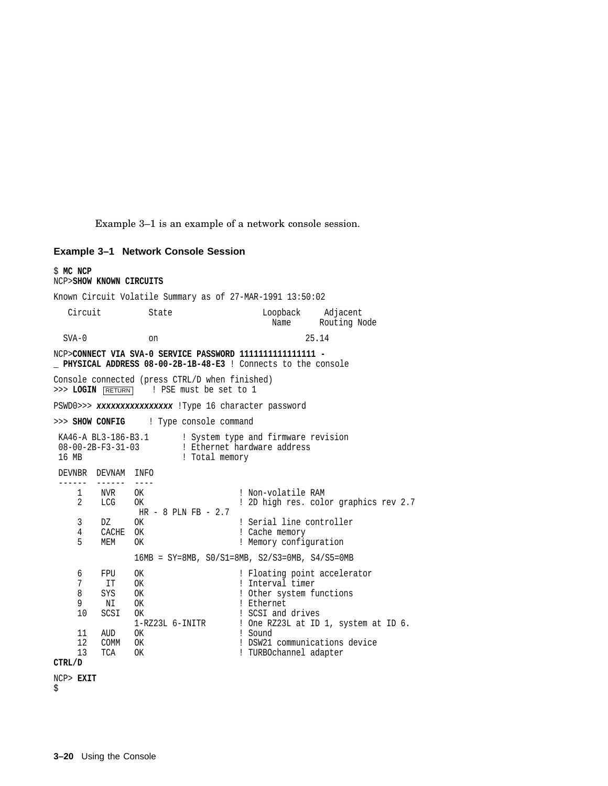Example 3–1 is an example of a network console session.

#### **Example 3–1 Network Console Session**

\$ **MC NCP** NCP>**SHOW KNOWN CIRCUITS** Known Circuit Volatile Summary as of 27-MAR-1991 13:50:02 Circuit State Loopback Adjacent Name Routing Node SVA-0 on 25.14 NCP>**CONNECT VIA SVA-0 SERVICE PASSWORD 1111111111111111 - \_ PHYSICAL ADDRESS 08-00-2B-1B-48-E3** ! Connects to the console Console connected (press CTRL/D when finished) >>> LOGIN RETURN ! PSE must be set to 1 PSWD0>>> xxxxxxxxxxxxxxxx !Type 16 character password >>> **SHOW CONFIG** ! Type console command KA46-A BL3-186-B3.1 : System type and firmware revision 08-00-2B-F3-31-03 ! Ethernet hardware address<br>16 MB : Total memory ! Total memory DEVNBR DEVNAM INFO ------ ------ ----<br>1 NVR OK 1 NVR OK ! Non-volatile RAM<br>2 LCG OK ! 2D high res. col 2 LCG OK ! 2D high res. color graphics rev 2.7 HR - 8 PLN FB - 2.7 3 DZ OK ! Serial line controller<br>4 CACHE OK ! Cache memory 4 CACHE OK ! Cache memory 5 MEM OK ! Memory configuration 16MB = SY=8MB, S0/S1=8MB, S2/S3=0MB, S4/S5=0MB 6 FPU OK ! Floating point accelerator 7 IT OK ! Interval timer 8 SYS OK ! Other system functions<br>9 NT OK ! Ethernet 9 NI OK ! Ethernet<br>10 SCSI OK ! SCSI and 10 SCSI OK ! SCSI and drives ! One RZ23L at ID 1, system at ID 6. 11 AUD OK ! Sound<br>12 COMM OK ! DSW21 COMM OK ! DSW21 communications device 13 TCA OK ! TURBOchannel adapter **CTRL/D** NCP> **EXIT** \$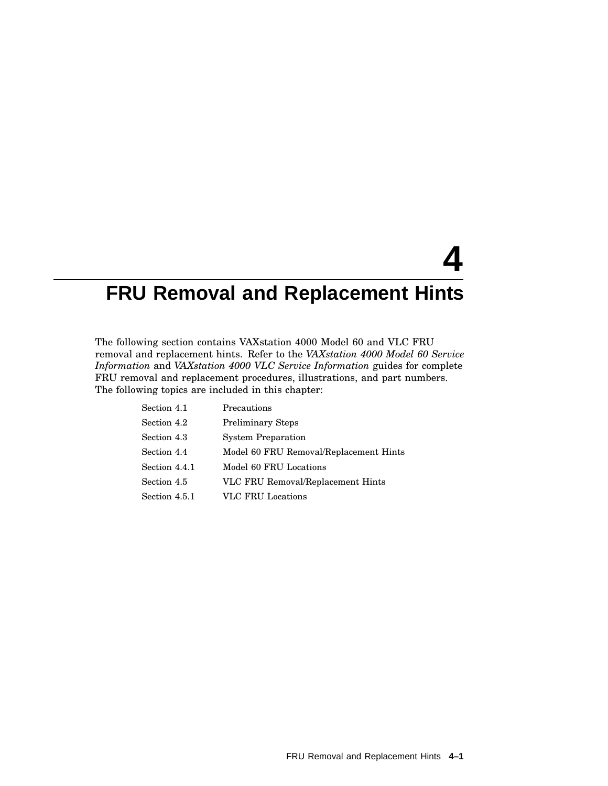# **4 FRU Removal and Replacement Hints**

The following section contains VAXstation 4000 Model 60 and VLC FRU removal and replacement hints. Refer to the *VAXstation 4000 Model 60 Service Information* and *VAXstation 4000 VLC Service Information* guides for complete FRU removal and replacement procedures, illustrations, and part numbers. The following topics are included in this chapter:

| Section 4.1   | Precautions                            |
|---------------|----------------------------------------|
| Section 4.2   | <b>Preliminary Steps</b>               |
| Section 4.3   | <b>System Preparation</b>              |
| Section 4.4   | Model 60 FRU Removal/Replacement Hints |
| Section 4.4.1 | Model 60 FRU Locations                 |
| Section 4.5   | VLC FRU Removal/Replacement Hints      |
| Section 4.5.1 | <b>VLC FRU Locations</b>               |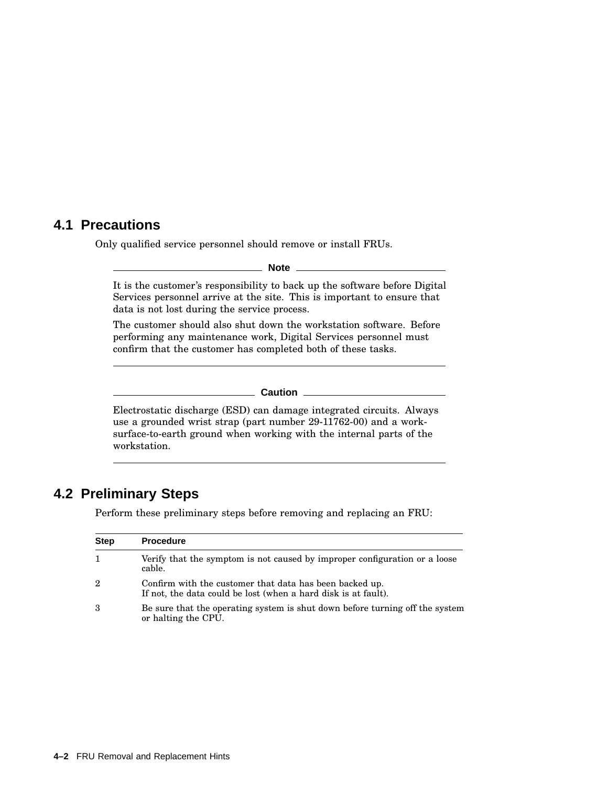## **4.1 Precautions**

Only qualified service personnel should remove or install FRUs.

**Note**

It is the customer's responsibility to back up the software before Digital Services personnel arrive at the site. This is important to ensure that data is not lost during the service process.

The customer should also shut down the workstation software. Before performing any maintenance work, Digital Services personnel must confirm that the customer has completed both of these tasks.

#### **Caution** 2008

Electrostatic discharge (ESD) can damage integrated circuits. Always use a grounded wrist strap (part number 29-11762-00) and a worksurface-to-earth ground when working with the internal parts of the workstation.

# **4.2 Preliminary Steps**

Perform these preliminary steps before removing and replacing an FRU:

| <b>Step</b>    | <b>Procedure</b>                                                                                                          |
|----------------|---------------------------------------------------------------------------------------------------------------------------|
|                | Verify that the symptom is not caused by improper configuration or a loose<br>cable.                                      |
| $\overline{2}$ | Confirm with the customer that data has been backed up.<br>If not, the data could be lost (when a hard disk is at fault). |
| 3              | Be sure that the operating system is shut down before turning off the system<br>or halting the CPU.                       |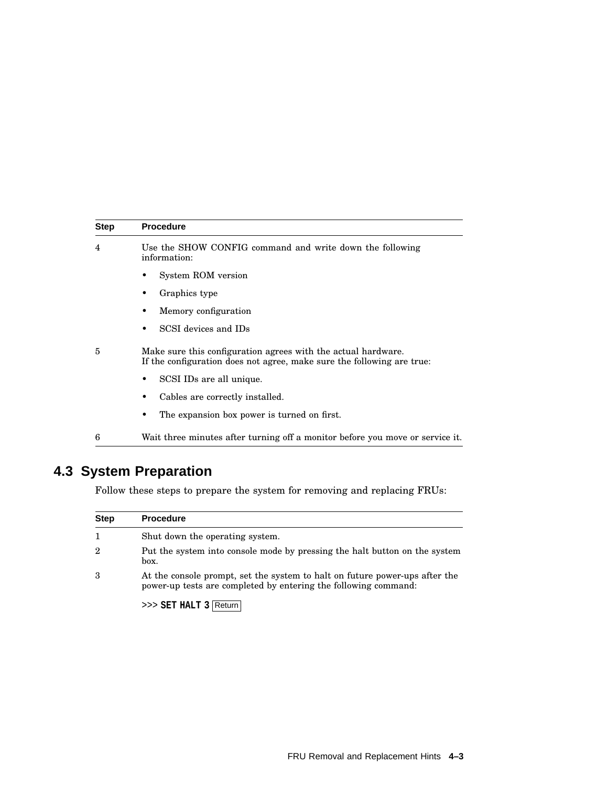| <b>Step</b> | <b>Procedure</b>                                                                                                                        |
|-------------|-----------------------------------------------------------------------------------------------------------------------------------------|
| 4           | Use the SHOW CONFIG command and write down the following<br>information:                                                                |
|             | System ROM version                                                                                                                      |
|             | Graphics type                                                                                                                           |
|             | Memory configuration<br>٠                                                                                                               |
|             | SCSI devices and IDs<br>٠                                                                                                               |
| 5           | Make sure this configuration agrees with the actual hardware.<br>If the configuration does not agree, make sure the following are true: |
|             | SCSI IDs are all unique.<br>٠                                                                                                           |
|             | Cables are correctly installed.<br>٠                                                                                                    |
|             | The expansion box power is turned on first.<br>٠                                                                                        |
| 6           | Wait three minutes after turning off a monitor before you move or service it.                                                           |

# **4.3 System Preparation**

Follow these steps to prepare the system for removing and replacing FRUs:

| <b>Step</b> | <b>Procedure</b>                                                                                                                               |
|-------------|------------------------------------------------------------------------------------------------------------------------------------------------|
|             | Shut down the operating system.                                                                                                                |
| 2           | Put the system into console mode by pressing the halt button on the system<br>box.                                                             |
| 3           | At the console prompt, set the system to halt on future power-ups after the<br>power-up tests are completed by entering the following command: |

>>> **SET HALT 3** Return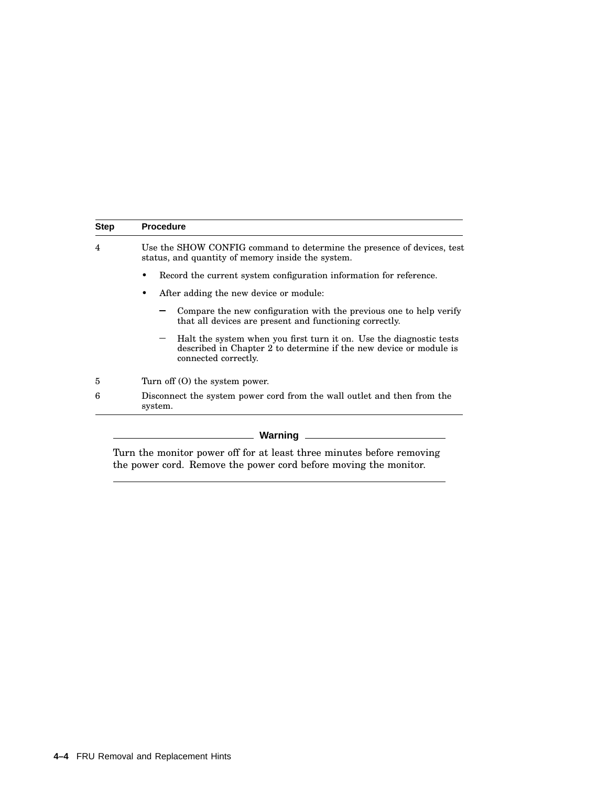| <b>Step</b> | <b>Procedure</b>                                                                                                                                                  |
|-------------|-------------------------------------------------------------------------------------------------------------------------------------------------------------------|
| 4           | Use the SHOW CONFIG command to determine the presence of devices, test<br>status, and quantity of memory inside the system.                                       |
|             | Record the current system configuration information for reference.<br>٠                                                                                           |
|             | After adding the new device or module:<br>٠                                                                                                                       |
|             | Compare the new configuration with the previous one to help verify<br>that all devices are present and functioning correctly.                                     |
|             | Halt the system when you first turn it on. Use the diagnostic tests<br>described in Chapter 2 to determine if the new device or module is<br>connected correctly. |
| 5           | Turn of $(0)$ the system power.                                                                                                                                   |
| 6           | Disconnect the system power cord from the wall outlet and then from the<br>system.                                                                                |

#### **Warning**

Turn the monitor power off for at least three minutes before removing the power cord. Remove the power cord before moving the monitor.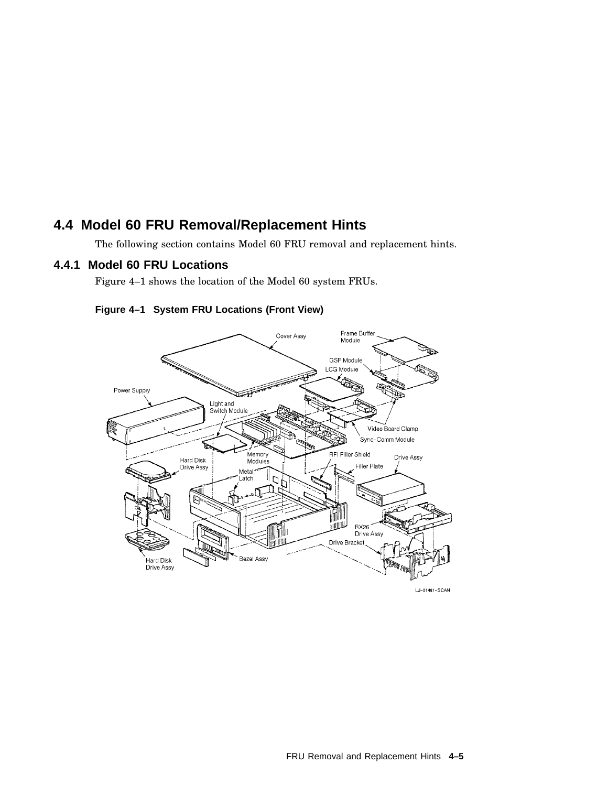# **4.4 Model 60 FRU Removal/Replacement Hints**

The following section contains Model 60 FRU removal and replacement hints.

## **4.4.1 Model 60 FRU Locations**

Figure 4–1 shows the location of the Model 60 system FRUs.



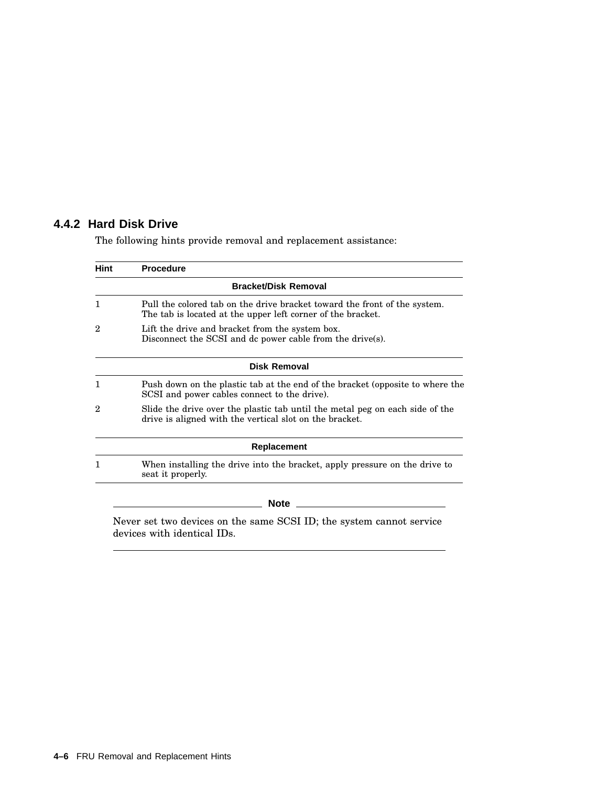## **4.4.2 Hard Disk Drive**

The following hints provide removal and replacement assistance:

| <b>Hint</b>  | <b>Procedure</b>                                                                                                                                                      |
|--------------|-----------------------------------------------------------------------------------------------------------------------------------------------------------------------|
|              | <b>Bracket/Disk Removal</b>                                                                                                                                           |
| $\mathbf{1}$ | Pull the colored tab on the drive bracket toward the front of the system.<br>The tab is located at the upper left corner of the bracket.                              |
| 2            | Lift the drive and bracket from the system box.<br>Disconnect the SCSI and dc power cable from the drive(s).                                                          |
|              | <b>Disk Removal</b>                                                                                                                                                   |
| $\mathbf{1}$ | Push down on the plastic tab at the end of the bracket (opposite to where the<br>SCSI and power cables connect to the drive).                                         |
| 2            | Slide the drive over the plastic tab until the metal peg on each side of the<br>drive is aligned with the vertical slot on the bracket.                               |
|              | Replacement                                                                                                                                                           |
| 1            | When installing the drive into the bracket, apply pressure on the drive to<br>seat it properly.                                                                       |
|              | <b>Note</b>                                                                                                                                                           |
|              | the contract of the contract of the contract of the contract of the contract of the contract of the contract of<br>$\alpha \alpha \alpha \tau$ $\tau \gamma$ $\gamma$ |

Never set two devices on the same SCSI ID; the system cannot service devices with identical IDs.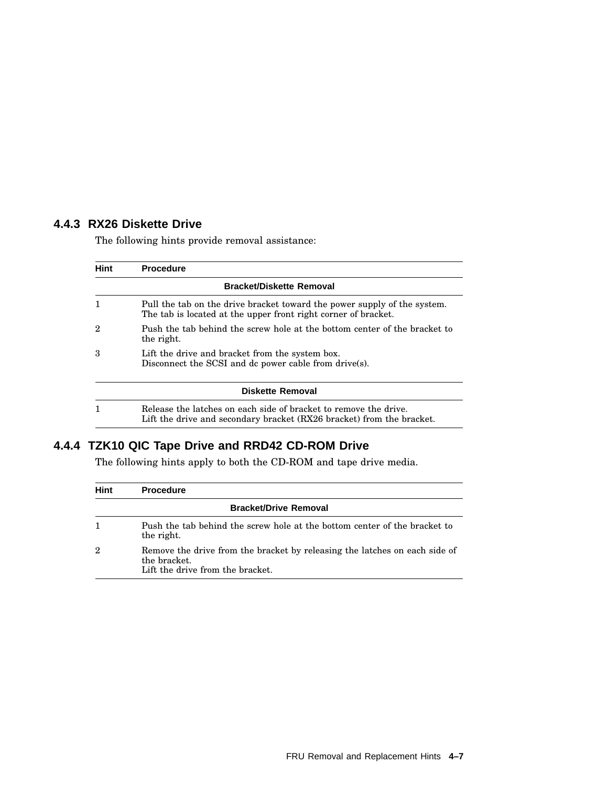## **4.4.3 RX26 Diskette Drive**

The following hints provide removal assistance:

| <b>Hint</b>    | <b>Procedure</b>                                                                                                                           |
|----------------|--------------------------------------------------------------------------------------------------------------------------------------------|
|                | <b>Bracket/Diskette Removal</b>                                                                                                            |
| 1              | Pull the tab on the drive bracket toward the power supply of the system.<br>The tab is located at the upper front right corner of bracket. |
| $\overline{2}$ | Push the tab behind the screw hole at the bottom center of the bracket to<br>the right.                                                    |
| 3              | Lift the drive and bracket from the system box.<br>Disconnect the SCSI and dc power cable from drive(s).                                   |
|                | Diskette Removal                                                                                                                           |
| 1              | Release the latches on each side of bracket to remove the drive.<br>Lift the drive and secondary bracket (RX26 bracket) from the bracket.  |

# **4.4.4 TZK10 QIC Tape Drive and RRD42 CD-ROM Drive**

The following hints apply to both the CD-ROM and tape drive media.

| Hint                         | <b>Procedure</b>                                                                                                               |
|------------------------------|--------------------------------------------------------------------------------------------------------------------------------|
| <b>Bracket/Drive Removal</b> |                                                                                                                                |
| 1                            | Push the tab behind the screw hole at the bottom center of the bracket to<br>the right.                                        |
| $\overline{2}$               | Remove the drive from the bracket by releasing the latches on each side of<br>the bracket.<br>Lift the drive from the bracket. |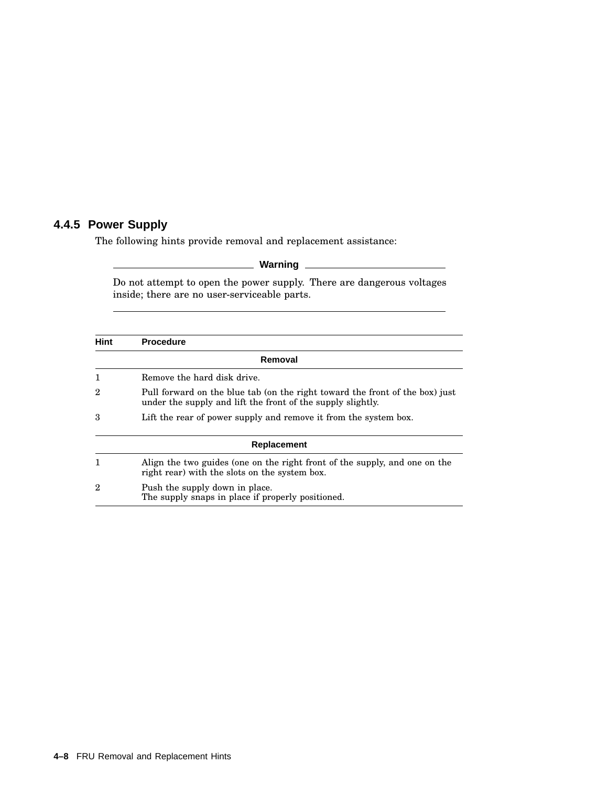## **4.4.5 Power Supply**

The following hints provide removal and replacement assistance:

**Warning**

Do not attempt to open the power supply. There are dangerous voltages inside; there are no user-serviceable parts.

| <b>Hint</b>    | <b>Procedure</b>                                                                                                                            |
|----------------|---------------------------------------------------------------------------------------------------------------------------------------------|
|                | Removal                                                                                                                                     |
| 1              | Remove the hard disk drive.                                                                                                                 |
| $\overline{2}$ | Pull forward on the blue tab (on the right toward the front of the box) just<br>under the supply and lift the front of the supply slightly. |
| 3              | Lift the rear of power supply and remove it from the system box.                                                                            |
|                | Replacement                                                                                                                                 |
| 1              | Align the two guides (one on the right front of the supply, and one on the<br>right rear) with the slots on the system box.                 |
| $\overline{2}$ | Push the supply down in place.<br>The supply snaps in place if properly positioned.                                                         |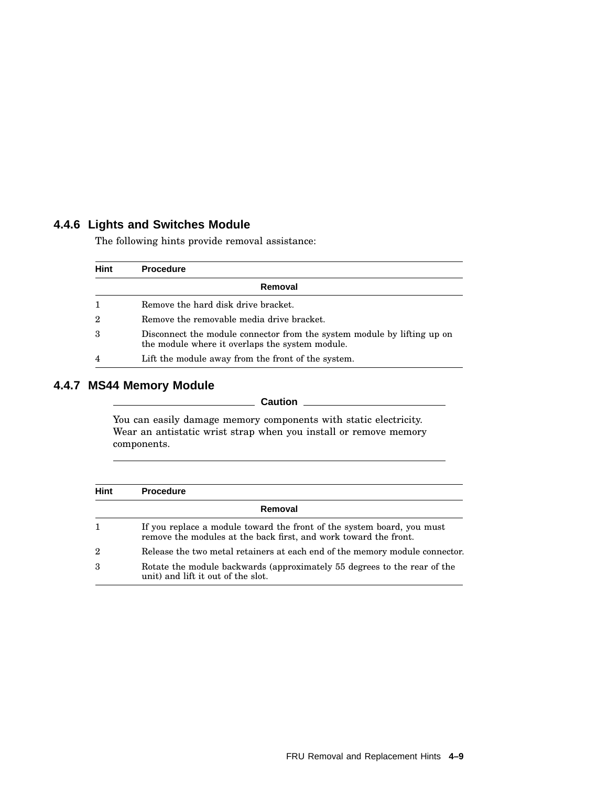## **4.4.6 Lights and Switches Module**

The following hints provide removal assistance:

| <b>Hint</b>    | <b>Procedure</b>                                                                                                           |
|----------------|----------------------------------------------------------------------------------------------------------------------------|
|                | Removal                                                                                                                    |
|                | Remove the hard disk drive bracket.                                                                                        |
| $\overline{2}$ | Remove the removable media drive bracket.                                                                                  |
| 3              | Disconnect the module connector from the system module by lifting up on<br>the module where it overlaps the system module. |
| $\overline{4}$ | Lift the module away from the front of the system.                                                                         |

## **4.4.7 MS44 Memory Module**

**Caution** 

You can easily damage memory components with static electricity. Wear an antistatic wrist strap when you install or remove memory components.

| <b>Hint</b>    | <b>Procedure</b>                                                                                                                           |
|----------------|--------------------------------------------------------------------------------------------------------------------------------------------|
|                | Removal                                                                                                                                    |
| 1              | If you replace a module toward the front of the system board, you must<br>remove the modules at the back first, and work toward the front. |
| $\overline{2}$ | Release the two metal retainers at each end of the memory module connector.                                                                |
| 3              | Rotate the module backwards (approximately 55 degrees to the rear of the<br>unit) and lift it out of the slot.                             |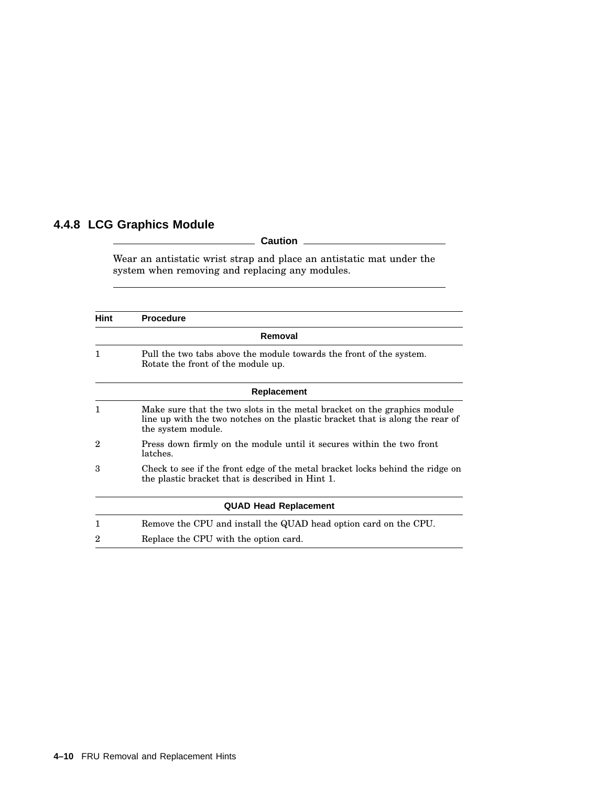# **4.4.8 LCG Graphics Module**

## **Caution**

Wear an antistatic wrist strap and place an antistatic mat under the system when removing and replacing any modules.

| <b>Hint</b> | <b>Procedure</b>                                                                                                                                                                |
|-------------|---------------------------------------------------------------------------------------------------------------------------------------------------------------------------------|
|             | Removal                                                                                                                                                                         |
| 1           | Pull the two tabs above the module towards the front of the system.<br>Rotate the front of the module up.                                                                       |
|             | Replacement                                                                                                                                                                     |
| 1           | Make sure that the two slots in the metal bracket on the graphics module<br>line up with the two notches on the plastic bracket that is along the rear of<br>the system module. |
| 2           | Press down firmly on the module until it secures within the two front<br>latches.                                                                                               |
| з           | Check to see if the front edge of the metal bracket locks behind the ridge on<br>the plastic bracket that is described in Hint 1.                                               |
|             | <b>QUAD Head Replacement</b>                                                                                                                                                    |
| 1           | Remove the CPU and install the QUAD head option card on the CPU.                                                                                                                |
| 2           | Replace the CPU with the option card.                                                                                                                                           |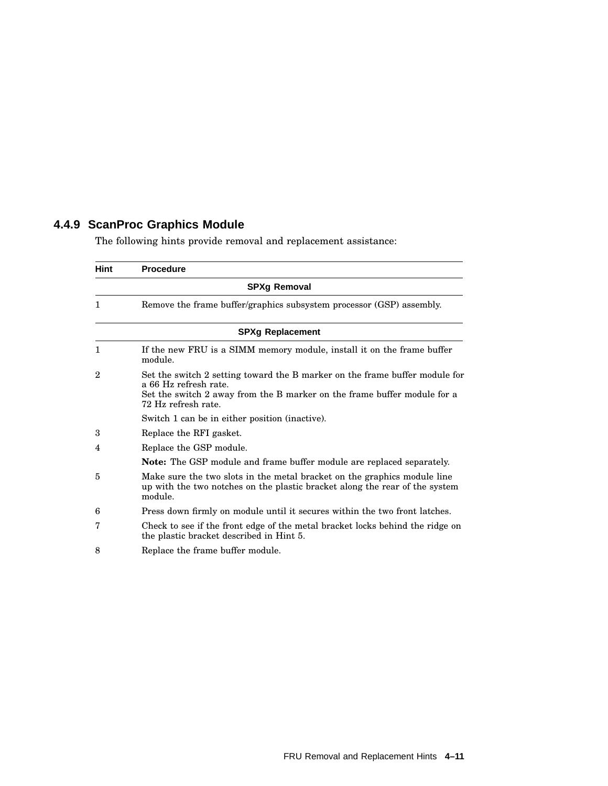# **4.4.9 ScanProc Graphics Module**

The following hints provide removal and replacement assistance:

| Hint           | <b>Procedure</b>                                                                                                                                                                                        |
|----------------|---------------------------------------------------------------------------------------------------------------------------------------------------------------------------------------------------------|
|                | <b>SPXg Removal</b>                                                                                                                                                                                     |
| $\mathbf{1}$   | Remove the frame buffer/graphics subsystem processor (GSP) assembly.                                                                                                                                    |
|                | <b>SPXg Replacement</b>                                                                                                                                                                                 |
| 1              | If the new FRU is a SIMM memory module, install it on the frame buffer<br>module.                                                                                                                       |
| $\overline{2}$ | Set the switch 2 setting toward the B marker on the frame buffer module for<br>a 66 Hz refresh rate.<br>Set the switch 2 away from the B marker on the frame buffer module for a<br>72 Hz refresh rate. |
|                | Switch 1 can be in either position (inactive).                                                                                                                                                          |
| 3              | Replace the RFI gasket.                                                                                                                                                                                 |
| 4              | Replace the GSP module.                                                                                                                                                                                 |
|                | Note: The GSP module and frame buffer module are replaced separately.                                                                                                                                   |
| 5              | Make sure the two slots in the metal bracket on the graphics module line<br>up with the two notches on the plastic bracket along the rear of the system<br>module.                                      |
| 6              | Press down firmly on module until it secures within the two front latches.                                                                                                                              |
| 7              | Check to see if the front edge of the metal bracket locks behind the ridge on<br>the plastic bracket described in Hint 5.                                                                               |
| 8              | Replace the frame buffer module.                                                                                                                                                                        |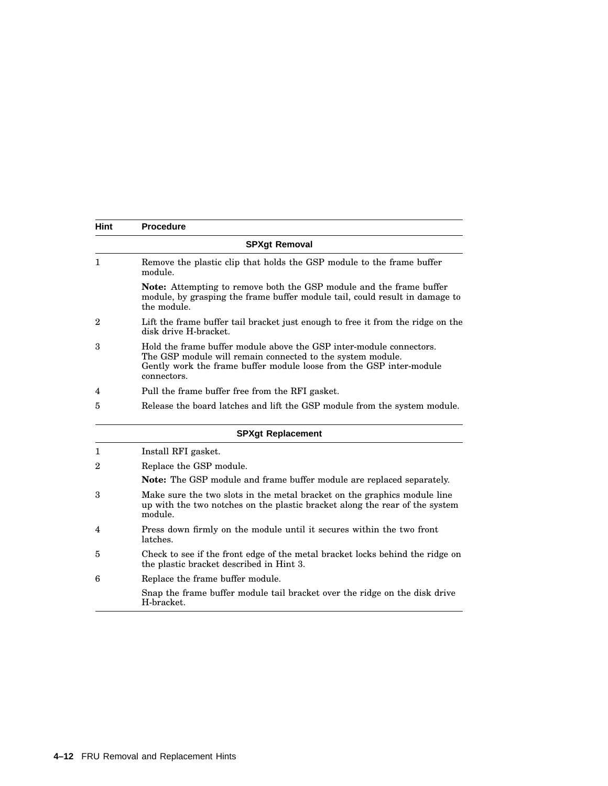| Hint           | <b>Procedure</b>                                                                                                                                                                                                        |
|----------------|-------------------------------------------------------------------------------------------------------------------------------------------------------------------------------------------------------------------------|
|                | <b>SPXgt Removal</b>                                                                                                                                                                                                    |
| 1              | Remove the plastic clip that holds the GSP module to the frame buffer<br>module.                                                                                                                                        |
|                | <b>Note:</b> Attempting to remove both the GSP module and the frame buffer<br>module, by grasping the frame buffer module tail, could result in damage to<br>the module.                                                |
| $\overline{2}$ | Lift the frame buffer tail bracket just enough to free it from the ridge on the<br>disk drive H-bracket.                                                                                                                |
| 3              | Hold the frame buffer module above the GSP inter-module connectors.<br>The GSP module will remain connected to the system module.<br>Gently work the frame buffer module loose from the GSP inter-module<br>connectors. |
| 4              | Pull the frame buffer free from the RFI gasket.                                                                                                                                                                         |
| 5              | Release the board latches and lift the GSP module from the system module.                                                                                                                                               |
|                | <b>SPXgt Replacement</b>                                                                                                                                                                                                |
| 1              | Install RFI gasket.                                                                                                                                                                                                     |
| $\overline{2}$ | Replace the GSP module.                                                                                                                                                                                                 |
|                | Note: The GSP module and frame buffer module are replaced separately.                                                                                                                                                   |
| 3              | Make sure the two slots in the metal bracket on the graphics module line<br>up with the two notches on the plastic bracket along the rear of the system<br>module.                                                      |
| 4              | Press down firmly on the module until it secures within the two front<br>latches.                                                                                                                                       |
| 5              | Check to see if the front edge of the metal bracket locks behind the ridge on<br>the plastic bracket described in Hint 3.                                                                                               |
| 6              | Replace the frame buffer module.                                                                                                                                                                                        |
|                | Snap the frame buffer module tail bracket over the ridge on the disk drive<br>H-bracket.                                                                                                                                |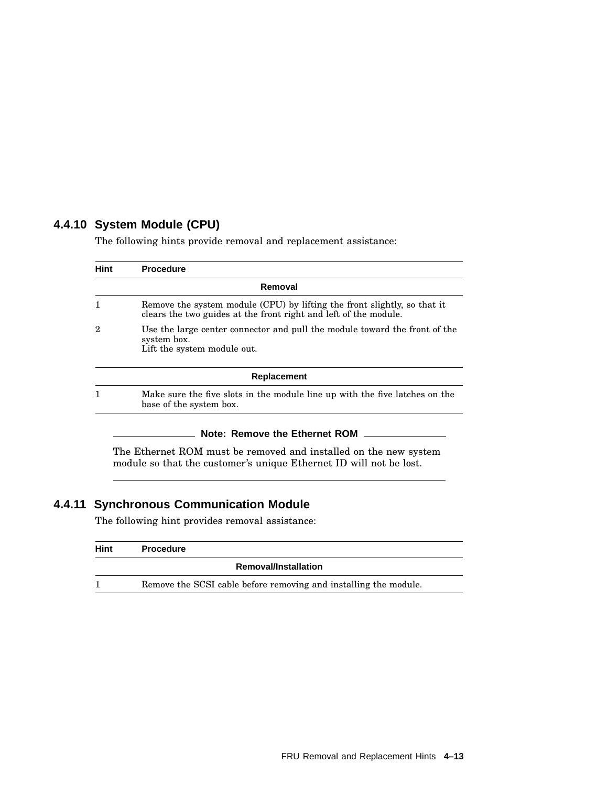## **4.4.10 System Module (CPU)**

The following hints provide removal and replacement assistance:

| Hint | <b>Procedure</b>                                                                                                                             |
|------|----------------------------------------------------------------------------------------------------------------------------------------------|
|      | Removal                                                                                                                                      |
|      | Remove the system module (CPU) by lifting the front slightly, so that it<br>clears the two guides at the front right and left of the module. |
| 2    | Use the large center connector and pull the module toward the front of the<br>system box.<br>Lift the system module out.                     |
|      | <b>Replacement</b>                                                                                                                           |
|      | Make sure the five slots in the module line up with the five latches on the<br>base of the system box.                                       |
|      |                                                                                                                                              |

#### **Note: Remove the Ethernet ROM**

The Ethernet ROM must be removed and installed on the new system module so that the customer's unique Ethernet ID will not be lost.

# **4.4.11 Synchronous Communication Module**

The following hint provides removal assistance:

| Hint | <b>Procedure</b>                                                 |
|------|------------------------------------------------------------------|
|      | <b>Removal/Installation</b>                                      |
|      | Remove the SCSI cable before removing and installing the module. |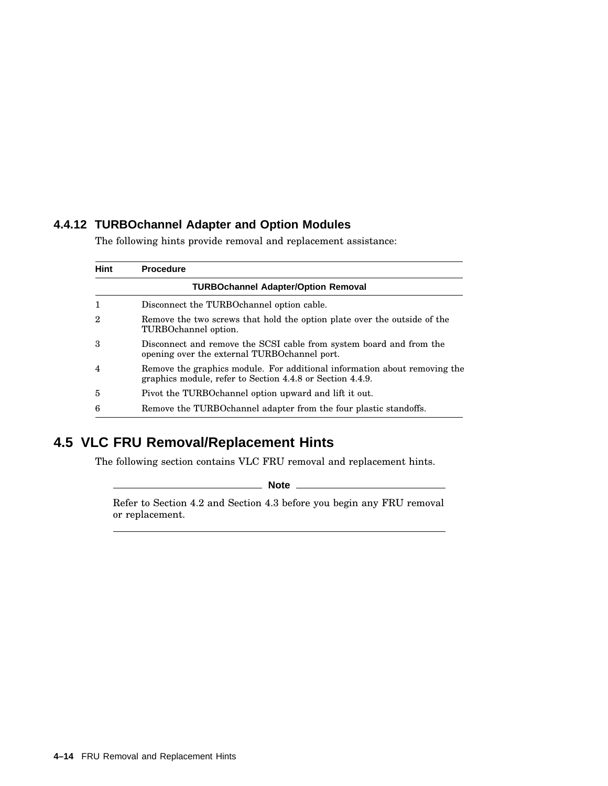## **4.4.12 TURBOchannel Adapter and Option Modules**

The following hints provide removal and replacement assistance:

| Hint           | <b>Procedure</b>                                                                                                                       |
|----------------|----------------------------------------------------------------------------------------------------------------------------------------|
|                | <b>TURBOchannel Adapter/Option Removal</b>                                                                                             |
|                | Disconnect the TURBO channel option cable.                                                                                             |
| 2              | Remove the two screws that hold the option plate over the outside of the<br>TURBOchannel option.                                       |
| 3              | Disconnect and remove the SCSI cable from system board and from the<br>opening over the external TURBO channel port.                   |
| $\overline{4}$ | Remove the graphics module. For additional information about removing the<br>graphics module, refer to Section 4.4.8 or Section 4.4.9. |
| 5              | Pivot the TURBO channel option upward and lift it out.                                                                                 |
| 6              | Remove the TURBO channel adapter from the four plastic standoffs.                                                                      |

# **4.5 VLC FRU Removal/Replacement Hints**

The following section contains VLC FRU removal and replacement hints.

**Note**

Refer to Section 4.2 and Section 4.3 before you begin any FRU removal or replacement.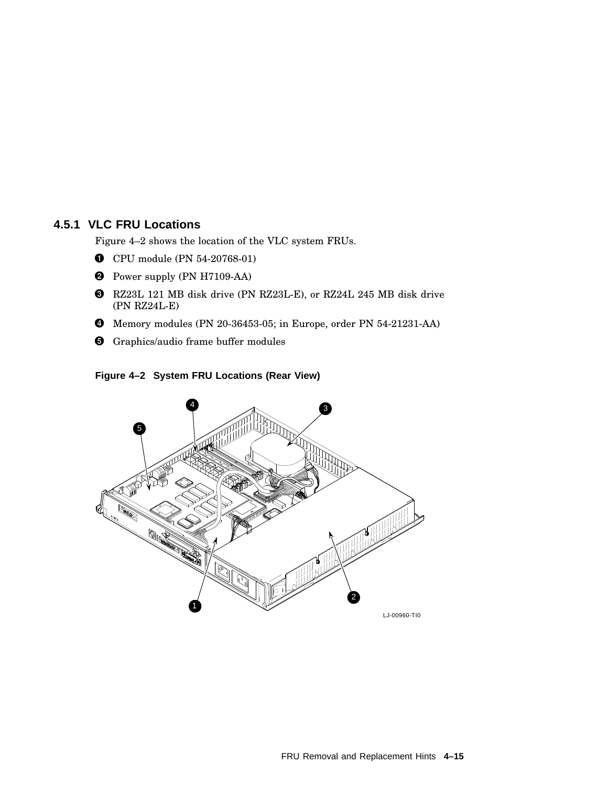# **4.5.1 VLC FRU Locations**

Figure 4–2 shows the location of the VLC system FRUs.

- CPU module (PN 54-20768-01)
- **2** Power supply (PN H7109-AA)
- RZ23L 121 MB disk drive (PN RZ23L-E), or RZ24L 245 MB disk drive (PN RZ24L-E)
- Memory modules (PN 20-36453-05; in Europe, order PN 54-21231-AA)
- **G** Graphics/audio frame buffer modules

#### **Figure 4–2 System FRU Locations (Rear View)**

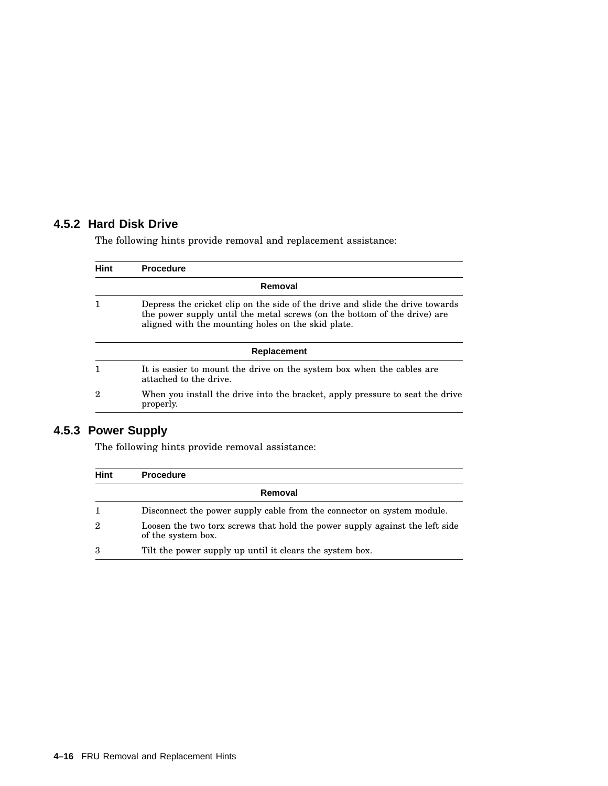# **4.5.2 Hard Disk Drive**

The following hints provide removal and replacement assistance:

| Hint | <b>Procedure</b>                                                                                                                                                                                                |  |  |
|------|-----------------------------------------------------------------------------------------------------------------------------------------------------------------------------------------------------------------|--|--|
|      | Removal                                                                                                                                                                                                         |  |  |
|      | Depress the cricket clip on the side of the drive and slide the drive towards<br>the power supply until the metal screws (on the bottom of the drive) are<br>aligned with the mounting holes on the skid plate. |  |  |
|      | Replacement                                                                                                                                                                                                     |  |  |
|      | It is easier to mount the drive on the system box when the cables are<br>attached to the drive.                                                                                                                 |  |  |
| 2    | When you install the drive into the bracket, apply pressure to seat the drive<br>properly.                                                                                                                      |  |  |

# **4.5.3 Power Supply**

The following hints provide removal assistance:

| <b>Hint</b>    | <b>Procedure</b>                                                                                  |
|----------------|---------------------------------------------------------------------------------------------------|
|                | Removal                                                                                           |
| 1              | Disconnect the power supply cable from the connector on system module.                            |
| $\overline{2}$ | Loosen the two torx screws that hold the power supply against the left side<br>of the system box. |
| 3              | Tilt the power supply up until it clears the system box.                                          |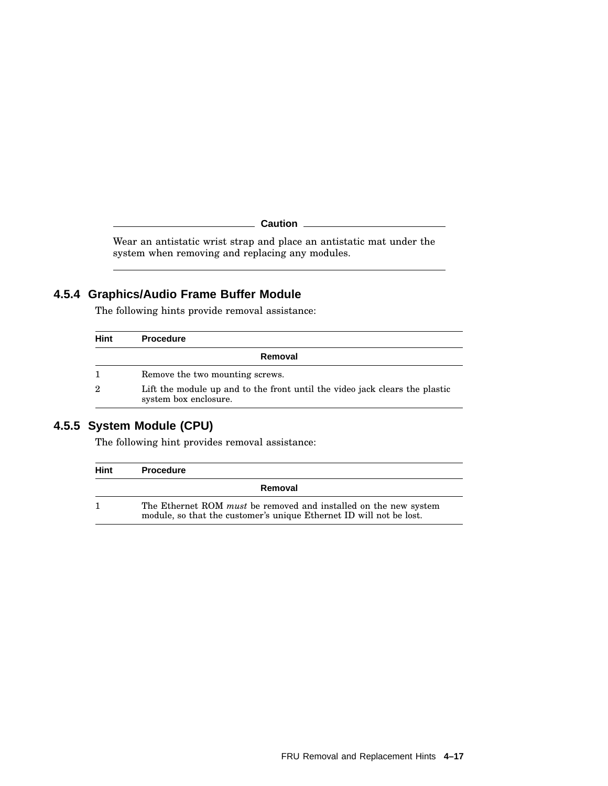**Caution**

Wear an antistatic wrist strap and place an antistatic mat under the system when removing and replacing any modules.

# **4.5.4 Graphics/Audio Frame Buffer Module**

The following hints provide removal assistance:

| Hint           | <b>Procedure</b>                                                                                     |  |
|----------------|------------------------------------------------------------------------------------------------------|--|
|                | Removal                                                                                              |  |
|                | Remove the two mounting screws.                                                                      |  |
| $\overline{2}$ | Lift the module up and to the front until the video jack clears the plastic<br>system box enclosure. |  |

# **4.5.5 System Module (CPU)**

The following hint provides removal assistance:

| Hint | <b>Procedure</b>                                                                                                                               |  |
|------|------------------------------------------------------------------------------------------------------------------------------------------------|--|
|      | Removal                                                                                                                                        |  |
| 1    | The Ethernet ROM <i>must</i> be removed and installed on the new system<br>module, so that the customer's unique Ethernet ID will not be lost. |  |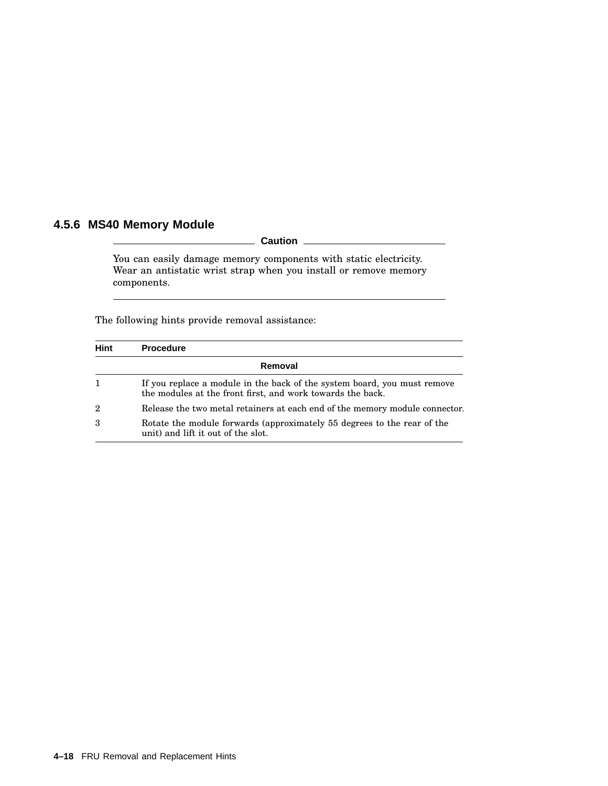# **4.5.6 MS40 Memory Module**

**Caution**

You can easily damage memory components with static electricity. Wear an antistatic wrist strap when you install or remove memory components.

The following hints provide removal assistance:

| <b>Hint</b>    | <b>Procedure</b>                                                                                                                       |  |
|----------------|----------------------------------------------------------------------------------------------------------------------------------------|--|
|                | Removal                                                                                                                                |  |
| 1              | If you replace a module in the back of the system board, you must remove<br>the modules at the front first, and work towards the back. |  |
| $\overline{2}$ | Release the two metal retainers at each end of the memory module connector.                                                            |  |
| 3              | Rotate the module forwards (approximately 55 degrees to the rear of the<br>unit) and lift it out of the slot.                          |  |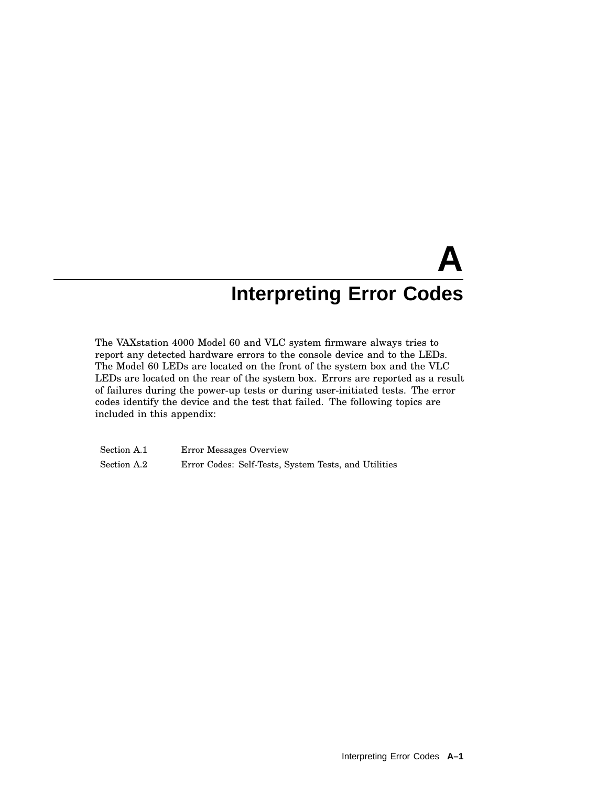# **A Interpreting Error Codes**

The VAXstation 4000 Model 60 and VLC system firmware always tries to report any detected hardware errors to the console device and to the LEDs. The Model 60 LEDs are located on the front of the system box and the VLC LEDs are located on the rear of the system box. Errors are reported as a result of failures during the power-up tests or during user-initiated tests. The error codes identify the device and the test that failed. The following topics are included in this appendix:

Section A.1 Error Messages Overview Section A.2 Error Codes: Self-Tests, System Tests, and Utilities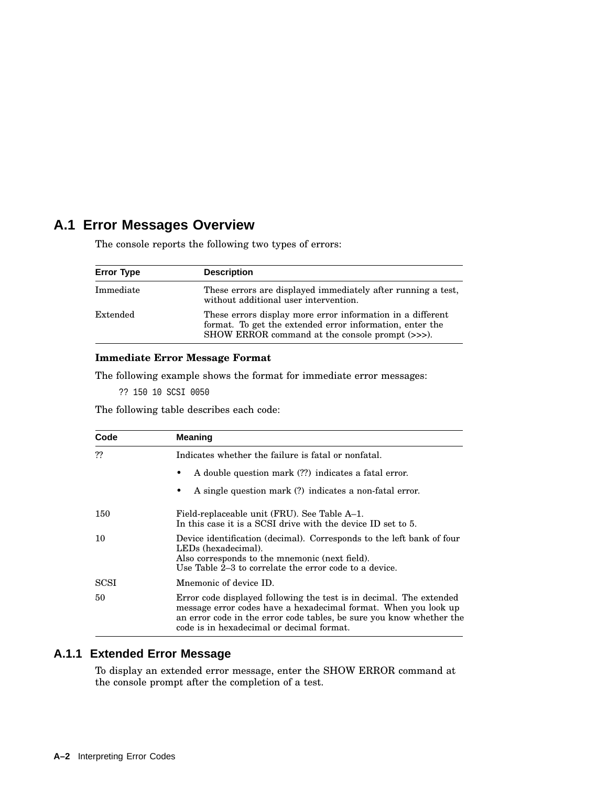# **A.1 Error Messages Overview**

The console reports the following two types of errors:

| <b>Error Type</b> | <b>Description</b>                                                                                                                                                        |
|-------------------|---------------------------------------------------------------------------------------------------------------------------------------------------------------------------|
| Immediate         | These errors are displayed immediately after running a test.<br>without additional user intervention.                                                                     |
| Extended          | These errors display more error information in a different<br>format. To get the extended error information, enter the<br>SHOW ERROR command at the console prompt (>>>). |

#### **Immediate Error Message Format**

The following example shows the format for immediate error messages:

?? 150 10 SCSI 0050

The following table describes each code:

| Code | <b>Meaning</b>                                                                                                                                                                                                                                              |  |
|------|-------------------------------------------------------------------------------------------------------------------------------------------------------------------------------------------------------------------------------------------------------------|--|
| ??   | Indicates whether the failure is fatal or nonfatal.                                                                                                                                                                                                         |  |
|      | A double question mark (??) indicates a fatal error.                                                                                                                                                                                                        |  |
|      | A single question mark (?) indicates a non-fatal error.                                                                                                                                                                                                     |  |
| 150  | Field-replaceable unit (FRU). See Table A–1.<br>In this case it is a SCSI drive with the device ID set to 5.                                                                                                                                                |  |
| 10   | Device identification (decimal). Corresponds to the left bank of four<br>LED <sub>s</sub> (hexadecimal).<br>Also corresponds to the mnemonic (next field).<br>Use Table 2–3 to correlate the error code to a device.                                        |  |
| SCSI | Mnemonic of device ID.                                                                                                                                                                                                                                      |  |
| 50   | Error code displayed following the test is in decimal. The extended<br>message error codes have a hexadecimal format. When you look up<br>an error code in the error code tables, be sure you know whether the<br>code is in hexadecimal or decimal format. |  |

# **A.1.1 Extended Error Message**

To display an extended error message, enter the SHOW ERROR command at the console prompt after the completion of a test.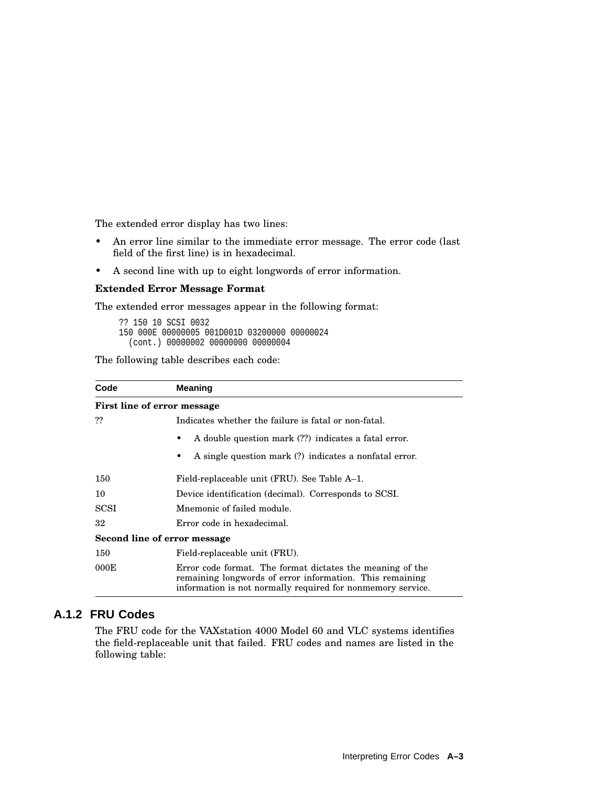The extended error display has two lines:

- An error line similar to the immediate error message. The error code (last field of the first line) is in hexadecimal.
- A second line with up to eight longwords of error information.

#### **Extended Error Message Format**

The extended error messages appear in the following format:

```
?? 150 10 SCSI 0032
150 000E 00000005 001D001D 03200000 00000024
  (cont.) 00000002 00000000 00000004
```
The following table describes each code:

| Code                                                 | <b>Meaning</b>                                                                                                                                                                       |  |  |
|------------------------------------------------------|--------------------------------------------------------------------------------------------------------------------------------------------------------------------------------------|--|--|
|                                                      | First line of error message                                                                                                                                                          |  |  |
| ??                                                   | Indicates whether the failure is fatal or non-fatal.                                                                                                                                 |  |  |
| A double question mark (??) indicates a fatal error. |                                                                                                                                                                                      |  |  |
|                                                      | A single question mark (?) indicates a nonfatal error.<br>٠                                                                                                                          |  |  |
| 150                                                  | Field-replaceable unit (FRU). See Table A-1.                                                                                                                                         |  |  |
| 10                                                   | Device identification (decimal). Corresponds to SCSI.                                                                                                                                |  |  |
| <b>SCSI</b>                                          | Mnemonic of failed module.                                                                                                                                                           |  |  |
| 32                                                   | Error code in hexadecimal.                                                                                                                                                           |  |  |
|                                                      | Second line of error message                                                                                                                                                         |  |  |
| 150                                                  | Field-replaceable unit (FRU).                                                                                                                                                        |  |  |
| 000E                                                 | Error code format. The format dictates the meaning of the<br>remaining longwords of error information. This remaining<br>information is not normally required for nonmemory service. |  |  |

# **A.1.2 FRU Codes**

The FRU code for the VAXstation 4000 Model 60 and VLC systems identifies the field-replaceable unit that failed. FRU codes and names are listed in the following table: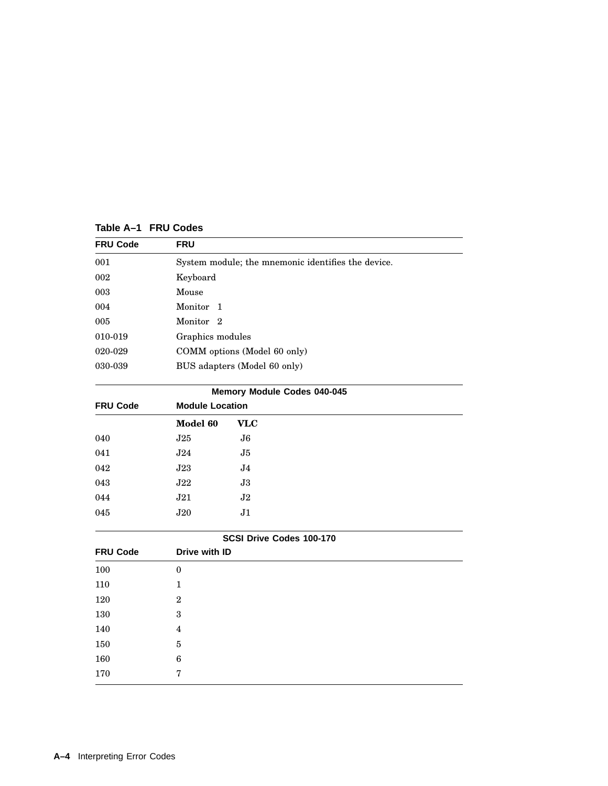**Table A–1 FRU Codes**

| <b>FRU Code</b> | <b>FRU</b>                                         |  |
|-----------------|----------------------------------------------------|--|
| 001             | System module; the mnemonic identifies the device. |  |
| 002             | Keyboard                                           |  |
| 003             | Mouse                                              |  |
| 004             | Monitor 1                                          |  |
| 005             | Monitor <sub>2</sub>                               |  |
| 010-019         | Graphics modules                                   |  |
| 020-029         | COMM options (Model 60 only)                       |  |
| 030-039         | BUS adapters (Model 60 only)                       |  |
|                 |                                                    |  |

| Memory Module Codes 040-045 |                        |                          |  |
|-----------------------------|------------------------|--------------------------|--|
| <b>FRU Code</b>             | <b>Module Location</b> |                          |  |
|                             | Model 60<br><b>VLC</b> |                          |  |
| 040                         | J25                    | J6                       |  |
| 041                         | J24                    | J5                       |  |
| 042                         | J23                    | J <sub>4</sub>           |  |
| 043                         | $\rm{J}22$             | $\overline{\mathbf{J}3}$ |  |
| 044                         | J21                    | J2                       |  |
| 045                         | J20                    | J1                       |  |
|                             |                        | SCSI Drive Codes 100-170 |  |

| SCSI Drive Codes 100-170 |                  |  |  |
|--------------------------|------------------|--|--|
| <b>FRU Code</b>          | Drive with ID    |  |  |
| 100                      | $\boldsymbol{0}$ |  |  |
| 110                      | 1                |  |  |
| 120                      | $\mathbf{2}$     |  |  |
| 130                      | 3                |  |  |
| 140                      | 4                |  |  |
| 150                      | 5                |  |  |
| 160                      | 6                |  |  |
| 170                      | 7                |  |  |
|                          |                  |  |  |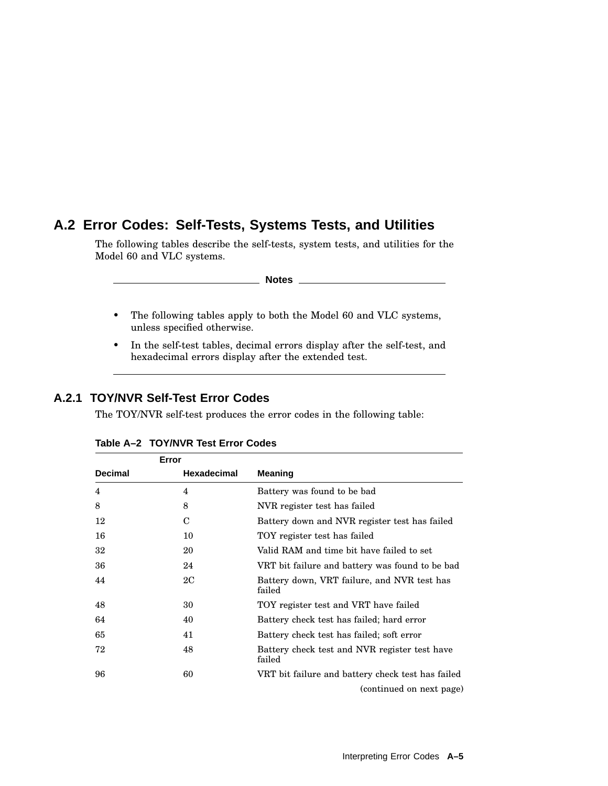# **A.2 Error Codes: Self-Tests, Systems Tests, and Utilities**

The following tables describe the self-tests, system tests, and utilities for the Model 60 and VLC systems.

**Notes**

- The following tables apply to both the Model 60 and VLC systems, unless specified otherwise.
- In the self-test tables, decimal errors display after the self-test, and hexadecimal errors display after the extended test.

# **A.2.1 TOY/NVR Self-Test Error Codes**

The TOY/NVR self-test produces the error codes in the following table:

|                | Error       |                                                         |
|----------------|-------------|---------------------------------------------------------|
| <b>Decimal</b> | Hexadecimal | <b>Meaning</b>                                          |
| 4              | 4           | Battery was found to be bad                             |
| 8              | 8           | NVR register test has failed                            |
| 12             | C           | Battery down and NVR register test has failed           |
| 16             | 10          | TOY register test has failed                            |
| 32             | 20          | Valid RAM and time bit have failed to set               |
| 36             | 24          | VRT bit failure and battery was found to be bad         |
| 44             | 2C          | Battery down, VRT failure, and NVR test has<br>failed   |
| 48             | 30          | TOY register test and VRT have failed                   |
| 64             | 40          | Battery check test has failed; hard error               |
| 65             | 41          | Battery check test has failed; soft error               |
| 72             | 48          | Battery check test and NVR register test have<br>failed |
| 96             | 60          | VRT bit failure and battery check test has failed       |
|                |             | (continued on next page)                                |

**Table A–2 TOY/NVR Test Error Codes**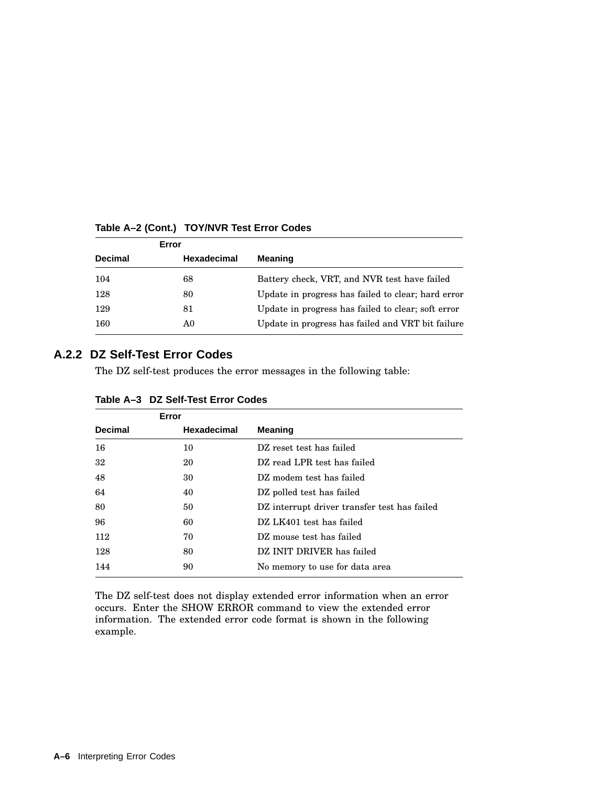| Error          |                    |                                                    |  |
|----------------|--------------------|----------------------------------------------------|--|
| <b>Decimal</b> | <b>Hexadecimal</b> | <b>Meaning</b>                                     |  |
| 104            | 68                 | Battery check, VRT, and NVR test have failed       |  |
| 128            | 80                 | Update in progress has failed to clear; hard error |  |
| 129            | 81                 | Update in progress has failed to clear; soft error |  |
| 160            | A0                 | Update in progress has failed and VRT bit failure  |  |

#### **Table A–2 (Cont.) TOY/NVR Test Error Codes**

#### **A.2.2 DZ Self-Test Error Codes**

The DZ self-test produces the error messages in the following table:

| Error          |                    |                                              |
|----------------|--------------------|----------------------------------------------|
| <b>Decimal</b> | <b>Hexadecimal</b> | <b>Meaning</b>                               |
| 16             | 10                 | DZ reset test has failed                     |
| 32             | 20                 | DZ read LPR test has failed                  |
| 48             | 30                 | DZ modem test has failed                     |
| 64             | 40                 | DZ polled test has failed                    |
| 80             | 50                 | DZ interrupt driver transfer test has failed |
| 96             | 60                 | DZ LK401 test has failed                     |
| 112            | 70                 | DZ mouse test has failed                     |
| 128            | 80                 | DZ INIT DRIVER has failed                    |
| 144            | 90                 | No memory to use for data area               |

#### **Table A–3 DZ Self-Test Error Codes**

The DZ self-test does not display extended error information when an error occurs. Enter the SHOW ERROR command to view the extended error information. The extended error code format is shown in the following example.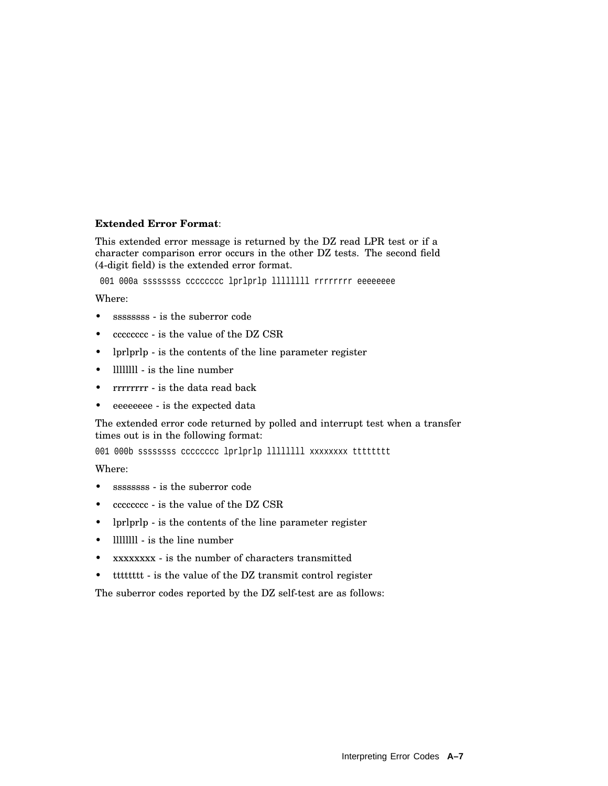#### **Extended Error Format**:

This extended error message is returned by the DZ read LPR test or if a character comparison error occurs in the other DZ tests. The second field (4-digit field) is the extended error format.

001 000a ssssssss cccccccc lprlprlp lllllllll rrrrrrrr eeeeeeee

Where:

- sssssssss is the suberror code
- cccccccc is the value of the DZ CSR
- lprlprlp is the contents of the line parameter register
- Illillll is the line number
- rrrrrrrr is the data read back
- eeeeeeee is the expected data

The extended error code returned by polled and interrupt test when a transfer times out is in the following format:

001 000b ssssssss cccccccc lprlprlp lllllllll xxxxxxxx tttttttt

Where:

- sssssssss is the suberror code
- cccccccc is the value of the DZ CSR
- lprlprlp is the contents of the line parameter register
- llllllll is the line number
- xxxxxxxx is the number of characters transmitted
- tttttttt is the value of the DZ transmit control register

The suberror codes reported by the DZ self-test are as follows: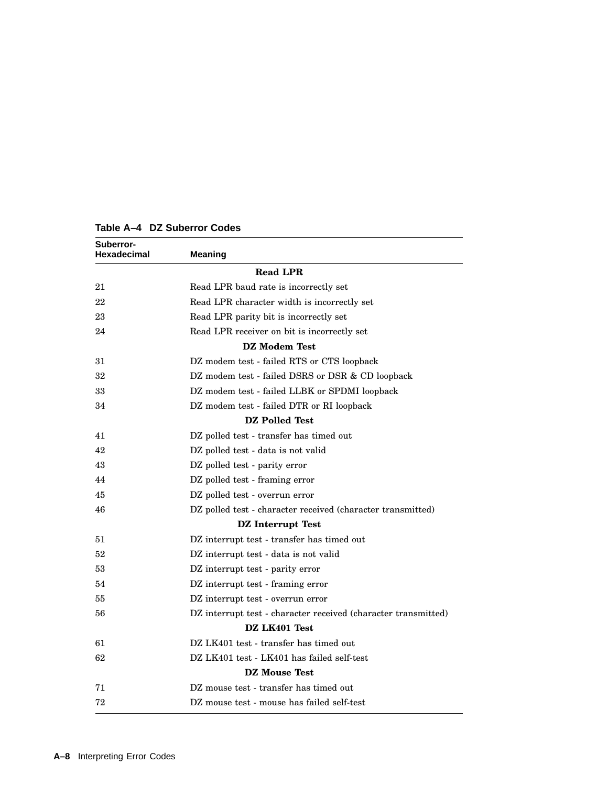| Suberror-<br>Hexadecimal | <b>Meaning</b>                                                 |
|--------------------------|----------------------------------------------------------------|
|                          | <b>Read LPR</b>                                                |
| 21                       | Read LPR baud rate is incorrectly set                          |
| 22                       | Read LPR character width is incorrectly set                    |
| 23                       | Read LPR parity bit is incorrectly set                         |
| 24                       | Read LPR receiver on bit is incorrectly set                    |
|                          | DZ Modem Test                                                  |
| 31                       | DZ modem test - failed RTS or CTS loopback                     |
| 32                       | DZ modem test - failed DSRS or DSR & CD loopback               |
| 33                       | DZ modem test - failed LLBK or SPDMI loopback                  |
| 34                       | DZ modem test - failed DTR or RI loopback                      |
|                          | <b>DZ</b> Polled Test                                          |
| 41                       | DZ polled test - transfer has timed out                        |
| 42                       | DZ polled test - data is not valid                             |
| 43                       | DZ polled test - parity error                                  |
| 44                       | DZ polled test - framing error                                 |
| 45                       | DZ polled test - overrun error                                 |
| 46                       | DZ polled test - character received (character transmitted)    |
|                          | <b>DZ</b> Interrupt Test                                       |
| 51                       | DZ interrupt test - transfer has timed out                     |
| 52                       | DZ interrupt test - data is not valid                          |
| 53                       | DZ interrupt test - parity error                               |
| 54                       | DZ interrupt test - framing error                              |
| 55                       | DZ interrupt test - overrun error                              |
| 56                       | DZ interrupt test - character received (character transmitted) |
|                          | DZ LK401 Test                                                  |
| 61                       | DZ LK401 test - transfer has timed out                         |
| 62                       | DZ LK401 test - LK401 has failed self-test                     |
|                          | DZ Mouse Test                                                  |
| 71                       | DZ mouse test - transfer has timed out                         |
| 72                       | DZ mouse test - mouse has failed self-test                     |

**Table A–4 DZ Suberror Codes**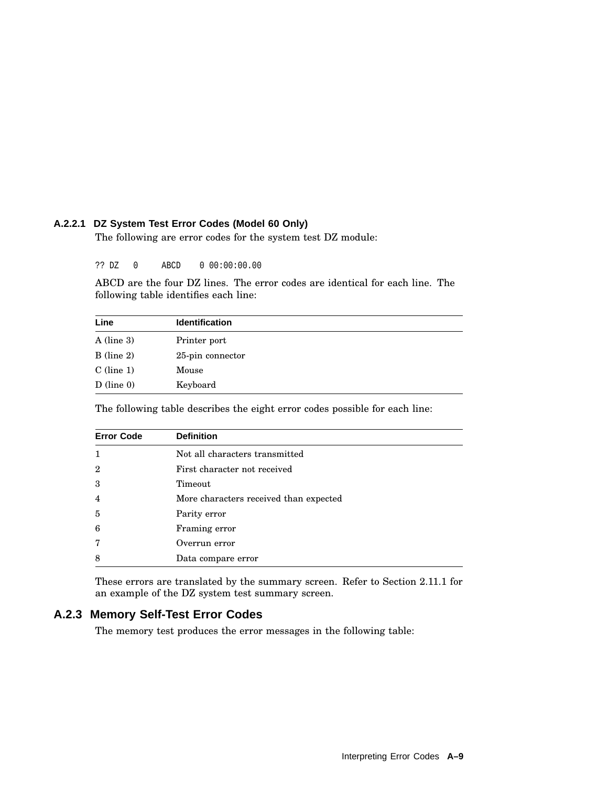## **A.2.2.1 DZ System Test Error Codes (Model 60 Only)**

The following are error codes for the system test DZ module:

?? DZ 0 ABCD 0 00:00:00.00

ABCD are the four DZ lines. The error codes are identical for each line. The following table identifies each line:

| Line         | <b>Identification</b> |
|--------------|-----------------------|
| $A$ (line 3) | Printer port          |
| $B$ (line 2) | 25-pin connector      |
| $C$ (line 1) | Mouse                 |
| $D$ (line 0) | Keyboard              |

The following table describes the eight error codes possible for each line:

| <b>Error Code</b> | <b>Definition</b>                      |  |
|-------------------|----------------------------------------|--|
| 1                 | Not all characters transmitted         |  |
| $\mathbf{2}$      | First character not received           |  |
| 3                 | Timeout                                |  |
| $\overline{4}$    | More characters received than expected |  |
| 5                 | Parity error                           |  |
| 6                 | Framing error                          |  |
| 7                 | Overrun error                          |  |
| 8                 | Data compare error                     |  |

These errors are translated by the summary screen. Refer to Section 2.11.1 for an example of the DZ system test summary screen.

# **A.2.3 Memory Self-Test Error Codes**

The memory test produces the error messages in the following table: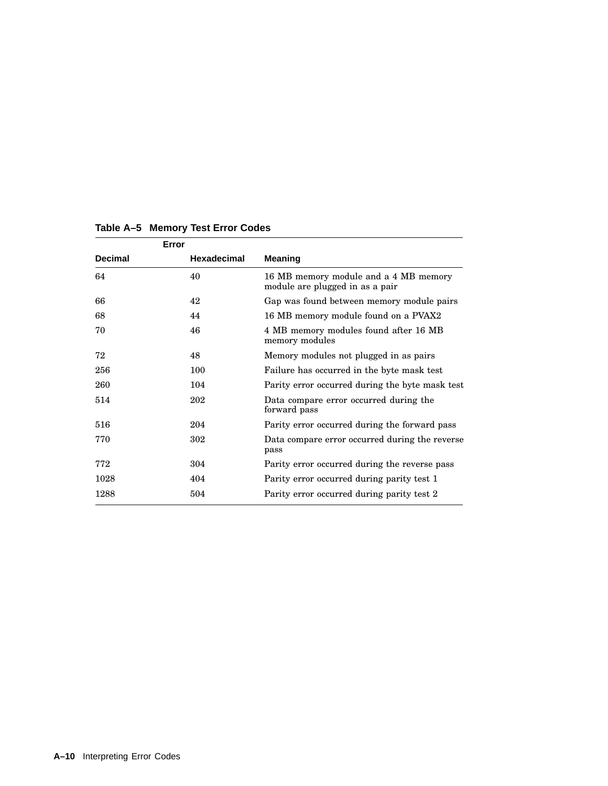|                | Error       |                                                                          |
|----------------|-------------|--------------------------------------------------------------------------|
| <b>Decimal</b> | Hexadecimal | <b>Meaning</b>                                                           |
| 64             | 40          | 16 MB memory module and a 4 MB memory<br>module are plugged in as a pair |
| 66             | 42          | Gap was found between memory module pairs                                |
| 68             | 44          | 16 MB memory module found on a PVAX2                                     |
| 70             | 46          | 4 MB memory modules found after 16 MB<br>memory modules                  |
| 72             | 48          | Memory modules not plugged in as pairs                                   |
| 256            | 100         | Failure has occurred in the byte mask test                               |
| 260            | 104         | Parity error occurred during the byte mask test                          |
| 514            | 202         | Data compare error occurred during the<br>forward pass                   |
| 516            | 204         | Parity error occurred during the forward pass                            |
| 770            | 302         | Data compare error occurred during the reverse<br>pass                   |
| 772            | 304         | Parity error occurred during the reverse pass                            |
| 1028           | 404         | Parity error occurred during parity test 1                               |
| 1288           | 504         | Parity error occurred during parity test 2                               |

# **Table A–5 Memory Test Error Codes**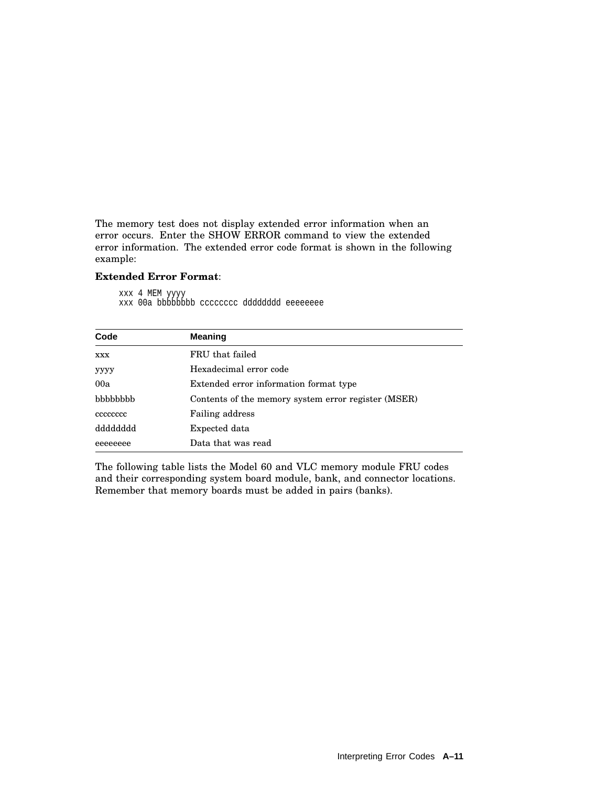The memory test does not display extended error information when an error occurs. Enter the SHOW ERROR command to view the extended error information. The extended error code format is shown in the following example:

#### **Extended Error Format**:

xxx 4 MEM yyyy xxx 00a bbbbbbbb cccccccc dddddddd eeeeeeee

| Code       | <b>Meaning</b>                                      |
|------------|-----------------------------------------------------|
| <b>XXX</b> | FRU that failed                                     |
| уууу       | Hexadecimal error code                              |
| 00a        | Extended error information format type              |
| bbbbbbb    | Contents of the memory system error register (MSER) |
| cccccccc   | <b>Failing address</b>                              |
| dddddddd   | Expected data                                       |
| eeeeeeee   | Data that was read                                  |

The following table lists the Model 60 and VLC memory module FRU codes and their corresponding system board module, bank, and connector locations. Remember that memory boards must be added in pairs (banks).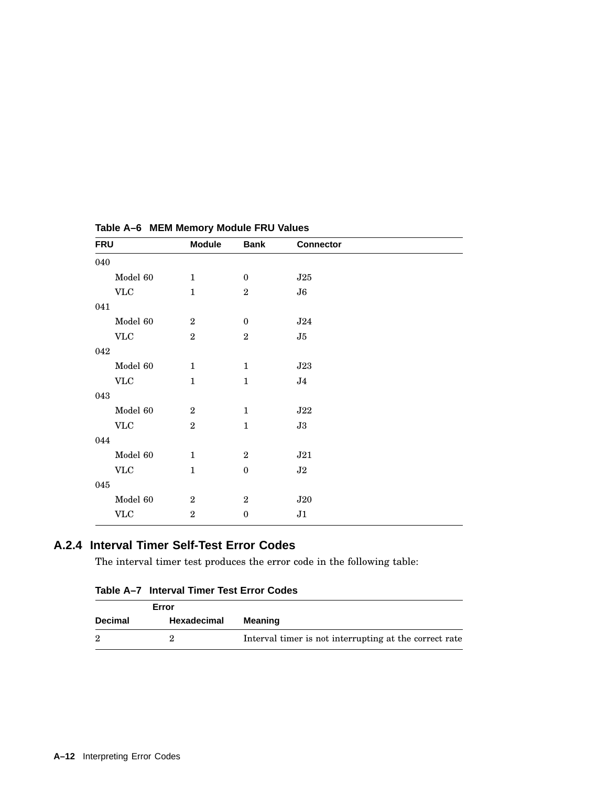| <b>FRU</b>                | <b>Module</b>    | <b>Bank</b>      | <b>Connector</b> |  |
|---------------------------|------------------|------------------|------------------|--|
| 040                       |                  |                  |                  |  |
| Model 60                  | $\mathbf{1}$     | $\boldsymbol{0}$ | J25              |  |
| $\ensuremath{\text{VLC}}$ | $\mathbf{1}$     | $\,2$            | ${\bf J6}$       |  |
| 041                       |                  |                  |                  |  |
| Model 60                  | $\overline{2}$   | $\boldsymbol{0}$ | ${\bf J}24$      |  |
| <b>VLC</b>                | $\sqrt{2}$       | $\,2$            | J5               |  |
| 042                       |                  |                  |                  |  |
| Model 60                  | $\mathbf{1}$     | $\mathbf{1}$     | J23              |  |
| V <sub>LC</sub>           | $\mathbf{1}$     | $\mathbf{1}$     | J <sub>4</sub>   |  |
| 043                       |                  |                  |                  |  |
| Model 60                  | $\boldsymbol{2}$ | $\mathbf{1}$     | J22              |  |
| $\ensuremath{\text{VLC}}$ | $\overline{2}$   | $\mathbf{1}$     | J3               |  |
| 044                       |                  |                  |                  |  |
| Model 60                  | $\mathbf{1}$     | $\overline{2}$   | J21              |  |
| $\ensuremath{\text{VLC}}$ | $\mathbf{1}$     | $\boldsymbol{0}$ | $\bf J2$         |  |
| 045                       |                  |                  |                  |  |
| Model 60                  | $\boldsymbol{2}$ | $\overline{2}$   | J20              |  |
| $\ensuremath{\text{VLC}}$ | $\overline{2}$   | $\boldsymbol{0}$ | J1               |  |
|                           |                  |                  |                  |  |

**Table A–6 MEM Memory Module FRU Values**

# **A.2.4 Interval Timer Self-Test Error Codes**

The interval timer test produces the error code in the following table:

| Table A–7 Interval Timer Test Error Codes |  |  |  |
|-------------------------------------------|--|--|--|
|                                           |  |  |  |

| Error          |             |                                                        |
|----------------|-------------|--------------------------------------------------------|
| <b>Decimal</b> | Hexadecimal | Meaning                                                |
|                |             | Interval timer is not interrupting at the correct rate |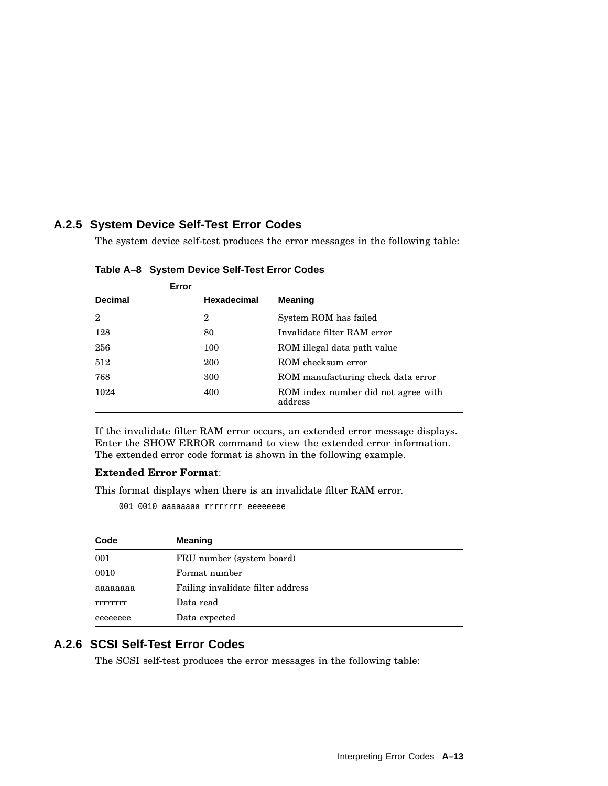# **A.2.5 System Device Self-Test Error Codes**

The system device self-test produces the error messages in the following table:

|                | Error |             |                                                |
|----------------|-------|-------------|------------------------------------------------|
| <b>Decimal</b> |       | Hexadecimal | <b>Meaning</b>                                 |
| $\overline{2}$ |       | $\mathbf 2$ | System ROM has failed                          |
| 128            |       | 80          | Invalidate filter RAM error                    |
| 256            |       | 100         | ROM illegal data path value                    |
| 512            |       | 200         | ROM checksum error                             |
| 768            |       | 300         | ROM manufacturing check data error             |
| 1024           |       | 400         | ROM index number did not agree with<br>address |

**Table A–8 System Device Self-Test Error Codes**

If the invalidate filter RAM error occurs, an extended error message displays. Enter the SHOW ERROR command to view the extended error information. The extended error code format is shown in the following example.

#### **Extended Error Format**:

This format displays when there is an invalidate filter RAM error.

001 0010 aaaaaaaa rrrrrrrr eeeeeeee

| Code     | <b>Meaning</b>                    |
|----------|-----------------------------------|
| 001      | FRU number (system board)         |
| 0010     | Format number                     |
| aaaaaaaa | Failing invalidate filter address |
| rrrrrrrr | Data read                         |
| eeeeeeee | Data expected                     |

# **A.2.6 SCSI Self-Test Error Codes**

The SCSI self-test produces the error messages in the following table: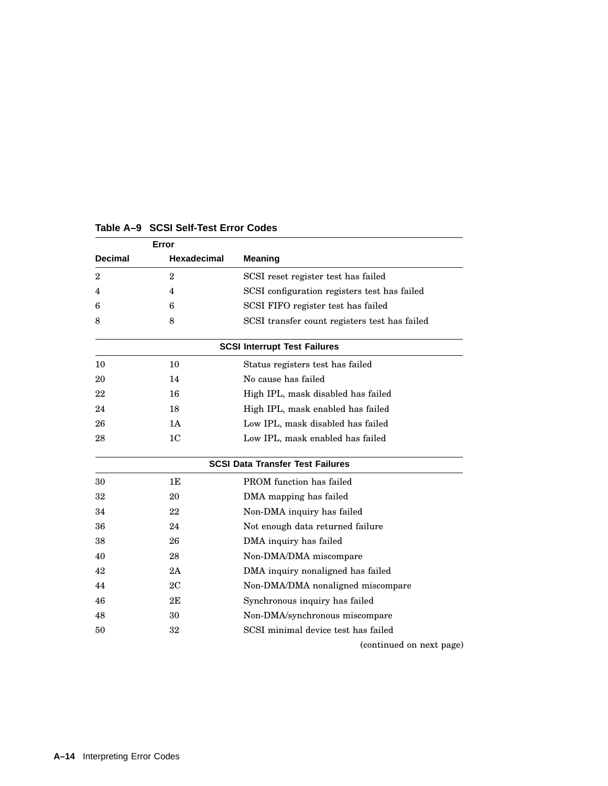| Error          |                    |                                               |
|----------------|--------------------|-----------------------------------------------|
| <b>Decimal</b> | <b>Hexadecimal</b> | <b>Meaning</b>                                |
| $\overline{2}$ | $\overline{2}$     | SCSI reset register test has failed           |
| 4              | 4                  | SCSI configuration registers test has failed  |
| 6              | 6                  | SCSI FIFO register test has failed            |
| 8              | 8                  | SCSI transfer count registers test has failed |
|                |                    | <b>SCSI Interrupt Test Failures</b>           |
| 10             | 10                 | Status registers test has failed              |
| 20             | 14                 | No cause has failed                           |
| 22             | 16                 | High IPL, mask disabled has failed            |
| 24             | 18                 | High IPL, mask enabled has failed             |
| 26             | 1A                 | Low IPL, mask disabled has failed             |
| 28             | 1 <sub>C</sub>     | Low IPL, mask enabled has failed              |
|                |                    | <b>SCSI Data Transfer Test Failures</b>       |
| 30             | 1E                 | PROM function has failed                      |
| 32             | 20                 | DMA mapping has failed                        |
| 34             | 22                 | Non-DMA inquiry has failed                    |
| 36             | 24                 | Not enough data returned failure              |
| 38             | 26                 | DMA inquiry has failed                        |
| 40             | 28                 | Non-DMA/DMA miscompare                        |
| 42             | 2A                 | DMA inquiry nonaligned has failed             |
| 44             | 2C                 | Non-DMA/DMA nonaligned miscompare             |
| 46             | 2E                 | Synchronous inquiry has failed                |
| 48             | 30                 | Non-DMA/synchronous miscompare                |
| 50             | 32                 | SCSI minimal device test has failed           |
|                |                    | (continued on next page)                      |

## **Table A–9 SCSI Self-Test Error Codes**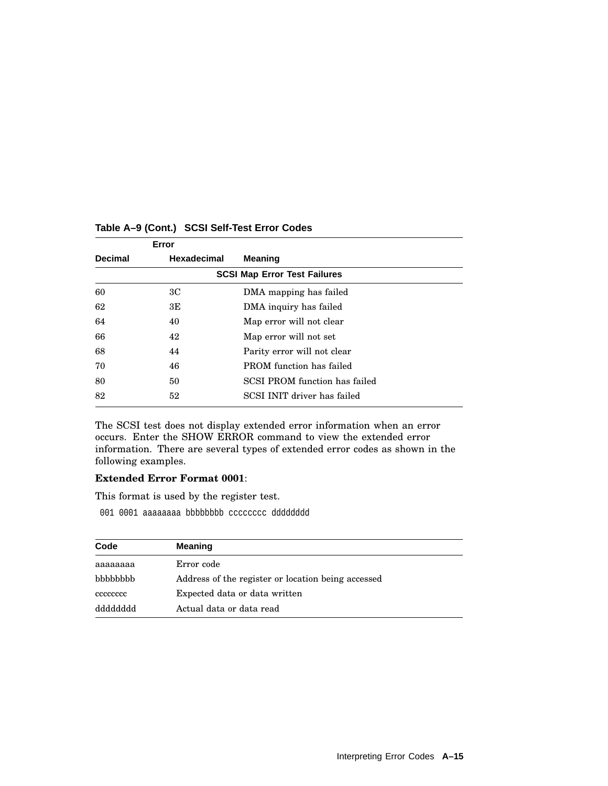| Error          |             |                                      |
|----------------|-------------|--------------------------------------|
| <b>Decimal</b> | Hexadecimal | <b>Meaning</b>                       |
|                |             | <b>SCSI Map Error Test Failures</b>  |
| 60             | ЗC          | DMA mapping has failed               |
| 62             | 3E          | DMA inquiry has failed               |
| 64             | 40          | Map error will not clear             |
| 66             | 42          | Map error will not set               |
| 68             | 44          | Parity error will not clear          |
| 70             | 46          | <b>PROM</b> function has failed      |
| 80             | 50          | <b>SCSI PROM</b> function has failed |
| 82             | 52          | SCSI INIT driver has failed          |

## **Table A–9 (Cont.) SCSI Self-Test Error Codes**

The SCSI test does not display extended error information when an error occurs. Enter the SHOW ERROR command to view the extended error information. There are several types of extended error codes as shown in the following examples.

## **Extended Error Format 0001**:

This format is used by the register test.

001 0001 aaaaaaaa bbbbbbbb cccccccc dddddddd

| Code      | <b>Meaning</b>                                     |
|-----------|----------------------------------------------------|
| aaaaaaaa  | Error code                                         |
| bbbbbbb   | Address of the register or location being accessed |
| cccccccc  | Expected data or data written                      |
| qqqqqqqqq | Actual data or data read                           |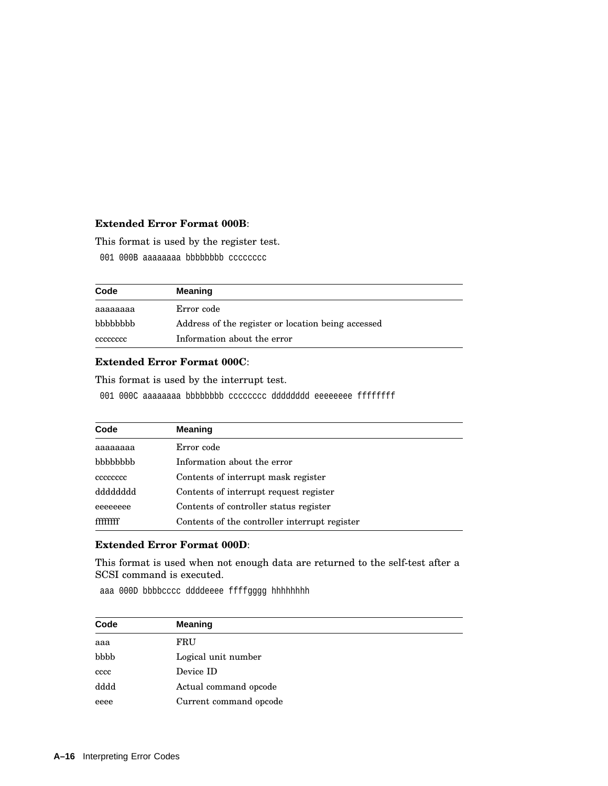#### **Extended Error Format 000B**:

This format is used by the register test.

001 000B aaaaaaaa bbbbbbbbb cccccccc

| Code     | <b>Meaning</b>                                     |
|----------|----------------------------------------------------|
| aaaaaaaa | Error code                                         |
| bbbbbbbb | Address of the register or location being accessed |
| cececcec | Information about the error                        |

#### **Extended Error Format 000C**:

This format is used by the interrupt test.

001 000C aaaaaaaa bbbbbbbb cccccccc dddddddd eeeeeeee ffffffff

| Code     | <b>Meaning</b>                                |
|----------|-----------------------------------------------|
| аааааааа | Error code                                    |
| bbbbbbb  | Information about the error                   |
| cccccccc | Contents of interrupt mask register           |
| dddddddd | Contents of interrupt request register        |
| eeeeeeee | Contents of controller status register        |
| ffffffff | Contents of the controller interrupt register |

#### **Extended Error Format 000D**:

This format is used when not enough data are returned to the self-test after a SCSI command is executed.

aaa 000D bbbbcccc ddddeeee ffffgggg hhhhhhhh

| Code | <b>Meaning</b>         |
|------|------------------------|
| aaa  | FRU                    |
| bbbb | Logical unit number    |
| cccc | Device ID              |
| dddd | Actual command opcode  |
| eeee | Current command opcode |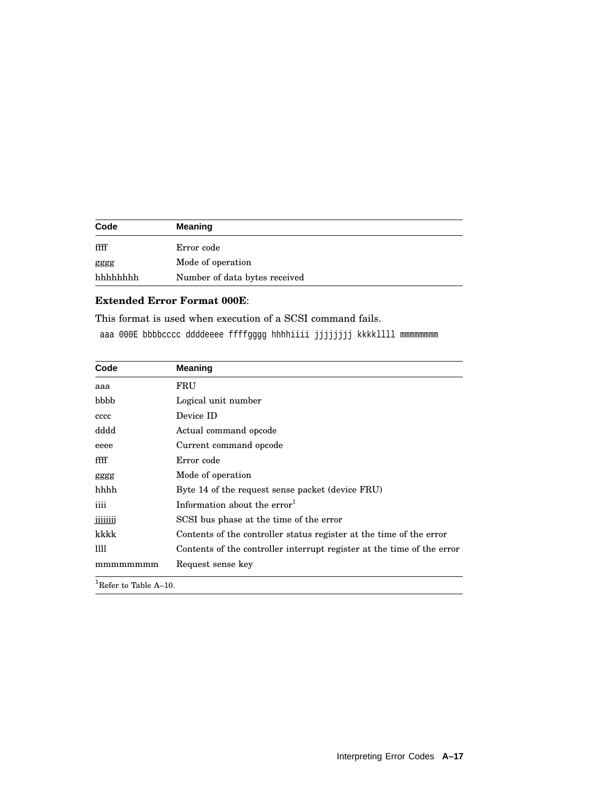| Code    | <b>Meaning</b>                |
|---------|-------------------------------|
| ffff    | Error code                    |
| gggg    | Mode of operation             |
| hhhhhhh | Number of data bytes received |

# **Extended Error Format 000E**:

This format is used when execution of a SCSI command fails.

aaa 000E bbbbcccc ddddeeee ffffgggg hhhhiiii jjjjjjjj kkkkllll mmmmmmmm

| Code            | <b>Meaning</b>                                                         |  |
|-----------------|------------------------------------------------------------------------|--|
| aaa             | FRU                                                                    |  |
| bbbb            | Logical unit number                                                    |  |
| cccc            | Device ID                                                              |  |
| dddd            | Actual command opcode                                                  |  |
| eeee            | Current command opcode                                                 |  |
| ffff            | Error code                                                             |  |
| gggg            | Mode of operation                                                      |  |
| hhhh            | Byte 14 of the request sense packet (device FRU)                       |  |
| iiii            | Information about the error $1$                                        |  |
| jjjjjjj         | SCSI bus phase at the time of the error                                |  |
| kkkk            | Contents of the controller status register at the time of the error    |  |
| Ш               | Contents of the controller interrupt register at the time of the error |  |
| mmmmmmmm        | Request sense key                                                      |  |
| $\ln e$ , musso |                                                                        |  |

<sup>1</sup>Refer to Table A–10.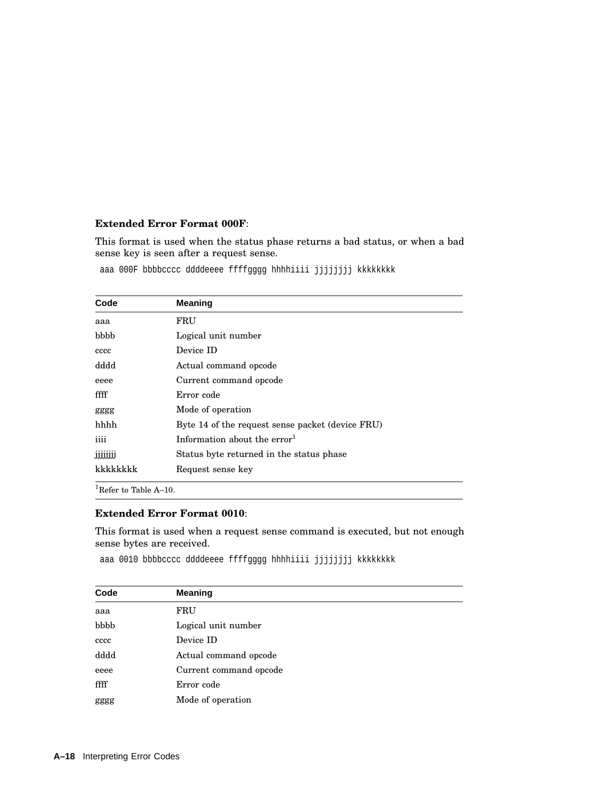#### **Extended Error Format 000F**:

This format is used when the status phase returns a bad status, or when a bad sense key is seen after a request sense.

| Code     | <b>Meaning</b>                                   |
|----------|--------------------------------------------------|
| aaa      | FRU                                              |
| bbbb     | Logical unit number                              |
| cccc     | Device ID                                        |
| dddd     | Actual command opcode                            |
| eeee     | Current command opcode                           |
| ffff     | Error code                                       |
| gggg     | Mode of operation                                |
| hhhh     | Byte 14 of the request sense packet (device FRU) |
| iiii     | Information about the $error1$                   |
| jjjjjjjj | Status byte returned in the status phase         |
| kkkkkkkk | Request sense key                                |

aaa 000F bbbbcccc ddddeeee ffffgggg hhhhiiii jjjjjjjj kkkkkkkk

 $^{1}$  Refer to Table A–10.

#### **Extended Error Format 0010**:

This format is used when a request sense command is executed, but not enough sense bytes are received.

aaa 0010 bbbbcccc ddddeeee ffffgggg hhhhiiii jjjjjjjj kkkkkkkk

| Code | <b>Meaning</b>         |
|------|------------------------|
| aaa  | FRU                    |
| bbbb | Logical unit number    |
| cccc | Device ID              |
| dddd | Actual command opcode  |
| eeee | Current command opcode |
| ffff | Error code             |
| gggg | Mode of operation      |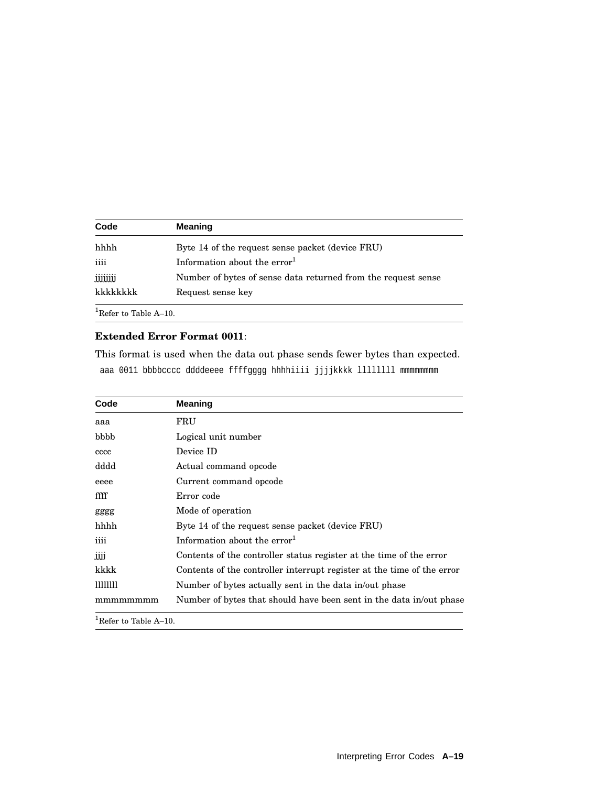| Code     | <b>Meaning</b>                                                |
|----------|---------------------------------------------------------------|
| hhhh     | Byte 14 of the request sense packet (device FRU)              |
| iiii     | Information about the $error1$                                |
| JJJJJJJJ | Number of bytes of sense data returned from the request sense |
| kkkkkkkk | Request sense key                                             |

#### **Extended Error Format 0011**:

This format is used when the data out phase sends fewer bytes than expected. aaa 0011 bbbbcccc ddddeeee ffffgggg hhhhiiii jjjjkkkk llllllll mmmmmmmm

| Code                              | Meaning                                                                |
|-----------------------------------|------------------------------------------------------------------------|
| aaa                               | FRU                                                                    |
| bbbb                              | Logical unit number                                                    |
| cccc                              | Device ID                                                              |
| dddd                              | Actual command opcode                                                  |
| eeee                              | Current command opcode                                                 |
| ffff                              | Error code                                                             |
| gggg                              | Mode of operation                                                      |
| hhhh                              | Byte 14 of the request sense packet (device FRU)                       |
| iiii                              | Information about the $error1$                                         |
| ĴĴĴ                               | Contents of the controller status register at the time of the error    |
| kkkk                              | Contents of the controller interrupt register at the time of the error |
| 11111111                          | Number of bytes actually sent in the data in/out phase                 |
| mmmmmmm                           | Number of bytes that should have been sent in the data in/out phase    |
| <sup>1</sup> Refer to Table A-10. |                                                                        |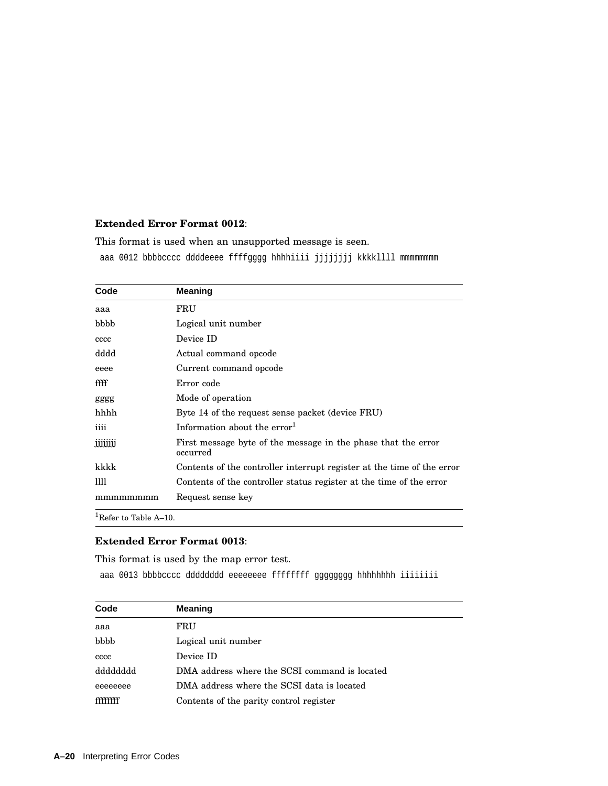#### **Extended Error Format 0012**:

This format is used when an unsupported message is seen. aaa 0012 bbbbcccc ddddeeee ffffgggg hhhhiiii jjjjjjjj kkkkllll mmmmmmmm

| Code    | <b>Meaning</b>                                                            |
|---------|---------------------------------------------------------------------------|
| aaa     | FRU                                                                       |
| bbbb    | Logical unit number                                                       |
| cccc    | Device ID                                                                 |
| dddd    | Actual command opcode                                                     |
| eeee    | Current command opcode                                                    |
| ffff    | Error code                                                                |
| gggg    | Mode of operation                                                         |
| hhhh    | Byte 14 of the request sense packet (device FRU)                          |
| iiii    | Information about the $error1$                                            |
| jjjjjjj | First message byte of the message in the phase that the error<br>occurred |
| kkkk    | Contents of the controller interrupt register at the time of the error    |
| Ш       | Contents of the controller status register at the time of the error       |
| mmmmmmm | Request sense key                                                         |

<sup>1</sup>Refer to Table A–10.

### **Extended Error Format 0013**:

This format is used by the map error test.

aaa 0013 bbbbcccc dddddddd eeeeeeee ffffffff gggggggg hhhhhhhh iiiiiiii

| Code     | <b>Meaning</b>                                |
|----------|-----------------------------------------------|
| aaa      | FRU                                           |
| bbbb     | Logical unit number                           |
| cccc     | Device ID                                     |
| dddddddd | DMA address where the SCSI command is located |
| eeeeeeee | DMA address where the SCSI data is located    |
|          | Contents of the parity control register       |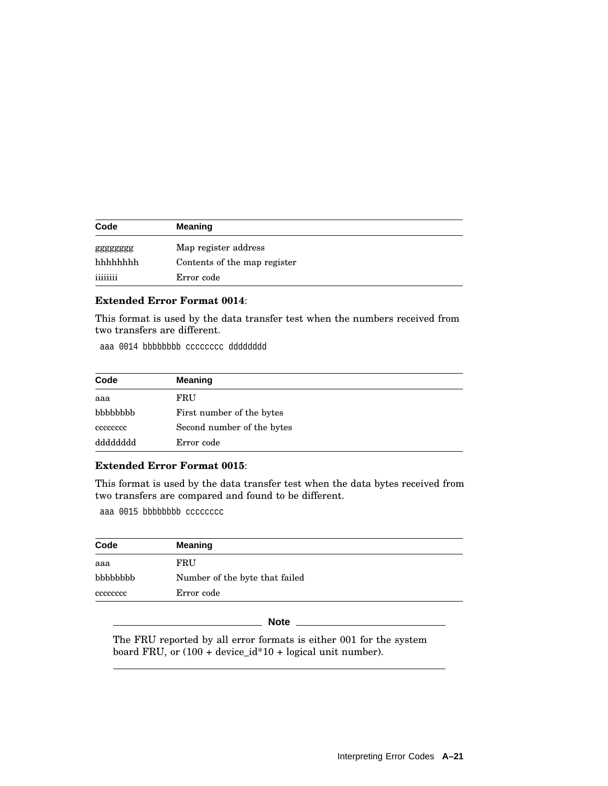| Code     | <b>Meaning</b>               |  |
|----------|------------------------------|--|
| gggggggg | Map register address         |  |
| hhhhhhh  | Contents of the map register |  |
| iiiiiiii | Error code                   |  |

# **Extended Error Format 0014**:

This format is used by the data transfer test when the numbers received from two transfers are different.

aaa 0014 bbbbbbbb cccccccc dddddddd

| Code     | <b>Meaning</b>             |  |
|----------|----------------------------|--|
| aaa      | FRU                        |  |
| bbbbbbb  | First number of the bytes  |  |
| cececcec | Second number of the bytes |  |
| dddddddd | Error code                 |  |

#### **Extended Error Format 0015**:

This format is used by the data transfer test when the data bytes received from two transfers are compared and found to be different.

aaa 0015 bbbbbbbbb cccccccc

| Code     | Meaning                        |
|----------|--------------------------------|
| aaa      | FRU                            |
| bbbbbbb  | Number of the byte that failed |
| cccccccc | Error code                     |

#### **Note** \_

The FRU reported by all error formats is either 001 for the system board FRU, or (100 + device\_id\*10 + logical unit number).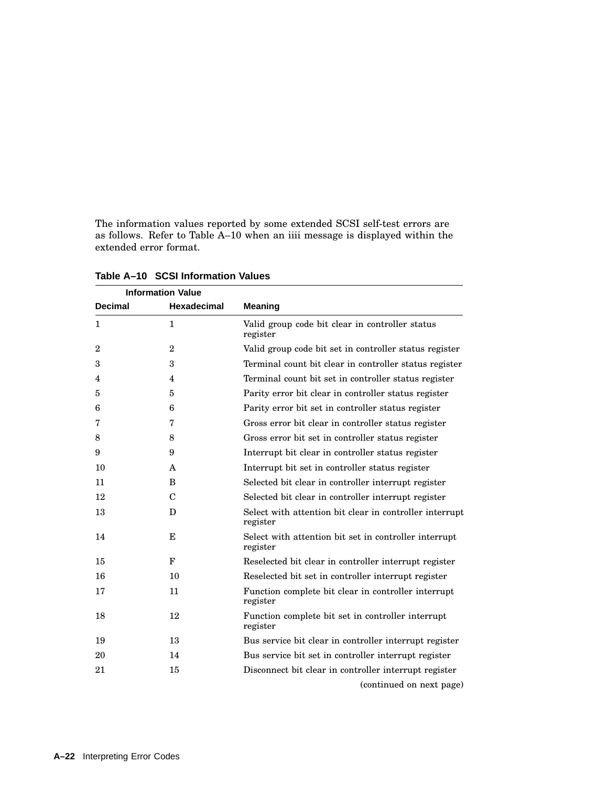The information values reported by some extended SCSI self-test errors are as follows. Refer to Table A–10 when an iiii message is displayed within the extended error format.

|                | <b>Information Value</b> |                                                                     |  |
|----------------|--------------------------|---------------------------------------------------------------------|--|
| <b>Decimal</b> | <b>Hexadecimal</b>       | <b>Meaning</b>                                                      |  |
| $\mathbf{1}$   | $\mathbf{1}$             | Valid group code bit clear in controller status<br>register         |  |
| $\overline{2}$ | $\overline{2}$           | Valid group code bit set in controller status register              |  |
| 3              | 3                        | Terminal count bit clear in controller status register              |  |
| 4              | $\overline{4}$           | Terminal count bit set in controller status register                |  |
| 5              | 5                        | Parity error bit clear in controller status register                |  |
| 6              | 6                        | Parity error bit set in controller status register                  |  |
| 7              | 7                        | Gross error bit clear in controller status register                 |  |
| 8              | 8                        | Gross error bit set in controller status register                   |  |
| 9              | 9                        | Interrupt bit clear in controller status register                   |  |
| 10             | A                        | Interrupt bit set in controller status register                     |  |
| 11             | B                        | Selected bit clear in controller interrupt register                 |  |
| 12             | $\mathcal{C}$            | Selected bit clear in controller interrupt register                 |  |
| 13             | D                        | Select with attention bit clear in controller interrupt<br>register |  |
| 14             | Е                        | Select with attention bit set in controller interrupt<br>register   |  |
| 15             | F                        | Reselected bit clear in controller interrupt register               |  |
| 16             | 10                       | Reselected bit set in controller interrupt register                 |  |
| 17             | 11                       | Function complete bit clear in controller interrupt<br>register     |  |
| 18             | 12                       | Function complete bit set in controller interrupt<br>register       |  |
| 19             | 13                       | Bus service bit clear in controller interrupt register              |  |
| 20             | 14                       | Bus service bit set in controller interrupt register                |  |
| 21             | 15                       | Disconnect bit clear in controller interrupt register               |  |
|                |                          | (continued on next page)                                            |  |

**Table A–10 SCSI Information Values**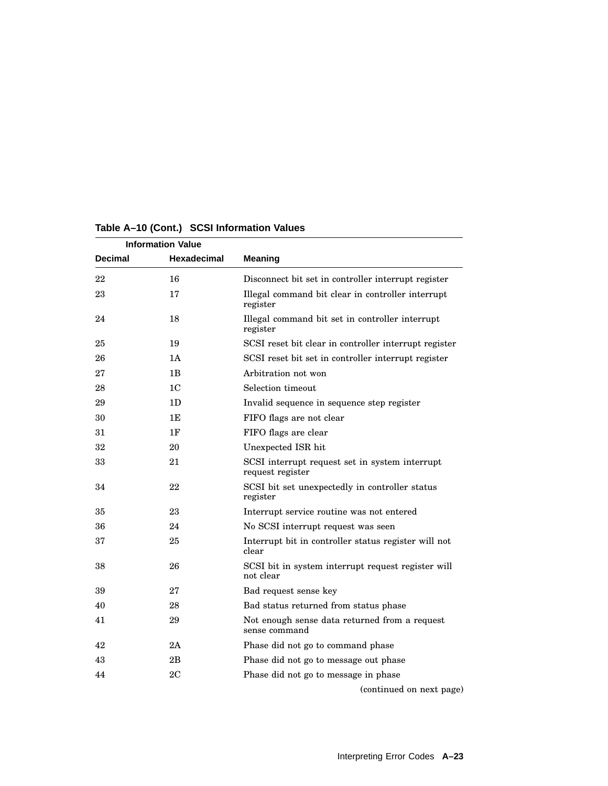| <b>Information Value</b> |                    |                                                                    |
|--------------------------|--------------------|--------------------------------------------------------------------|
| <b>Decimal</b>           | <b>Hexadecimal</b> | <b>Meaning</b>                                                     |
| 22                       | 16                 | Disconnect bit set in controller interrupt register                |
| 23                       | 17                 | Illegal command bit clear in controller interrupt<br>register      |
| 24                       | 18                 | Illegal command bit set in controller interrupt<br>register        |
| 25                       | 19                 | SCSI reset bit clear in controller interrupt register              |
| 26                       | 1A                 | SCSI reset bit set in controller interrupt register                |
| 27                       | 1B                 | Arbitration not won                                                |
| 28                       | 1C                 | Selection timeout                                                  |
| 29                       | 1D                 | Invalid sequence in sequence step register                         |
| 30                       | 1E                 | FIFO flags are not clear                                           |
| 31                       | 1F                 | FIFO flags are clear                                               |
| 32                       | 20                 | Unexpected ISR hit                                                 |
| 33                       | 21                 | SCSI interrupt request set in system interrupt<br>request register |
| 34                       | 22                 | SCSI bit set unexpectedly in controller status<br>register         |
| 35                       | 23                 | Interrupt service routine was not entered                          |
| 36                       | 24                 | No SCSI interrupt request was seen                                 |
| 37                       | 25                 | Interrupt bit in controller status register will not<br>clear      |
| 38                       | 26                 | SCSI bit in system interrupt request register will<br>not clear    |
| 39                       | 27                 | Bad request sense key                                              |
| 40                       | 28                 | Bad status returned from status phase                              |
| 41                       | 29                 | Not enough sense data returned from a request<br>sense command     |
| 42                       | 2A                 | Phase did not go to command phase                                  |
| 43                       | 2B                 | Phase did not go to message out phase                              |
| 44                       | 2C                 | Phase did not go to message in phase                               |
|                          |                    | (continued on next page)                                           |

#### **Table A–10 (Cont.) SCSI Information Values**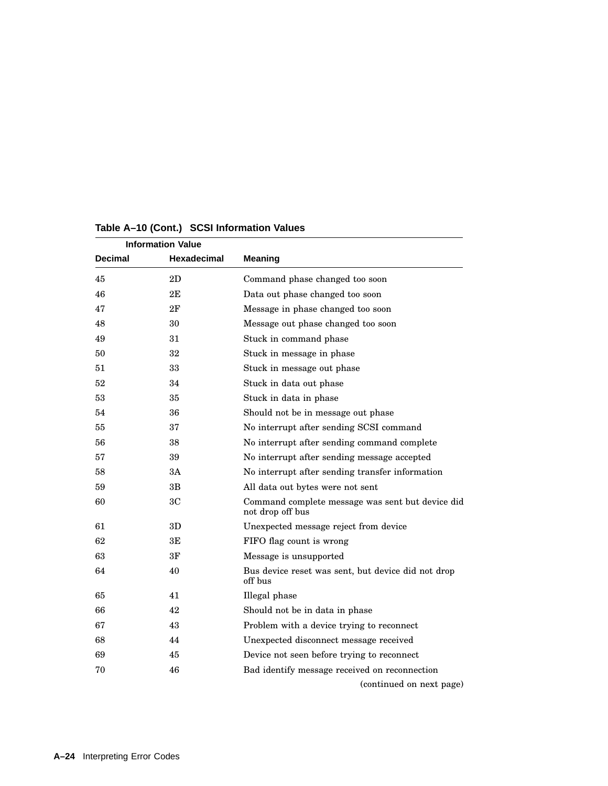| <b>Information Value</b> |                |                                                                      |
|--------------------------|----------------|----------------------------------------------------------------------|
| Decimal                  | Hexadecimal    | <b>Meaning</b>                                                       |
| 45                       | 2D             | Command phase changed too soon                                       |
| 46                       | 2Е             | Data out phase changed too soon                                      |
| 47                       | 2F             | Message in phase changed too soon                                    |
| 48                       | 30             | Message out phase changed too soon                                   |
| 49                       | 31             | Stuck in command phase                                               |
| 50                       | 32             | Stuck in message in phase                                            |
| 51                       | 33             | Stuck in message out phase                                           |
| 52                       | 34             | Stuck in data out phase                                              |
| 53                       | 35             | Stuck in data in phase                                               |
| 54                       | 36             | Should not be in message out phase                                   |
| 55                       | 37             | No interrupt after sending SCSI command                              |
| 56                       | 38             | No interrupt after sending command complete                          |
| 57                       | 39             | No interrupt after sending message accepted                          |
| 58                       | ЗA             | No interrupt after sending transfer information                      |
| 59                       | 3B             | All data out bytes were not sent                                     |
| 60                       | 3 <sub>C</sub> | Command complete message was sent but device did<br>not drop off bus |
| 61                       | 3D             | Unexpected message reject from device                                |
| 62                       | ЗE             | FIFO flag count is wrong                                             |
| 63                       | 3F             | Message is unsupported                                               |
| 64                       | 40             | Bus device reset was sent, but device did not drop<br>off bus        |
| 65                       | 41             | Illegal phase                                                        |
| 66                       | 42             | Should not be in data in phase                                       |
| 67                       | 43             | Problem with a device trying to reconnect                            |
| 68                       | 44             | Unexpected disconnect message received                               |
| 69                       | 45             | Device not seen before trying to reconnect                           |
| 70                       | 46             | Bad identify message received on reconnection                        |
|                          |                | (continued on next page)                                             |

#### **Table A–10 (Cont.) SCSI Information Values**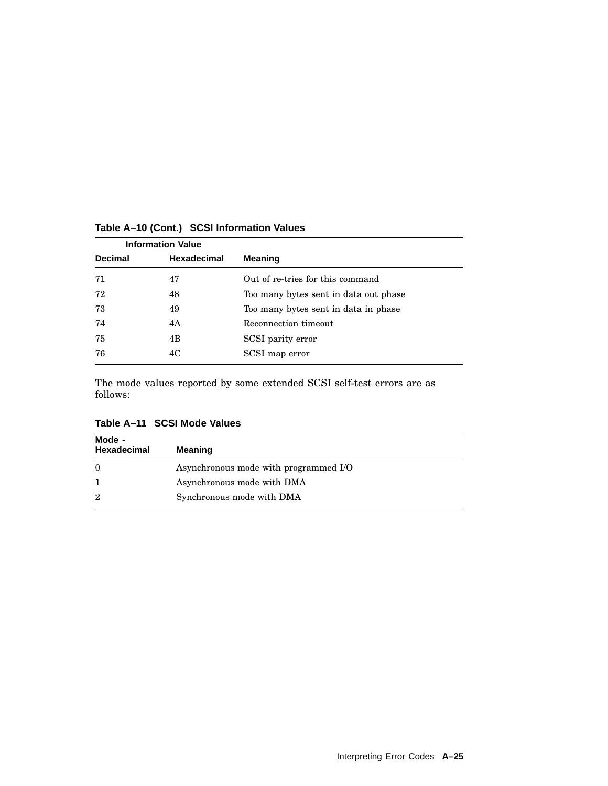| <b>Information Value</b> |                    |                                       |
|--------------------------|--------------------|---------------------------------------|
| <b>Decimal</b>           | <b>Hexadecimal</b> | <b>Meaning</b>                        |
| 71                       | 47                 | Out of re-tries for this command      |
| 72                       | 48                 | Too many bytes sent in data out phase |
| 73                       | 49                 | Too many bytes sent in data in phase  |
| 74                       | 4A                 | Reconnection timeout                  |
| 75                       | 4B                 | SCSI parity error                     |
| 76                       | 4C                 | SCSI map error                        |

#### **Table A–10 (Cont.) SCSI Information Values**

The mode values reported by some extended SCSI self-test errors are as follows:

| Mode -<br><b>Hexadecimal</b> | <b>Meaning</b>                        |
|------------------------------|---------------------------------------|
| $\theta$                     | Asynchronous mode with programmed I/O |
|                              | Asynchronous mode with DMA            |
| $\overline{2}$               | Synchronous mode with DMA             |

**Table A–11 SCSI Mode Values**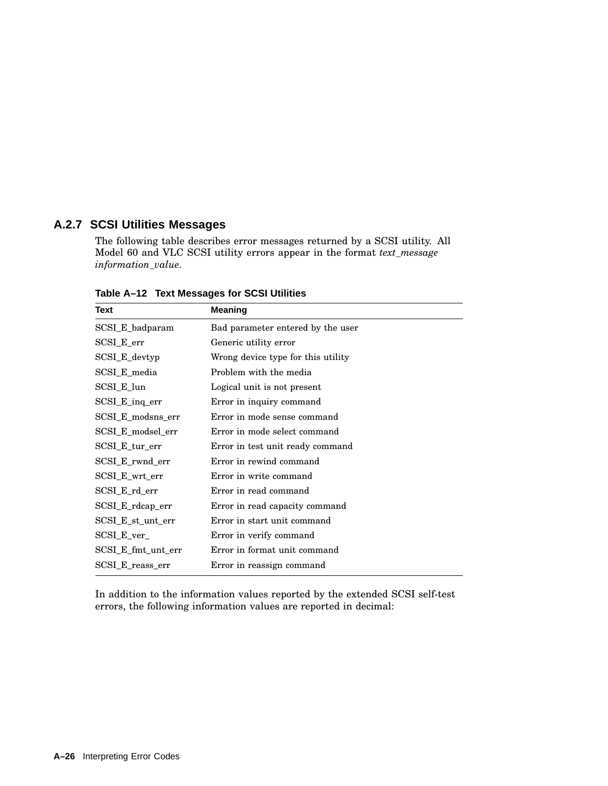# **A.2.7 SCSI Utilities Messages**

The following table describes error messages returned by a SCSI utility. All Model 60 and VLC SCSI utility errors appear in the format *text\_message information\_value*.

| Text               | <b>Meaning</b>                     |
|--------------------|------------------------------------|
| SCSI_E_badparam    | Bad parameter entered by the user  |
| SCSI_E_err         | Generic utility error              |
| SCSI_E_devtyp      | Wrong device type for this utility |
| SCSI_E_media       | Problem with the media             |
| SCSI_E_lun         | Logical unit is not present        |
| SCSI_E_inq_err     | Error in inquiry command           |
| SCSI_E_modsns_err  | Error in mode sense command        |
| SCSI_E_modsel_err  | Error in mode select command       |
| SCSI_E_tur_err     | Error in test unit ready command   |
| SCSI_E_rwnd_err    | Error in rewind command            |
| SCSI_E_wrt_err     | Error in write command             |
| SCSI_E_rd_err      | Error in read command              |
| SCSI_E_rdcap_err   | Error in read capacity command     |
| SCSI_E_st_unt_err  | Error in start unit command        |
| SCSI_E_ver_        | Error in verify command            |
| SCSI_E_fmt_unt_err | Error in format unit command       |
| SCSI E reass err   | Error in reassign command          |

**Table A–12 Text Messages for SCSI Utilities**

In addition to the information values reported by the extended SCSI self-test errors, the following information values are reported in decimal: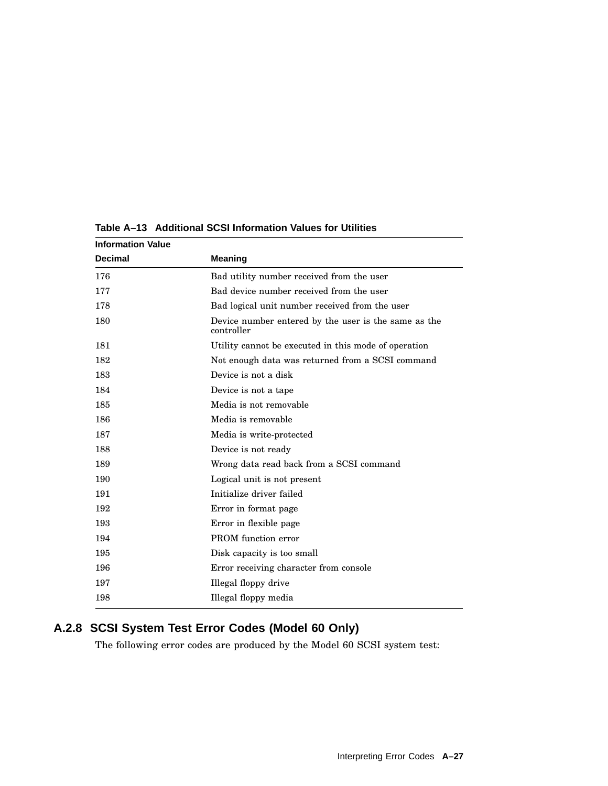| <b>Information Value</b> |                                                                    |
|--------------------------|--------------------------------------------------------------------|
| <b>Decimal</b>           | <b>Meaning</b>                                                     |
| 176                      | Bad utility number received from the user                          |
| 177                      | Bad device number received from the user                           |
| 178                      | Bad logical unit number received from the user                     |
| 180                      | Device number entered by the user is the same as the<br>controller |
| 181                      | Utility cannot be executed in this mode of operation               |
| 182                      | Not enough data was returned from a SCSI command                   |
| 183                      | Device is not a disk                                               |
| 184                      | Device is not a tape                                               |
| 185                      | Media is not removable                                             |
| 186                      | Media is removable                                                 |
| 187                      | Media is write-protected                                           |
| 188                      | Device is not ready                                                |
| 189                      | Wrong data read back from a SCSI command                           |
| 190                      | Logical unit is not present                                        |
| 191                      | Initialize driver failed                                           |
| 192                      | Error in format page                                               |
| 193                      | Error in flexible page                                             |
| 194                      | PROM function error                                                |
| 195                      | Disk capacity is too small                                         |
| 196                      | Error receiving character from console                             |
| 197                      | Illegal floppy drive                                               |
| 198                      | Illegal floppy media                                               |

**Table A–13 Additional SCSI Information Values for Utilities**

# **A.2.8 SCSI System Test Error Codes (Model 60 Only)**

The following error codes are produced by the Model 60 SCSI system test: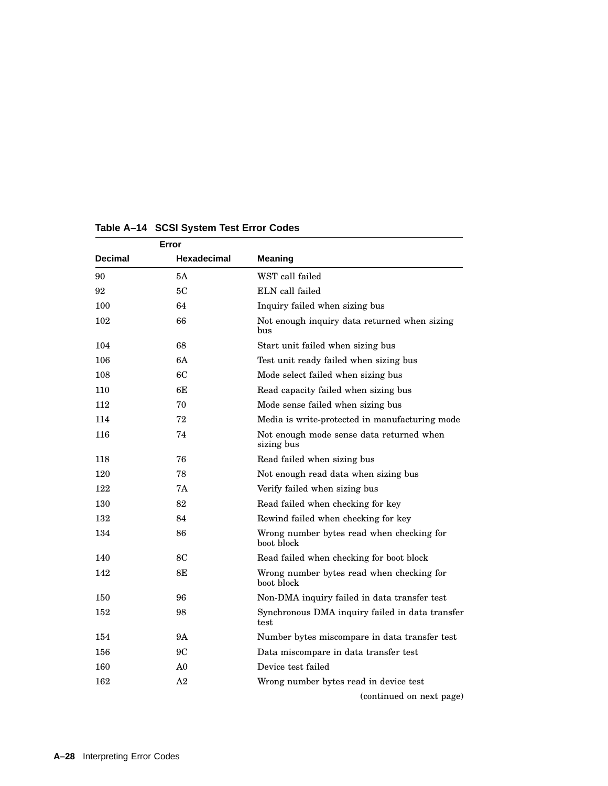|                | Error       |                                                         |
|----------------|-------------|---------------------------------------------------------|
| <b>Decimal</b> | Hexadecimal | <b>Meaning</b>                                          |
| 90             | 5A          | WST call failed                                         |
| 92             | 5C          | ELN call failed                                         |
| 100            | 64          | Inquiry failed when sizing bus                          |
| 102            | 66          | Not enough inquiry data returned when sizing<br>bus     |
| 104            | 68          | Start unit failed when sizing bus                       |
| 106            | 6A          | Test unit ready failed when sizing bus                  |
| 108            | 6C          | Mode select failed when sizing bus                      |
| 110            | 6F.         | Read capacity failed when sizing bus                    |
| 112            | 70          | Mode sense failed when sizing bus                       |
| 114            | 72          | Media is write-protected in manufacturing mode          |
| 116            | 74          | Not enough mode sense data returned when<br>sizing bus  |
| 118            | 76          | Read failed when sizing bus                             |
| 120            | 78          | Not enough read data when sizing bus                    |
| 122            | <b>7A</b>   | Verify failed when sizing bus                           |
| 130            | 82          | Read failed when checking for key                       |
| 132            | 84          | Rewind failed when checking for key                     |
| 134            | 86          | Wrong number bytes read when checking for<br>boot block |
| 140            | 8C          | Read failed when checking for boot block                |
| 142            | 8Ε          | Wrong number bytes read when checking for<br>boot block |
| 150            | 96          | Non-DMA inquiry failed in data transfer test            |
| 152            | 98          | Synchronous DMA inquiry failed in data transfer<br>test |
| 154            | 9Α          | Number bytes miscompare in data transfer test           |
| 156            | 9C          | Data miscompare in data transfer test                   |
| 160            | A0          | Device test failed                                      |
| 162            | A2          | Wrong number bytes read in device test                  |
|                |             | (continued on next page)                                |

# **Table A–14 SCSI System Test Error Codes**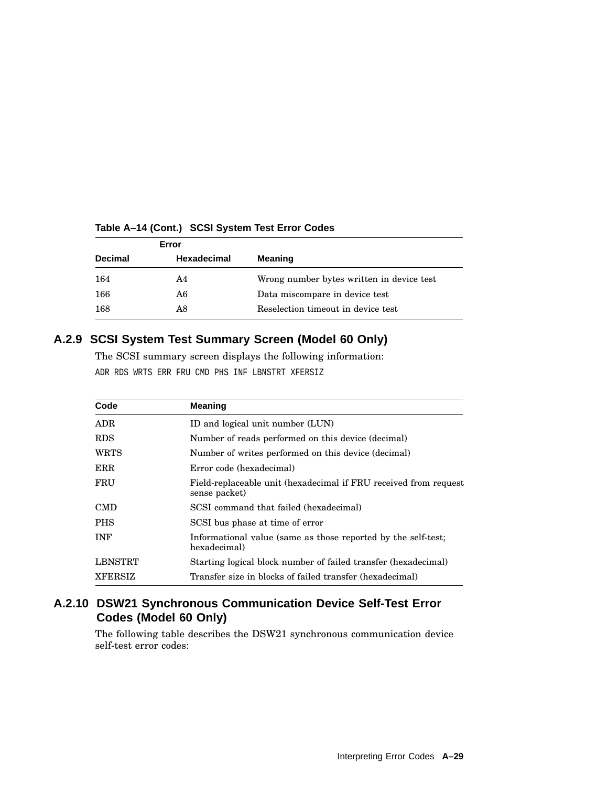| Error          |                    |                                           |
|----------------|--------------------|-------------------------------------------|
| <b>Decimal</b> | <b>Hexadecimal</b> | <b>Meaning</b>                            |
| 164            | A4                 | Wrong number bytes written in device test |
| 166            | A6                 | Data miscompare in device test            |
| 168            | A8                 | Reselection timeout in device test        |

#### **Table A–14 (Cont.) SCSI System Test Error Codes**

# **A.2.9 SCSI System Test Summary Screen (Model 60 Only)**

The SCSI summary screen displays the following information: ADR RDS WRTS ERR FRU CMD PHS INF LBNSTRT XFERSIZ

| Code           | <b>Meaning</b>                                                                     |  |
|----------------|------------------------------------------------------------------------------------|--|
| <b>ADR</b>     | ID and logical unit number (LUN)                                                   |  |
| <b>RDS</b>     | Number of reads performed on this device (decimal)                                 |  |
| <b>WRTS</b>    | Number of writes performed on this device (decimal)                                |  |
| ERR            | Error code (hexadecimal)                                                           |  |
| FRU            | Field-replaceable unit (hexadecimal if FRU received from request)<br>sense packet) |  |
| <b>CMD</b>     | SCSI command that failed (hexadecimal)                                             |  |
| <b>PHS</b>     | SCSI bus phase at time of error                                                    |  |
| <b>INF</b>     | Informational value (same as those reported by the self-test;<br>hexadecimal)      |  |
| LBNSTRT        | Starting logical block number of failed transfer (hexadecimal)                     |  |
| <b>XFERSIZ</b> | Transfer size in blocks of failed transfer (hexadecimal)                           |  |

# **A.2.10 DSW21 Synchronous Communication Device Self-Test Error Codes (Model 60 Only)**

The following table describes the DSW21 synchronous communication device self-test error codes: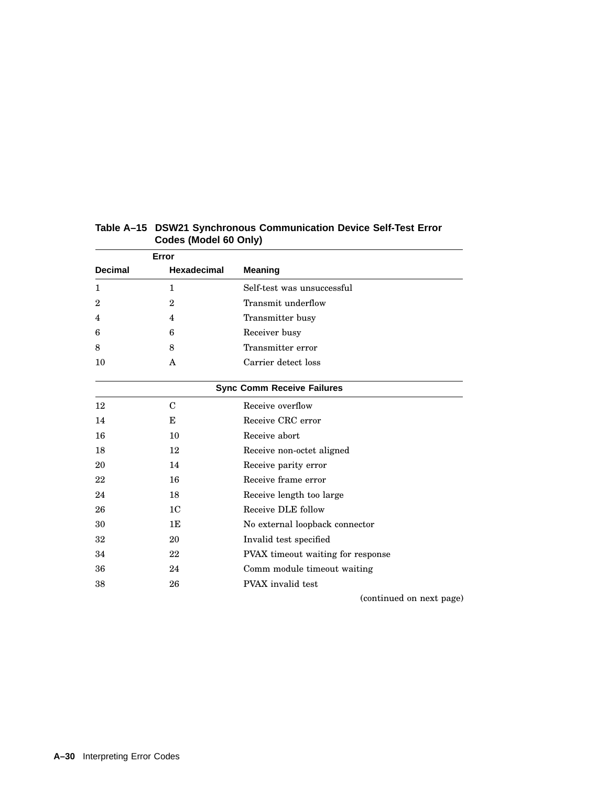| Error          |                    |                                   |
|----------------|--------------------|-----------------------------------|
| <b>Decimal</b> | <b>Hexadecimal</b> | <b>Meaning</b>                    |
| 1              | $\mathbf{1}$       | Self-test was unsuccessful        |
| $\mathbf{2}$   | $\mathbf{2}$       | Transmit underflow                |
| 4              | 4                  | Transmitter busy                  |
| 6              | 6                  | Receiver busy                     |
| 8              | 8                  | Transmitter error                 |
| 10             | A                  | Carrier detect loss               |
|                |                    | <b>Sync Comm Receive Failures</b> |
| 12             | $\mathcal{C}$      | Receive overflow                  |
| 14             | E                  | Receive CRC error                 |
| 16             | 10                 | Receive abort                     |
| 18             | 12                 | Receive non-octet aligned         |
| 20             | 14                 | Receive parity error              |
| 22             | 16                 | Receive frame error               |
| 24             | 18                 | Receive length too large          |
| 26             | 1 <sub>C</sub>     | Receive DLE follow                |
| 30             | 1E                 | No external loopback connector    |
| 32             | 20                 | Invalid test specified            |
| 34             | 22                 | PVAX timeout waiting for response |
| 36             | 24                 | Comm module timeout waiting       |
| 38             | 26                 | PVAX invalid test                 |

# **Table A–15 DSW21 Synchronous Communication Device Self-Test Error Codes (Model 60 Only)**

(continued on next page)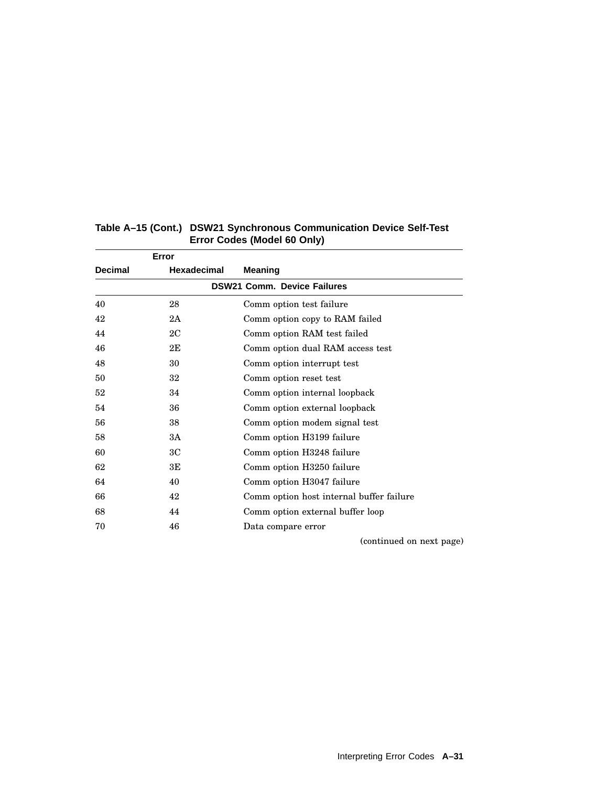| Error                              |                                          |  |  |  |
|------------------------------------|------------------------------------------|--|--|--|
| <b>Hexadecimal</b>                 | <b>Meaning</b>                           |  |  |  |
| <b>DSW21 Comm. Device Failures</b> |                                          |  |  |  |
| 28                                 | Comm option test failure                 |  |  |  |
| 2A                                 | Comm option copy to RAM failed           |  |  |  |
| 2C                                 | Comm option RAM test failed              |  |  |  |
| 2E                                 | Comm option dual RAM access test         |  |  |  |
| 30                                 | Comm option interrupt test               |  |  |  |
| 32                                 | Comm option reset test                   |  |  |  |
| 34                                 | Comm option internal loopback            |  |  |  |
| 36                                 | Comm option external loopback            |  |  |  |
| 38                                 | Comm option modem signal test            |  |  |  |
| 3A                                 | Comm option H3199 failure                |  |  |  |
| ЗC                                 | Comm option H3248 failure                |  |  |  |
| 3E                                 | Comm option H3250 failure                |  |  |  |
| 40                                 | Comm option H3047 failure                |  |  |  |
| 42                                 | Comm option host internal buffer failure |  |  |  |
| 44                                 | Comm option external buffer loop         |  |  |  |
| 46                                 | Data compare error                       |  |  |  |
|                                    |                                          |  |  |  |

# **Table A–15 (Cont.) DSW21 Synchronous Communication Device Self-Test Error Codes (Model 60 Only)**

(continued on next page)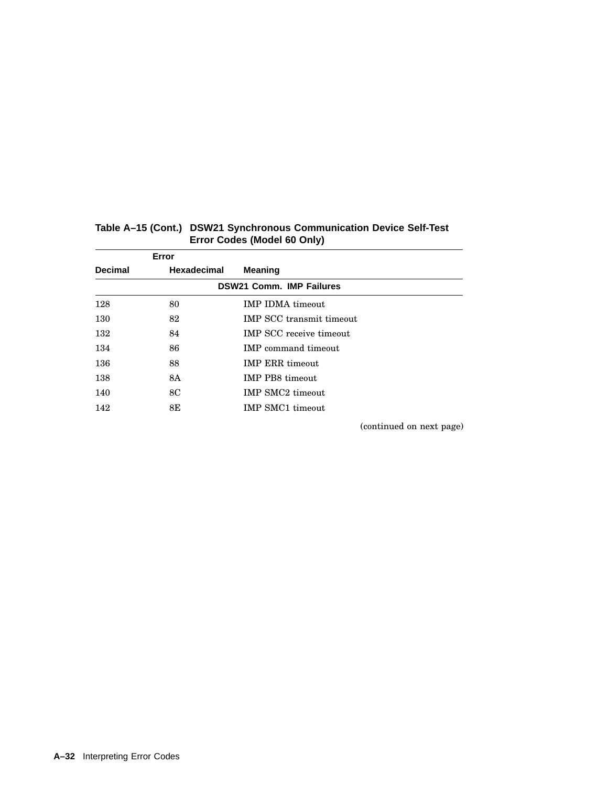|                                 | Error              |                                 |  |  |
|---------------------------------|--------------------|---------------------------------|--|--|
| <b>Decimal</b>                  | <b>Hexadecimal</b> | <b>Meaning</b>                  |  |  |
| <b>DSW21 Comm. IMP Failures</b> |                    |                                 |  |  |
| 128                             | 80                 | <b>IMP IDMA</b> timeout         |  |  |
| 130                             | 82                 | <b>IMP SCC</b> transmit timeout |  |  |
| 132                             | 84                 | <b>IMP SCC</b> receive timeout  |  |  |
| 134                             | 86                 | <b>IMP</b> command timeout      |  |  |
| 136                             | 88                 | <b>IMP ERR timeout</b>          |  |  |
| 138                             | 8A                 | <b>IMP PB8</b> timeout          |  |  |
| 140                             | 8C                 | <b>IMP SMC2</b> timeout         |  |  |
| 142                             | 8E                 | <b>IMP SMC1</b> timeout         |  |  |

# **Table A–15 (Cont.) DSW21 Synchronous Communication Device Self-Test Error Codes (Model 60 Only)**

(continued on next page)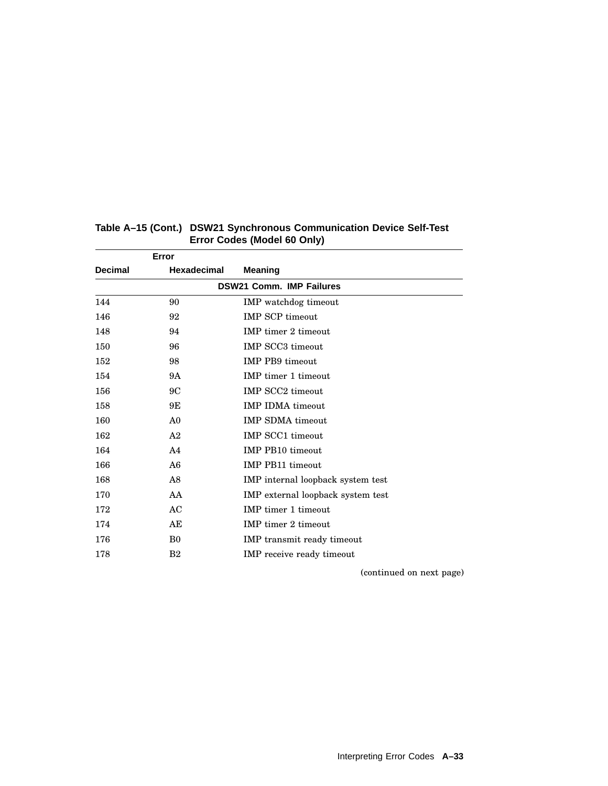| Error          |                    |                                   |
|----------------|--------------------|-----------------------------------|
| <b>Decimal</b> | <b>Hexadecimal</b> | <b>Meaning</b>                    |
|                |                    | <b>DSW21 Comm. IMP Failures</b>   |
| 144            | 90                 | IMP watchdog timeout              |
| 146            | 92                 | <b>IMP SCP timeout</b>            |
| 148            | 94                 | <b>IMP</b> timer 2 timeout        |
| 150            | 96                 | <b>IMP SCC3</b> timeout           |
| 152            | 98                 | <b>IMP PB9</b> timeout            |
| 154            | 9Α                 | <b>IMP</b> timer 1 timeout        |
| 156            | 9C                 | <b>IMP SCC2</b> timeout           |
| 158            | 9Ε                 | <b>IMP IDMA timeout</b>           |
| 160            | A <sub>0</sub>     | <b>IMP SDMA</b> timeout           |
| 162            | A <sub>2</sub>     | <b>IMP SCC1</b> timeout           |
| 164            | A <sub>4</sub>     | <b>IMP PB10 timeout</b>           |
| 166            | A6                 | <b>IMP PB11 timeout</b>           |
| 168            | A8                 | IMP internal loopback system test |
| 170            | AA                 | IMP external loopback system test |
| 172            | AC                 | <b>IMP</b> timer 1 timeout        |
| 174            | AE                 | IMP timer 2 timeout               |
| 176            | B <sub>0</sub>     | IMP transmit ready timeout        |
| 178            | B <sub>2</sub>     | <b>IMP</b> receive ready timeout  |

(continued on next page)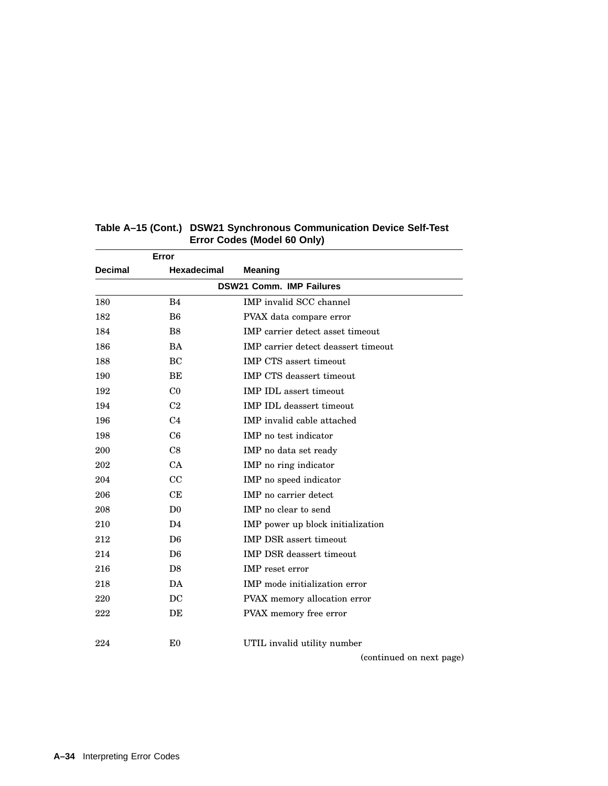|                | Error              |                                         |
|----------------|--------------------|-----------------------------------------|
| <b>Decimal</b> | <b>Hexadecimal</b> | <b>Meaning</b>                          |
|                |                    | <b>DSW21 Comm. IMP Failures</b>         |
| 180            | B4                 | IMP invalid SCC channel                 |
| 182            | B <sub>6</sub>     | PVAX data compare error                 |
| 184            | B <sub>8</sub>     | <b>IMP</b> carrier detect asset timeout |
| 186            | <b>BA</b>          | IMP carrier detect deassert timeout     |
| 188            | BC                 | <b>IMP CTS</b> assert timeout           |
| 190            | BE                 | <b>IMP CTS</b> deassert timeout         |
| 192            | C <sub>0</sub>     | <b>IMP IDL</b> assert timeout           |
| 194            | C <sub>2</sub>     | <b>IMP IDL</b> deassert timeout         |
| 196            | C <sub>4</sub>     | IMP invalid cable attached              |
| 198            | C <sub>6</sub>     | IMP no test indicator                   |
| 200            | C8                 | IMP no data set ready                   |
| 202            | CA                 | IMP no ring indicator                   |
| 204            | CC                 | IMP no speed indicator                  |
| 206            | CE                 | IMP no carrier detect                   |
| 208            | D <sub>0</sub>     | IMP no clear to send                    |
| 210            | D <sub>4</sub>     | IMP power up block initialization       |
| 212            | D <sub>6</sub>     | <b>IMP DSR</b> assert timeout           |
| 214            | D <sub>6</sub>     | <b>IMP DSR</b> deassert timeout         |
| 216            | D <sub>8</sub>     | IMP reset error                         |
| 218            | DA                 | IMP mode initialization error           |
| 220            | DC                 | PVAX memory allocation error            |
| 222            | DE                 | PVAX memory free error                  |
| 224            | E <sub>0</sub>     | UTIL invalid utility number             |
|                |                    | (continued on next page)                |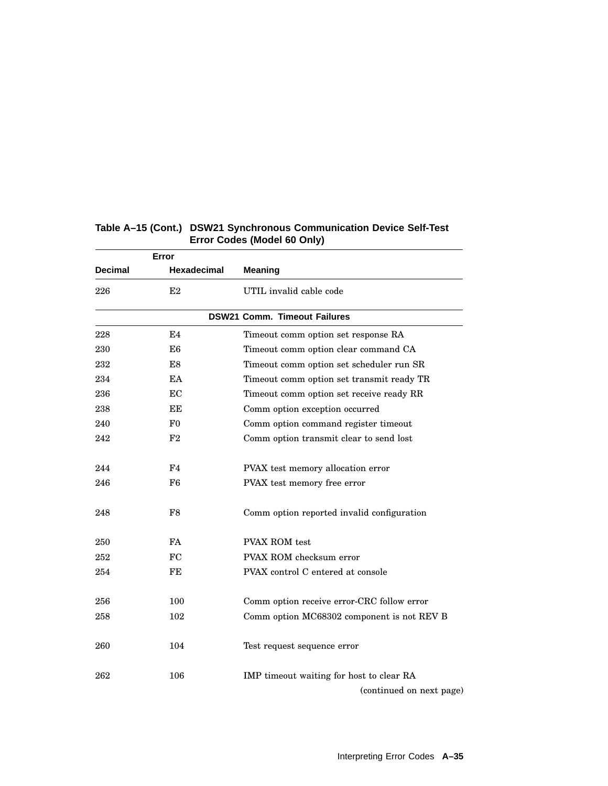|                | Error          |                                                                      |
|----------------|----------------|----------------------------------------------------------------------|
| <b>Decimal</b> | Hexadecimal    | <b>Meaning</b>                                                       |
| 226            | E2             | UTIL invalid cable code                                              |
|                |                | <b>DSW21 Comm. Timeout Failures</b>                                  |
| 228            | E4             | Timeout comm option set response RA                                  |
| 230            | E6             | Timeout comm option clear command CA                                 |
| 232            | E8             | Timeout comm option set scheduler run SR                             |
| 234            | EA             | Timeout comm option set transmit ready TR                            |
| 236            | EC             | Timeout comm option set receive ready RR                             |
| 238            | ЕE             | Comm option exception occurred                                       |
| 240            | $_{\rm F0}$    | Comm option command register timeout                                 |
| 242            | F2             | Comm option transmit clear to send lost                              |
| 244            | F <sub>4</sub> | PVAX test memory allocation error                                    |
| 246            | F6             | PVAX test memory free error                                          |
| 248            | F8             | Comm option reported invalid configuration                           |
| 250            | FA             | <b>PVAX ROM</b> test                                                 |
| 252            | FC             | PVAX ROM checksum error                                              |
| 254            | FE             | PVAX control C entered at console                                    |
| 256            | 100            | Comm option receive error-CRC follow error                           |
| 258            | 102            | Comm option MC68302 component is not REV B                           |
| 260            | 104            | Test request sequence error                                          |
| 262            | 106            | IMP timeout waiting for host to clear RA<br>(continued on next page) |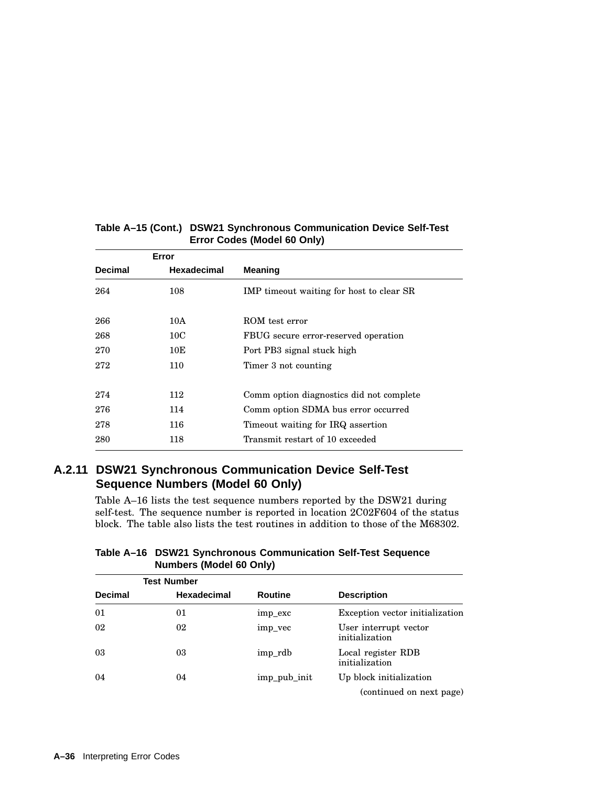|                | Error              |                                          |
|----------------|--------------------|------------------------------------------|
| <b>Decimal</b> | <b>Hexadecimal</b> | <b>Meaning</b>                           |
| 264            | 108                | IMP timeout waiting for host to clear SR |
| 266            | 10A                | ROM test error                           |
| 268            | 10C                | FBUG secure error-reserved operation     |
| 270            | 10E                | Port PB3 signal stuck high               |
| 272            | 110                | Timer 3 not counting                     |
|                |                    |                                          |
| 274            | 112                | Comm option diagnostics did not complete |
| 276            | 114                | Comm option SDMA bus error occurred      |
| 278            | 116                | Timeout waiting for IRQ assertion        |
| 280            | 118                | Transmit restart of 10 exceeded          |

# **A.2.11 DSW21 Synchronous Communication Device Self-Test Sequence Numbers (Model 60 Only)**

Table A–16 lists the test sequence numbers reported by the DSW21 during self-test. The sequence number is reported in location 2C02F604 of the status block. The table also lists the test routines in addition to those of the M68302.

| Table A-16 DSW21 Synchronous Communication Self-Test Sequence |
|---------------------------------------------------------------|
| <b>Numbers (Model 60 Only)</b>                                |

|                | <b>Test Number</b> |              |                                         |
|----------------|--------------------|--------------|-----------------------------------------|
| <b>Decimal</b> | <b>Hexadecimal</b> | Routine      | <b>Description</b>                      |
| 01             | 01                 | imp_exc      | Exception vector initialization         |
| 02             | 02                 | imp_vec      | User interrupt vector<br>initialization |
| 03             | 03                 | imp rdb      | Local register RDB<br>initialization    |
| 04             | 04                 | imp_pub_init | Up block initialization                 |
|                |                    |              | (continued on next page)                |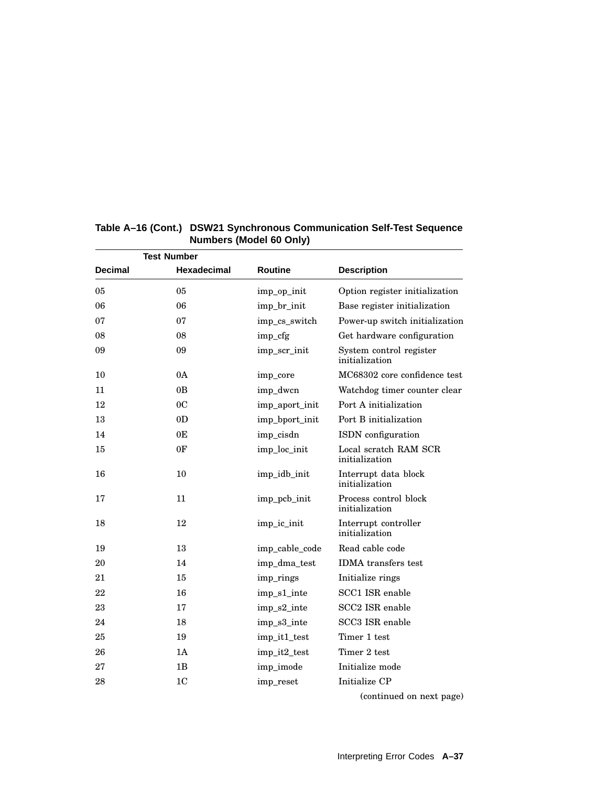| <b>Test Number</b> |                    |                |                                           |
|--------------------|--------------------|----------------|-------------------------------------------|
| <b>Decimal</b>     | <b>Hexadecimal</b> | <b>Routine</b> | <b>Description</b>                        |
| 05                 | 05                 | imp_op_init    | Option register initialization            |
| 06                 | 06                 | imp_br_init    | Base register initialization              |
| 07                 | 07                 | imp_cs_switch  | Power-up switch initialization            |
| 08                 | 08                 | imp_cfg        | Get hardware configuration                |
| 09                 | 09                 | imp_scr_init   | System control register<br>initialization |
| 10                 | 0A                 | imp_core       | MC68302 core confidence test              |
| 11                 | 0 <sub>B</sub>     | imp_dwcn       | Watchdog timer counter clear              |
| 12                 | 0 <sup>C</sup>     | imp_aport_init | Port A initialization                     |
| 13                 | 0 <sub>D</sub>     | imp_bport_init | Port B initialization                     |
| 14                 | 0E                 | imp_cisdn      | ISDN configuration                        |
| 15                 | 0F                 | imp_loc_init   | Local scratch RAM SCR<br>initialization   |
| 16                 | 10                 | imp_idb_init   | Interrupt data block<br>initialization    |
| 17                 | 11                 | imp_pcb_init   | Process control block<br>initialization   |
| 18                 | 12                 | imp ic init    | Interrupt controller<br>initialization    |
| 19                 | 13                 | imp_cable_code | Read cable code                           |
| 20                 | 14                 | imp_dma_test   | <b>IDMA</b> transfers test                |
| 21                 | 15                 | imp_rings      | Initialize rings                          |
| 22                 | 16                 | imp_s1_inte    | SCC1 ISR enable                           |
| 23                 | 17                 | imp_s2_inte    | SCC <sub>2</sub> ISR enable               |
| 24                 | 18                 | imp_s3_inte    | SCC3 ISR enable                           |
| 25                 | 19                 | imp_it1_test   | Timer 1 test                              |
| 26                 | 1A                 | imp_it2_test   | Timer 2 test                              |
| 27                 | 1B                 | imp_imode      | Initialize mode                           |
| 28                 | 1 <sub>C</sub>     | imp_reset      | Initialize CP                             |
|                    |                    |                | (continued on next page)                  |

# **Table A–16 (Cont.) DSW21 Synchronous Communication Self-Test Sequence Numbers (Model 60 Only)**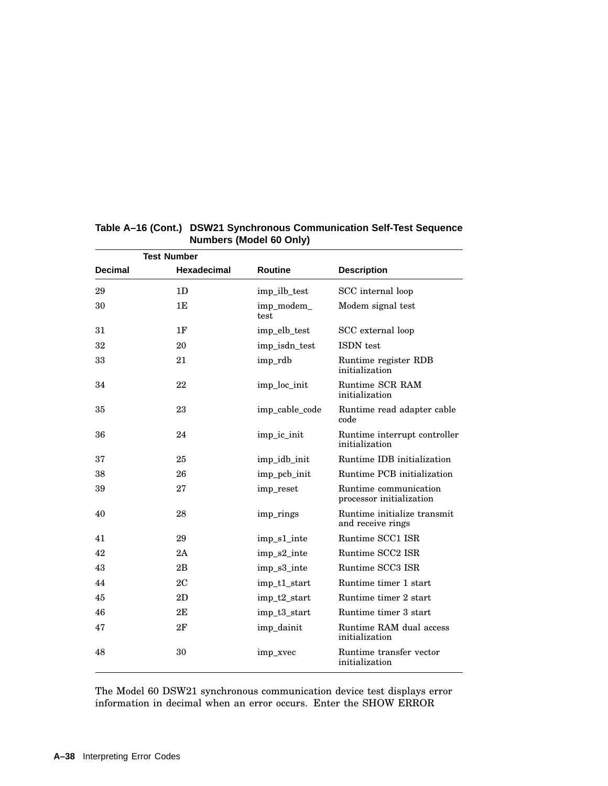|                | <b>Test Number</b> |                    |                                                   |
|----------------|--------------------|--------------------|---------------------------------------------------|
| <b>Decimal</b> | Hexadecimal        | <b>Routine</b>     | <b>Description</b>                                |
| 29             | 1 <sub>D</sub>     | imp_ilb_test       | SCC internal loop                                 |
| 30             | 1E                 | imp_modem_<br>test | Modem signal test                                 |
| 31             | 1F                 | imp_elb_test       | SCC external loop                                 |
| 32             | 20                 | imp isdn test      | <b>ISDN</b> test                                  |
| 33             | 21                 | imp_rdb            | Runtime register RDB<br>initialization            |
| 34             | 22                 | imp_loc_init       | Runtime SCR RAM<br>initialization                 |
| 35             | 23                 | imp_cable_code     | Runtime read adapter cable<br>code                |
| 36             | 24                 | imp_ic_init        | Runtime interrupt controller<br>initialization    |
| 37             | 25                 | imp_idb_init       | Runtime IDB initialization                        |
| 38             | 26                 | imp_pcb_init       | Runtime PCB initialization                        |
| 39             | 27                 | imp_reset          | Runtime communication<br>processor initialization |
| 40             | 28                 | imp rings          | Runtime initialize transmit<br>and receive rings  |
| 41             | 29                 | imp_s1_inte        | Runtime SCC1 ISR                                  |
| 42             | 2A                 | imp_s2_inte        | Runtime SCC2 ISR                                  |
| 43             | 2B                 | imp_s3_inte        | Runtime SCC3 ISR                                  |
| 44             | 2C                 | imp_t1_start       | Runtime timer 1 start                             |
| 45             | 2D                 | imp_t2_start       | Runtime timer 2 start                             |
| 46             | 2E                 | imp_t3_start       | Runtime timer 3 start                             |
| 47             | 2F                 | imp_dainit         | Runtime RAM dual access<br>initialization         |
| 48             | 30                 | imp_xvec           | Runtime transfer vector<br>initialization         |

## **Table A–16 (Cont.) DSW21 Synchronous Communication Self-Test Sequence Numbers (Model 60 Only)**

The Model 60 DSW21 synchronous communication device test displays error information in decimal when an error occurs. Enter the SHOW ERROR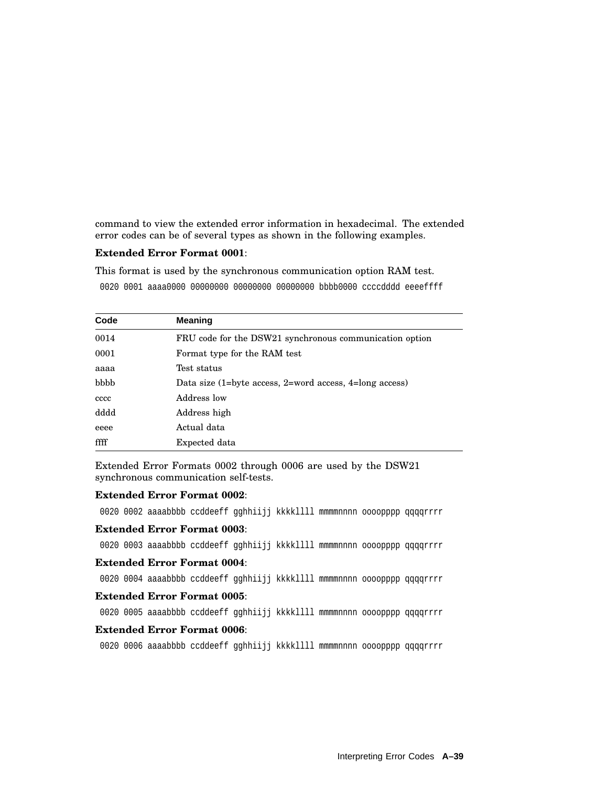command to view the extended error information in hexadecimal. The extended error codes can be of several types as shown in the following examples.

## **Extended Error Format 0001**:

This format is used by the synchronous communication option RAM test.

0020 0001 aaaa0000 00000000 00000000 00000000 bbbb0000 ccccdddd eeeeffff

| Code | <b>Meaning</b>                                                     |
|------|--------------------------------------------------------------------|
| 0014 | FRU code for the DSW21 synchronous communication option            |
| 0001 | Format type for the RAM test                                       |
| aaaa | Test status                                                        |
| bbbb | Data size $(1=byte \; access, 2=word \; access, 4=long \; access)$ |
| cccc | Address low                                                        |
| dddd | Address high                                                       |
| eeee | Actual data                                                        |
| ffff | Expected data                                                      |

Extended Error Formats 0002 through 0006 are used by the DSW21 synchronous communication self-tests.

#### **Extended Error Format 0002**:

0020 0002 aaaabbbb ccddeeff gghhiijj kkkkllll mmmmnnnn oooopppp qqqqrrrr

#### **Extended Error Format 0003**:

0020 0003 aaaabbbb ccddeeff gghhiijj kkkkllll mmmmnnnn oooopppp qqqqrrrr

#### **Extended Error Format 0004**:

0020 0004 aaaabbbb ccddeeff gghhiijj kkkkllll mmmmnnnn oooopppp qqqqrrrr

#### **Extended Error Format 0005**:

0020 0005 aaaabbbb ccddeeff qqhhiijj kkkkllll mmmmnnnn oooopppp qqqqrrrr

## **Extended Error Format 0006**:

0020 0006 aaaabbbb ccddeeff gghhiijj kkkkllll mmmmnnnn oooopppp qqqqrrrr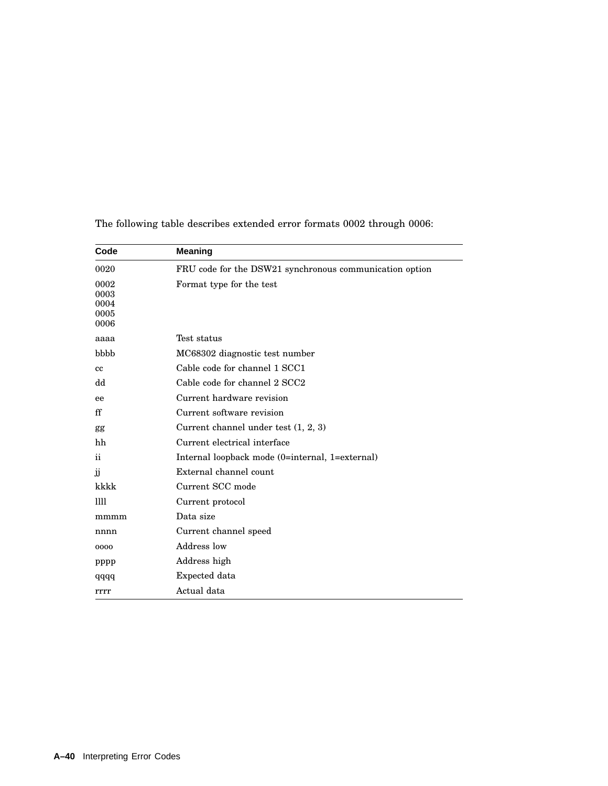| Code                                 | <b>Meaning</b>                                          |
|--------------------------------------|---------------------------------------------------------|
| 0020                                 | FRU code for the DSW21 synchronous communication option |
| 0002<br>0003<br>0004<br>0005<br>0006 | Format type for the test                                |
| aaaa                                 | Test status                                             |
| bbbb                                 | MC68302 diagnostic test number                          |
| cc                                   | Cable code for channel 1 SCC1                           |
| dd                                   | Cable code for channel 2 SCC2                           |
| ee                                   | Current hardware revision                               |
| ff                                   | Current software revision                               |
| gg                                   | Current channel under test $(1, 2, 3)$                  |
| hh                                   | Current electrical interface                            |
| $\mathbf{ii}$                        | Internal loopback mode (0=internal, 1=external)         |
| ĴĴ                                   | External channel count                                  |
| kkkk                                 | Current SCC mode                                        |
| Ш                                    | Current protocol                                        |
| mmmm                                 | Data size                                               |
| nnnn                                 | Current channel speed                                   |
| 0000                                 | Address low                                             |
| pppp                                 | Address high                                            |
| qqqq                                 | Expected data                                           |
| rrrr                                 | Actual data                                             |

The following table describes extended error formats 0002 through 0006: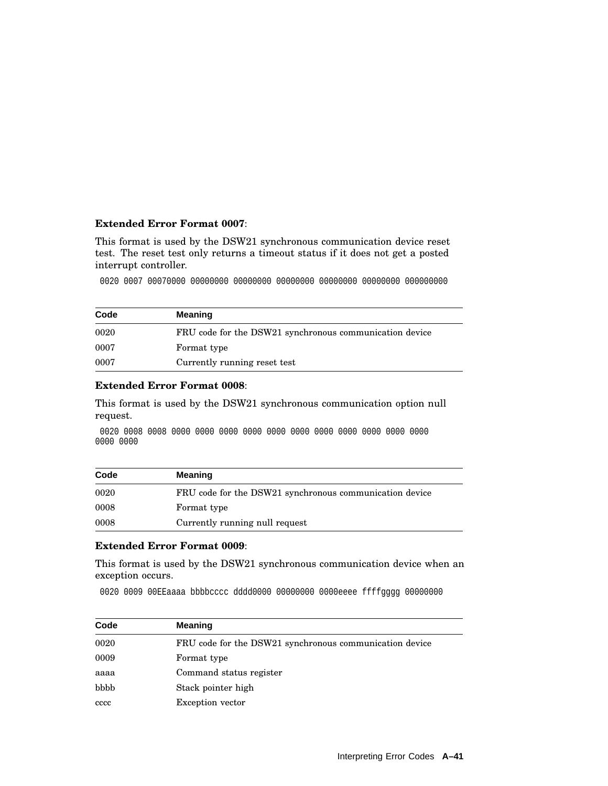## **Extended Error Format 0007**:

This format is used by the DSW21 synchronous communication device reset test. The reset test only returns a timeout status if it does not get a posted interrupt controller.

0020 0007 00070000 00000000 00000000 00000000 00000000 00000000 000000000

| Code | <b>Meaning</b>                                          |
|------|---------------------------------------------------------|
| 0020 | FRU code for the DSW21 synchronous communication device |
| 0007 | Format type                                             |
| 0007 | Currently running reset test                            |

### **Extended Error Format 0008**:

This format is used by the DSW21 synchronous communication option null request.

0020 0008 0008 0000 0000 0000 0000 0000 0000 0000 0000 0000 0000 0000 0000 0000

| Code | <b>Meaning</b>                                          |
|------|---------------------------------------------------------|
| 0020 | FRU code for the DSW21 synchronous communication device |
| 0008 | Format type                                             |
| 0008 | Currently running null request                          |

## **Extended Error Format 0009**:

This format is used by the DSW21 synchronous communication device when an exception occurs.

0020 0009 00EEaaaa bbbbcccc dddd0000 00000000 0000eeee ffffgggg 00000000

| Code | <b>Meaning</b>                                          |  |
|------|---------------------------------------------------------|--|
| 0020 | FRU code for the DSW21 synchronous communication device |  |
| 0009 | Format type                                             |  |
| aaaa | Command status register                                 |  |
| bbbb | Stack pointer high                                      |  |
| cccc | <b>Exception</b> vector                                 |  |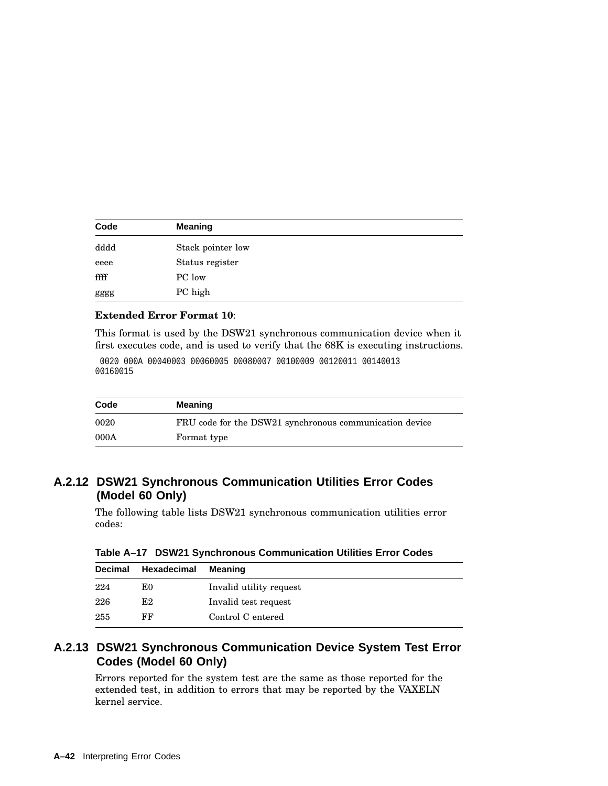| Code | <b>Meaning</b>    |  |
|------|-------------------|--|
| dddd | Stack pointer low |  |
| eeee | Status register   |  |
| ffff | PC low            |  |
| gggg | PC high           |  |

### **Extended Error Format 10**:

This format is used by the DSW21 synchronous communication device when it first executes code, and is used to verify that the 68K is executing instructions.

```
0020 000A 00040003 00060005 00080007 00100009 00120011 00140013
00160015
```

| Code | <b>Meaning</b>                                          |
|------|---------------------------------------------------------|
| 0020 | FRU code for the DSW21 synchronous communication device |
| 000A | Format type                                             |

# **A.2.12 DSW21 Synchronous Communication Utilities Error Codes (Model 60 Only)**

The following table lists DSW21 synchronous communication utilities error codes:

| Decimal | Hexadecimal | Meaning                 |  |
|---------|-------------|-------------------------|--|
| 224     | E0          | Invalid utility request |  |
| 226     | E2          | Invalid test request    |  |
| 255     | FF          | Control C entered       |  |

**Table A–17 DSW21 Synchronous Communication Utilities Error Codes**

# **A.2.13 DSW21 Synchronous Communication Device System Test Error Codes (Model 60 Only)**

Errors reported for the system test are the same as those reported for the extended test, in addition to errors that may be reported by the VAXELN kernel service.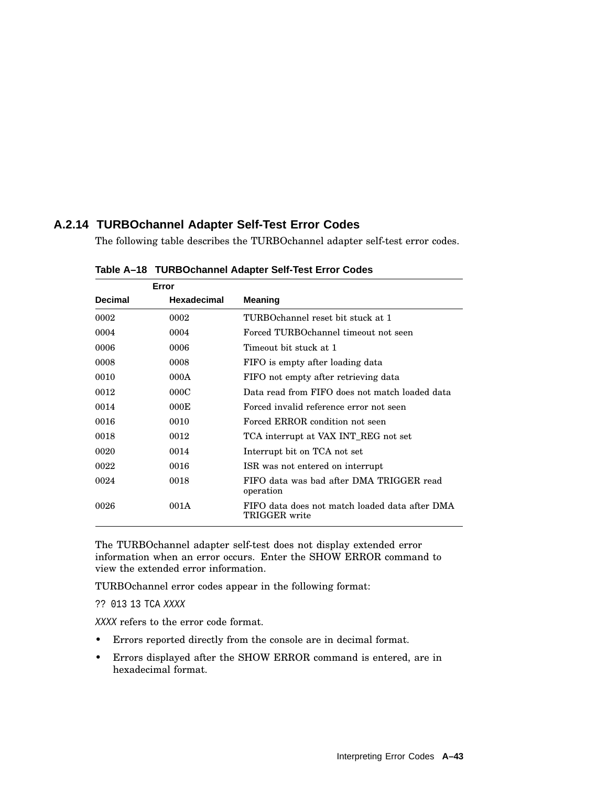# **A.2.14 TURBOchannel Adapter Self-Test Error Codes**

The following table describes the TURBOchannel adapter self-test error codes.

| Error          |             |                                                                 |
|----------------|-------------|-----------------------------------------------------------------|
| <b>Decimal</b> | Hexadecimal | Meaning                                                         |
| 0002           | 0002        | TURBOchannel reset bit stuck at 1                               |
| 0004           | 0004        | Forced TURBOchannel timeout not seen                            |
| 0006           | 0006        | Timeout bit stuck at 1                                          |
| 0008           | 0008        | FIFO is empty after loading data                                |
| 0010           | 000A        | FIFO not empty after retrieving data                            |
| 0012           | 000C        | Data read from FIFO does not match loaded data                  |
| 0014           | 000E        | Forced invalid reference error not seen                         |
| 0016           | 0010        | Forced ERROR condition not seen                                 |
| 0018           | 0012        | TCA interrupt at VAX INT_REG not set                            |
| 0020           | 0014        | Interrupt bit on TCA not set                                    |
| 0022           | 0016        | ISR was not entered on interrupt                                |
| 0024           | 0018        | FIFO data was bad after DMA TRIGGER read<br>operation           |
| 0026           | 001A        | FIFO data does not match loaded data after DMA<br>TRIGGER write |

**Table A–18 TURBOchannel Adapter Self-Test Error Codes**

The TURBOchannel adapter self-test does not display extended error information when an error occurs. Enter the SHOW ERROR command to view the extended error information.

TURBOchannel error codes appear in the following format:

?? 013 13 TCA XXXX

XXXX refers to the error code format.

- Errors reported directly from the console are in decimal format.
- Errors displayed after the SHOW ERROR command is entered, are in hexadecimal format.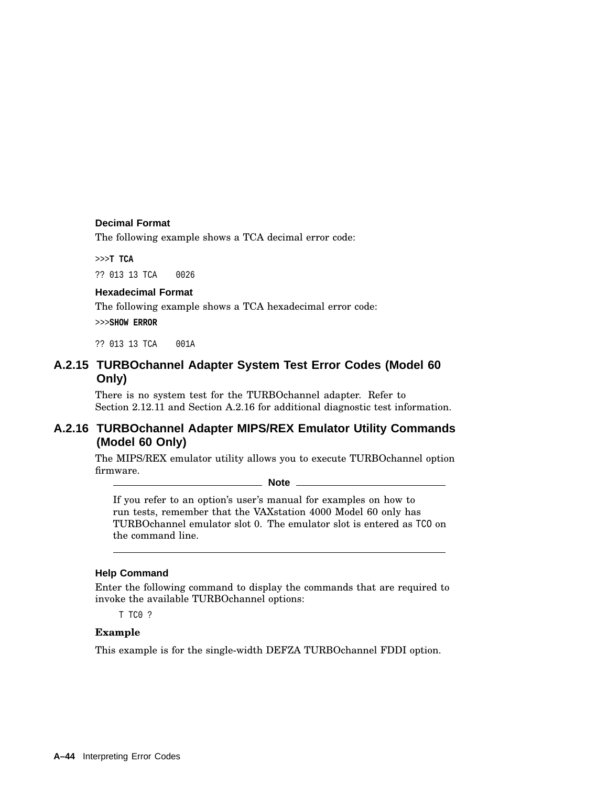## **Decimal Format**

The following example shows a TCA decimal error code:

>>>**T TCA**

?? 013 13 TCA 0026

# **Hexadecimal Format**

The following example shows a TCA hexadecimal error code:

>>>**SHOW ERROR**

?? 013 13 TCA 001A

# **A.2.15 TURBOchannel Adapter System Test Error Codes (Model 60 Only)**

There is no system test for the TURBOchannel adapter. Refer to Section 2.12.11 and Section A.2.16 for additional diagnostic test information.

# **A.2.16 TURBOchannel Adapter MIPS/REX Emulator Utility Commands (Model 60 Only)**

The MIPS/REX emulator utility allows you to execute TURBOchannel option firmware.

**Note**

If you refer to an option's user's manual for examples on how to run tests, remember that the VAXstation 4000 Model 60 only has TURBOchannel emulator slot 0. The emulator slot is entered as TCO on the command line.

### **Help Command**

Enter the following command to display the commands that are required to invoke the available TURBOchannel options:

T TC0 ?

## **Example**

This example is for the single-width DEFZA TURBOchannel FDDI option.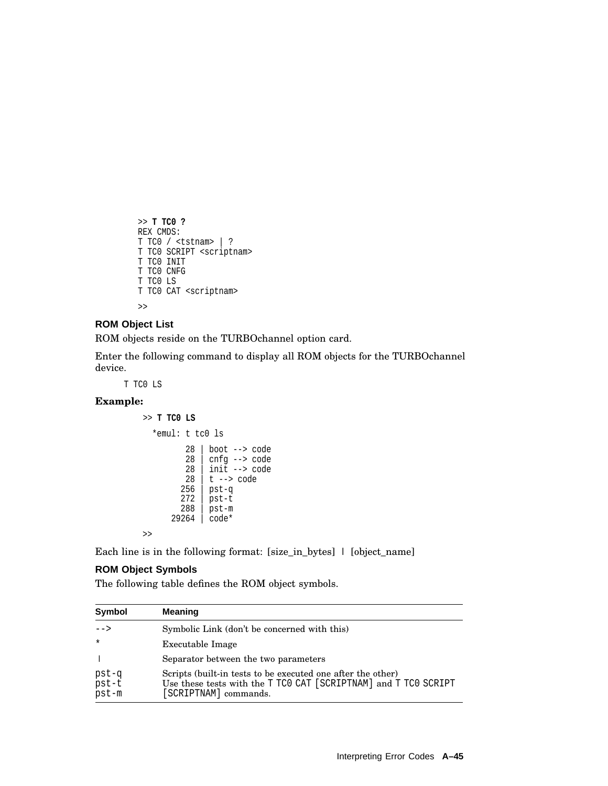```
>> T TC0 ?
REX CMDS:
T TC0 / <tstnam> | ?
T TC0 SCRIPT <scriptnam>
T TC0 INIT
T TC0 CNFG
T TC0 LS
T TC0 CAT <scriptnam>
```
#### >>

### **ROM Object List**

ROM objects reside on the TURBOchannel option card.

Enter the following command to display all ROM objects for the TURBOchannel device.

T TC0 LS

### **Example:**

>> **T TC0 LS**

```
*emul: t tc0 ls
       28 | boot --> code
       28 cmfg \rightarrow code28 | init --> code
       28 | t --> code
      256 | pst-q
      272 | pst-t
      288 | pst-m
    29264 | code*
```
Each line is in the following format: [size\_in\_bytes] | [object\_name]

## **ROM Object Symbols**

>>

The following table defines the ROM object symbols.

| Symbol                  | <b>Meaning</b>                                                                                                                                          |  |
|-------------------------|---------------------------------------------------------------------------------------------------------------------------------------------------------|--|
| $--$                    | Symbolic Link (don't be concerned with this)                                                                                                            |  |
| $\star$                 | Executable Image                                                                                                                                        |  |
|                         | Separator between the two parameters                                                                                                                    |  |
| pst-q<br>pst-t<br>pst-m | Scripts (built-in tests to be executed one after the other)<br>Use these tests with the T TCO CAT [SCRIPTNAM] and T TCO SCRIPT<br>[SCRIPTNAM] commands. |  |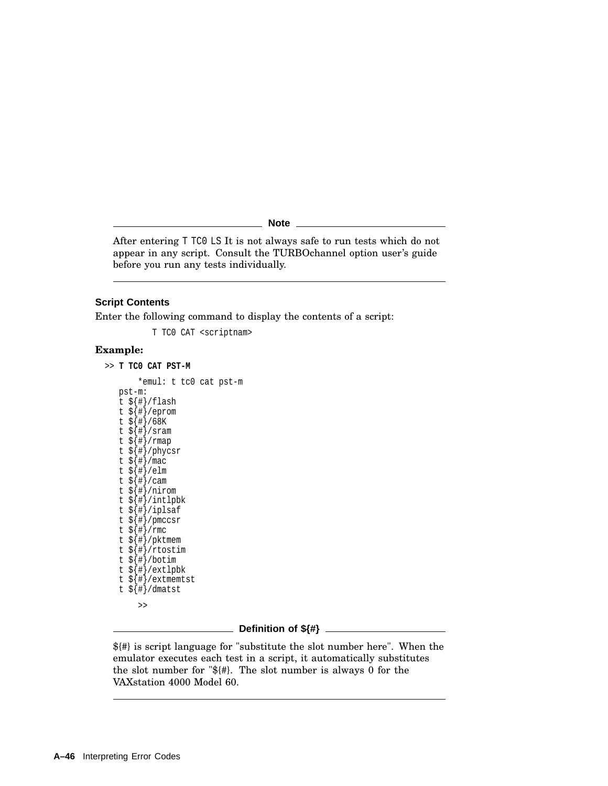**Note**

After entering T TC0 LS It is not always safe to run tests which do not appear in any script. Consult the TURBOchannel option user's guide before you run any tests individually.

#### **Script Contents**

Enter the following command to display the contents of a script:

T TC0 CAT <scriptnam>

### **Example:**

```
>> T TC0 CAT PST-M
       *emul: t tc0 cat pst-m
```
pst-m: t  $\frac{1}{2}$   $\frac{1}{2}$   $\frac{1}{2}$   $\frac{1}{2}$   $\frac{1}{2}$   $\frac{1}{2}$ t \${#}/eprom t \${#}/68K t \${#}/sram t \${#}/rmap t \${#}/phycsr t \${#}/mac t  $\frac{1}{2}$   $\frac{1}{2}$  /elm t  $\frac{1}{5}$   $\frac{1}{4}$  / cam t \${#}/nirom t \${#}/intlpbk t \${#}/iplsaf t \${#}/pmccsr t \${#}/rmc t \${#}/pktmem t \${#}/rtostim t \${#}/botim t \${#}/extlpbk t \${#}/extmemtst t  $\frac{1}{2}$   $\frac{1}{4}$  / dmatst >>

#### **Definition of \${#}**

\${#} is script language for "substitute the slot number here". When the emulator executes each test in a script, it automatically substitutes the slot number for "\${#}. The slot number is always 0 for the VAXstation 4000 Model 60.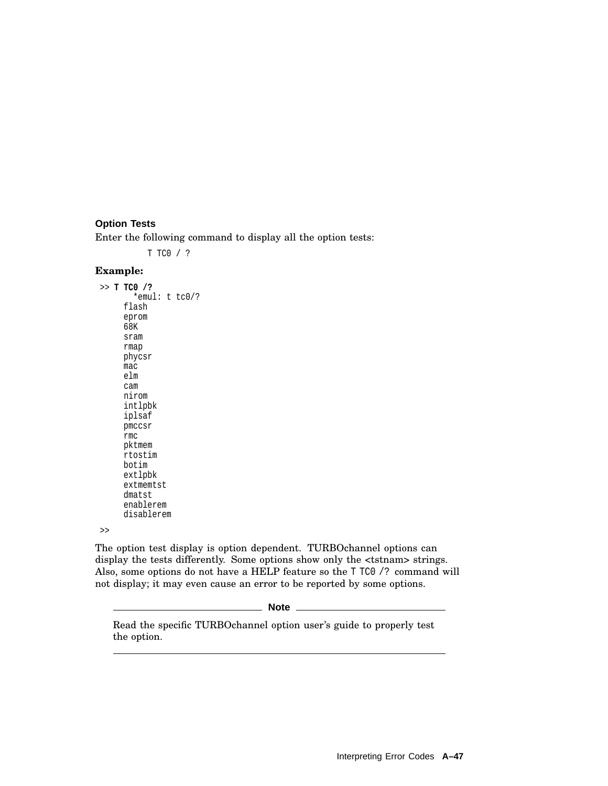## **Option Tests**

Enter the following command to display all the option tests:

T TC0 / ?

### **Example:**

>> **T TC0 /?** \*emul: t tc0/? flash eprom 68K sram rmap phycsr mac elm cam nirom intlpbk iplsaf pmccsr rmc pktmem rtostim botim extlpbk extmemtst dmatst enablerem disablerem

>>

The option test display is option dependent. TURBOchannel options can display the tests differently. Some options show only the <tstnam> strings. Also, some options do not have a HELP feature so the T TC0 /? command will not display; it may even cause an error to be reported by some options.

**Note**

Read the specific TURBOchannel option user's guide to properly test the option.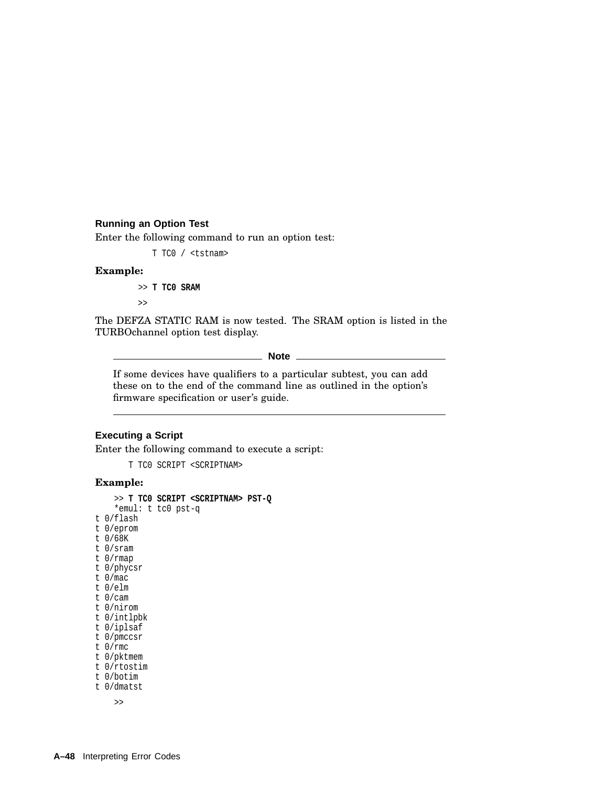## **Running an Option Test**

Enter the following command to run an option test:

T TC0 / <tstnam>

#### **Example:**

>> **T TC0 SRAM**

 $\rightarrow$ 

The DEFZA STATIC RAM is now tested. The SRAM option is listed in the TURBOchannel option test display.

**Note**

If some devices have qualifiers to a particular subtest, you can add these on to the end of the command line as outlined in the option's firmware specification or user's guide.

### **Executing a Script**

Enter the following command to execute a script:

T TC0 SCRIPT <SCRIPTNAM>

### **Example:**

```
>> T TC0 SCRIPT <SCRIPTNAM> PST-Q
    *emul: t tc0 pst-q
t 0/flash
t 0/eprom
t 0/68K
t 0/sram
t 0/rmap
t 0/phycsr
t 0/mac
t 0/elm
t 0/cam
t 0/nirom
t 0/intlpbk
t 0/iplsaf
t 0/pmccsr
t 0/rmc
t 0/pktmem
t 0/rtostim
t 0/botim
t 0/dmatst
    >>
```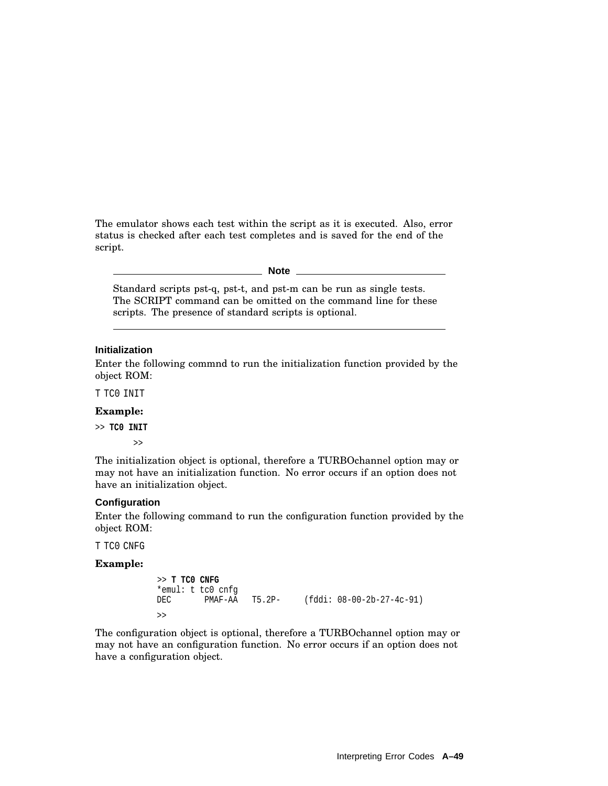The emulator shows each test within the script as it is executed. Also, error status is checked after each test completes and is saved for the end of the script.

**Note**

Standard scripts pst-q, pst-t, and pst-m can be run as single tests. The SCRIPT command can be omitted on the command line for these scripts. The presence of standard scripts is optional.

#### **Initialization**

Enter the following commnd to run the initialization function provided by the object ROM:

T TC0 INIT

#### **Example:**

>> **TC0 INIT**

>>

The initialization object is optional, therefore a TURBOchannel option may or may not have an initialization function. No error occurs if an option does not have an initialization object.

#### **Configuration**

Enter the following command to run the configuration function provided by the object ROM:

T TC0 CNFG

#### **Example:**

```
>> T TC0 CNFG
*emul: t tc0 cnfg
DEC PMAF-AA T5.2P- (fddi: 08-00-2b-27-4c-91)
>>
```
The configuration object is optional, therefore a TURBOchannel option may or may not have an configuration function. No error occurs if an option does not have a configuration object.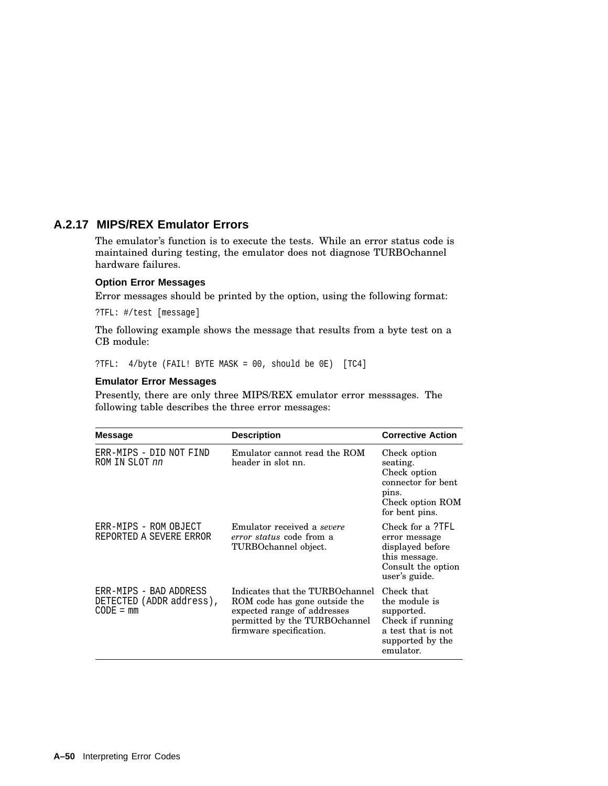# **A.2.17 MIPS/REX Emulator Errors**

The emulator's function is to execute the tests. While an error status code is maintained during testing, the emulator does not diagnose TURBOchannel hardware failures.

### **Option Error Messages**

Error messages should be printed by the option, using the following format:

?TFL: #/test [message]

The following example shows the message that results from a byte test on a CB module:

?TFL: 4/byte (FAIL! BYTE MASK = 00, should be 0E) [TC4]

#### **Emulator Error Messages**

Presently, there are only three MIPS/REX emulator error messsages. The following table describes the three error messages:

| <b>Message</b>                                                    | <b>Description</b>                                                                                                                                          | <b>Corrective Action</b>                                                                                             |
|-------------------------------------------------------------------|-------------------------------------------------------------------------------------------------------------------------------------------------------------|----------------------------------------------------------------------------------------------------------------------|
| ERR-MIPS - DID NOT FIND<br>ROM IN SLOT nn                         | Emulator cannot read the ROM<br>header in slot nn.                                                                                                          | Check option<br>seating.<br>Check option<br>connector for bent<br>pins.<br>Check option ROM<br>for bent pins.        |
| ERR-MIPS - ROM OBJECT<br>REPORTED A SEVERE ERROR                  | Emulator received a severe<br><i>error status</i> code from a<br>TURBOchannel object.                                                                       | Check for a ?TFL<br>error message<br>displayed before<br>this message.<br>Consult the option<br>user's guide.        |
| ERR-MIPS - BAD ADDRESS<br>DETECTED (ADDR address),<br>$CODE = mm$ | Indicates that the TURBOchannel<br>ROM code has gone outside the<br>expected range of addresses<br>permitted by the TURBOchannel<br>firmware specification. | Check that<br>the module is<br>supported.<br>Check if running<br>a test that is not<br>supported by the<br>emulator. |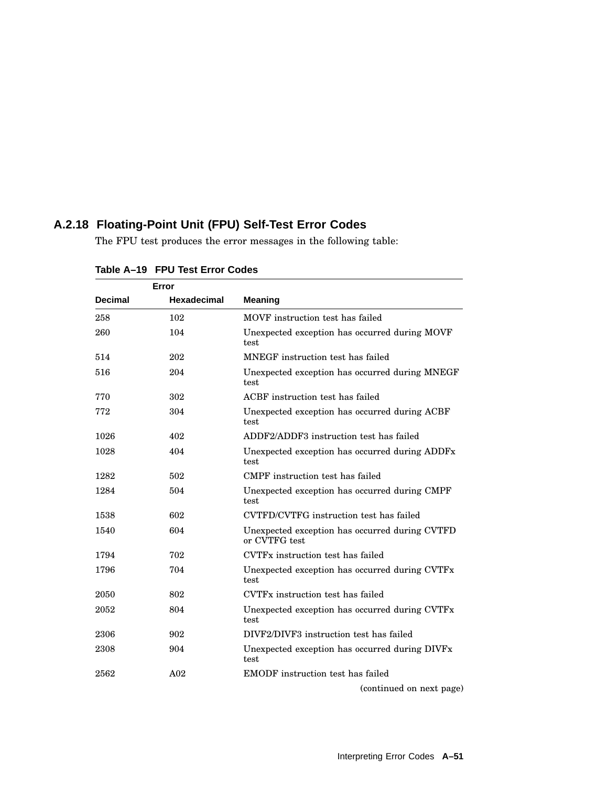# **A.2.18 Floating-Point Unit (FPU) Self-Test Error Codes**

The FPU test produces the error messages in the following table:

| Error          |                    |                                                                 |
|----------------|--------------------|-----------------------------------------------------------------|
| <b>Decimal</b> | <b>Hexadecimal</b> | <b>Meaning</b>                                                  |
| 258            | 102                | MOVF instruction test has failed                                |
| 260            | 104                | Unexpected exception has occurred during MOVF<br>test           |
| 514            | 202                | MNEGF instruction test has failed                               |
| 516            | 204                | Unexpected exception has occurred during MNEGF<br>test          |
| 770            | 302                | ACBF instruction test has failed                                |
| 772            | 304                | Unexpected exception has occurred during ACBF<br>test           |
| 1026           | 402                | ADDF2/ADDF3 instruction test has failed                         |
| 1028           | 404                | Unexpected exception has occurred during ADDFx<br>test          |
| 1282           | 502                | CMPF instruction test has failed                                |
| 1284           | 504                | Unexpected exception has occurred during CMPF<br>test           |
| 1538           | 602                | CVTFD/CVTFG instruction test has failed                         |
| 1540           | 604                | Unexpected exception has occurred during CVTFD<br>or CVTFG test |
| 1794           | 702                | CVTFx instruction test has failed                               |
| 1796           | 704                | Unexpected exception has occurred during CVTFx<br>test          |
| 2050           | 802                | CVTFx instruction test has failed                               |
| 2052           | 804                | Unexpected exception has occurred during CVTFx<br>test          |
| 2306           | 902                | DIVF2/DIVF3 instruction test has failed                         |
| 2308           | 904                | Unexpected exception has occurred during DIVFx<br>test          |
| 2562           | A <sub>02</sub>    | <b>EMODF</b> instruction test has failed                        |

**Table A–19 FPU Test Error Codes**

(continued on next page)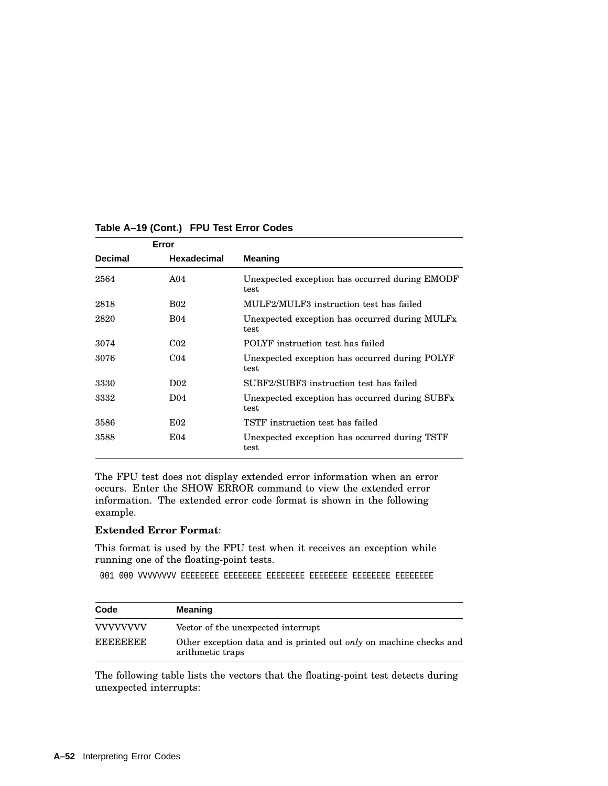| Error          |                    |                                                                    |
|----------------|--------------------|--------------------------------------------------------------------|
| <b>Decimal</b> | <b>Hexadecimal</b> | Meaning                                                            |
| 2564           | A <sub>04</sub>    | Unexpected exception has occurred during EMODF<br>test             |
| 2818           | <b>B02</b>         | MULF2/MULF3 instruction test has failed                            |
| 2820           | <b>B04</b>         | Unexpected exception has occurred during MULFx<br>test             |
| 3074           | C <sub>02</sub>    | POLYF instruction test has failed                                  |
| 3076           | C <sub>04</sub>    | Unexpected exception has occurred during POLYF<br>test             |
| 3330           | D <sub>02</sub>    | SUBF2/SUBF3 instruction test has failed                            |
| 3332           | D <sub>04</sub>    | Unexpected exception has occurred during SUBF <sub>x</sub><br>test |
| 3586           | E02                | TSTF instruction test has failed                                   |
| 3588           | E04                | Unexpected exception has occurred during TSTF<br>test              |

# **Table A–19 (Cont.) FPU Test Error Codes**

The FPU test does not display extended error information when an error occurs. Enter the SHOW ERROR command to view the extended error information. The extended error code format is shown in the following example.

### **Extended Error Format**:

This format is used by the FPU test when it receives an exception while running one of the floating-point tests.

001 000 VVVVVVVV EEEEEEEE EEEEEEEE EEEEEEEE EEEEEEEE EEEEEEEE EEEEEEEE

| Code             | <b>Meaning</b>                                                                                |  |
|------------------|-----------------------------------------------------------------------------------------------|--|
| <b>VVVVVVVVV</b> | Vector of the unexpected interrupt                                                            |  |
| <b>EEEEEEEE</b>  | Other exception data and is printed out <i>only</i> on machine checks and<br>arithmetic traps |  |

The following table lists the vectors that the floating-point test detects during unexpected interrupts: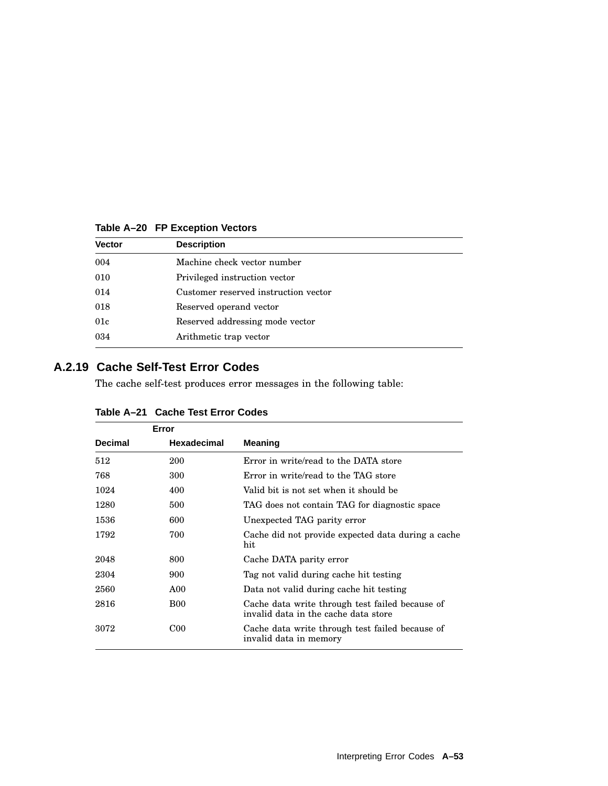| <b>Vector</b> | <b>Description</b><br>Machine check vector number |  |
|---------------|---------------------------------------------------|--|
| 004           |                                                   |  |
| 010           | Privileged instruction vector                     |  |
| 014           | Customer reserved instruction vector              |  |
| 018           | Reserved operand vector                           |  |
| 01c           | Reserved addressing mode vector                   |  |
| 034           | Arithmetic trap vector                            |  |

**Table A–20 FP Exception Vectors**

# **A.2.19 Cache Self-Test Error Codes**

The cache self-test produces error messages in the following table:

| Error          |                    |                                                                                         |
|----------------|--------------------|-----------------------------------------------------------------------------------------|
| <b>Decimal</b> | <b>Hexadecimal</b> | <b>Meaning</b>                                                                          |
| 512            | 200                | Error in write/read to the DATA store                                                   |
| 768            | 300                | Error in write/read to the TAG store                                                    |
| 1024           | 400                | Valid bit is not set when it should be                                                  |
| 1280           | 500                | TAG does not contain TAG for diagnostic space                                           |
| 1536           | 600                | Unexpected TAG parity error                                                             |
| 1792           | 700                | Cache did not provide expected data during a cache<br>hit                               |
| 2048           | 800                | Cache DATA parity error                                                                 |
| 2304           | 900                | Tag not valid during cache hit testing                                                  |
| 2560           | A00                | Data not valid during cache hit testing                                                 |
| 2816           | <b>B00</b>         | Cache data write through test failed because of<br>invalid data in the cache data store |
| 3072           | C <sub>00</sub>    | Cache data write through test failed because of<br>invalid data in memory               |

| Table A-21 Cache Test Error Codes |  |  |
|-----------------------------------|--|--|
|-----------------------------------|--|--|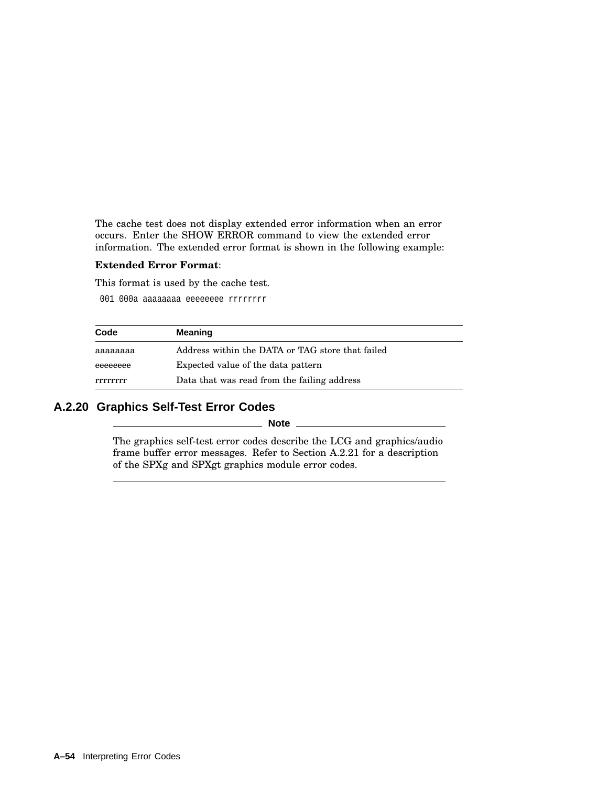The cache test does not display extended error information when an error occurs. Enter the SHOW ERROR command to view the extended error information. The extended error format is shown in the following example:

### **Extended Error Format**:

This format is used by the cache test.

001 000a aaaaaaaa eeeeeeee rrrrrrrr

| Code     | <b>Meaning</b>                                   |  |
|----------|--------------------------------------------------|--|
| аааааааа | Address within the DATA or TAG store that failed |  |
| eeeeeeee | Expected value of the data pattern               |  |
| rrrrrrr  | Data that was read from the failing address      |  |

# **A.2.20 Graphics Self-Test Error Codes**

**Note**

The graphics self-test error codes describe the LCG and graphics/audio frame buffer error messages. Refer to Section A.2.21 for a description of the SPXg and SPXgt graphics module error codes.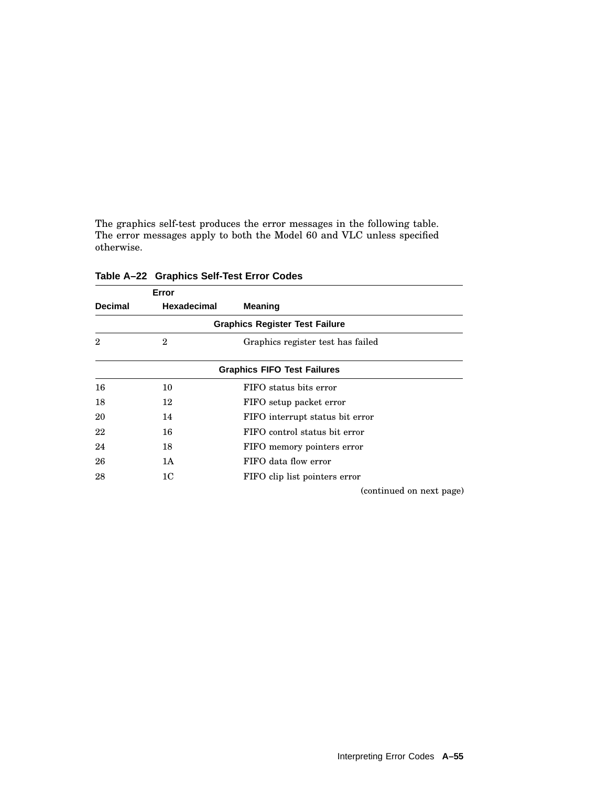The graphics self-test produces the error messages in the following table. The error messages apply to both the Model 60 and VLC unless specified otherwise.

|                | Error              |                                       |
|----------------|--------------------|---------------------------------------|
| <b>Decimal</b> | <b>Hexadecimal</b> | <b>Meaning</b>                        |
|                |                    | <b>Graphics Register Test Failure</b> |
| $\overline{2}$ | $\boldsymbol{2}$   | Graphics register test has failed     |
|                |                    | <b>Graphics FIFO Test Failures</b>    |
| 16             | 10                 | FIFO status bits error                |
| 18             | 12                 | FIFO setup packet error               |
| 20             | 14                 | FIFO interrupt status bit error       |
| 22             | 16                 | FIFO control status bit error         |
| 24             | 18                 | FIFO memory pointers error            |
| 26             | 1A                 | FIFO data flow error                  |
| 28             | 1 <sup>C</sup>     | FIFO clip list pointers error         |
|                |                    | (continued on next page)              |

**Table A–22 Graphics Self-Test Error Codes**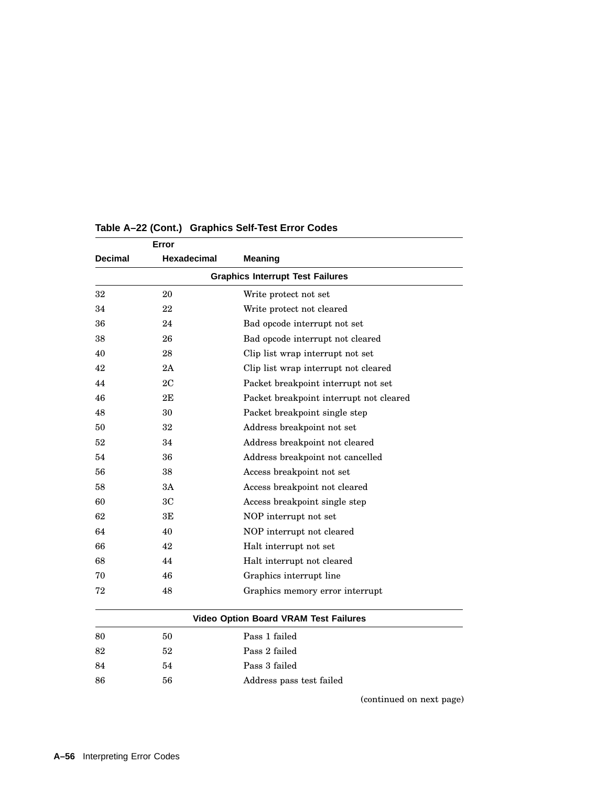| Error                                   |                    |                                              |  |
|-----------------------------------------|--------------------|----------------------------------------------|--|
| <b>Decimal</b>                          | <b>Hexadecimal</b> | <b>Meaning</b>                               |  |
| <b>Graphics Interrupt Test Failures</b> |                    |                                              |  |
| 32                                      | 20                 | Write protect not set                        |  |
| 34                                      | 22                 | Write protect not cleared                    |  |
| 36                                      | 24                 | Bad opcode interrupt not set                 |  |
| 38                                      | 26                 | Bad opcode interrupt not cleared             |  |
| 40                                      | 28                 | Clip list wrap interrupt not set             |  |
| 42                                      | 2Α                 | Clip list wrap interrupt not cleared         |  |
| 44                                      | 2C                 | Packet breakpoint interrupt not set          |  |
| 46                                      | 2E                 | Packet breakpoint interrupt not cleared      |  |
| 48                                      | 30                 | Packet breakpoint single step                |  |
| 50                                      | 32                 | Address breakpoint not set                   |  |
| 52                                      | 34                 | Address breakpoint not cleared               |  |
| 54                                      | 36                 | Address breakpoint not cancelled             |  |
| 56                                      | 38                 | Access breakpoint not set                    |  |
| 58                                      | ЗA                 | Access breakpoint not cleared                |  |
| 60                                      | 3 <sub>C</sub>     | Access breakpoint single step                |  |
| 62                                      | 3E                 | NOP interrupt not set                        |  |
| 64                                      | 40                 | NOP interrupt not cleared                    |  |
| 66                                      | 42                 | Halt interrupt not set                       |  |
| 68                                      | 44                 | Halt interrupt not cleared                   |  |
| 70                                      | 46                 | Graphics interrupt line                      |  |
| 72                                      | 48                 | Graphics memory error interrupt              |  |
|                                         |                    | <b>Video Option Board VRAM Test Failures</b> |  |
| 80                                      | 50                 | Pass 1 failed                                |  |
| 82                                      | 52                 | Pass 2 failed                                |  |
| 84                                      | 54                 | Pass 3 failed                                |  |
| 86                                      | 56                 | Address pass test failed                     |  |

### **Table A–22 (Cont.) Graphics Self-Test Error Codes**

(continued on next page)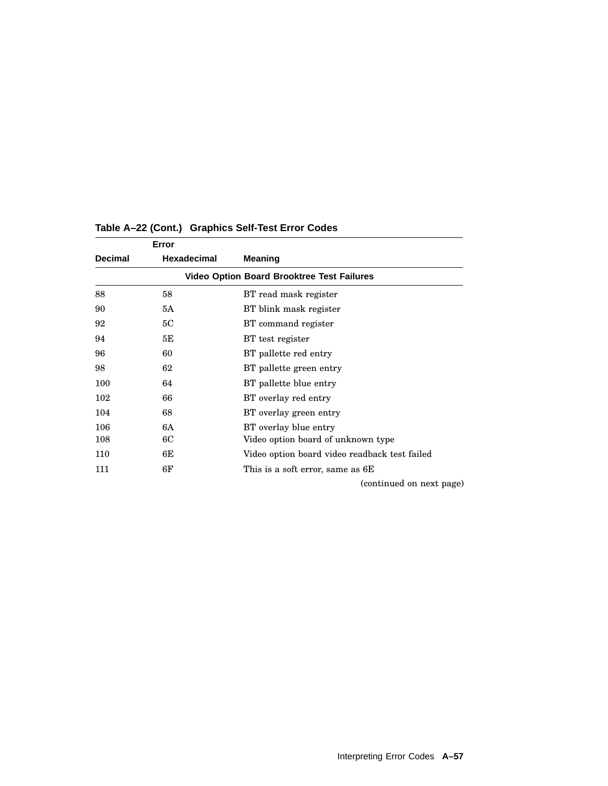|                | Error              |                                                   |
|----------------|--------------------|---------------------------------------------------|
| <b>Decimal</b> | <b>Hexadecimal</b> | Meaning                                           |
|                |                    | <b>Video Option Board Brooktree Test Failures</b> |
| 88             | 58                 | BT read mask register                             |
| 90             | 5А                 | BT blink mask register                            |
| 92             | 5C                 | BT command register                               |
| 94             | 5Е                 | BT test register                                  |
| 96             | 60                 | BT pallette red entry                             |
| 98             | 62                 | BT pallette green entry                           |
| 100            | 64                 | BT pallette blue entry                            |
| 102            | 66                 | BT overlay red entry                              |
| 104            | 68                 | BT overlay green entry                            |
| 106            | 6A                 | BT overlay blue entry                             |
| 108            | 6C                 | Video option board of unknown type                |
| 110            | 6E                 | Video option board video readback test failed     |
| 111            | 6F                 | This is a soft error, same as 6E                  |
|                |                    | (continued on next page)                          |

# **Table A–22 (Cont.) Graphics Self-Test Error Codes**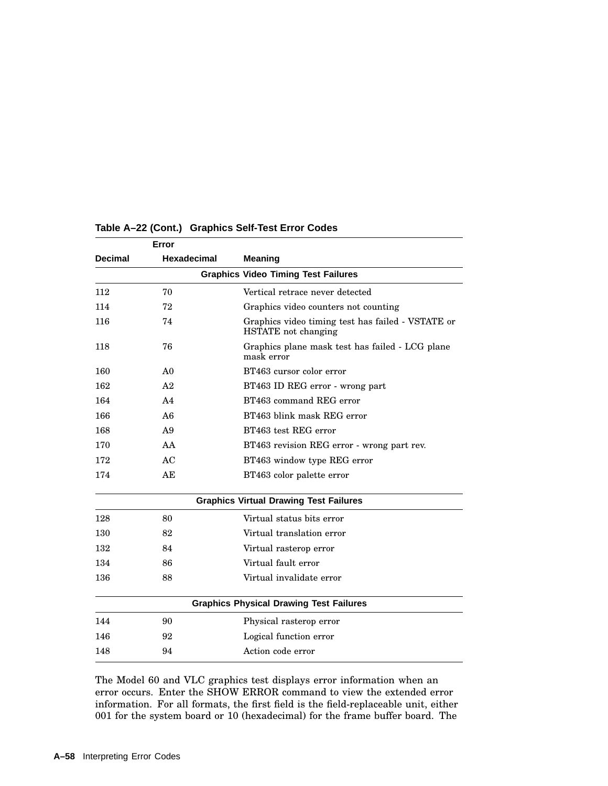|                | Error          |                                                                                 |
|----------------|----------------|---------------------------------------------------------------------------------|
| <b>Decimal</b> | Hexadecimal    | <b>Meaning</b>                                                                  |
|                |                | <b>Graphics Video Timing Test Failures</b>                                      |
| 112            | 70             | Vertical retrace never detected                                                 |
| 114            | 72             | Graphics video counters not counting                                            |
| 116            | 74             | Graphics video timing test has failed - VSTATE or<br><b>HSTATE</b> not changing |
| 118            | 76             | Graphics plane mask test has failed - LCG plane<br>mask error                   |
| 160            | A <sub>0</sub> | BT463 cursor color error                                                        |
| 162            | A <sub>2</sub> | BT463 ID REG error - wrong part                                                 |
| 164            | A <sub>4</sub> | BT463 command REG error                                                         |
| 166            | A6             | BT463 blink mask REG error                                                      |
| 168            | A <sub>9</sub> | BT463 test REG error                                                            |
| 170            | AA             | BT463 revision REG error - wrong part rev.                                      |
| 172            | AC             | BT463 window type REG error                                                     |
| 174            | AE             | BT463 color palette error                                                       |
|                |                | <b>Graphics Virtual Drawing Test Failures</b>                                   |
| 128            | 80             | Virtual status bits error                                                       |
| 130            | 82             | Virtual translation error                                                       |
| 132            | 84             | Virtual rasterop error                                                          |
| 134            | 86             | Virtual fault error                                                             |
| 136            | 88             | Virtual invalidate error                                                        |
|                |                | <b>Graphics Physical Drawing Test Failures</b>                                  |
| 144            | 90             | Physical rasterop error                                                         |
| 146            | 92             | Logical function error                                                          |
| 148            | 94             | Action code error                                                               |

### **Table A–22 (Cont.) Graphics Self-Test Error Codes**

The Model 60 and VLC graphics test displays error information when an error occurs. Enter the SHOW ERROR command to view the extended error information. For all formats, the first field is the field-replaceable unit, either for the system board or 10 (hexadecimal) for the frame buffer board. The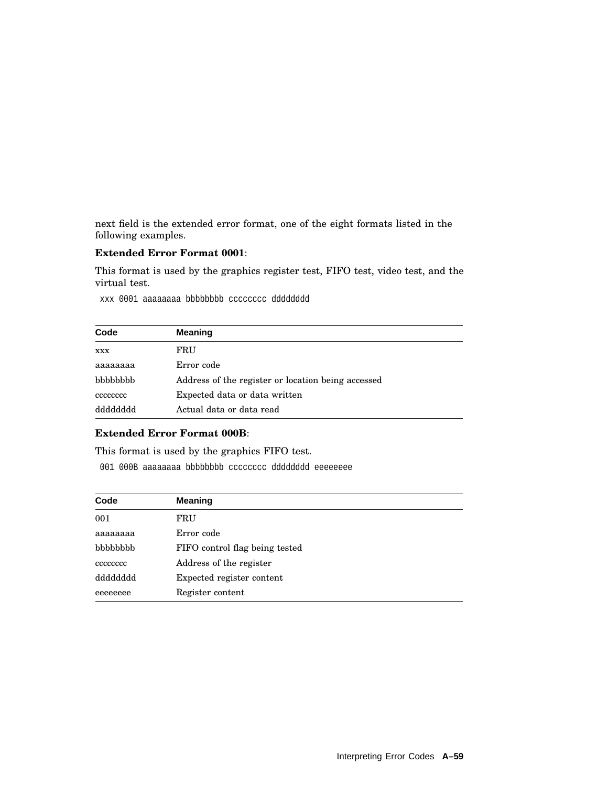next field is the extended error format, one of the eight formats listed in the following examples.

## **Extended Error Format 0001**:

This format is used by the graphics register test, FIFO test, video test, and the virtual test.

xxx 0001 aaaaaaaa bbbbbbbb cccccccc dddddddd

| Code       | <b>Meaning</b>                                     |
|------------|----------------------------------------------------|
| <b>XXX</b> | FRU                                                |
| aaaaaaaa   | Error code                                         |
| bbbbbbb    | Address of the register or location being accessed |
| cccccccc   | Expected data or data written                      |
| dyppppppp  | Actual data or data read                           |

### **Extended Error Format 000B**:

This format is used by the graphics FIFO test.

001 000B aaaaaaaa bbbbbbbb cccccccc dddddddd eeeeeeee

| Code     | <b>Meaning</b>                 |
|----------|--------------------------------|
| 001      | FRU                            |
| aaaaaaaa | Error code                     |
| bbbbbbb  | FIFO control flag being tested |
| cececcec | Address of the register        |
| dddddddd | Expected register content      |
| eeeeeeee | Register content               |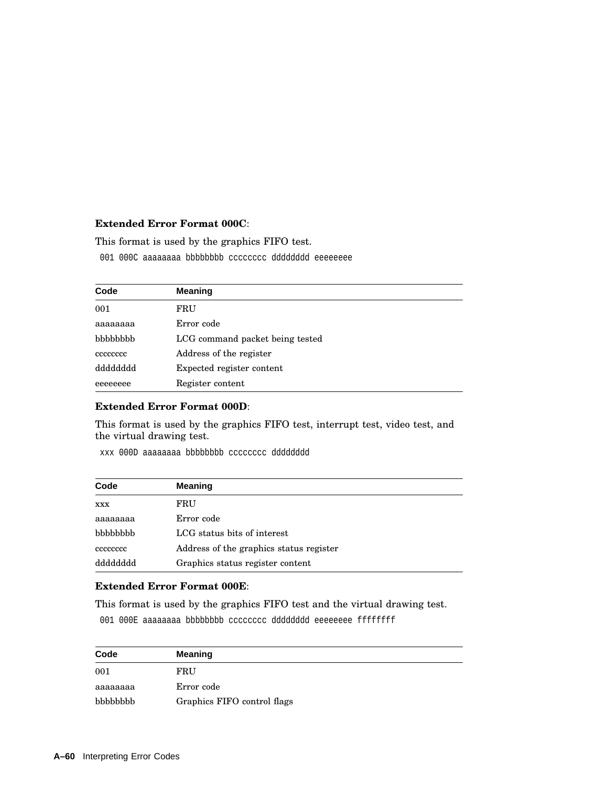## **Extended Error Format 000C**:

This format is used by the graphics FIFO test.

001 000C aaaaaaaa bbbbbbbb cccccccc dddddddd eeeeeeee

| Code     | <b>Meaning</b>                  |
|----------|---------------------------------|
| 001      | FRU                             |
| aaaaaaaa | Error code                      |
| bbbbbbb  | LCG command packet being tested |
| cccccccc | Address of the register         |
| dddddddd | Expected register content       |
| eeeeeeee | Register content                |

## **Extended Error Format 000D**:

This format is used by the graphics FIFO test, interrupt test, video test, and the virtual drawing test.

xxx 000D aaaaaaaa bbbbbbbb cccccccc dddddddd

| Code       | <b>Meaning</b>                          |
|------------|-----------------------------------------|
| <b>XXX</b> | FRU                                     |
| aaaaaaaa   | Error code                              |
| bbbbbbb    | LCG status bits of interest             |
| cececcec   | Address of the graphics status register |
| dddddddd   | Graphics status register content        |

## **Extended Error Format 000E**:

This format is used by the graphics FIFO test and the virtual drawing test.

001 000E aaaaaaaa bbbbbbbb cccccccc dddddddd eeeeeeee ffffffff

| Code     | <b>Meaning</b>              |
|----------|-----------------------------|
| 001      | FRU                         |
| aaaaaaaa | Error code                  |
| bbbbbbb  | Graphics FIFO control flags |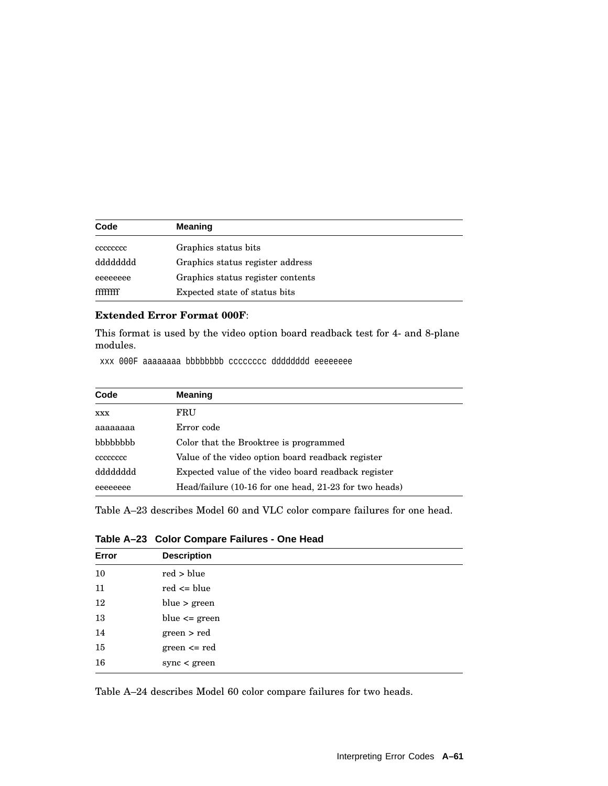| Code     | <b>Meaning</b>                    |
|----------|-----------------------------------|
| cececcec | Graphics status bits              |
| dddddddd | Graphics status register address  |
| eeeeeeee | Graphics status register contents |
| ffffffff | Expected state of status bits     |

## **Extended Error Format 000F**:

This format is used by the video option board readback test for 4- and 8-plane modules.

xxx 000F aaaaaaaa bbbbbbbb cccccccc dddddddd eeeeeeee

| Code       | <b>Meaning</b>                                         |
|------------|--------------------------------------------------------|
| <b>XXX</b> | FRU                                                    |
| aaaaaaaa   | Error code                                             |
| bbbbbbb    | Color that the Brooktree is programmed                 |
| cccccccc   | Value of the video option board readback register      |
| dddddddd   | Expected value of the video board readback register    |
| eeeeeeee   | Head/failure (10-16 for one head, 21-23 for two heads) |

Table A–23 describes Model 60 and VLC color compare failures for one head.

| Table A-23 Color Compare Failures - One Head |  |  |  |  |  |
|----------------------------------------------|--|--|--|--|--|
|----------------------------------------------|--|--|--|--|--|

| Error | <b>Description</b> |  |
|-------|--------------------|--|
| 10    | red > blue         |  |
| 11    | $red \leq blue$    |  |
| 12    | blue > green       |  |
| 13    | blue $\leq$ green  |  |
| 14    | green > red        |  |
| 15    | $green \le red$    |  |
| 16    | sync < green       |  |
|       |                    |  |

Table A–24 describes Model 60 color compare failures for two heads.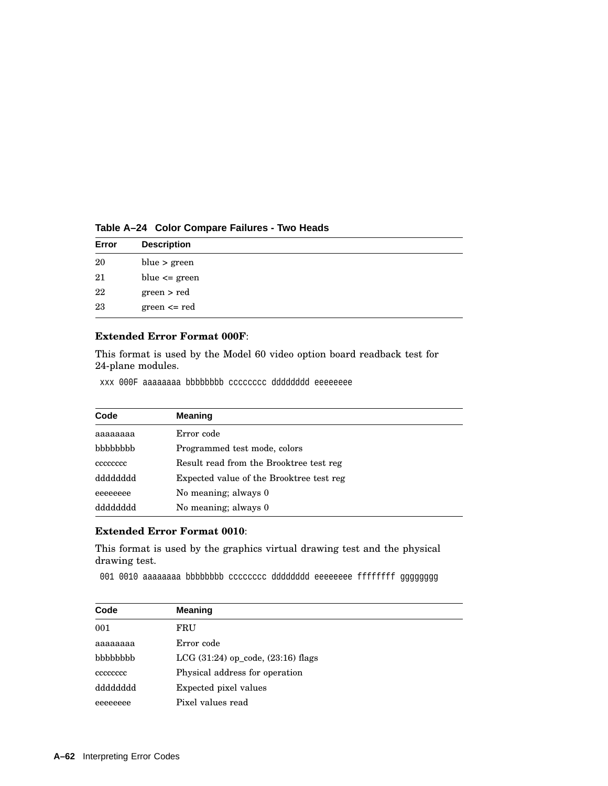| Error | <b>Description</b> |  |
|-------|--------------------|--|
| 20    | blue $>$ green     |  |
| 21    | blue $\leq$ green  |  |
| 22    | green > red        |  |
| 23    | $green \le red$    |  |

**Table A–24 Color Compare Failures - Two Heads**

### **Extended Error Format 000F**:

This format is used by the Model 60 video option board readback test for 24-plane modules.

xxx 000F aaaaaaaa bbbbbbbb cccccccc dddddddd eeeeeeee

| Code            | <b>Meaning</b>                           |
|-----------------|------------------------------------------|
| aaaaaaaa        | Error code                               |
| <b>bbbbbbbb</b> | Programmed test mode, colors             |
| cccccccc        | Result read from the Brooktree test reg  |
| dddddddd        | Expected value of the Brooktree test reg |
| eeeeeeee        | No meaning; always 0                     |
| dddddddd        | No meaning; always 0                     |

# **Extended Error Format 0010**:

This format is used by the graphics virtual drawing test and the physical drawing test.

001 0010 aaaaaaaa bbbbbbbb cccccccc dddddddd eeeeeeee ffffffff gggggggg

| Code     | <b>Meaning</b>                         |
|----------|----------------------------------------|
| 001      | FRU                                    |
| аааааааа | Error code                             |
| bbbbbbb  | $LCG (31:24)$ op_code, $(23:16)$ flags |
| cccccccc | Physical address for operation         |
| dddddddd | Expected pixel values                  |
| eeeeeeee | Pixel values read                      |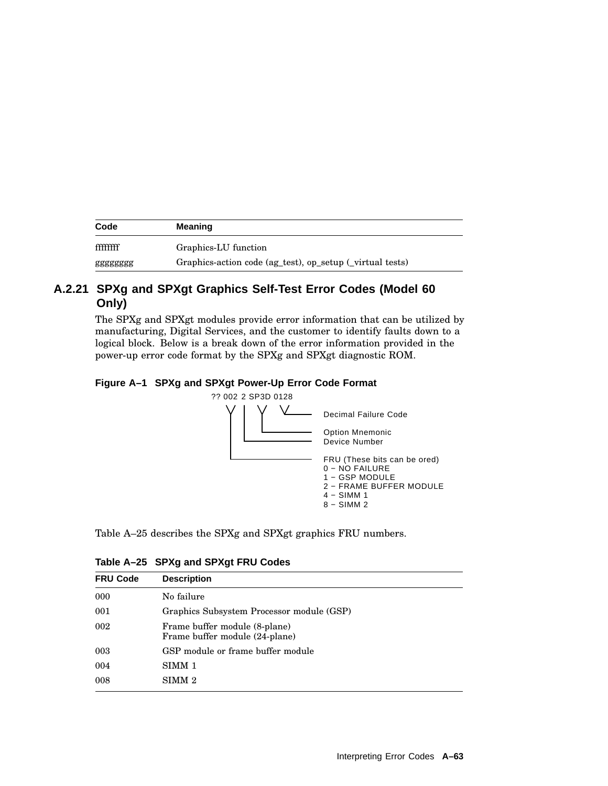| Code     | <b>Meaning</b>                                            |
|----------|-----------------------------------------------------------|
| ffffffff | Graphics-LU function                                      |
| gggggggg | Graphics-action code (ag_test), op_setup (_virtual tests) |

# **A.2.21 SPXg and SPXgt Graphics Self-Test Error Codes (Model 60 Only)**

The SPXg and SPXgt modules provide error information that can be utilized by manufacturing, Digital Services, and the customer to identify faults down to a logical block. Below is a break down of the error information provided in the power-up error code format by the SPXg and SPXgt diagnostic ROM.

## **Figure A–1 SPXg and SPXgt Power-Up Error Code Format**





| <b>FRU Code</b> | <b>Description</b>                                              |
|-----------------|-----------------------------------------------------------------|
| 000             | No failure                                                      |
| 001             | Graphics Subsystem Processor module (GSP)                       |
| 002             | Frame buffer module (8-plane)<br>Frame buffer module (24-plane) |
| 003             | GSP module or frame buffer module                               |
| 004             | SIMM 1                                                          |
| 008             | SIMM 2                                                          |

|  | Table A-25 SPXg and SPXgt FRU Codes |  |
|--|-------------------------------------|--|
|--|-------------------------------------|--|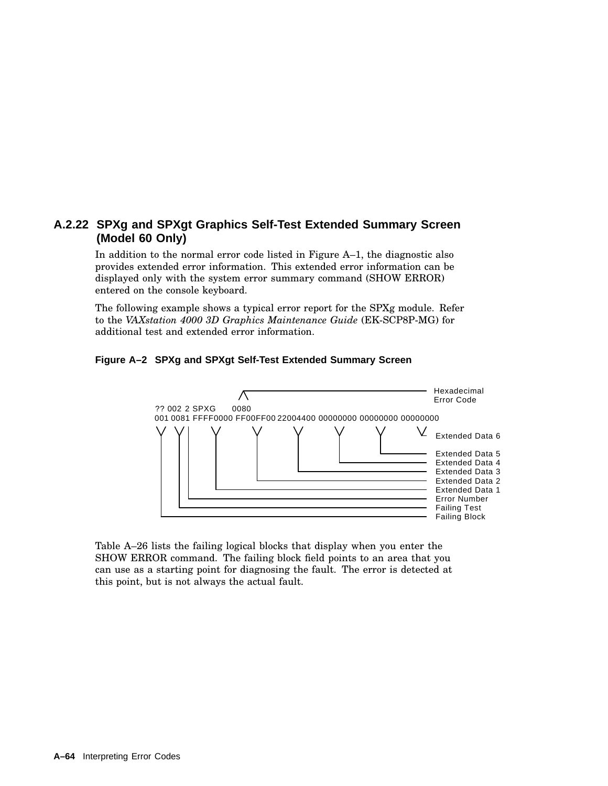# **A.2.22 SPXg and SPXgt Graphics Self-Test Extended Summary Screen (Model 60 Only)**

In addition to the normal error code listed in Figure A–1, the diagnostic also provides extended error information. This extended error information can be displayed only with the system error summary command (SHOW ERROR) entered on the console keyboard.

The following example shows a typical error report for the SPXg module. Refer to the *VAXstation 4000 3D Graphics Maintenance Guide* (EK-SCP8P-MG) for additional test and extended error information.

## **Figure A–2 SPXg and SPXgt Self-Test Extended Summary Screen**



Table A–26 lists the failing logical blocks that display when you enter the SHOW ERROR command. The failing block field points to an area that you can use as a starting point for diagnosing the fault. The error is detected at this point, but is not always the actual fault.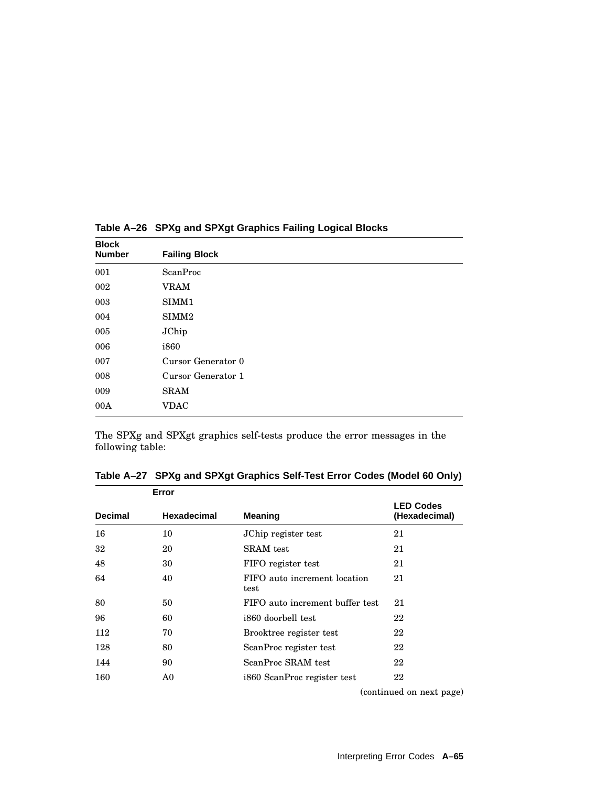| <b>Block</b><br><b>Number</b> | <b>Failing Block</b> |
|-------------------------------|----------------------|
| 001                           | ScanProc             |
| 002                           | <b>VRAM</b>          |
| 003                           | SIMM1                |
| 004                           | SIMM <sub>2</sub>    |
| 005                           | JChip                |
| 006                           | i860                 |
| 007                           | Cursor Generator 0   |
| 008                           | Cursor Generator 1   |
| 009                           | <b>SRAM</b>          |
| 00A                           | <b>VDAC</b>          |

**Table A–26 SPXg and SPXgt Graphics Failing Logical Blocks**

The SPXg and SPXgt graphics self-tests produce the error messages in the following table:

| Error          |             |                                      |                                   |  |
|----------------|-------------|--------------------------------------|-----------------------------------|--|
| <b>Decimal</b> | Hexadecimal | <b>Meaning</b>                       | <b>LED Codes</b><br>(Hexadecimal) |  |
| 16             | 10          | JChip register test                  | 21                                |  |
| 32             | 20          | SRAM test                            | 21                                |  |
| 48             | 30          | FIFO register test                   | 21                                |  |
| 64             | 40          | FIFO auto increment location<br>test | 21                                |  |
| 80             | 50          | FIFO auto increment buffer test      | 21                                |  |
| 96             | 60          | i860 doorbell test                   | 22                                |  |
| 112            | 70          | Brooktree register test              | 22                                |  |
| 128            | 80          | ScanProc register test               | 22                                |  |
| 144            | 90          | ScanProc SRAM test                   | 22                                |  |
| 160            | A0          | i860 ScanProc register test          | 22                                |  |
|                |             |                                      |                                   |  |

**Table A–27 SPXg and SPXgt Graphics Self-Test Error Codes (Model 60 Only)**

(continued on next page)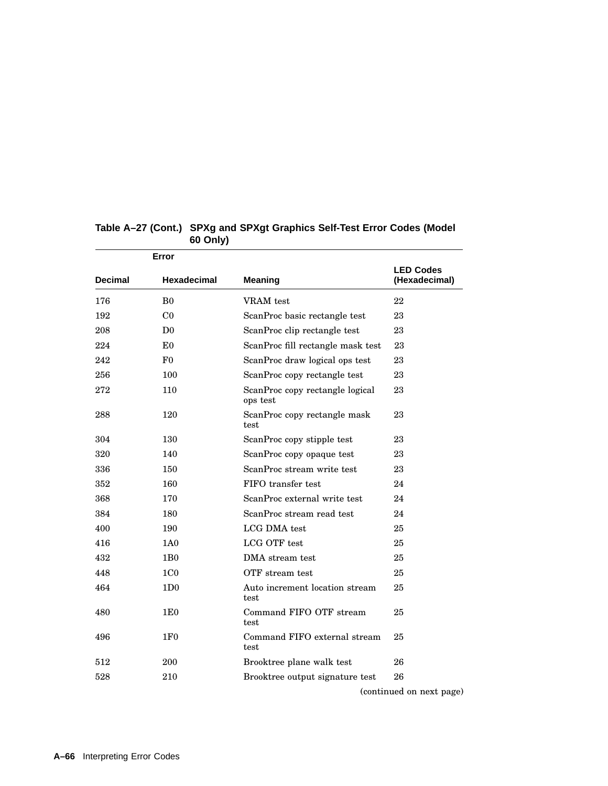|                | Error              |                                             |                                   |
|----------------|--------------------|---------------------------------------------|-----------------------------------|
| <b>Decimal</b> | <b>Hexadecimal</b> | <b>Meaning</b>                              | <b>LED Codes</b><br>(Hexadecimal) |
| 176            | B <sub>0</sub>     | VRAM test                                   | 22                                |
| 192            | C <sub>0</sub>     | ScanProc basic rectangle test               | 23                                |
| 208            | D <sub>0</sub>     | ScanProc clip rectangle test                | 23                                |
| 224            | E <sub>0</sub>     | ScanProc fill rectangle mask test           | 23                                |
| 242            | F <sub>0</sub>     | ScanProc draw logical ops test              | 23                                |
| 256            | 100                | ScanProc copy rectangle test                | 23                                |
| 272            | 110                | ScanProc copy rectangle logical<br>ops test | 23                                |
| 288            | 120                | ScanProc copy rectangle mask<br>test        | 23                                |
| 304            | 130                | ScanProc copy stipple test                  | 23                                |
| 320            | 140                | ScanProc copy opaque test                   | 23                                |
| 336            | 150                | ScanProc stream write test                  | 23                                |
| 352            | 160                | FIFO transfer test                          | 24                                |
| 368            | 170                | ScanProc external write test                | 24                                |
| 384            | 180                | ScanProc stream read test                   | 24                                |
| 400            | 190                | LCG DMA test                                | 25                                |
| 416            | 1A0                | LCG OTF test                                | 25                                |
| 432            | 1B <sub>0</sub>    | DMA stream test                             | 25                                |
| 448            | 1 <sub>CO</sub>    | OTF stream test                             | 25                                |
| 464            | 1D <sub>0</sub>    | Auto increment location stream<br>test      | 25                                |
| 480            | 1E <sub>0</sub>    | Command FIFO OTF stream<br>test             | 25                                |
| 496            | 1F <sub>0</sub>    | Command FIFO external stream<br>test        | 25                                |
| 512            | 200                | Brooktree plane walk test                   | 26                                |
| 528            | 210                | Brooktree output signature test             | 26                                |
|                |                    |                                             |                                   |

# **Table A–27 (Cont.) SPXg and SPXgt Graphics Self-Test Error Codes (Model Only)**

(continued on next page)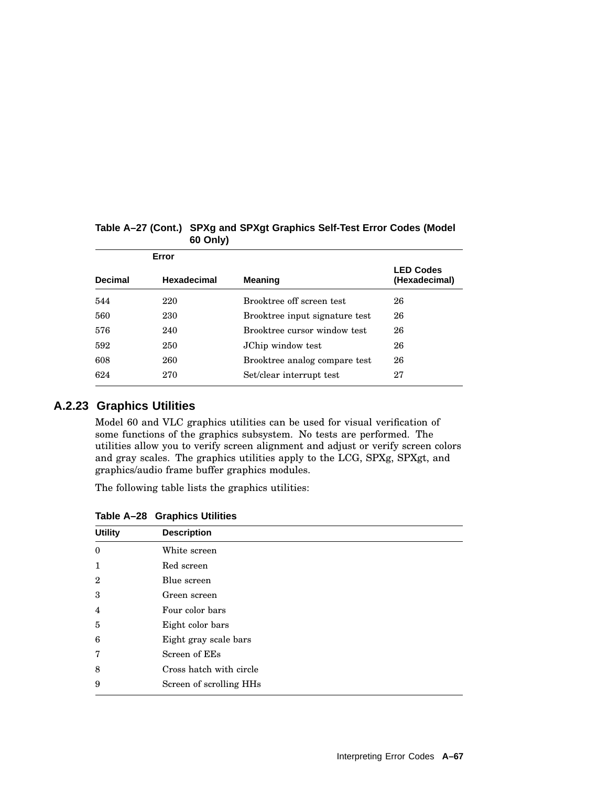| Error          |                    |                                |                                   |
|----------------|--------------------|--------------------------------|-----------------------------------|
| <b>Decimal</b> | <b>Hexadecimal</b> | <b>Meaning</b>                 | <b>LED Codes</b><br>(Hexadecimal) |
| 544            | 220                | Brooktree off screen test      | 26                                |
| 560            | 230                | Brooktree input signature test | 26                                |
| 576            | 240                | Brooktree cursor window test   | 26                                |
| 592            | 250                | JChip window test              | 26                                |
| 608            | 260                | Brooktree analog compare test  | 26                                |
| 624            | 270                | Set/clear interrupt test       | 27                                |

# **Table A–27 (Cont.) SPXg and SPXgt Graphics Self-Test Error Codes (Model 60 Only)**

# **A.2.23 Graphics Utilities**

Model 60 and VLC graphics utilities can be used for visual verification of some functions of the graphics subsystem. No tests are performed. The utilities allow you to verify screen alignment and adjust or verify screen colors and gray scales. The graphics utilities apply to the LCG, SPXg, SPXgt, and graphics/audio frame buffer graphics modules.

The following table lists the graphics utilities:

| <b>Utility</b> | <b>Description</b>      |  |
|----------------|-------------------------|--|
| $\mathbf{0}$   | White screen            |  |
| 1              | Red screen              |  |
| $\overline{2}$ | Blue screen             |  |
| 3              | Green screen            |  |
| $\overline{4}$ | Four color bars         |  |
| 5              | Eight color bars        |  |
| 6              | Eight gray scale bars   |  |
| 7              | Screen of EEs           |  |
| 8              | Cross hatch with circle |  |
| 9              | Screen of scrolling HHs |  |

**Table A–28 Graphics Utilities**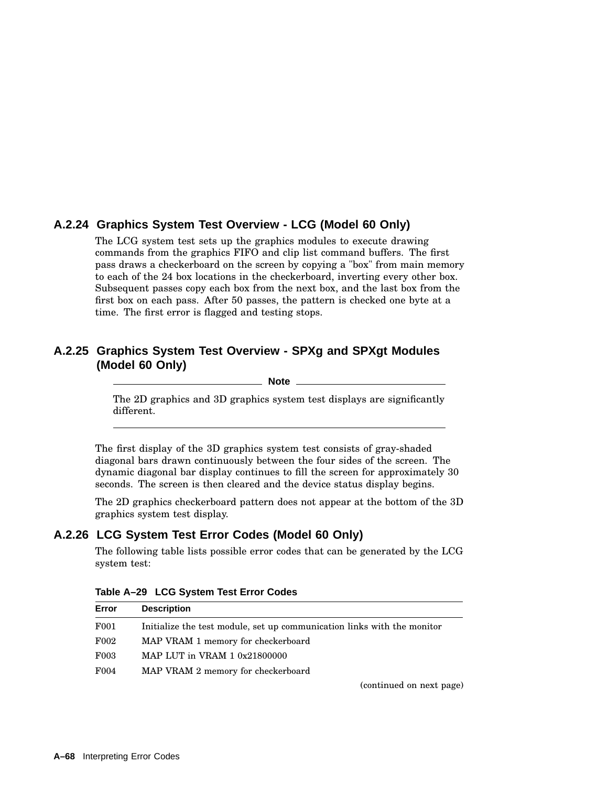# **A.2.24 Graphics System Test Overview - LCG (Model 60 Only)**

The LCG system test sets up the graphics modules to execute drawing commands from the graphics FIFO and clip list command buffers. The first pass draws a checkerboard on the screen by copying a "box" from main memory to each of the 24 box locations in the checkerboard, inverting every other box. Subsequent passes copy each box from the next box, and the last box from the first box on each pass. After 50 passes, the pattern is checked one byte at a time. The first error is flagged and testing stops.

# **A.2.25 Graphics System Test Overview - SPXg and SPXgt Modules (Model 60 Only)**

**Note**

The 2D graphics and 3D graphics system test displays are significantly different.

The first display of the 3D graphics system test consists of gray-shaded diagonal bars drawn continuously between the four sides of the screen. The dynamic diagonal bar display continues to fill the screen for approximately 30 seconds. The screen is then cleared and the device status display begins.

The 2D graphics checkerboard pattern does not appear at the bottom of the 3D graphics system test display.

# **A.2.26 LCG System Test Error Codes (Model 60 Only)**

The following table lists possible error codes that can be generated by the LCG system test:

| Error            | <b>Description</b>                                                      |
|------------------|-------------------------------------------------------------------------|
| F001             | Initialize the test module, set up communication links with the monitor |
| F002             | MAP VRAM 1 memory for checkerboard                                      |
| F <sub>003</sub> | MAP LUT in VRAM 1 0x21800000                                            |
| F004             | MAP VRAM 2 memory for checkerboard                                      |
|                  | (continued on next page)                                                |

**Table A–29 LCG System Test Error Codes**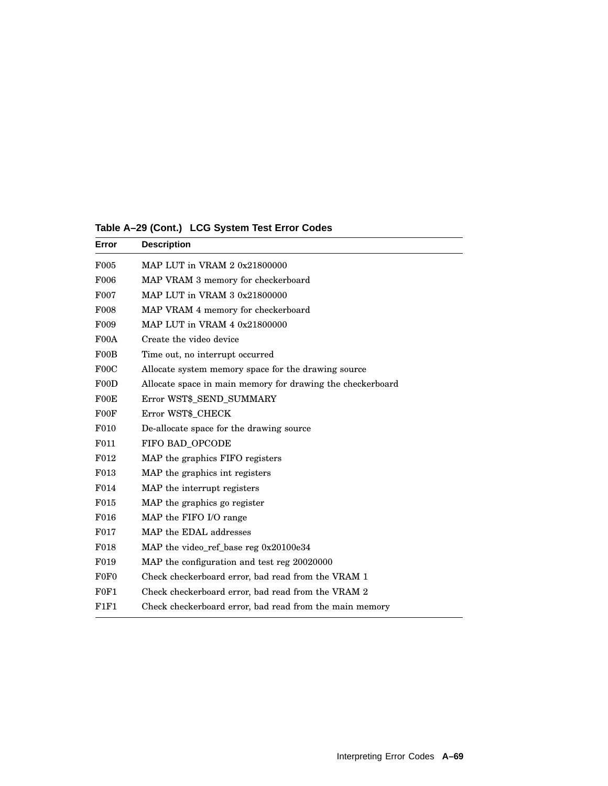| Error            | <b>Description</b>                                         |
|------------------|------------------------------------------------------------|
| F005             | MAP LUT in VRAM 2 0x21800000                               |
| <b>F006</b>      | MAP VRAM 3 memory for checkerboard                         |
| F007             | MAP LUT in VRAM 3 0x21800000                               |
| <b>F008</b>      | MAP VRAM 4 memory for checkerboard                         |
| F <sub>009</sub> | MAP LUT in VRAM 4 0x21800000                               |
| F00A             | Create the video device                                    |
| F00B             | Time out, no interrupt occurred                            |
| F00C             | Allocate system memory space for the drawing source        |
| F00D             | Allocate space in main memory for drawing the checkerboard |
| F00E             | Error WST\$_SEND_SUMMARY                                   |
| F00F             | Error WST\$_CHECK                                          |
| F010             | De-allocate space for the drawing source                   |
| F011             | FIFO BAD_OPCODE                                            |
| F012             | MAP the graphics FIFO registers                            |
| F013             | MAP the graphics int registers                             |
| F014             | MAP the interrupt registers                                |
| F015             | MAP the graphics go register                               |
| F016             | MAP the FIFO I/O range                                     |
| F017             | MAP the EDAL addresses                                     |
| F <sub>018</sub> | MAP the video_ref_base reg 0x20100e34                      |
| F <sub>019</sub> | MAP the configuration and test reg 20020000                |
| F0F <sub>0</sub> | Check checkerboard error, bad read from the VRAM 1         |
| F0F1             | Check checkerboard error, bad read from the VRAM 2         |
| F1F1             | Check checkerboard error, bad read from the main memory    |

**Table A–29 (Cont.) LCG System Test Error Codes**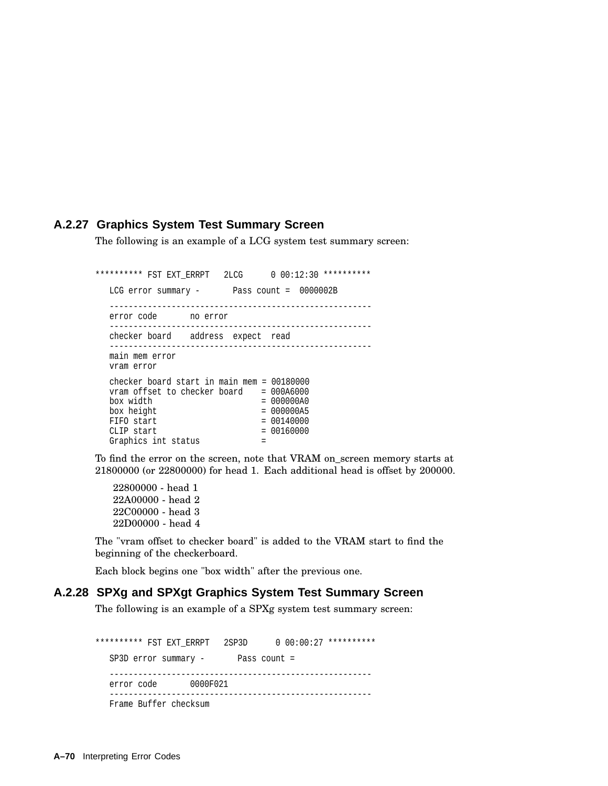#### **A.2.27 Graphics System Test Summary Screen**

The following is an example of a LCG system test summary screen:

\*\*\*\*\*\*\*\*\*\* FST EXT ERRPT 2LCG 0 00:12:30 \*\*\*\*\*\*\*\*\*\* LCG error summary - Pass count = 0000002B ------------------------------------------------------ error code no error ------------------------------------------------------ checker board address expect read ------------------------------------------------------ main mem error vram error checker board start in main mem = 00180000  $v$ ram offset to checker board = 000A6000<br>box width = 00000A0 box width  $box \quad height \qquad = \qquad 000000A5$  $FIFO start$  = 00140000<br>CLIP start =  $00160000$  $CLIP$  start Graphics int status =

To find the error on the screen, note that VRAM on\_screen memory starts at 21800000 (or 22800000) for head 1. Each additional head is offset by 200000.

22800000 - head 1 22A00000 - head 2 22C00000 - head 3 22D00000 - head 4

The "vram offset to checker board" is added to the VRAM start to find the beginning of the checkerboard.

Each block begins one "box width" after the previous one.

#### **A.2.28 SPXg and SPXgt Graphics System Test Summary Screen**

The following is an example of a SPXg system test summary screen:

\*\*\*\*\*\*\*\*\*\* FST EXT\_ERRPT 2SP3D 0 00:00:27 \*\*\*\*\*\*\*\*\*\* SP3D error summary - Pass count = ------------------------------------------------------ error code 0000F021 ------------------------------------------------------- Frame Buffer checksum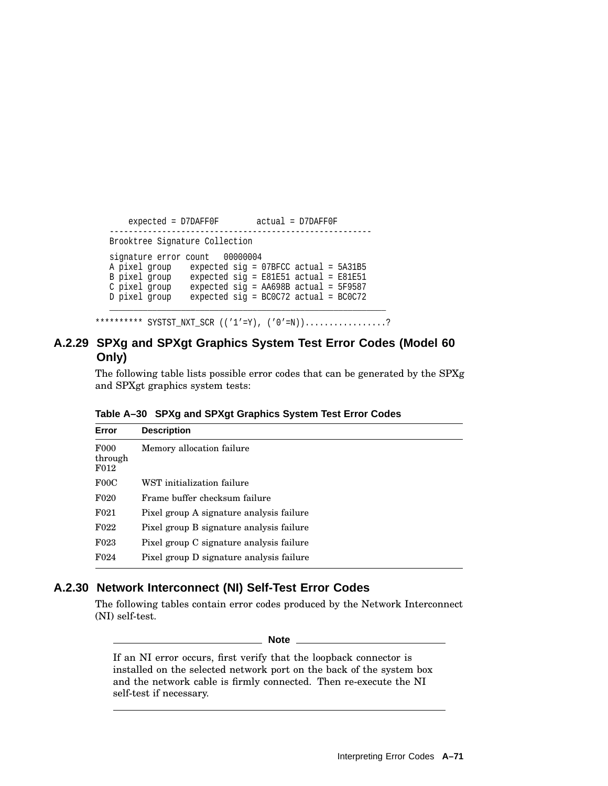```
expected = D7DAFF0F actual = D7DAFF0F
     -------------------------------------------------------
Brooktree Signature Collection
signature error count 00000004
A pixel group expected sig = 07BFCC actual = 5A31B5
B pixel group expected sig = E81E51 actual = E81E51
C pixel group expected sig = AA698B actual = 5F9587
D pixel group expected sig = BC0C72 actual = BC0C72
__________________________________________________________
```
\*\*\*\*\*\*\*\*\*\* SYSTST\_NXT\_SCR (('1'=Y), ('0'=N)).................?

## **A.2.29 SPXg and SPXgt Graphics System Test Error Codes (Model 60 Only)**

The following table lists possible error codes that can be generated by the SPXg and SPXgt graphics system tests:

| Error                                           | <b>Description</b>                       |
|-------------------------------------------------|------------------------------------------|
| F <sub>000</sub><br>through<br>F <sub>012</sub> | Memory allocation failure                |
| F00C                                            | WST initialization failure               |
| F <sub>020</sub>                                | Frame buffer checksum failure            |
| F <sub>021</sub>                                | Pixel group A signature analysis failure |
| F <sub>022</sub>                                | Pixel group B signature analysis failure |
| F <sub>023</sub>                                | Pixel group C signature analysis failure |
| F <sub>024</sub>                                | Pixel group D signature analysis failure |

**Table A–30 SPXg and SPXgt Graphics System Test Error Codes**

## **A.2.30 Network Interconnect (NI) Self-Test Error Codes**

The following tables contain error codes produced by the Network Interconnect (NI) self-test.

**Note**

If an NI error occurs, first verify that the loopback connector is installed on the selected network port on the back of the system box and the network cable is firmly connected. Then re-execute the NI self-test if necessary.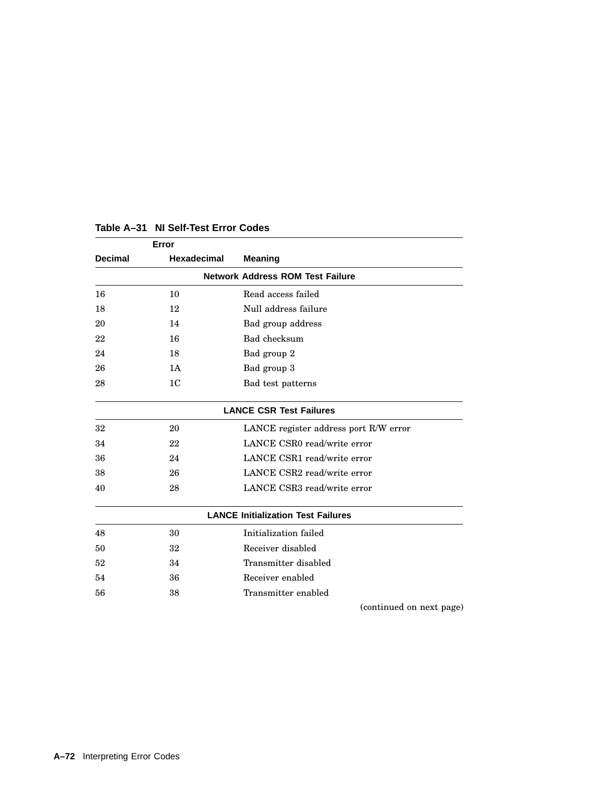|                | Error                                   |                                           |  |  |
|----------------|-----------------------------------------|-------------------------------------------|--|--|
| <b>Decimal</b> | <b>Hexadecimal</b>                      | <b>Meaning</b>                            |  |  |
|                | <b>Network Address ROM Test Failure</b> |                                           |  |  |
| 16             | 10                                      | Read access failed                        |  |  |
| 18             | 12                                      | Null address failure                      |  |  |
| 20             | 14                                      | Bad group address                         |  |  |
| 22             | 16                                      | Bad checksum                              |  |  |
| 24             | 18                                      | Bad group 2                               |  |  |
| 26             | 1A                                      | Bad group 3                               |  |  |
| 28             | 1 <sup>C</sup>                          | Bad test patterns                         |  |  |
|                |                                         | <b>LANCE CSR Test Failures</b>            |  |  |
| 32             | 20                                      | LANCE register address port R/W error     |  |  |
| 34             | 22                                      | LANCE CSR0 read/write error               |  |  |
| 36             | 24                                      | LANCE CSR1 read/write error               |  |  |
| 38             | 26                                      | LANCE CSR2 read/write error               |  |  |
| 40             | 28                                      | LANCE CSR3 read/write error               |  |  |
|                |                                         | <b>LANCE Initialization Test Failures</b> |  |  |
| 48             | 30                                      | Initialization failed                     |  |  |
| 50             | 32                                      | Receiver disabled                         |  |  |
| 52             | 34                                      | Transmitter disabled                      |  |  |
| 54             | 36                                      | Receiver enabled                          |  |  |
| 56             | 38                                      | Transmitter enabled                       |  |  |
|                |                                         | (continued on next page)                  |  |  |

## **Table A–31 NI Self-Test Error Codes**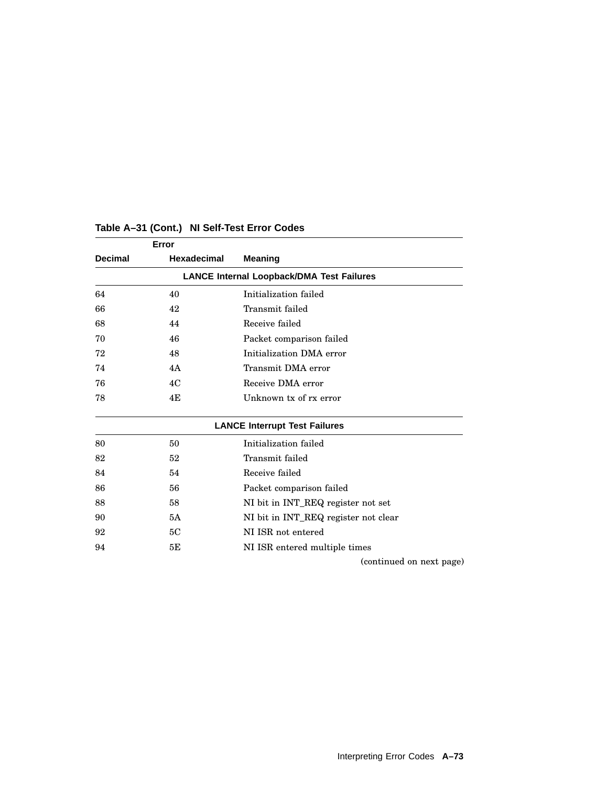| Error          |             |                                                  |
|----------------|-------------|--------------------------------------------------|
| <b>Decimal</b> | Hexadecimal | <b>Meaning</b>                                   |
|                |             | <b>LANCE Internal Loopback/DMA Test Failures</b> |
| 64             | 40          | Initialization failed                            |
| 66             | 42          | Transmit failed                                  |
| 68             | 44          | Receive failed                                   |
| 70             | 46          | Packet comparison failed                         |
| 72             | 48          | Initialization DMA error                         |
| 74             | 4A          | Transmit DMA error                               |
| 76             | 4C          | Receive DMA error                                |
| 78             | 4E          | Unknown tx of rx error                           |
|                |             | <b>LANCE Interrupt Test Failures</b>             |
| 80             | 50          | Initialization failed                            |
| 82             | 52          | Transmit failed                                  |
| 84             | 54          | Receive failed                                   |
| 86             | 56          | Packet comparison failed                         |
| 88             | 58          | NI bit in INT_REQ register not set               |
| 90             | 5A          | NI bit in INT_REQ register not clear             |
| 92             | 5C          | NI ISR not entered                               |
| 94             | 5Е          | NI ISR entered multiple times                    |
|                |             | (continued on next page)                         |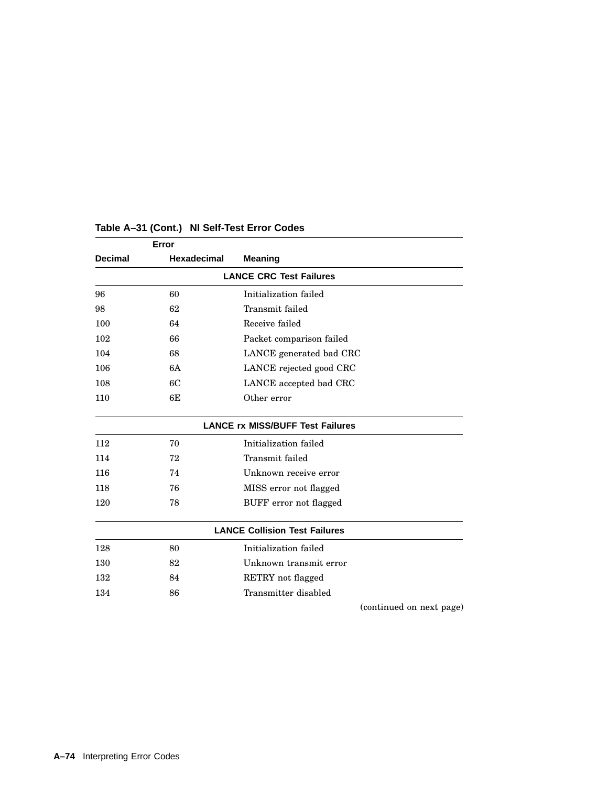| Error          |             |                                         |                          |
|----------------|-------------|-----------------------------------------|--------------------------|
| <b>Decimal</b> | Hexadecimal | <b>Meaning</b>                          |                          |
|                |             | <b>LANCE CRC Test Failures</b>          |                          |
| 96             | 60          | Initialization failed                   |                          |
| 98             | 62          | Transmit failed                         |                          |
| 100            | 64          | Receive failed                          |                          |
| 102            | 66          | Packet comparison failed                |                          |
| 104            | 68          | LANCE generated bad CRC                 |                          |
| 106            | 6A          | LANCE rejected good CRC                 |                          |
| 108            | 6C          | LANCE accepted bad CRC                  |                          |
| 110            | 6E          | Other error                             |                          |
|                |             | <b>LANCE rx MISS/BUFF Test Failures</b> |                          |
| 112            | 70          | Initialization failed                   |                          |
| 114            | 72          | Transmit failed                         |                          |
| 116            | 74          | Unknown receive error                   |                          |
| 118            | 76          | MISS error not flagged                  |                          |
| 120            | 78          | BUFF error not flagged                  |                          |
|                |             | <b>LANCE Collision Test Failures</b>    |                          |
| 128            | 80          | Initialization failed                   |                          |
| 130            | 82          | Unknown transmit error                  |                          |
| 132            | 84          | RETRY not flagged                       |                          |
| 134            | 86          | Transmitter disabled                    |                          |
|                |             |                                         | (continued on next page) |

**A–74** Interpreting Error Codes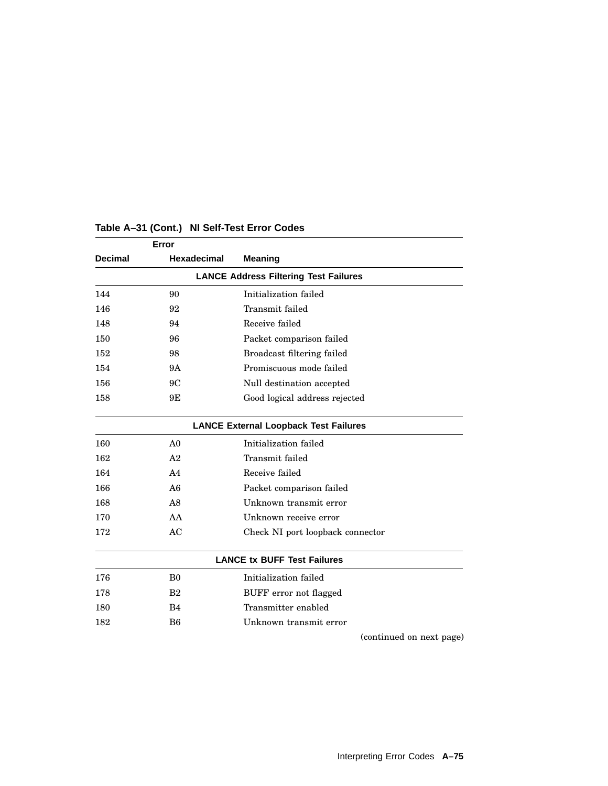|                | Error                                        |                                  |  |  |
|----------------|----------------------------------------------|----------------------------------|--|--|
| <b>Decimal</b> | <b>Hexadecimal</b>                           | <b>Meaning</b>                   |  |  |
|                | <b>LANCE Address Filtering Test Failures</b> |                                  |  |  |
| 144            | 90                                           | Initialization failed            |  |  |
| 146            | 92                                           | Transmit failed                  |  |  |
| 148            | 94                                           | Receive failed                   |  |  |
| 150            | 96                                           | Packet comparison failed         |  |  |
| 152            | 98                                           | Broadcast filtering failed       |  |  |
| 154            | 9Α                                           | Promiscuous mode failed          |  |  |
| 156            | 9C                                           | Null destination accepted        |  |  |
| 158            | 9Ε                                           | Good logical address rejected    |  |  |
|                | <b>LANCE External Loopback Test Failures</b> |                                  |  |  |
| 160            | A <sub>0</sub>                               | Initialization failed            |  |  |
| 162            | A <sub>2</sub>                               | Transmit failed                  |  |  |
| 164            | A <sub>4</sub>                               | Receive failed                   |  |  |
| 166            | A6                                           | Packet comparison failed         |  |  |
| 168            | A8                                           | Unknown transmit error           |  |  |
| 170            | AA                                           | Unknown receive error            |  |  |
| 172            | AC                                           | Check NI port loopback connector |  |  |
|                | <b>LANCE tx BUFF Test Failures</b>           |                                  |  |  |
| 176            | B <sub>0</sub>                               | Initialization failed            |  |  |
| 178            | B <sub>2</sub>                               | BUFF error not flagged           |  |  |
| 180            | B <sub>4</sub>                               | Transmitter enabled              |  |  |
| 182            | B <sub>6</sub>                               | Unknown transmit error           |  |  |
|                |                                              | (continued on next page)         |  |  |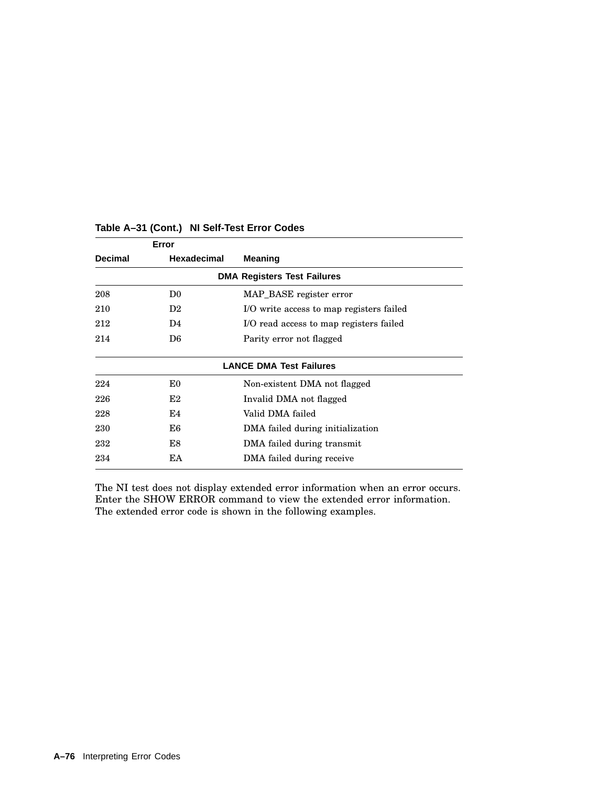| Error          |                |                                          |
|----------------|----------------|------------------------------------------|
| <b>Decimal</b> | Hexadecimal    | Meaning                                  |
|                |                | <b>DMA Registers Test Failures</b>       |
| 208            | D <sub>0</sub> | MAP BASE register error                  |
| 210            | D <sub>2</sub> | I/O write access to map registers failed |
| 212            | D4             | I/O read access to map registers failed  |
| 214            | D6             | Parity error not flagged                 |
|                |                | <b>LANCE DMA Test Failures</b>           |
| 224            | E0             | Non-existent DMA not flagged             |
| 226            | E2             | Invalid DMA not flagged                  |
| 228            | E4             | Valid DMA failed                         |
| 230            | E6             | DMA failed during initialization         |
| 232            | E8             | DMA failed during transmit               |
| 234            | ΕA             | DMA failed during receive                |
|                |                |                                          |

The NI test does not display extended error information when an error occurs. Enter the SHOW ERROR command to view the extended error information. The extended error code is shown in the following examples.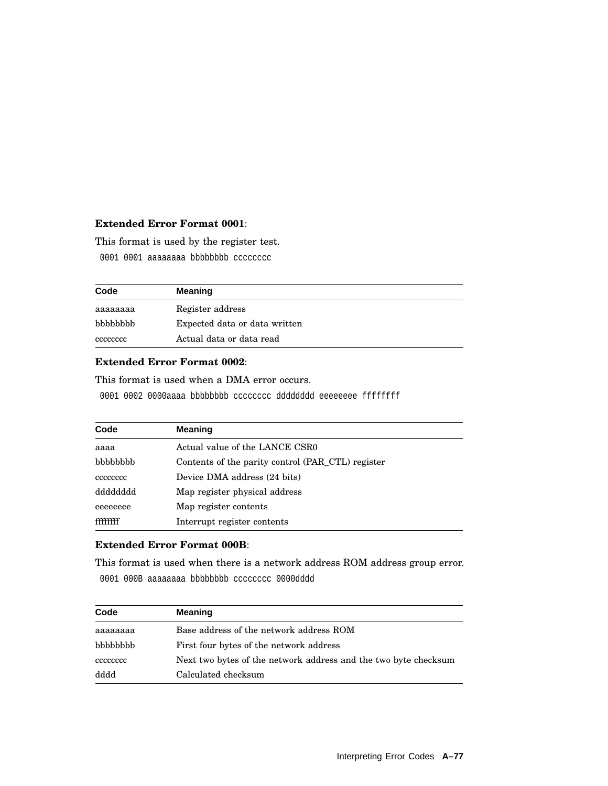#### **Extended Error Format 0001**:

This format is used by the register test.

0001 0001 aaaaaaaa bbbbbbbb cccccccc

| Code     | <b>Meaning</b>                |
|----------|-------------------------------|
| aaaaaaaa | Register address              |
| bbbbbbbb | Expected data or data written |
| cececcec | Actual data or data read      |

#### **Extended Error Format 0002**:

This format is used when a DMA error occurs.

0001 0002 0000aaaa bbbbbbbb cccccccc dddddddd eeeeeeee ffffffff

| Code     | <b>Meaning</b>                                    |
|----------|---------------------------------------------------|
| aaaa     | Actual value of the LANCE CSR0                    |
| bbbbbbbb | Contents of the parity control (PAR CTL) register |
| cececcec | Device DMA address (24 bits)                      |
| dddddddd | Map register physical address                     |
| eeeeeeee | Map register contents                             |
| ffffffff | Interrupt register contents                       |

#### **Extended Error Format 000B**:

This format is used when there is a network address ROM address group error. 0001 000B aaaaaaaa bbbbbbbb cccccccc 0000dddd

| Code     | <b>Meaning</b>                                                  |
|----------|-----------------------------------------------------------------|
| aaaaaaaa | Base address of the network address ROM                         |
| bbbbbbbb | First four bytes of the network address                         |
| cececcec | Next two bytes of the network address and the two byte checksum |
| dddd     | Calculated checksum                                             |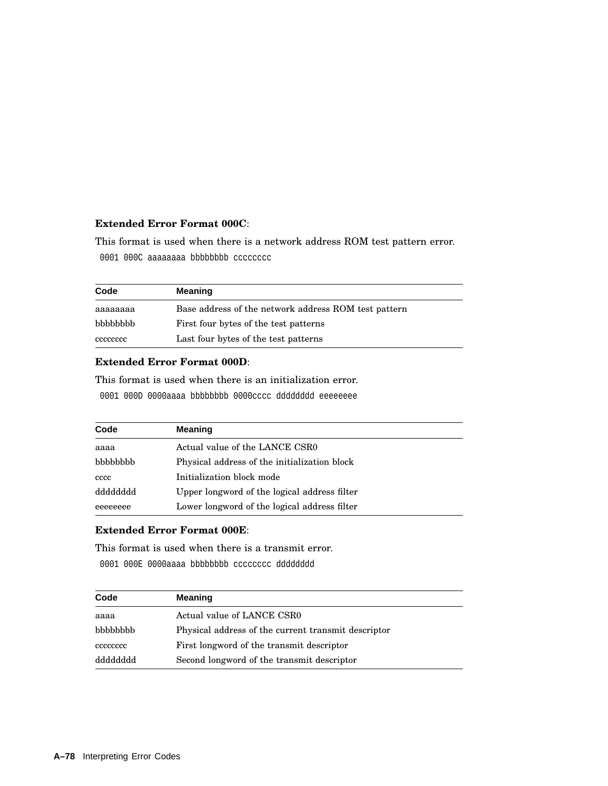#### **Extended Error Format 000C**:

This format is used when there is a network address ROM test pattern error. 0001 000C aaaaaaaa bbbbbbbbb cccccccc

| Code            | <b>Meaning</b>                                       |
|-----------------|------------------------------------------------------|
| аааааааа        | Base address of the network address ROM test pattern |
| <b>bbbbbbbb</b> | First four bytes of the test patterns                |
| cececcec        | Last four bytes of the test patterns                 |

#### **Extended Error Format 000D**:

This format is used when there is an initialization error.

0001 000D 0000aaaa bbbbbbbb 0000cccc dddddddd eeeeeeee

| Code     | <b>Meaning</b>                               |
|----------|----------------------------------------------|
| aaaa     | Actual value of the LANCE CSR0               |
| bbbbbbb  | Physical address of the initialization block |
| cccc     | Initialization block mode                    |
| dddddddd | Upper longword of the logical address filter |
| eeeeeeee | Lower longword of the logical address filter |

#### **Extended Error Format 000E**:

This format is used when there is a transmit error. 0001 000E 0000aaaa bbbbbbbb cccccccc dddddddd

| Code     | <b>Meaning</b>                                      |
|----------|-----------------------------------------------------|
| aaaa     | Actual value of LANCE CSR0                          |
| bbbbbbbb | Physical address of the current transmit descriptor |
| cececcec | First longword of the transmit descriptor           |
| dddddddd | Second longword of the transmit descriptor          |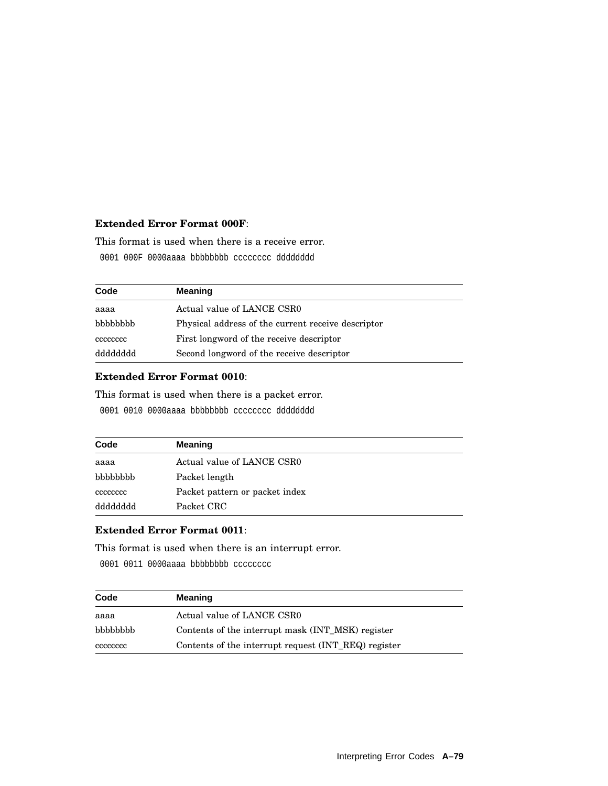#### **Extended Error Format 000F**:

This format is used when there is a receive error.

0001 000F 0000aaaa bbbbbbbb cccccccc dddddddd

| Code     | <b>Meaning</b>                                     |
|----------|----------------------------------------------------|
| aaaa     | Actual value of LANCE CSR0                         |
| bbbbbbbb | Physical address of the current receive descriptor |
| cececcec | First longword of the receive descriptor           |
| dddddddd | Second longword of the receive descriptor          |

## **Extended Error Format 0010**:

This format is used when there is a packet error.

0001 0010 0000aaaa bbbbbbbb cccccccc dddddddd

| Code     | <b>Meaning</b>                 |
|----------|--------------------------------|
| aaaa     | Actual value of LANCE CSR0     |
| bbbbbbb  | Packet length                  |
| cececcec | Packet pattern or packet index |
| dddddddd | Packet CRC                     |

#### **Extended Error Format 0011**:

This format is used when there is an interrupt error.

0001 0011 0000aaaa bbbbbbbbb cccccccc

| Code     | <b>Meaning</b>                                       |
|----------|------------------------------------------------------|
| aaaa     | Actual value of LANCE CSR0                           |
| bbbbbbbb | Contents of the interrupt mask (INT MSK) register    |
| cececcec | Contents of the interrupt request (INT_REQ) register |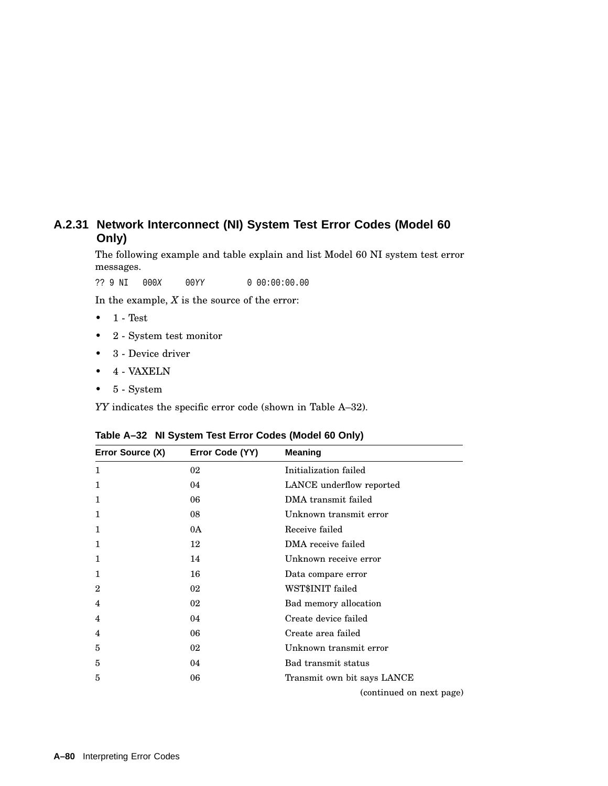## **A.2.31 Network Interconnect (NI) System Test Error Codes (Model 60 Only)**

The following example and table explain and list Model 60 NI system test error messages.

?? 9 NI 000X 00YY 0 00:00:00.00

In the example,  $X$  is the source of the error:

- $\bullet$  1 Test
- 2 System test monitor
- 3 Device driver
- 4 VAXELN
- 5 System

*YY* indicates the specific error code (shown in Table A–32).

| Table A-32 NI System Test Error Codes (Model 60 Only) |  |  |  |  |  |  |  |
|-------------------------------------------------------|--|--|--|--|--|--|--|
|-------------------------------------------------------|--|--|--|--|--|--|--|

| Error Source (X) | Error Code (YY) | <b>Meaning</b>              |
|------------------|-----------------|-----------------------------|
| $\mathbf{1}$     | 02              | Initialization failed       |
| 1                | 04              | LANCE underflow reported    |
| $\mathbf{1}$     | 06              | DMA transmit failed         |
| $\mathbf{1}$     | 08              | Unknown transmit error      |
| 1                | 0A              | Receive failed              |
| 1                | 12              | DMA receive failed          |
| $\mathbf{1}$     | 14              | Unknown receive error       |
| $\mathbf{1}$     | 16              | Data compare error          |
| $\mathbf{2}$     | 02              | WST\$INIT failed            |
| 4                | 02              | Bad memory allocation       |
| 4                | 04              | Create device failed        |
| 4                | 06              | Create area failed          |
| 5                | 02              | Unknown transmit error      |
| 5                | 04              | Bad transmit status         |
| 5                | 06              | Transmit own bit says LANCE |
|                  |                 | (continued on next page)    |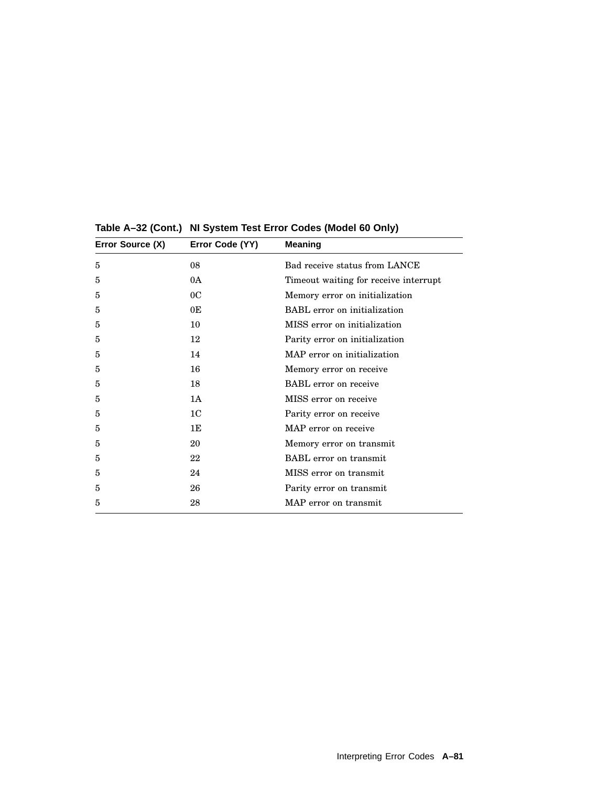| Error Source (X) | Error Code (YY) | <b>Meaning</b>                        |
|------------------|-----------------|---------------------------------------|
| 5                | 08              | Bad receive status from LANCE         |
| 5                | 0A              | Timeout waiting for receive interrupt |
| 5                | 0 <sup>C</sup>  | Memory error on initialization        |
| 5                | 0E              | <b>BABL</b> error on initialization   |
| 5                | 10              | MISS error on initialization          |
| 5                | 12              | Parity error on initialization        |
| 5                | 14              | MAP error on initialization           |
| 5                | 16              | Memory error on receive               |
| 5                | 18              | <b>BABL</b> error on receive          |
| 5                | 1 A             | MISS error on receive                 |
| 5                | 1 <sup>C</sup>  | Parity error on receive               |
| 5                | 1E              | MAP error on receive                  |
| 5                | 20              | Memory error on transmit              |
| 5                | 22              | <b>BABL</b> error on transmit         |
| 5                | 24              | MISS error on transmit                |
| 5                | 26              | Parity error on transmit              |
| 5                | 28              | MAP error on transmit                 |
|                  |                 |                                       |

**Table A–32 (Cont.) NI System Test Error Codes (Model 60 Only)**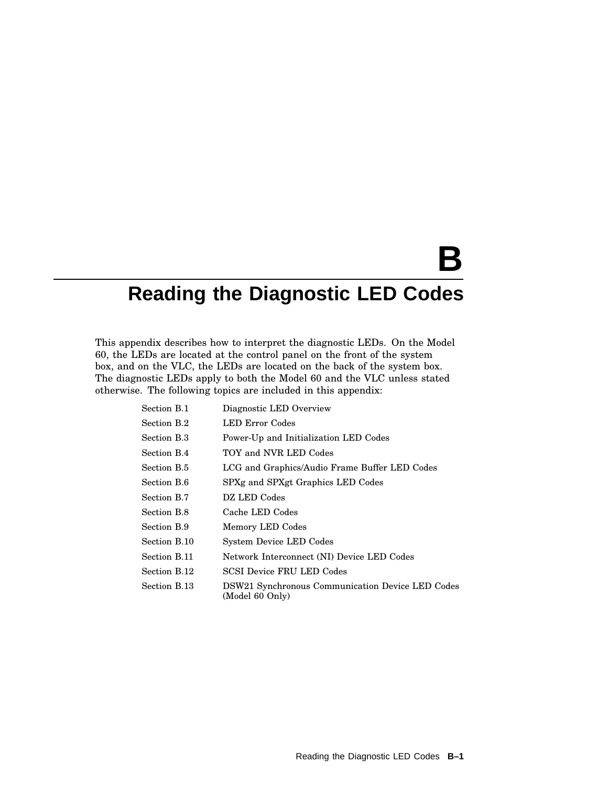# **B**

## **Reading the Diagnostic LED Codes**

This appendix describes how to interpret the diagnostic LEDs. On the Model 60, the LEDs are located at the control panel on the front of the system box, and on the VLC, the LEDs are located on the back of the system box. The diagnostic LEDs apply to both the Model 60 and the VLC unless stated otherwise. The following topics are included in this appendix:

| Section B.1  | Diagnostic LED Overview                                             |
|--------------|---------------------------------------------------------------------|
| Section B.2  | LED Error Codes                                                     |
| Section B.3  | Power-Up and Initialization LED Codes                               |
| Section B.4  | TOY and NVR LED Codes                                               |
| Section B.5  | LCG and Graphics/Audio Frame Buffer LED Codes                       |
| Section B.6  | SPXg and SPXgt Graphics LED Codes                                   |
| Section B.7  | DZ LED Codes                                                        |
| Section B.8  | Cache LED Codes                                                     |
| Section B.9  | Memory LED Codes                                                    |
| Section B.10 | <b>System Device LED Codes</b>                                      |
| Section B.11 | Network Interconnect (NI) Device LED Codes                          |
| Section B.12 | <b>SCSI Device FRU LED Codes</b>                                    |
| Section B.13 | DSW21 Synchronous Communication Device LED Codes<br>(Model 60 Only) |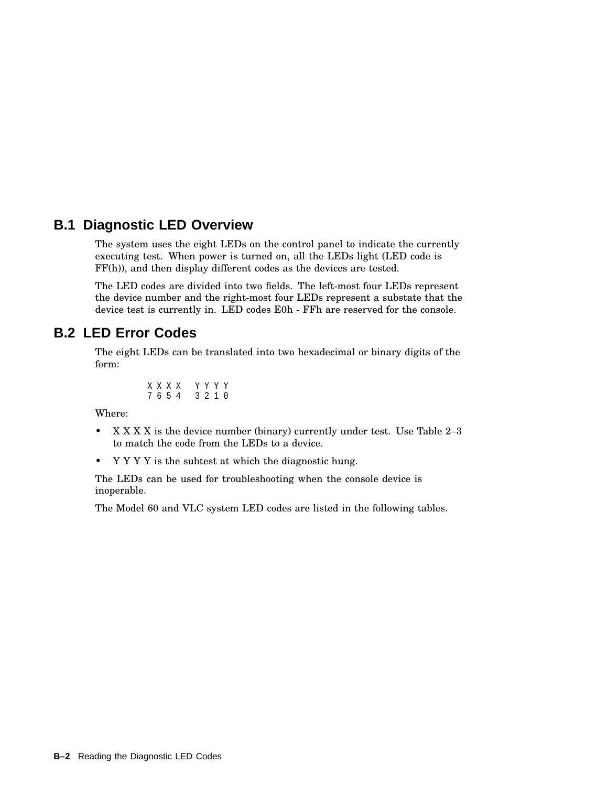## **B.1 Diagnostic LED Overview**

The system uses the eight LEDs on the control panel to indicate the currently executing test. When power is turned on, all the LEDs light (LED code is FF(h)), and then display different codes as the devices are tested.

The LED codes are divided into two fields. The left-most four LEDs represent the device number and the right-most four LEDs represent a substate that the device test is currently in. LED codes E0h - FFh are reserved for the console.

## **B.2 LED Error Codes**

The eight LEDs can be translated into two hexadecimal or binary digits of the form:

$$
\begin{array}{ccccc} X & X & X & X & Y & Y & Y & Y \\ 7 & 6 & 5 & 4 & & 3 & 2 & 1 & 0 \end{array}
$$

Where:

- X X X X is the device number (binary) currently under test. Use Table 2-3 to match the code from the LEDs to a device.
- Y Y Y Y is the subtest at which the diagnostic hung.

The LEDs can be used for troubleshooting when the console device is inoperable.

The Model 60 and VLC system LED codes are listed in the following tables.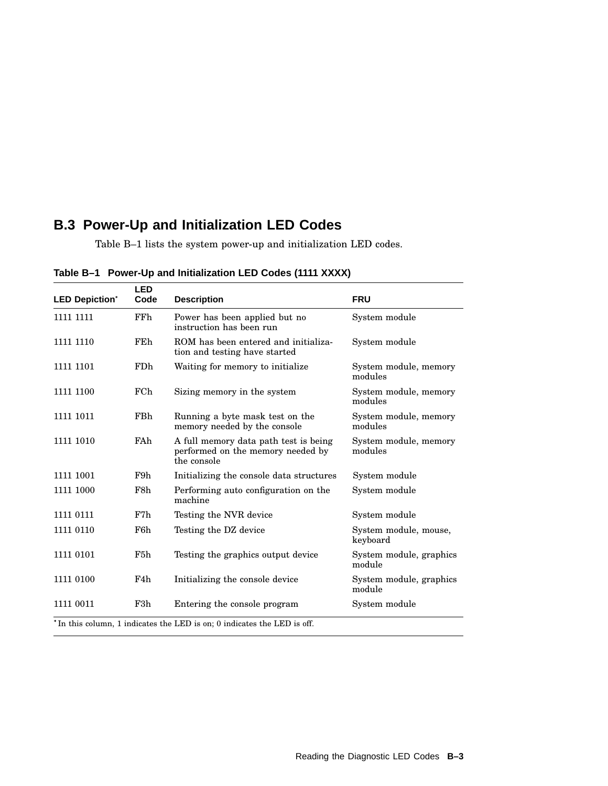## **B.3 Power-Up and Initialization LED Codes**

Table B–1 lists the system power-up and initialization LED codes.

| <b>LED Depiction*</b> | <b>LED</b><br>Code | <b>Description</b>                                                                        | <b>FRU</b>                        |
|-----------------------|--------------------|-------------------------------------------------------------------------------------------|-----------------------------------|
| 1111 1111             | <b>FFh</b>         | Power has been applied but no<br>instruction has been run                                 | System module                     |
| 1111 1110             | FEh                | ROM has been entered and initializa-<br>tion and testing have started                     | System module                     |
| 1111 1101             | FDh                | Waiting for memory to initialize.                                                         | System module, memory<br>modules  |
| 1111 1100             | FCh                | Sizing memory in the system                                                               | System module, memory<br>modules  |
| 1111 1011             | FBh                | Running a byte mask test on the<br>memory needed by the console                           | System module, memory<br>modules  |
| 1111 1010             | FAh                | A full memory data path test is being<br>performed on the memory needed by<br>the console | System module, memory<br>modules  |
| 1111 1001             | F9h                | Initializing the console data structures                                                  | System module                     |
| 1111 1000             | F8h                | Performing auto configuration on the<br>machine                                           | System module                     |
| 1111 0111             | F7h                | Testing the NVR device                                                                    | System module                     |
| 1111 0110             | F6h.               | Testing the DZ device                                                                     | System module, mouse,<br>keyboard |
| 1111 0101             | F5h                | Testing the graphics output device                                                        | System module, graphics<br>module |
| 1111 0100             | F4h                | Initializing the console device                                                           | System module, graphics<br>module |
| 1111 0011             | F3h                | Entering the console program                                                              | System module                     |
|                       |                    | <sup>*</sup> In this column, 1 indicates the LED is on; 0 indicates the LED is off.       |                                   |

**Table B–1 Power-Up and Initialization LED Codes (1111 XXXX)**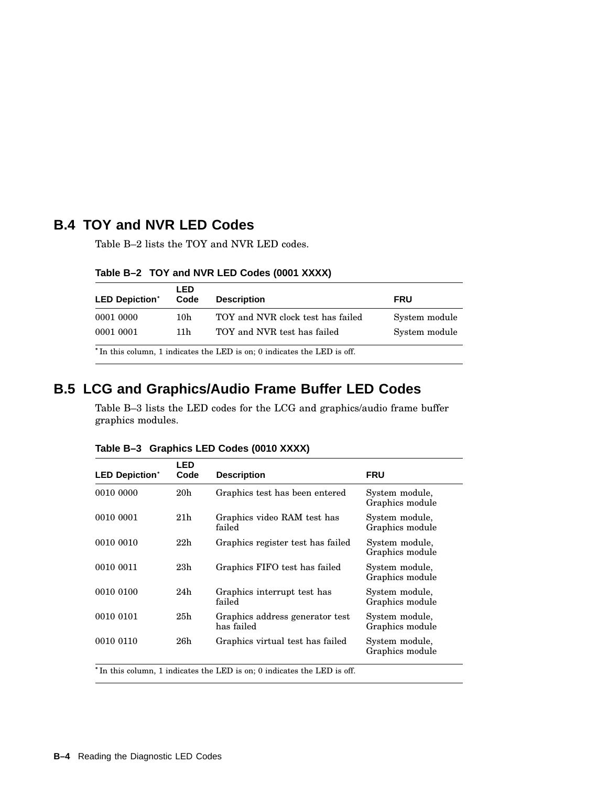## **B.4 TOY and NVR LED Codes**

Table B–2 lists the TOY and NVR LED codes.

| <b>LED Depiction*</b>                                                               | LED<br>Code | <b>Description</b>                | <b>FRU</b>    |  |  |
|-------------------------------------------------------------------------------------|-------------|-----------------------------------|---------------|--|--|
| 0001 0000                                                                           | 10h         | TOY and NVR clock test has failed | System module |  |  |
| 0001 0001                                                                           | 11 h        | TOY and NVR test has failed       | System module |  |  |
| <sup>*</sup> In this column, 1 indicates the LED is on; 0 indicates the LED is off. |             |                                   |               |  |  |

**Table B–2 TOY and NVR LED Codes (0001 XXXX)**

## **B.5 LCG and Graphics/Audio Frame Buffer LED Codes**

Table B–3 lists the LED codes for the LCG and graphics/audio frame buffer graphics modules.

| <b>LED</b><br>Code | <b>Description</b>                            | <b>FRU</b>                        |
|--------------------|-----------------------------------------------|-----------------------------------|
| 20 <sub>h</sub>    | Graphics test has been entered                | System module,<br>Graphics module |
| 21 <sub>h</sub>    | Graphics video RAM test has<br>failed         | System module,<br>Graphics module |
| 22h                | Graphics register test has failed             | System module,<br>Graphics module |
| 23h                | Graphics FIFO test has failed                 | System module,<br>Graphics module |
| 24h                | Graphics interrupt test has<br>failed         | System module,<br>Graphics module |
| 25h                | Graphics address generator test<br>has failed | System module,<br>Graphics module |
| 26h                | Graphics virtual test has failed              | System module,<br>Graphics module |
|                    |                                               |                                   |

**Table B–3 Graphics LED Codes (0010 XXXX)**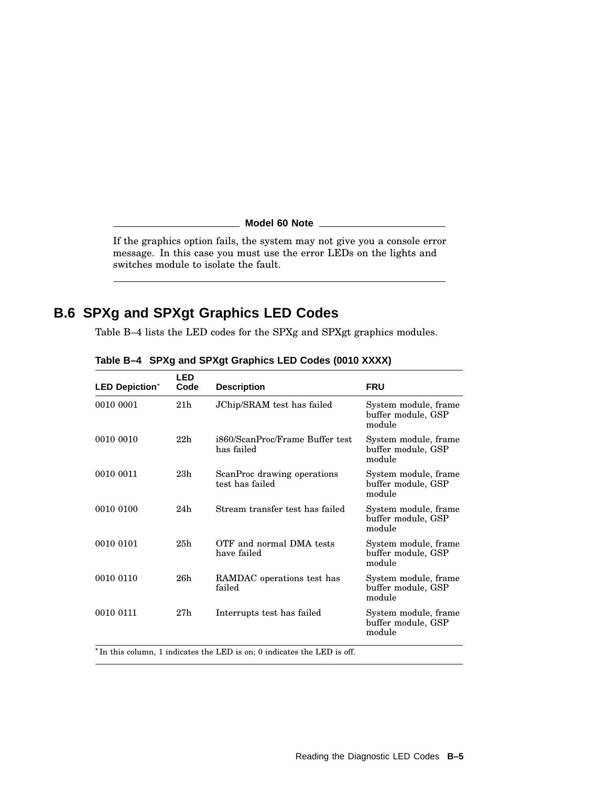**Model 60 Note**

If the graphics option fails, the system may not give you a console error message. In this case you must use the error LEDs on the lights and switches module to isolate the fault.

## **B.6 SPXg and SPXgt Graphics LED Codes**

Table B–4 lists the LED codes for the SPXg and SPXgt graphics modules.

| <b>LED Depiction*</b> | LED<br>Code     | <b>Description</b>                             | <b>FRU</b>                                           |
|-----------------------|-----------------|------------------------------------------------|------------------------------------------------------|
| 0010 0001             | 21 <sub>h</sub> | JChip/SRAM test has failed                     | System module, frame<br>buffer module, GSP<br>module |
| 0010 0010             | 22h             | i860/ScanProc/Frame Buffer test<br>has failed  | System module, frame<br>buffer module, GSP<br>module |
| 0010 0011             | 23h             | ScanProc drawing operations<br>test has failed | System module, frame<br>buffer module, GSP<br>module |
| 0010 0100             | 24h             | Stream transfer test has failed                | System module, frame<br>buffer module, GSP<br>module |
| 0010 0101             | 25h             | OTF and normal DMA tests<br>have failed        | System module, frame<br>buffer module, GSP<br>module |
| 0010 0110             | 26h             | RAMDAC operations test has<br>failed           | System module, frame<br>buffer module, GSP<br>module |
| 0010 0111             | 27h             | Interrupts test has failed                     | System module, frame<br>buffer module, GSP<br>module |

**Table B–4 SPXg and SPXgt Graphics LED Codes (0010 XXXX)**

\*In this column, 1 indicates the LED is on; 0 indicates the LED is off.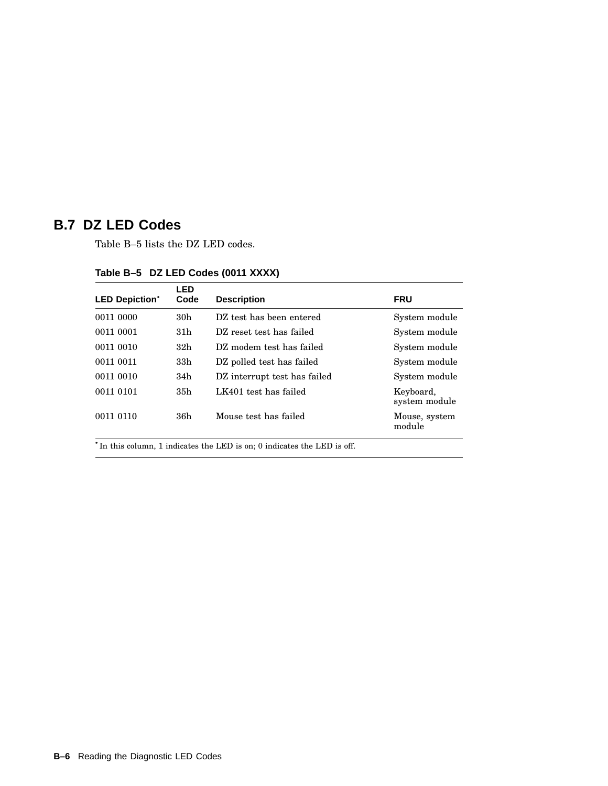## **B.7 DZ LED Codes**

Table B–5 lists the DZ LED codes.

| <b>LED Depiction*</b>                                                               | LED<br>Code     | <b>Description</b>           | <b>FRU</b>                 |
|-------------------------------------------------------------------------------------|-----------------|------------------------------|----------------------------|
| 0011 0000                                                                           | 30 <sub>h</sub> | DZ test has been entered     | System module              |
| 0011 0001                                                                           | 31 <sub>h</sub> | DZ reset test has failed     | System module              |
| 0011 0010                                                                           | 32h             | DZ modem test has failed     | System module              |
| 0011 0011                                                                           | 33 <sub>h</sub> | DZ polled test has failed    | System module              |
| 0011 0010                                                                           | 34h             | DZ interrupt test has failed | System module              |
| 0011 0101                                                                           | 35h             | LK401 test has failed        | Keyboard,<br>system module |
| 0011 0110                                                                           | 36h             | Mouse test has failed        | Mouse, system<br>module    |
| <sup>*</sup> In this column, 1 indicates the LED is on; 0 indicates the LED is off. |                 |                              |                            |

#### **Table B–5 DZ LED Codes (0011 XXXX)**

**B–6** Reading the Diagnostic LED Codes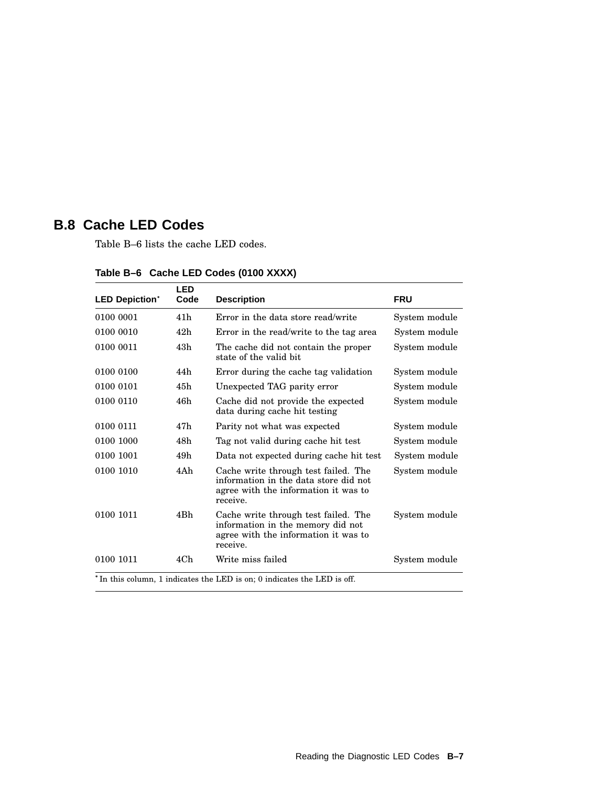## **B.8 Cache LED Codes**

Table B–6 lists the cache LED codes.

| <b>LED Depiction*</b> | <b>LED</b><br>Code | <b>Description</b>                                                                                                                | <b>FRU</b>    |
|-----------------------|--------------------|-----------------------------------------------------------------------------------------------------------------------------------|---------------|
| 0100 0001             | 41h                | Error in the data store read/write                                                                                                | System module |
| 0100 0010             | 42h                | Error in the read/write to the tag area                                                                                           | System module |
| 0100 0011             | 43h                | The cache did not contain the proper<br>state of the valid bit                                                                    | System module |
| 0100 0100             | 44h                | Error during the cache tag validation                                                                                             | System module |
| 0100 0101             | 45h                | Unexpected TAG parity error                                                                                                       | System module |
| 0100 0110             | 46h                | Cache did not provide the expected<br>data during cache hit testing                                                               | System module |
| 0100 0111             | 47h                | Parity not what was expected                                                                                                      | System module |
| 0100 1000             | 48h                | Tag not valid during cache hit test                                                                                               | System module |
| 0100 1001             | 49h                | Data not expected during cache hit test                                                                                           | System module |
| 0100 1010             | 4Ah                | Cache write through test failed. The<br>information in the data store did not<br>agree with the information it was to<br>receive. | System module |
| 0100 1011             | 4Bh                | Cache write through test failed. The<br>information in the memory did not<br>agree with the information it was to<br>receive.     | System module |
| 0100 1011             | 4Ch                | Write miss failed                                                                                                                 | System module |
|                       |                    | <sup>*</sup> In this column, 1 indicates the LED is on; 0 indicates the LED is off.                                               |               |

**Table B–6 Cache LED Codes (0100 XXXX)**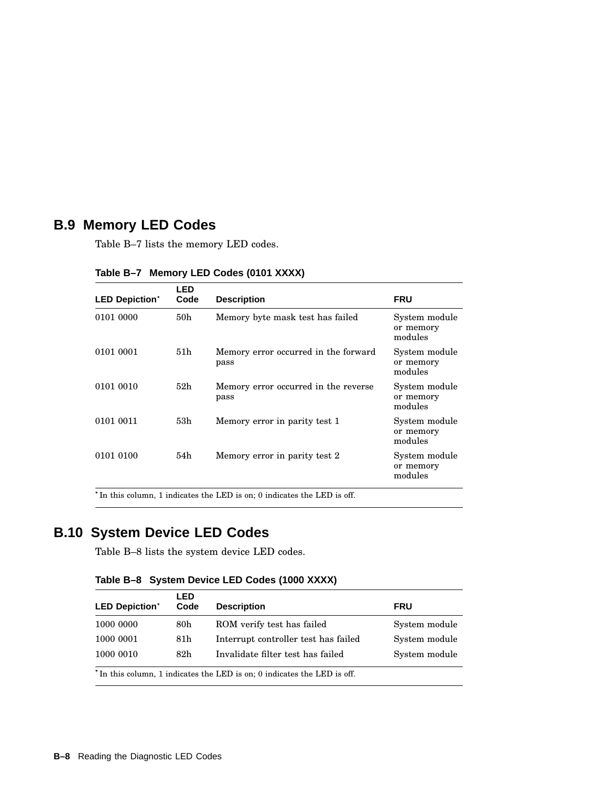## **B.9 Memory LED Codes**

Table B–7 lists the memory LED codes.

| <b>LED Depiction*</b> | <b>LED</b><br>Code | <b>Description</b>                           | <b>FRU</b>                            |
|-----------------------|--------------------|----------------------------------------------|---------------------------------------|
| 0101 0000             | 50 <sub>h</sub>    | Memory byte mask test has failed             | System module<br>or memory<br>modules |
| 0101 0001             | 51h                | Memory error occurred in the forward<br>pass | System module<br>or memory<br>modules |
| 0101 0010             | 52 <sub>h</sub>    | Memory error occurred in the reverse<br>pass | System module<br>or memory<br>modules |
| 0101 0011             | 53h                | Memory error in parity test 1                | System module<br>or memory<br>modules |
| 0101 0100             | 54h                | Memory error in parity test 2                | System module<br>or memory<br>modules |

**Table B–7 Memory LED Codes (0101 XXXX)**

\*In this column, 1 indicates the LED is on; 0 indicates the LED is off.

## **B.10 System Device LED Codes**

Table B–8 lists the system device LED codes.

**Table B–8 System Device LED Codes (1000 XXXX)**

| <b>LED Depiction*</b>                                                               | LED<br>Code | <b>Description</b>                   | <b>FRU</b>    |  |
|-------------------------------------------------------------------------------------|-------------|--------------------------------------|---------------|--|
| 1000 0000                                                                           | 80h         | ROM verify test has failed           | System module |  |
| 1000 0001                                                                           | 81h         | Interrupt controller test has failed | System module |  |
| 1000 0010                                                                           | 82h         | Invalidate filter test has failed    | System module |  |
| <sup>*</sup> In this column, 1 indicates the LED is on; 0 indicates the LED is off. |             |                                      |               |  |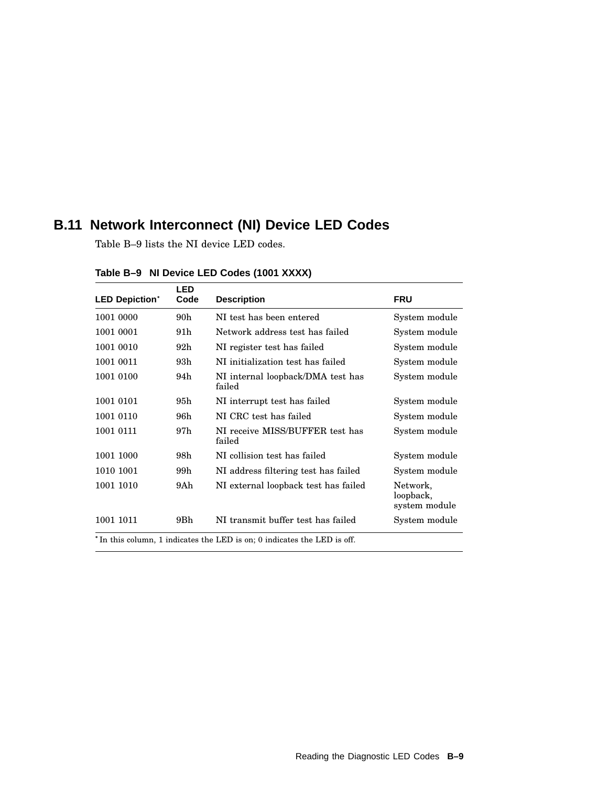## **B.11 Network Interconnect (NI) Device LED Codes**

Table B–9 lists the NI device LED codes.

| <b>LED Depiction*</b>                                                   | <b>LED</b><br>Code | <b>Description</b>                          | <b>FRU</b>                             |
|-------------------------------------------------------------------------|--------------------|---------------------------------------------|----------------------------------------|
| 1001 0000                                                               | 90h                | NI test has been entered                    | System module                          |
| 1001 0001                                                               | 91 h               | Network address test has failed             | System module                          |
| 1001 0010                                                               | 92h                | NI register test has failed                 | System module                          |
| 1001 0011                                                               | 93h                | NI initialization test has failed           | System module                          |
| 1001 0100                                                               | 94h                | NI internal loopback/DMA test has<br>failed | System module                          |
| 1001 0101                                                               | 95h                | NI interrupt test has failed                | System module                          |
| 1001 0110                                                               | 96h                | NI CRC test has failed                      | System module                          |
| 1001 0111                                                               | 97h                | NI receive MISS/BUFFER test has<br>failed   | System module                          |
| 1001 1000                                                               | 98h                | NI collision test has failed                | System module                          |
| 1010 1001                                                               | 99h                | NI address filtering test has failed        | System module                          |
| 1001 1010                                                               | 9Ah.               | NI external loopback test has failed        | Network,<br>loopback,<br>system module |
| 1001 1011                                                               | 9 <sub>Bh</sub>    | NI transmit buffer test has failed          | System module                          |
| *In this column, 1 indicates the LED is on; 0 indicates the LED is off. |                    |                                             |                                        |

## **Table B–9 NI Device LED Codes (1001 XXXX)**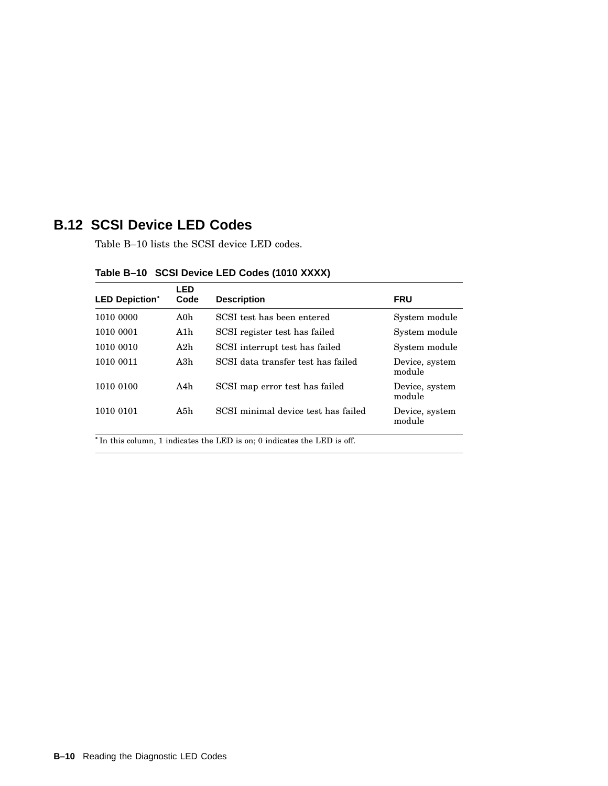## **B.12 SCSI Device LED Codes**

Table B–10 lists the SCSI device LED codes.

| <b>LED Depiction*</b> | LED<br>Code | <b>Description</b>                  | <b>FRU</b>               |
|-----------------------|-------------|-------------------------------------|--------------------------|
| 1010 0000             | A0h         | SCSI test has been entered          | System module            |
| 1010 0001             | A1h         | SCSI register test has failed       | System module            |
| 1010 0010             | A2h         | SCSI interrupt test has failed      | System module            |
| 1010 0011             | A3h         | SCSI data transfer test has failed  | Device, system<br>module |
| 1010 0100             | A4h         | SCSI map error test has failed      | Device, system<br>module |
| 1010 0101             | A5h         | SCSI minimal device test has failed | Device, system<br>module |

## **Table B–10 SCSI Device LED Codes (1010 XXXX)**

\*In this column, 1 indicates the LED is on; 0 indicates the LED is off.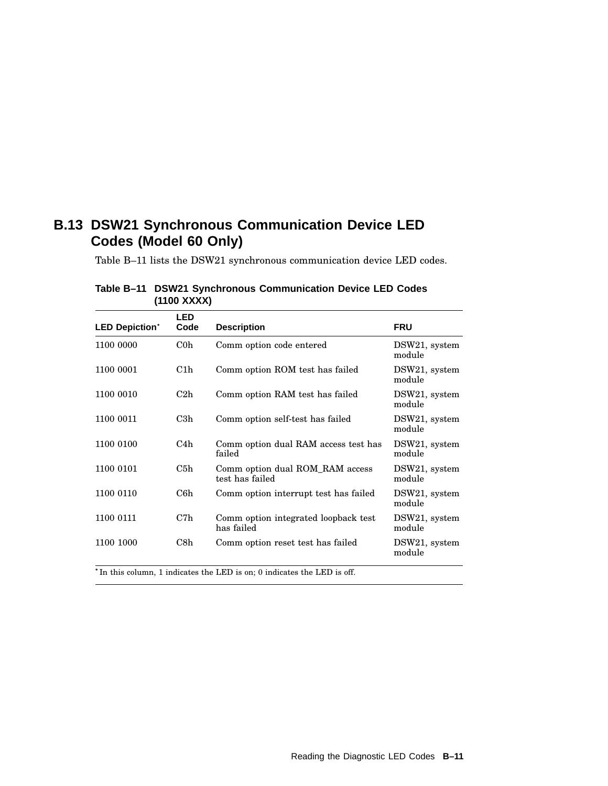## **B.13 DSW21 Synchronous Communication Device LED Codes (Model 60 Only)**

Table B–11 lists the DSW21 synchronous communication device LED codes.

| <b>LED Depiction*</b> | <b>LED</b><br>Code | <b>Description</b>                                 | <b>FRU</b>              |
|-----------------------|--------------------|----------------------------------------------------|-------------------------|
| 1100 0000             | C <sub>0</sub>     | Comm option code entered                           | DSW21, system<br>module |
| 1100 0001             | C1h                | Comm option ROM test has failed                    | DSW21, system<br>module |
| 1100 0010             | C2h                | Comm option RAM test has failed                    | DSW21, system<br>module |
| 1100 0011             | C3h                | Comm option self-test has failed                   | DSW21, system<br>module |
| 1100 0100             | C4h                | Comm option dual RAM access test has<br>failed     | DSW21, system<br>module |
| 1100 0101             | C5h                | Comm option dual ROM RAM access<br>test has failed | DSW21, system<br>module |
| 1100 0110             | C6h                | Comm option interrupt test has failed              | DSW21, system<br>module |
| 1100 0111             | C7h                | Comm option integrated loopback test<br>has failed | DSW21, system<br>module |
| 1100 1000             | C8h                | Comm option reset test has failed                  | DSW21, system<br>module |

**Table B–11 DSW21 Synchronous Communication Device LED Codes (1100 XXXX)**

<sup>\*</sup>In this column, 1 indicates the LED is on; 0 indicates the LED is off.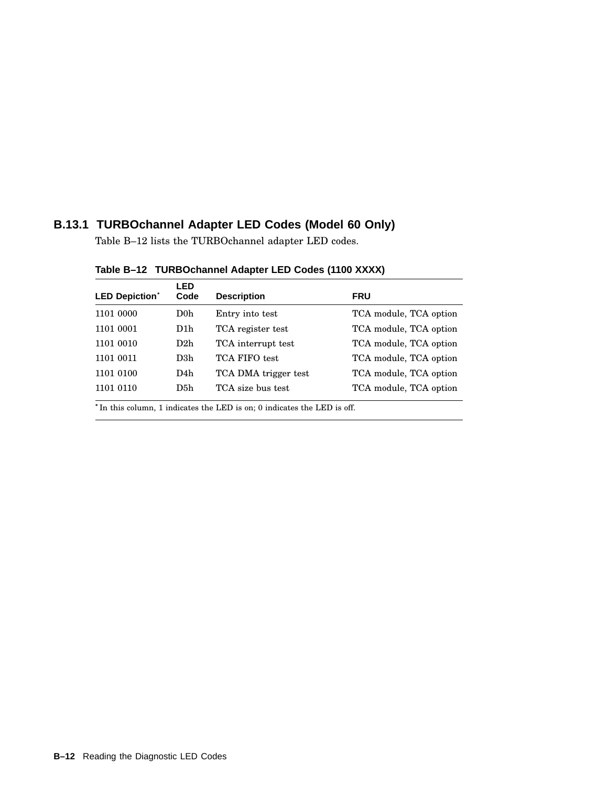## **B.13.1 TURBOchannel Adapter LED Codes (Model 60 Only)**

Table B–12 lists the TURBOchannel adapter LED codes.

| <b>LED Depiction*</b>                                                               | LED<br>Code | <b>Description</b>   | <b>FRU</b>             |
|-------------------------------------------------------------------------------------|-------------|----------------------|------------------------|
| 1101 0000                                                                           | $\rm D0h$   | Entry into test      | TCA module, TCA option |
| 1101 0001                                                                           | D1h         | TCA register test    | TCA module, TCA option |
| 1101 0010                                                                           | D2h         | TCA interrupt test   | TCA module, TCA option |
| 1101 0011                                                                           | D3h         | TCA FIFO test        | TCA module, TCA option |
| 1101 0100                                                                           | D4h         | TCA DMA trigger test | TCA module, TCA option |
| 1101 0110                                                                           | D5h         | TCA size bus test    | TCA module, TCA option |
| <sup>*</sup> In this column, 1 indicates the LED is on; 0 indicates the LED is off. |             |                      |                        |

**Table B–12 TURBOchannel Adapter LED Codes (1100 XXXX)**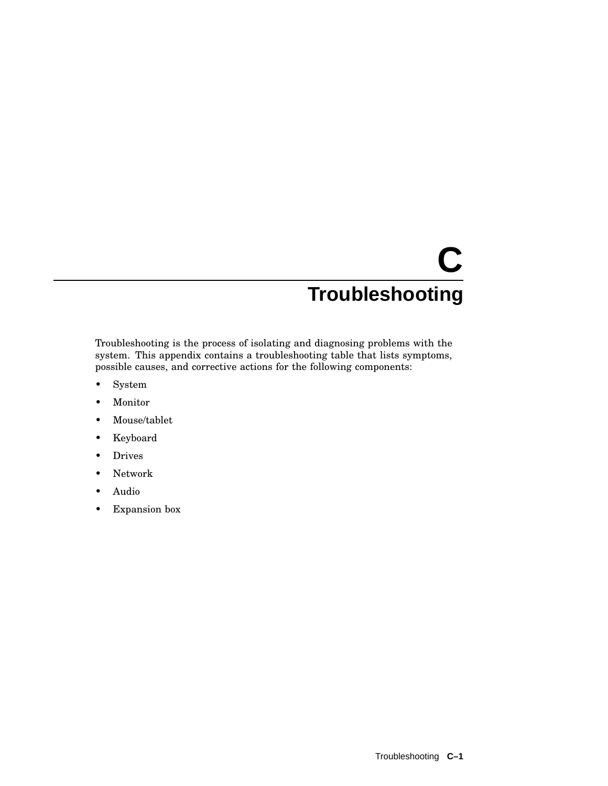## **C Troubleshooting**

Troubleshooting is the process of isolating and diagnosing problems with the system. This appendix contains a troubleshooting table that lists symptoms, possible causes, and corrective actions for the following components:

- System
- Monitor
- Mouse/tablet
- Keyboard
- Drives
- Network
- Audio
- Expansion box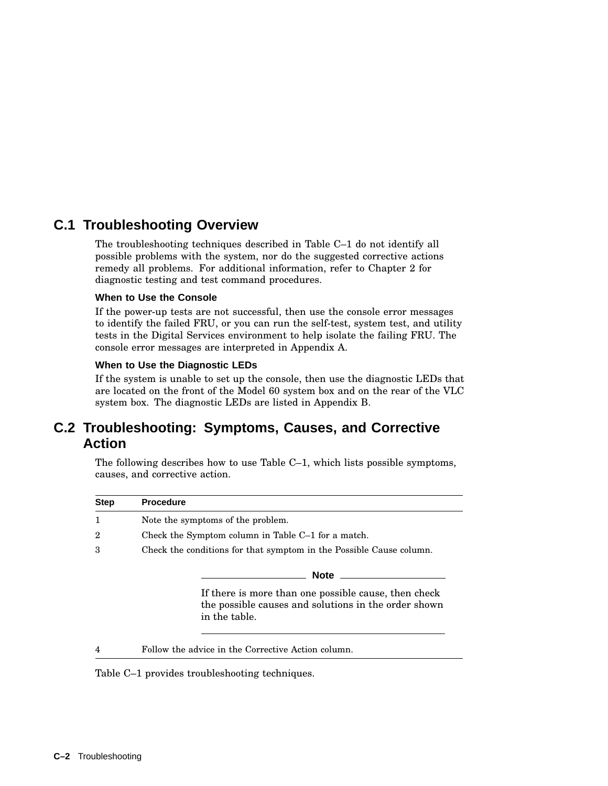## **C.1 Troubleshooting Overview**

The troubleshooting techniques described in Table C–1 do not identify all possible problems with the system, nor do the suggested corrective actions remedy all problems. For additional information, refer to Chapter 2 for diagnostic testing and test command procedures.

#### **When to Use the Console**

If the power-up tests are not successful, then use the console error messages to identify the failed FRU, or you can run the self-test, system test, and utility tests in the Digital Services environment to help isolate the failing FRU. The console error messages are interpreted in Appendix A.

#### **When to Use the Diagnostic LEDs**

If the system is unable to set up the console, then use the diagnostic LEDs that are located on the front of the Model 60 system box and on the rear of the VLC system box. The diagnostic LEDs are listed in Appendix B.

## **C.2 Troubleshooting: Symptoms, Causes, and Corrective Action**

The following describes how to use Table C–1, which lists possible symptoms, causes, and corrective action.

| <b>Step</b> | <b>Procedure</b>                                                                                                              |  |
|-------------|-------------------------------------------------------------------------------------------------------------------------------|--|
|             | Note the symptoms of the problem.                                                                                             |  |
| 2           | Check the Symptom column in Table C-1 for a match.                                                                            |  |
| 3           | Check the conditions for that symptom in the Possible Cause column.                                                           |  |
|             | <b>Note</b>                                                                                                                   |  |
|             | If there is more than one possible cause, then check<br>the possible causes and solutions in the order shown<br>in the table. |  |
|             | Follow the advice in the Corrective Action column.                                                                            |  |

Table C–1 provides troubleshooting techniques.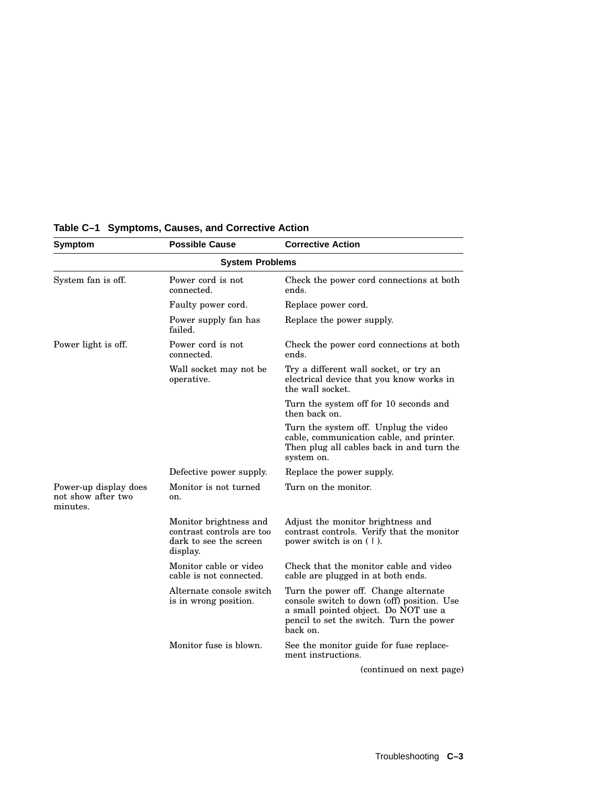| Symptom                                                 | <b>Possible Cause</b>                                                                     | <b>Corrective Action</b>                                                                                                                                                           |
|---------------------------------------------------------|-------------------------------------------------------------------------------------------|------------------------------------------------------------------------------------------------------------------------------------------------------------------------------------|
|                                                         | <b>System Problems</b>                                                                    |                                                                                                                                                                                    |
| System fan is off.                                      | Power cord is not<br>connected.                                                           | Check the power cord connections at both<br>ends.                                                                                                                                  |
|                                                         | Faulty power cord.                                                                        | Replace power cord.                                                                                                                                                                |
|                                                         | Power supply fan has<br>failed.                                                           | Replace the power supply.                                                                                                                                                          |
| Power light is off.                                     | Power cord is not<br>connected.                                                           | Check the power cord connections at both<br>ends.                                                                                                                                  |
|                                                         | Wall socket may not be<br>operative.                                                      | Try a different wall socket, or try an<br>electrical device that you know works in<br>the wall socket.                                                                             |
|                                                         |                                                                                           | Turn the system off for 10 seconds and<br>then back on.                                                                                                                            |
|                                                         |                                                                                           | Turn the system off. Unplug the video<br>cable, communication cable, and printer.<br>Then plug all cables back in and turn the<br>system on.                                       |
|                                                         | Defective power supply.                                                                   | Replace the power supply.                                                                                                                                                          |
| Power-up display does<br>not show after two<br>minutes. | Monitor is not turned<br>on.                                                              | Turn on the monitor.                                                                                                                                                               |
|                                                         | Monitor brightness and<br>contrast controls are too<br>dark to see the screen<br>display. | Adjust the monitor brightness and<br>contrast controls. Verify that the monitor<br>power switch is on $(1)$ .                                                                      |
|                                                         | Monitor cable or video<br>cable is not connected.                                         | Check that the monitor cable and video<br>cable are plugged in at both ends.                                                                                                       |
|                                                         | Alternate console switch<br>is in wrong position.                                         | Turn the power off. Change alternate<br>console switch to down (off) position. Use<br>a small pointed object. Do NOT use a<br>pencil to set the switch. Turn the power<br>back on. |
|                                                         | Monitor fuse is blown.                                                                    | See the monitor guide for fuse replace-<br>ment instructions.                                                                                                                      |
|                                                         |                                                                                           | (continued on next page)                                                                                                                                                           |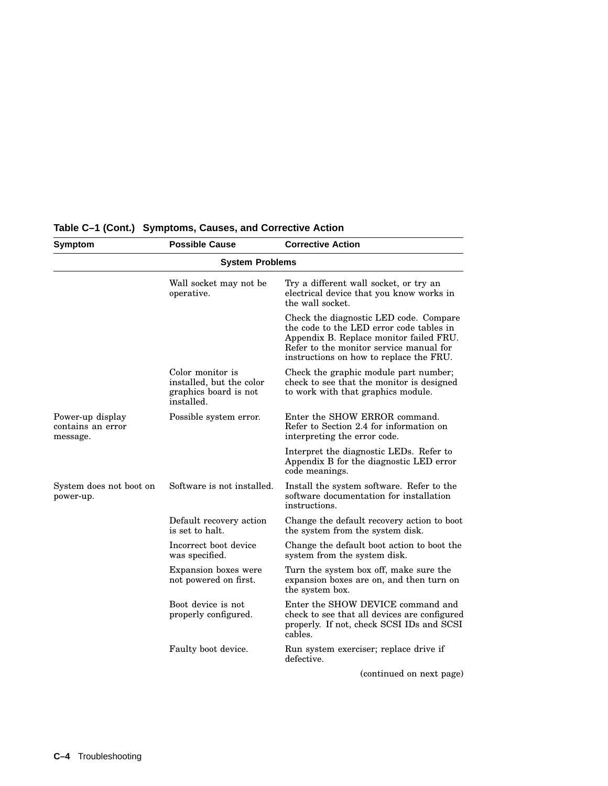| Symptom                                           | <b>Possible Cause</b>                                                               | <b>Corrective Action</b>                                                                                                                                                                                            |
|---------------------------------------------------|-------------------------------------------------------------------------------------|---------------------------------------------------------------------------------------------------------------------------------------------------------------------------------------------------------------------|
|                                                   | <b>System Problems</b>                                                              |                                                                                                                                                                                                                     |
|                                                   | Wall socket may not be<br>operative.                                                | Try a different wall socket, or try an<br>electrical device that you know works in<br>the wall socket.                                                                                                              |
|                                                   |                                                                                     | Check the diagnostic LED code. Compare<br>the code to the LED error code tables in<br>Appendix B. Replace monitor failed FRU.<br>Refer to the monitor service manual for<br>instructions on how to replace the FRU. |
|                                                   | Color monitor is<br>installed, but the color<br>graphics board is not<br>installed. | Check the graphic module part number;<br>check to see that the monitor is designed<br>to work with that graphics module.                                                                                            |
| Power-up display<br>contains an error<br>message. | Possible system error.                                                              | Enter the SHOW ERROR command.<br>Refer to Section 2.4 for information on<br>interpreting the error code.                                                                                                            |
|                                                   |                                                                                     | Interpret the diagnostic LEDs. Refer to<br>Appendix B for the diagnostic LED error<br>code meanings.                                                                                                                |
| System does not boot on<br>power-up.              | Software is not installed.                                                          | Install the system software. Refer to the<br>software documentation for installation<br>instructions.                                                                                                               |
|                                                   | Default recovery action<br>is set to halt.                                          | Change the default recovery action to boot<br>the system from the system disk.                                                                                                                                      |
|                                                   | Incorrect boot device<br>was specified.                                             | Change the default boot action to boot the<br>system from the system disk.                                                                                                                                          |
|                                                   | Expansion boxes were<br>not powered on first.                                       | Turn the system box off, make sure the<br>expansion boxes are on, and then turn on<br>the system box.                                                                                                               |
|                                                   | Boot device is not<br>properly configured.                                          | Enter the SHOW DEVICE command and<br>check to see that all devices are configured<br>properly. If not, check SCSI IDs and SCSI<br>cables.                                                                           |
|                                                   | Faulty boot device.                                                                 | Run system exerciser; replace drive if<br>defective.                                                                                                                                                                |
|                                                   |                                                                                     | (continued on next page)                                                                                                                                                                                            |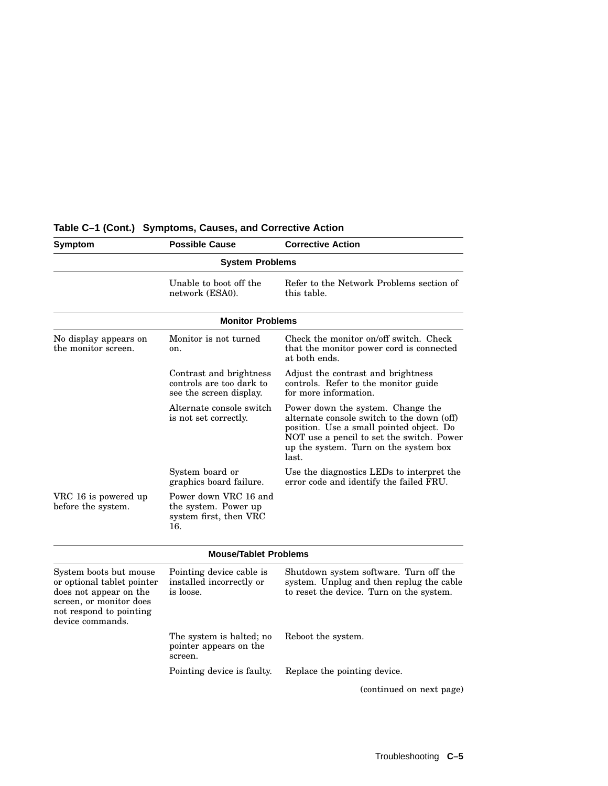| <b>Symptom</b>                                                                                                                                           | <b>Possible Cause</b>                                                          | <b>Corrective Action</b>                                                                                                                                                                                                   |
|----------------------------------------------------------------------------------------------------------------------------------------------------------|--------------------------------------------------------------------------------|----------------------------------------------------------------------------------------------------------------------------------------------------------------------------------------------------------------------------|
|                                                                                                                                                          | <b>System Problems</b>                                                         |                                                                                                                                                                                                                            |
|                                                                                                                                                          | Unable to boot off the<br>network (ESA0).                                      | Refer to the Network Problems section of<br>this table.                                                                                                                                                                    |
|                                                                                                                                                          | <b>Monitor Problems</b>                                                        |                                                                                                                                                                                                                            |
| No display appears on<br>the monitor screen.                                                                                                             | Monitor is not turned<br>on.                                                   | Check the monitor on/off switch. Check<br>that the monitor power cord is connected<br>at both ends.                                                                                                                        |
|                                                                                                                                                          | Contrast and brightness<br>controls are too dark to<br>see the screen display. | Adjust the contrast and brightness<br>controls. Refer to the monitor guide<br>for more information.                                                                                                                        |
|                                                                                                                                                          | Alternate console switch<br>is not set correctly.                              | Power down the system. Change the<br>alternate console switch to the down (off)<br>position. Use a small pointed object. Do<br>NOT use a pencil to set the switch. Power<br>up the system. Turn on the system box<br>last. |
|                                                                                                                                                          | System board or<br>graphics board failure.                                     | Use the diagnostics LEDs to interpret the<br>error code and identify the failed FRU.                                                                                                                                       |
| VRC 16 is powered up<br>before the system.                                                                                                               | Power down VRC 16 and<br>the system. Power up<br>system first, then VRC<br>16. |                                                                                                                                                                                                                            |
|                                                                                                                                                          | <b>Mouse/Tablet Problems</b>                                                   |                                                                                                                                                                                                                            |
| System boots but mouse<br>or optional tablet pointer<br>does not appear on the<br>screen, or monitor does<br>not respond to pointing<br>device commands. | Pointing device cable is<br>installed incorrectly or<br>is loose.              | Shutdown system software. Turn off the<br>system. Unplug and then replug the cable<br>to reset the device. Turn on the system.                                                                                             |
|                                                                                                                                                          | The system is halted; no<br>pointer appears on the<br>screen.                  | Reboot the system.                                                                                                                                                                                                         |
|                                                                                                                                                          | Pointing device is faulty.                                                     | Replace the pointing device.                                                                                                                                                                                               |
|                                                                                                                                                          |                                                                                | (continued on next page)                                                                                                                                                                                                   |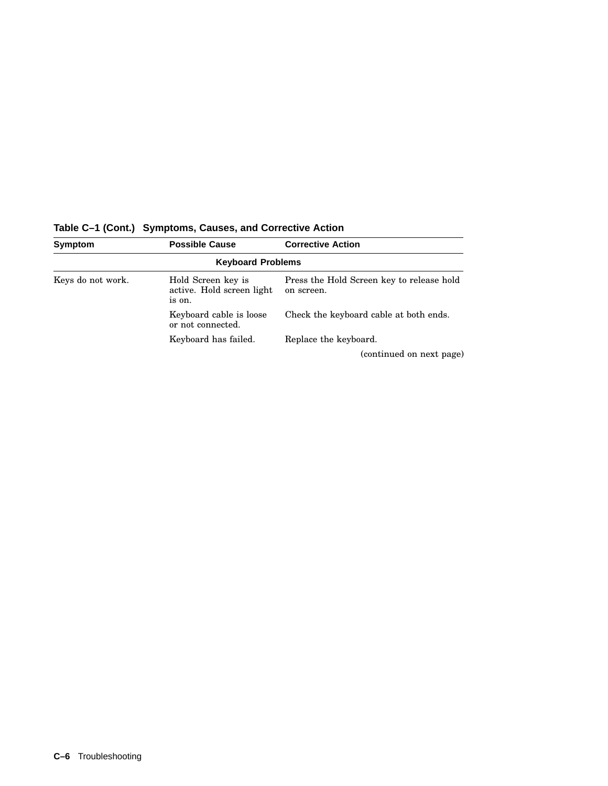| Symptom           | <b>Possible Cause</b>                                     | <b>Corrective Action</b>                                |
|-------------------|-----------------------------------------------------------|---------------------------------------------------------|
|                   | <b>Keyboard Problems</b>                                  |                                                         |
| Keys do not work. | Hold Screen key is<br>active. Hold screen light<br>is on. | Press the Hold Screen key to release hold<br>on screen. |
|                   | Keyboard cable is loose<br>or not connected.              | Check the keyboard cable at both ends.                  |
|                   | Keyboard has failed.                                      | Replace the keyboard.                                   |
|                   |                                                           | (continued on next page)                                |

**Table C–1 (Cont.) Symptoms, Causes, and Corrective Action**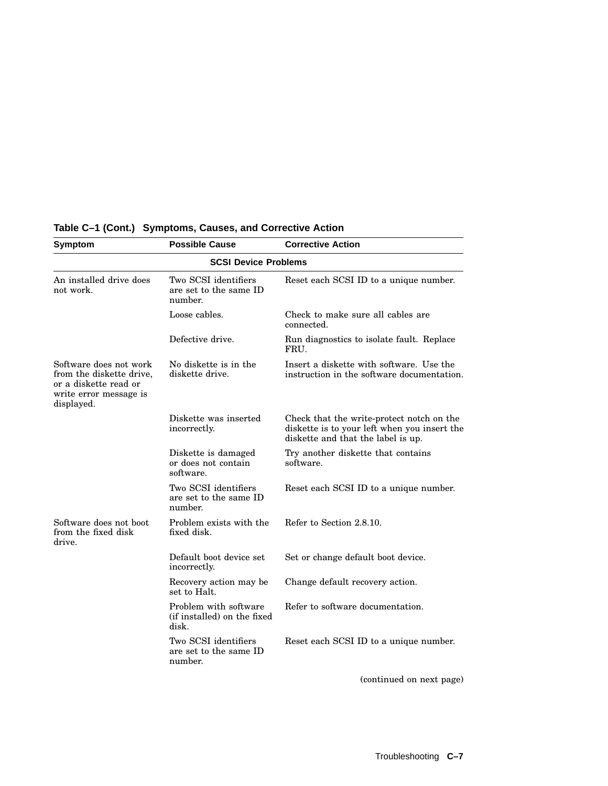| <b>Symptom</b>                                                                                                      | <b>Possible Cause</b>                                         | <b>Corrective Action</b>                                                                                                        |  |  |  |
|---------------------------------------------------------------------------------------------------------------------|---------------------------------------------------------------|---------------------------------------------------------------------------------------------------------------------------------|--|--|--|
| <b>SCSI Device Problems</b>                                                                                         |                                                               |                                                                                                                                 |  |  |  |
| An installed drive does<br>not work.                                                                                | Two SCSI identifiers<br>are set to the same ID<br>number.     | Reset each SCSI ID to a unique number.                                                                                          |  |  |  |
|                                                                                                                     | Loose cables.                                                 | Check to make sure all cables are<br>connected.                                                                                 |  |  |  |
|                                                                                                                     | Defective drive.                                              | Run diagnostics to isolate fault. Replace<br>FRU.                                                                               |  |  |  |
| Software does not work<br>from the diskette drive,<br>or a diskette read or<br>write error message is<br>displayed. | No diskette is in the<br>diskette drive.                      | Insert a diskette with software. Use the<br>instruction in the software documentation.                                          |  |  |  |
|                                                                                                                     | Diskette was inserted<br>incorrectly.                         | Check that the write-protect notch on the<br>diskette is to your left when you insert the<br>diskette and that the label is up. |  |  |  |
|                                                                                                                     | Diskette is damaged<br>or does not contain<br>software.       | Try another diskette that contains<br>software.                                                                                 |  |  |  |
|                                                                                                                     | Two SCSI identifiers<br>are set to the same ID<br>number.     | Reset each SCSI ID to a unique number.                                                                                          |  |  |  |
| Software does not boot<br>from the fixed disk<br>drive.                                                             | Problem exists with the<br>fixed disk.                        | Refer to Section 2.8.10.                                                                                                        |  |  |  |
|                                                                                                                     | Default boot device set<br>incorrectly.                       | Set or change default boot device.                                                                                              |  |  |  |
|                                                                                                                     | Recovery action may be<br>set to Halt.                        | Change default recovery action.                                                                                                 |  |  |  |
|                                                                                                                     | Problem with software<br>(if installed) on the fixed<br>disk. | Refer to software documentation.                                                                                                |  |  |  |
|                                                                                                                     | Two SCSI identifiers<br>are set to the same ID<br>number.     | Reset each SCSI ID to a unique number.                                                                                          |  |  |  |
|                                                                                                                     |                                                               | (continued on next page)                                                                                                        |  |  |  |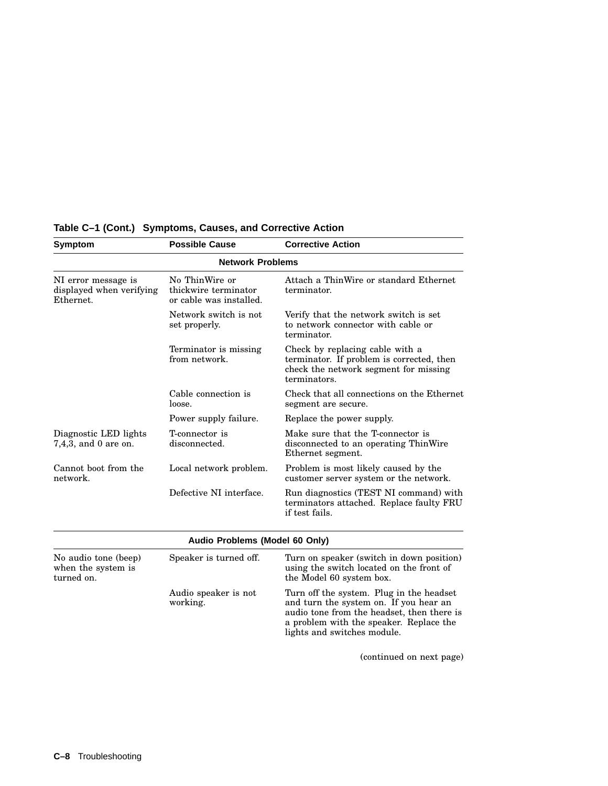| <b>Symptom</b>                                               | <b>Possible Cause</b>                                             | <b>Corrective Action</b>                                                                                                                                                                                   |
|--------------------------------------------------------------|-------------------------------------------------------------------|------------------------------------------------------------------------------------------------------------------------------------------------------------------------------------------------------------|
|                                                              | <b>Network Problems</b>                                           |                                                                                                                                                                                                            |
| NI error message is<br>displayed when verifying<br>Ethernet. | No ThinWire or<br>thickwire terminator<br>or cable was installed. | Attach a ThinWire or standard Ethernet<br>terminator.                                                                                                                                                      |
|                                                              | Network switch is not<br>set properly.                            | Verify that the network switch is set<br>to network connector with cable or<br>terminator.                                                                                                                 |
|                                                              | Terminator is missing<br>from network.                            | Check by replacing cable with a<br>terminator. If problem is corrected, then<br>check the network segment for missing<br>terminators.                                                                      |
|                                                              | Cable connection is<br>loose.                                     | Check that all connections on the Ethernet<br>segment are secure.                                                                                                                                          |
|                                                              | Power supply failure.                                             | Replace the power supply.                                                                                                                                                                                  |
| Diagnostic LED lights<br>$7,4,3$ , and 0 are on.             | T-connector is<br>disconnected.                                   | Make sure that the T-connector is<br>disconnected to an operating ThinWire<br>Ethernet segment.                                                                                                            |
| Cannot boot from the<br>network.                             | Local network problem.                                            | Problem is most likely caused by the<br>customer server system or the network.                                                                                                                             |
|                                                              | Defective NI interface.                                           | Run diagnostics (TEST NI command) with<br>terminators attached. Replace faulty FRU<br>if test fails.                                                                                                       |
|                                                              | Audio Problems (Model 60 Only)                                    |                                                                                                                                                                                                            |
| No audio tone (beep)<br>when the system is<br>turned on.     | Speaker is turned off.                                            | Turn on speaker (switch in down position)<br>using the switch located on the front of<br>the Model 60 system box.                                                                                          |
|                                                              | Audio speaker is not<br>working.                                  | Turn off the system. Plug in the headset<br>and turn the system on. If you hear an<br>audio tone from the headset, then there is<br>a problem with the speaker. Replace the<br>lights and switches module. |
|                                                              |                                                                   | (continued on next page)                                                                                                                                                                                   |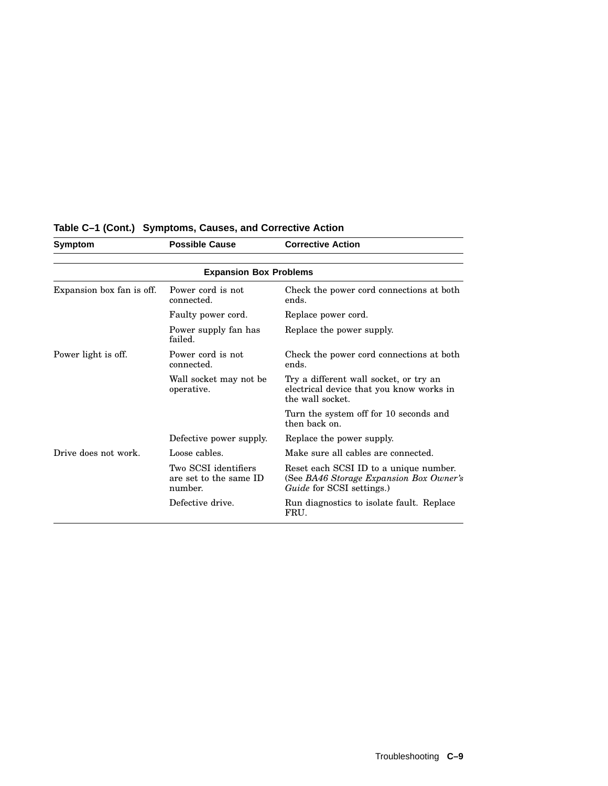| <b>Symptom</b>                | <b>Possible Cause</b>                                     | <b>Corrective Action</b>                                                                                              |  |  |  |
|-------------------------------|-----------------------------------------------------------|-----------------------------------------------------------------------------------------------------------------------|--|--|--|
| <b>Expansion Box Problems</b> |                                                           |                                                                                                                       |  |  |  |
| Expansion box fan is off.     | Power cord is not<br>connected.                           | Check the power cord connections at both<br>ends.                                                                     |  |  |  |
|                               | Faulty power cord.                                        | Replace power cord.                                                                                                   |  |  |  |
|                               | Power supply fan has<br>failed.                           | Replace the power supply.                                                                                             |  |  |  |
| Power light is off.           | Power cord is not<br>connected.                           | Check the power cord connections at both<br>ends.                                                                     |  |  |  |
|                               | Wall socket may not be<br>operative.                      | Try a different wall socket, or try an<br>electrical device that you know works in<br>the wall socket.                |  |  |  |
|                               |                                                           | Turn the system off for 10 seconds and<br>then back on.                                                               |  |  |  |
|                               | Defective power supply.                                   | Replace the power supply.                                                                                             |  |  |  |
| Drive does not work.          | Loose cables.                                             | Make sure all cables are connected.                                                                                   |  |  |  |
|                               | Two SCSI identifiers<br>are set to the same ID<br>number. | Reset each SCSI ID to a unique number.<br>(See BA46 Storage Expansion Box Owner's<br><i>Guide</i> for SCSI settings.) |  |  |  |
|                               | Defective drive.                                          | Run diagnostics to isolate fault. Replace<br>FRU.                                                                     |  |  |  |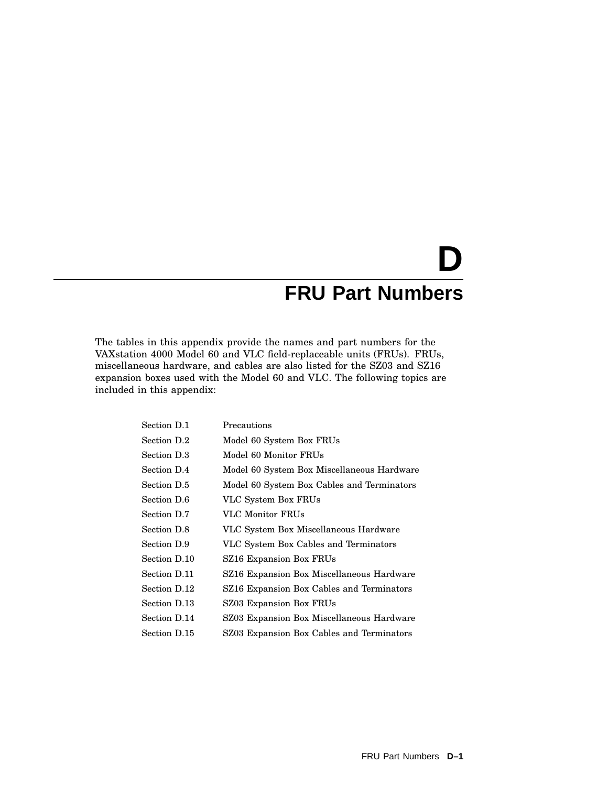# **D FRU Part Numbers**

The tables in this appendix provide the names and part numbers for the VAXstation 4000 Model 60 and VLC field-replaceable units (FRUs). FRUs, miscellaneous hardware, and cables are also listed for the SZ03 and SZ16 expansion boxes used with the Model 60 and VLC. The following topics are included in this appendix:

| Section D.1  | Precautions                                |
|--------------|--------------------------------------------|
| Section D.2  | Model 60 System Box FRUs                   |
| Section D.3  | Model 60 Monitor FRUs                      |
| Section D.4  | Model 60 System Box Miscellaneous Hardware |
| Section D.5  | Model 60 System Box Cables and Terminators |
| Section D.6  | VLC System Box FRUs                        |
| Section D.7  | VLC Monitor FRUs                           |
| Section D.8  | VLC System Box Miscellaneous Hardware      |
| Section D.9  | VLC System Box Cables and Terminators      |
| Section D.10 | SZ16 Expansion Box FRUs                    |
| Section D.11 | SZ16 Expansion Box Miscellaneous Hardware  |
| Section D.12 | SZ16 Expansion Box Cables and Terminators  |
| Section D.13 | SZ03 Expansion Box FRUs                    |
| Section D.14 | SZ03 Expansion Box Miscellaneous Hardware  |
| Section D.15 | SZ03 Expansion Box Cables and Terminators  |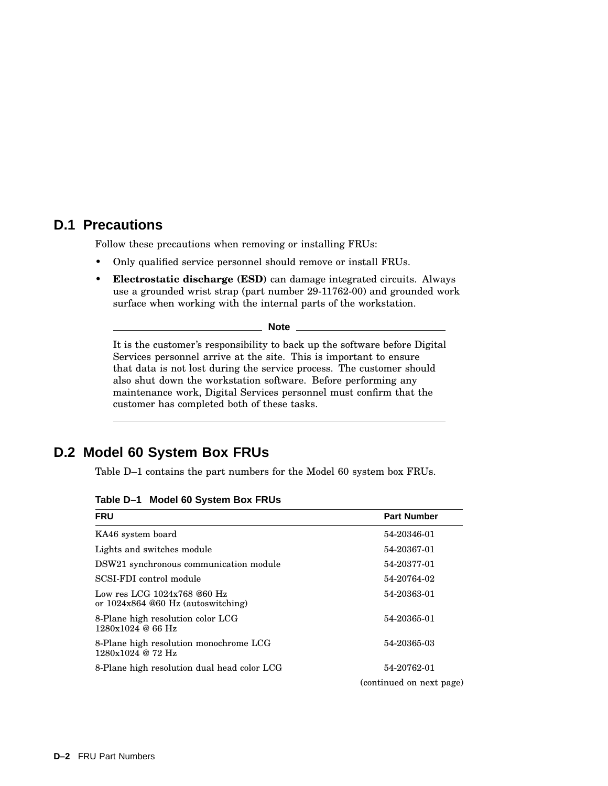#### **D.1 Precautions**

Follow these precautions when removing or installing FRUs:

- Only qualified service personnel should remove or install FRUs.
- **Electrostatic discharge (ESD)** can damage integrated circuits. Always use a grounded wrist strap (part number 29-11762-00) and grounded work surface when working with the internal parts of the workstation.

**Note** \_

It is the customer's responsibility to back up the software before Digital Services personnel arrive at the site. This is important to ensure that data is not lost during the service process. The customer should also shut down the workstation software. Before performing any maintenance work, Digital Services personnel must confirm that the customer has completed both of these tasks.

#### **D.2 Model 60 System Box FRUs**

Table D–1 contains the part numbers for the Model 60 system box FRUs.

**Table D–1 Model 60 System Box FRUs**

| <b>FRU</b>                                                          | <b>Part Number</b>       |  |
|---------------------------------------------------------------------|--------------------------|--|
| KA46 system board                                                   | 54-20346-01              |  |
| Lights and switches module                                          | 54-20367-01              |  |
| DSW21 synchronous communication module                              | 54-20377-01              |  |
| SCSI-FDI control module                                             | 54-20764-02              |  |
| Low res LCG $1024x768@60$ Hz<br>or $1024x864@60$ Hz (autoswitching) | 54-20363-01              |  |
| 8-Plane high resolution color LCG<br>1280x1024@66Hz                 | 54-20365-01              |  |
| 8-Plane high resolution monochrome LCG<br>1280x1024 @ 72 Hz         | 54-20365-03              |  |
| 8-Plane high resolution dual head color LCG                         | 54-20762-01              |  |
|                                                                     | (continued on next page) |  |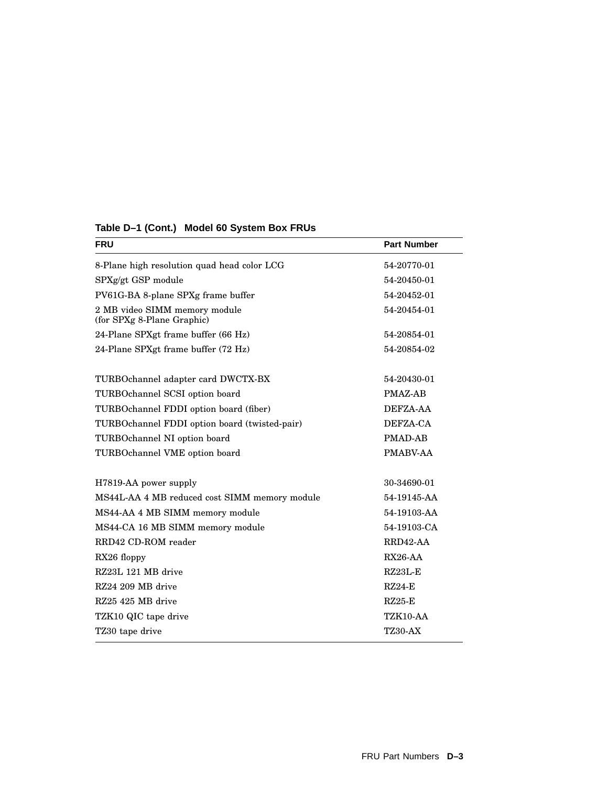| <b>Part Number</b> |
|--------------------|
| 54-20770-01        |
| 54-20450-01        |
| 54-20452-01        |
| 54-20454-01        |
| 54-20854-01        |
| 54-20854-02        |
| 54-20430-01        |
| PMAZ-AB            |
| DEFZA-AA           |
| DEFZA-CA           |
| <b>PMAD-AB</b>     |
| PMABV-AA           |
| 30-34690-01        |
| 54-19145-AA        |
| 54-19103-AA        |
| 54-19103-CA        |
| RRD42-AA           |
| $RX26-AA$          |
| $RZ23L-E$          |
| $RZ24-F$           |
| $RZ25-E$           |
| TZK10-AA           |
| <b>TZ30-AX</b>     |
|                    |

#### **Table D–1 (Cont.) Model 60 System Box FRUs**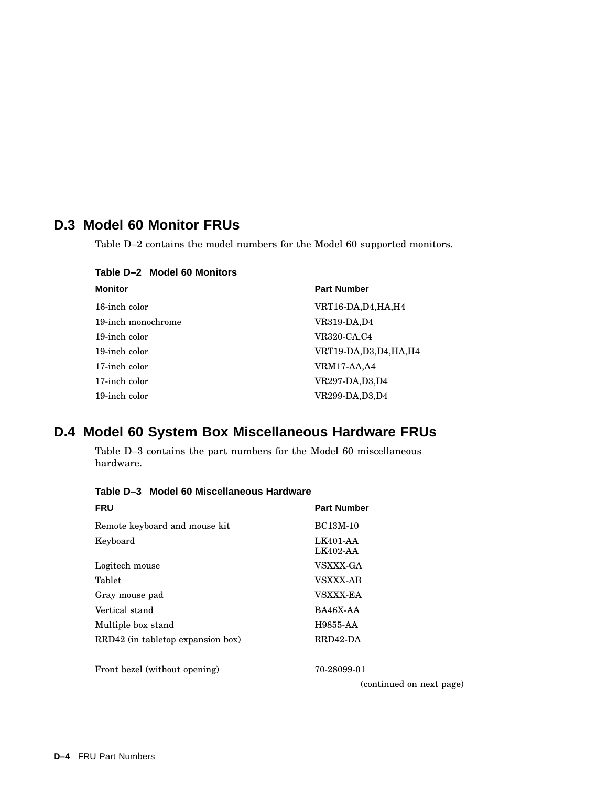# **D.3 Model 60 Monitor FRUs**

Table D–2 contains the model numbers for the Model 60 supported monitors.

| <b>Monitor</b>     | <b>Part Number</b>       |
|--------------------|--------------------------|
| 16-inch color      | VRT16-DA,D4,HA,H4        |
| 19-inch monochrome | VR319-DA,D4              |
| 19-inch color      | <b>VR320-CA,C4</b>       |
| 19-inch color      | VRT19-DA, D3, D4, HA, H4 |
| 17-inch color      | VRM17-AA,A4              |
| 17-inch color      | <b>VR297-DA,D3,D4</b>    |
| 19-inch color      | <b>VR299-DA,D3,D4</b>    |
|                    |                          |

**Table D–2 Model 60 Monitors**

# **D.4 Model 60 System Box Miscellaneous Hardware FRUs**

Table D–3 contains the part numbers for the Model 60 miscellaneous hardware.

| <b>FRU</b>                        | <b>Part Number</b>       |
|-----------------------------------|--------------------------|
| Remote keyboard and mouse kit     | <b>BC13M-10</b>          |
| Keyboard                          | LK401-AA<br>LK402-AA     |
| Logitech mouse                    | VSXXX-GA                 |
| Tablet                            | <b>VSXXX-AB</b>          |
| Gray mouse pad                    | <b>VSXXX-EA</b>          |
| Vertical stand                    | BA46X-AA                 |
| Multiple box stand                | H9855-AA                 |
| RRD42 (in tabletop expansion box) | RRD42-DA                 |
| Front bezel (without opening)     | 70-28099-01              |
|                                   | (continued on next page) |

**Table D–3 Model 60 Miscellaneous Hardware**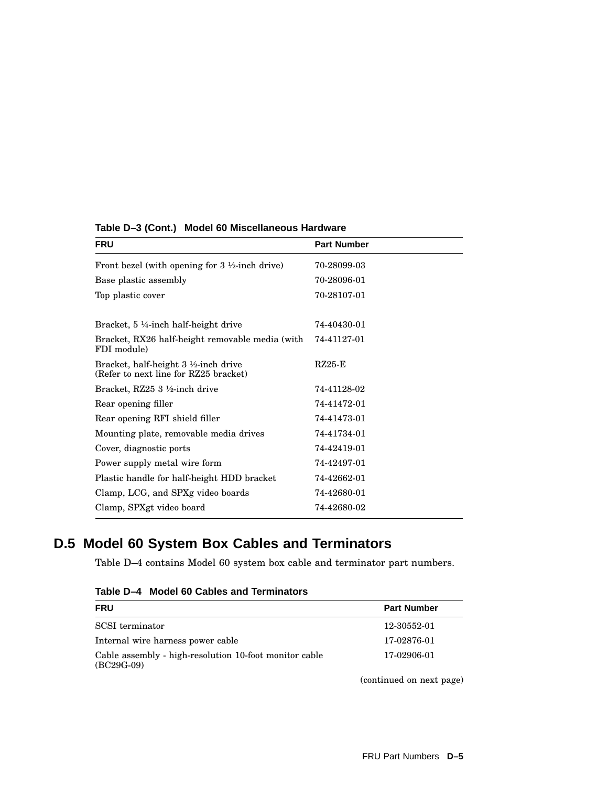| <b>FRU</b>                                                                               | <b>Part Number</b> |
|------------------------------------------------------------------------------------------|--------------------|
| Front bezel (with opening for $3\frac{1}{2}$ -inch drive)                                | 70-28099-03        |
| Base plastic assembly                                                                    | 70-28096-01        |
| Top plastic cover                                                                        | 70-28107-01        |
|                                                                                          |                    |
| Bracket, $5\frac{1}{4}$ -inch half-height drive                                          | 74-40430-01        |
| Bracket, RX26 half-height removable media (with<br>FDI module)                           | 74-41127-01        |
| Bracket, half-height $3\frac{1}{2}$ -inch drive<br>(Refer to next line for RZ25 bracket) | $RZ25-E$           |
| Bracket, RZ25 3 1/2-inch drive                                                           | 74-41128-02        |
| Rear opening filler                                                                      | 74-41472-01        |
| Rear opening RFI shield filler                                                           | 74-41473-01        |
| Mounting plate, removable media drives                                                   | 74-41734-01        |
| Cover, diagnostic ports                                                                  | 74-42419-01        |
| Power supply metal wire form                                                             | 74-42497-01        |
| Plastic handle for half-height HDD bracket                                               | 74-42662-01        |
| Clamp, LCG, and SPXg video boards                                                        | 74-42680-01        |
| Clamp, SPXgt video board                                                                 | 74-42680-02        |

**Table D–3 (Cont.) Model 60 Miscellaneous Hardware**

# **D.5 Model 60 System Box Cables and Terminators**

Table D–4 contains Model 60 system box cable and terminator part numbers.

| <b>FRU</b>                                                             | <b>Part Number</b>       |  |
|------------------------------------------------------------------------|--------------------------|--|
| SCSI terminator                                                        | 12-30552-01              |  |
| Internal wire harness power cable                                      | 17-02876-01              |  |
| Cable assembly - high-resolution 10-foot monitor cable<br>$(BC29G-09)$ | 17-02906-01              |  |
|                                                                        | (continued on next page) |  |

**Table D–4 Model 60 Cables and Terminators**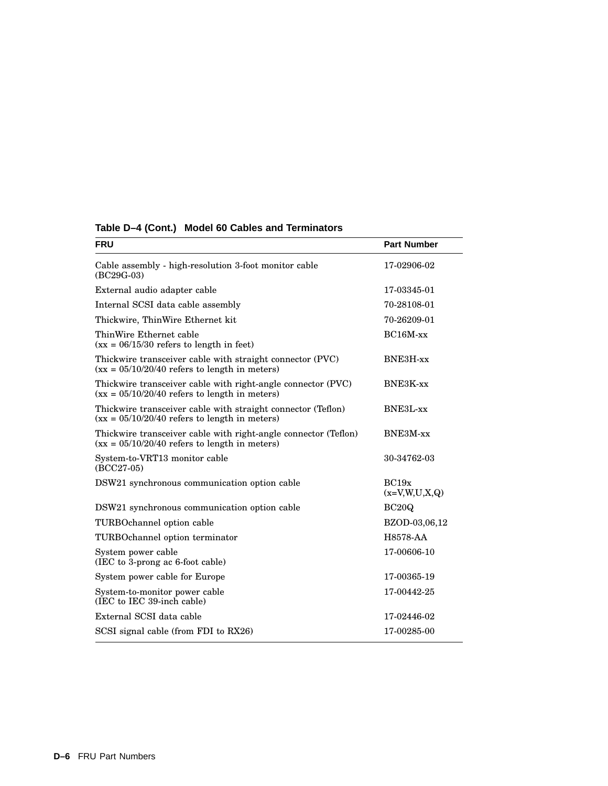| <b>FRU</b>                                                                                                         | <b>Part Number</b>       |  |
|--------------------------------------------------------------------------------------------------------------------|--------------------------|--|
| Cable assembly - high-resolution 3-foot monitor cable<br>$(BC29G-03)$                                              | 17-02906-02              |  |
| External audio adapter cable                                                                                       | 17-03345-01              |  |
| Internal SCSI data cable assembly                                                                                  | 70-28108-01              |  |
| Thickwire, ThinWire Ethernet kit                                                                                   | 70-26209-01              |  |
| ThinWire Ethernet cable<br>$(xx = 06/15/30$ refers to length in feet)                                              | $BC16M$ -xx              |  |
| Thickwire transceiver cable with straight connector (PVC)<br>$(xx = 05/10/20/40$ refers to length in meters)       | BNE3H-xx                 |  |
| Thickwire transceiver cable with right-angle connector (PVC)<br>$(xx = 05/10/20/40$ refers to length in meters)    | BNE3K-xx                 |  |
| Thickwire transceiver cable with straight connector (Teflon)<br>$(xx = 05/10/20/40$ refers to length in meters)    | BNE3L-xx                 |  |
| Thickwire transceiver cable with right-angle connector (Teflon)<br>$(xx = 05/10/20/40$ refers to length in meters) | BNE3M-xx                 |  |
| System-to-VRT13 monitor cable<br>$(BCC27-05)$                                                                      | 30-34762-03              |  |
| DSW21 synchronous communication option cable                                                                       | BC19x<br>$(x=V,W,U,X,Q)$ |  |
| DSW21 synchronous communication option cable                                                                       | BC20Q                    |  |
| TURBOchannel option cable                                                                                          | BZOD-03,06,12            |  |
| TURBOchannel option terminator                                                                                     | H8578-AA                 |  |
| System power cable<br>(IEC to 3-prong ac 6-foot cable)                                                             | 17-00606-10              |  |
| System power cable for Europe                                                                                      | 17-00365-19              |  |
| System-to-monitor power cable<br>(IEC to IEC 39-inch cable)                                                        | 17-00442-25              |  |
| External SCSI data cable                                                                                           | 17-02446-02              |  |
| SCSI signal cable (from FDI to RX26)                                                                               | 17-00285-00              |  |

#### **Table D–4 (Cont.) Model 60 Cables and Terminators**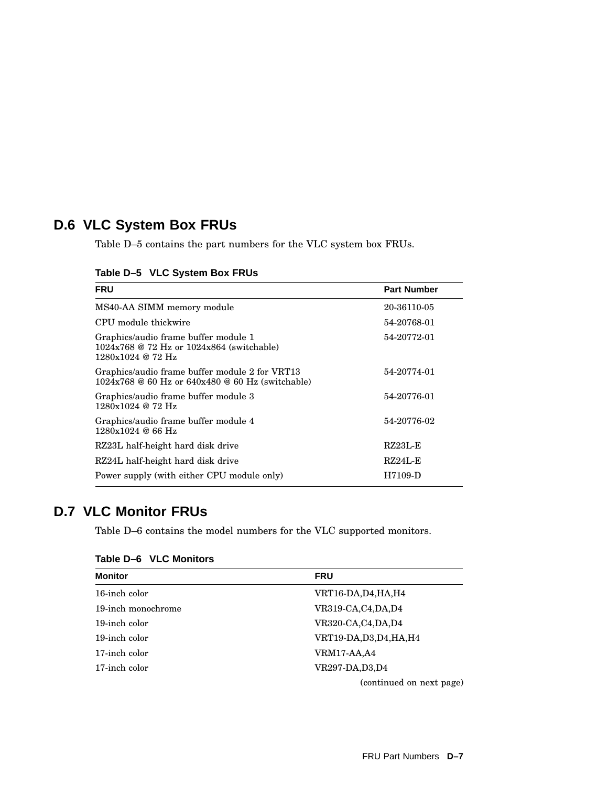# **D.6 VLC System Box FRUs**

Table D–5 contains the part numbers for the VLC system box FRUs.

|  | Table D-5 VLC System Box FRUs |  |  |
|--|-------------------------------|--|--|
|--|-------------------------------|--|--|

| <b>FRU</b>                                                                                               | <b>Part Number</b> |
|----------------------------------------------------------------------------------------------------------|--------------------|
| MS40-AA SIMM memory module                                                                               | 20-36110-05        |
| CPU module thickwire                                                                                     | 54-20768-01        |
| Graphics/audio frame buffer module 1<br>1024x768 @ 72 Hz or 1024x864 (switchable)<br>1280x1024 @ 72 Hz   | 54-20772-01        |
| Graphics/audio frame buffer module 2 for VRT13<br>$1024x768 \& 60 Hz$ or $640x480 \& 60 Hz$ (switchable) | 54-20774-01        |
| Graphics/audio frame buffer module 3<br>$1280x1024$ @ 72 Hz                                              | 54-20776-01        |
| Graphics/audio frame buffer module 4<br>1280x1024@66Hz                                                   | 54-20776-02        |
| RZ23L half-height hard disk drive                                                                        | $RZ23L-E$          |
| RZ24L half-height hard disk drive                                                                        | $RZ24L-E$          |
| Power supply (with either CPU module only)                                                               | H7109-D            |

# **D.7 VLC Monitor FRUs**

Table D–6 contains the model numbers for the VLC supported monitors.

| <b>Monitor</b>     | <b>FRU</b>               |  |
|--------------------|--------------------------|--|
| 16-inch color      | VRT16-DA,D4,HA,H4        |  |
| 19-inch monochrome | VR319-CA,C4,DA,D4        |  |
| 19-inch color      | VR320-CA,C4,DA,D4        |  |
| 19-inch color      | VRT19-DA, D3, D4, HA, H4 |  |
| 17-inch color      | <b>VRM17-AA,A4</b>       |  |
| 17-inch color      | VR297-DA, D3, D4         |  |
|                    | (continued on next page) |  |

#### **Table D–6 VLC Monitors**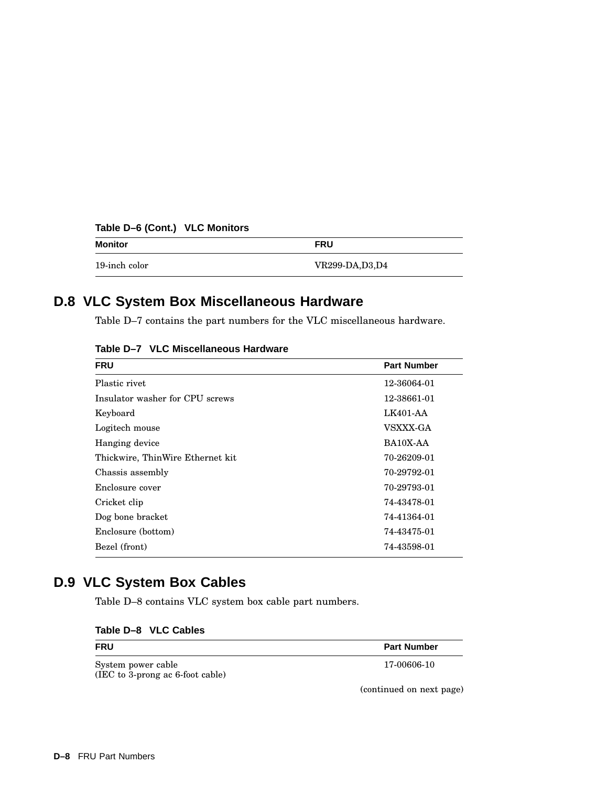| Monitor       | <b>FRU</b>       |  |
|---------------|------------------|--|
| 19-inch color | VR299-DA, D3, D4 |  |

# **Table D–6 (Cont.) VLC Monitors**

# **D.8 VLC System Box Miscellaneous Hardware**

Table D–7 contains the part numbers for the VLC miscellaneous hardware.

| <b>FRU</b>                       | <b>Part Number</b> |
|----------------------------------|--------------------|
| Plastic rivet                    | 12-36064-01        |
| Insulator washer for CPU screws  | 12-38661-01        |
| Keyboard                         | LK401-AA           |
| Logitech mouse                   | <b>VSXXX-GA</b>    |
| Hanging device                   | BA10X-AA           |
| Thickwire, ThinWire Ethernet kit | 70-26209-01        |
| Chassis assembly                 | 70-29792-01        |
| Enclosure cover                  | 70-29793-01        |
| Cricket clip                     | 74-43478-01        |
| Dog bone bracket                 | 74-41364-01        |
| Enclosure (bottom)               | 74-43475-01        |
| Bezel (front)                    | 74-43598-01        |

**Table D–7 VLC Miscellaneous Hardware**

# **D.9 VLC System Box Cables**

Table D–8 contains VLC system box cable part numbers.

| Table D-8 VLC Cables |
|----------------------|
|----------------------|

| <b>FRU</b>                                             | <b>Part Number</b> |
|--------------------------------------------------------|--------------------|
| System power cable<br>(IEC to 3-prong ac 6-foot cable) | 17-00606-10        |

(continued on next page)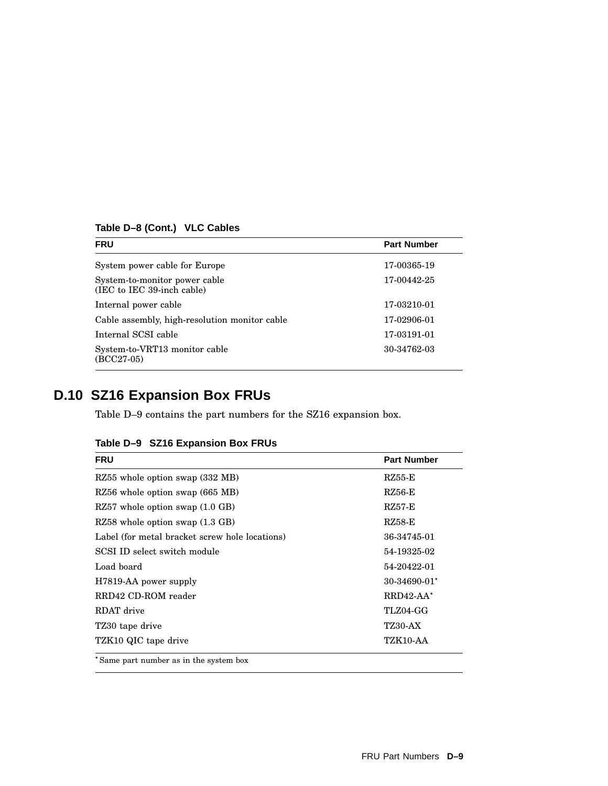| Table D-8 (Cont.) VLC Cables |  |
|------------------------------|--|
|------------------------------|--|

| <b>FRU</b>                                                  | <b>Part Number</b> |
|-------------------------------------------------------------|--------------------|
| System power cable for Europe                               | 17-00365-19        |
| System-to-monitor power cable<br>(IEC to IEC 39-inch cable) | 17-00442-25        |
| Internal power cable                                        | 17-03210-01        |
| Cable assembly, high-resolution monitor cable               | 17-02906-01        |
| Internal SCSI cable                                         | 17-03191-01        |
| System-to-VRT13 monitor cable<br>$(BCC27-05)$               | 30-34762-03        |
|                                                             |                    |

# **D.10 SZ16 Expansion Box FRUs**

Table D–9 contains the part numbers for the SZ16 expansion box.

| Table D-9 SZ16 Expansion Box FRUs              |                    |
|------------------------------------------------|--------------------|
| <b>FRU</b>                                     | <b>Part Number</b> |
| RZ55 whole option swap (332 MB)                | $RZ55-E$           |
| RZ56 whole option swap (665 MB)                | $RZ56-E$           |
| $RZ57$ whole option swap $(1.0 \text{ GB})$    | <b>RZ57-E</b>      |
| RZ58 whole option swap (1.3 GB)                | $RZ58-E$           |
| Label (for metal bracket screw hole locations) | 36-34745-01        |
| SCSI ID select switch module                   | 54-19325-02        |
| Load board                                     | 54-20422-01        |
| H7819-AA power supply                          | 30-34690-01*       |
| RRD42 CD-ROM reader                            | $RRD42-AA^*$       |
| RDAT drive                                     | TLZ04-GG           |
| TZ30 tape drive                                | <b>TZ30-AX</b>     |
| TZK10 QIC tape drive                           | TZK10-AA           |
| *Same part number as in the system box         |                    |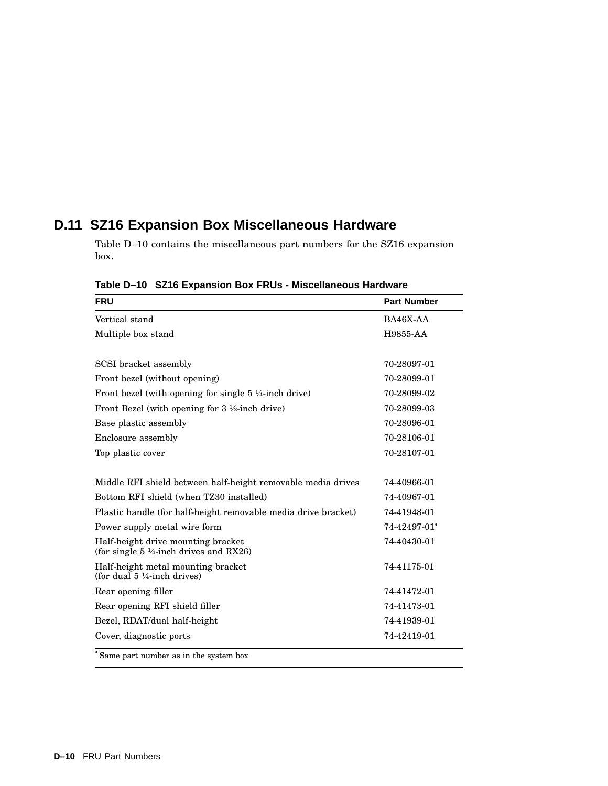# **D.11 SZ16 Expansion Box Miscellaneous Hardware**

Table D–10 contains the miscellaneous part numbers for the SZ16 expansion box.

|  | Table D-10 SZ16 Expansion Box FRUs - Miscellaneous Hardware |  |  |  |
|--|-------------------------------------------------------------|--|--|--|
|--|-------------------------------------------------------------|--|--|--|

| <b>FRU</b>                                                                              | <b>Part Number</b> |
|-----------------------------------------------------------------------------------------|--------------------|
| Vertical stand                                                                          | BA46X-AA           |
| Multiple box stand                                                                      | H9855-AA           |
| SCSI bracket assembly                                                                   | 70-28097-01        |
| Front bezel (without opening)                                                           | 70-28099-01        |
| Front bezel (with opening for single 5 ¼-inch drive)                                    | 70-28099-02        |
| Front Bezel (with opening for 3 1/2-inch drive)                                         | 70-28099-03        |
| Base plastic assembly                                                                   | 70-28096-01        |
| Enclosure assembly                                                                      | 70-28106-01        |
| Top plastic cover                                                                       | 70-28107-01        |
| Middle RFI shield between half-height removable media drives                            | 74-40966-01        |
| Bottom RFI shield (when TZ30 installed)                                                 | 74-40967-01        |
| Plastic handle (for half-height removable media drive bracket)                          | 74-41948-01        |
| Power supply metal wire form                                                            | 74-42497-01*       |
| Half-height drive mounting bracket<br>(for single $5\frac{1}{4}$ -inch drives and RX26) | 74-40430-01        |
| Half-height metal mounting bracket<br>(for dual $5\frac{1}{4}$ -inch drives)            | 74-41175-01        |
| Rear opening filler                                                                     | 74-41472-01        |
| Rear opening RFI shield filler                                                          | 74-41473-01        |
| Bezel, RDAT/dual half-height                                                            | 74-41939-01        |
| Cover, diagnostic ports                                                                 | 74-42419-01        |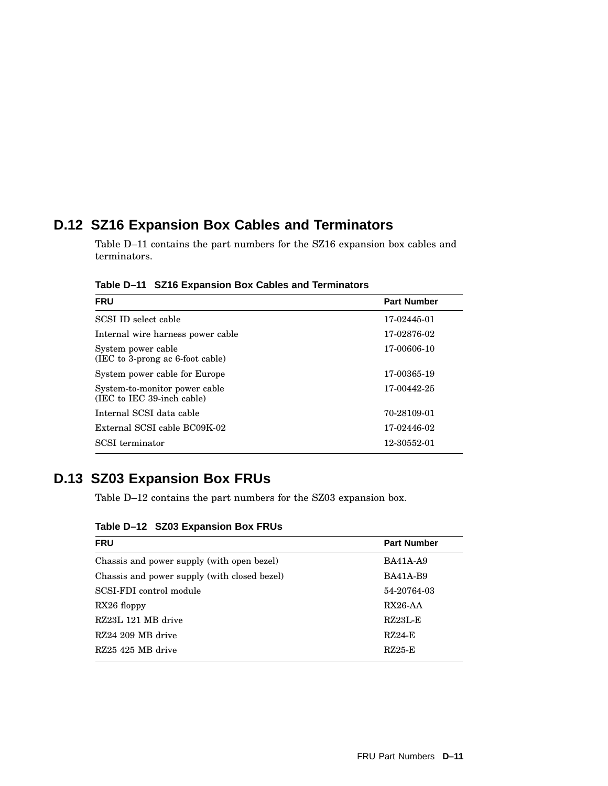# **D.12 SZ16 Expansion Box Cables and Terminators**

Table D–11 contains the part numbers for the SZ16 expansion box cables and terminators.

**Table D–11 SZ16 Expansion Box Cables and Terminators**

| <b>FRU</b>                                                  | <b>Part Number</b> |
|-------------------------------------------------------------|--------------------|
| SCSI ID select cable                                        | 17-02445-01        |
| Internal wire harness power cable                           | 17-02876-02        |
| System power cable<br>$(IEC to 3-prong ac 6-foot cable)$    | 17-00606-10        |
| System power cable for Europe                               | 17-00365-19        |
| System-to-monitor power cable<br>(IEC to IEC 39-inch cable) | 17-00442-25        |
| Internal SCSI data cable                                    | 70-28109-01        |
| External SCSI cable BC09K-02                                | 17-02446-02        |
| SCSI terminator                                             | 12-30552-01        |

# **D.13 SZ03 Expansion Box FRUs**

Table D–12 contains the part numbers for the SZ03 expansion box.

**Table D–12 SZ03 Expansion Box FRUs**

| <b>FRU</b>                                   | <b>Part Number</b> |
|----------------------------------------------|--------------------|
| Chassis and power supply (with open bezel)   | <b>BA41A-A9</b>    |
| Chassis and power supply (with closed bezel) | <b>BA41A-B9</b>    |
| SCSI-FDI control module                      | 54-20764-03        |
| $RX26$ floppy                                | $RX26-AA$          |
| RZ23L 121 MB drive                           | $RZ23L-E$          |
| RZ24 209 MB drive                            | $RZ24-E$           |
| RZ25 425 MB drive                            | $RZ25-E$           |
|                                              |                    |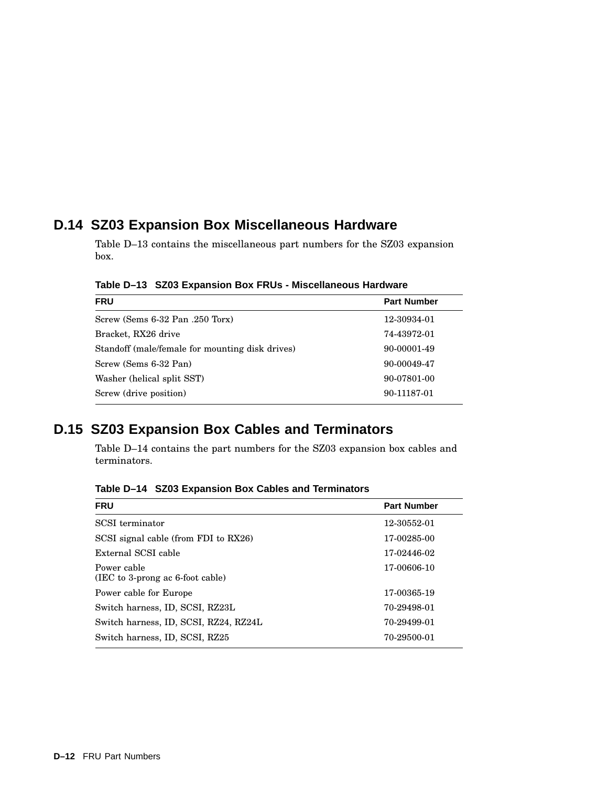# **D.14 SZ03 Expansion Box Miscellaneous Hardware**

Table D–13 contains the miscellaneous part numbers for the SZ03 expansion box.

**Table D–13 SZ03 Expansion Box FRUs - Miscellaneous Hardware**

| <b>FRU</b>                                      | <b>Part Number</b> |
|-------------------------------------------------|--------------------|
| Screw (Sems 6-32 Pan .250 Torx)                 | 12-30934-01        |
| Bracket, RX26 drive                             | 74-43972-01        |
| Standoff (male/female for mounting disk drives) | 90-00001-49        |
| Screw (Sems 6-32 Pan)                           | 90-00049-47        |
| Washer (helical split SST)                      | 90-07801-00        |
| Screw (drive position)                          | 90-11187-01        |

# **D.15 SZ03 Expansion Box Cables and Terminators**

Table D–14 contains the part numbers for the SZ03 expansion box cables and terminators.

**FRU Part Number Part Number Part Part Part Part Part Part Part Part Part Part Part Part Part Part Part Part Part Part Part Part Part Part Part Part Part Part Par** SCSI terminator 12-30552-01 SCSI signal cable (from FDI to RX26) 17-00285-00 External SCSI cable 17-02446-02 Power cable (IEC to 3-prong ac 6-foot cable) 17-00606-10 Power cable for Europe 17-00365-19 Switch harness, ID, SCSI, RZ23L 70-29498-01 Switch harness, ID, SCSI, RZ24, RZ24L 70-29499-01 Switch harness, ID, SCSI, RZ25 70-29500-01

**Table D–14 SZ03 Expansion Box Cables and Terminators**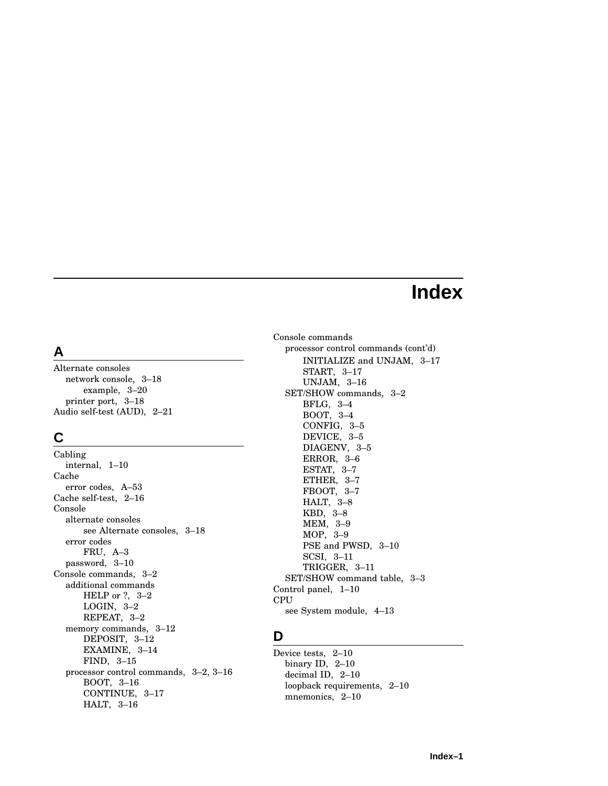# **Index**

# **A**

Alternate consoles network console, 3–18 example, 3–20 printer port, 3–18 Audio self-test (AUD), 2–21

# **C**

Cabling internal, 1–10 Cache error codes, A–53 Cache self-test, 2–16 Console alternate consoles see Alternate consoles, 3–18 error codes FRU, A–3 password, 3–10 Console commands, 3–2 additional commands HELP or ?, 3–2 LOGIN, 3–2 REPEAT, 3–2 memory commands, 3–12 DEPOSIT, 3–12 EXAMINE, 3–14 FIND, 3–15 processor control commands, 3–2, 3–16 BOOT, 3–16 CONTINUE, 3–17 HALT, 3–16

Console commands processor control commands (cont'd) INITIALIZE and UNJAM, 3–17 START, 3–17 UNJAM, 3–16 SET/SHOW commands, 3–2 BFLG, 3–4 BOOT, 3–4 CONFIG, 3–5 DEVICE, 3–5 DIAGENV, 3–5 ERROR, 3–6 ESTAT, 3–7 ETHER, 3–7 FBOOT, 3–7 HALT, 3–8 KBD, 3–8 MEM, 3–9 MOP, 3–9 PSE and PWSD, 3–10 SCSI, 3–11 TRIGGER, 3–11 SET/SHOW command table, 3–3 Control panel, 1–10 CPU see System module, 4–13

#### **D**

Device tests, 2–10 binary ID, 2–10 decimal ID, 2–10 loopback requirements, 2–10 mnemonics, 2-10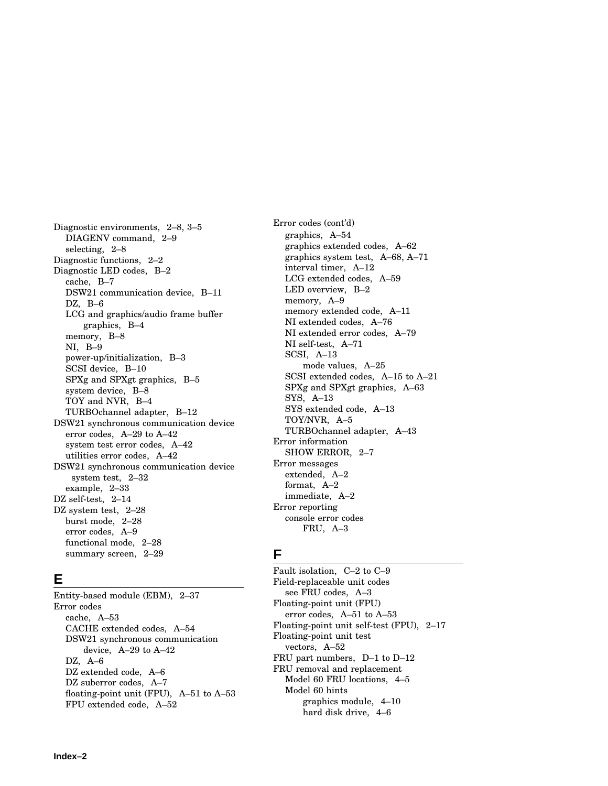Diagnostic environments, 2–8, 3–5 DIAGENV command, 2–9 selecting, 2–8 Diagnostic functions, 2–2 Diagnostic LED codes, B–2 cache, B–7 DSW21 communication device, B–11 DZ, B–6 LCG and graphics/audio frame buffer graphics, B–4 memory, B–8 NI, B–9 power-up/initialization, B–3 SCSI device, B–10 SPXg and SPXgt graphics, B–5 system device, B–8 TOY and NVR, B–4 TURBOchannel adapter, B–12 DSW21 synchronous communication device error codes, A–29 to A–42 system test error codes, A–42 utilities error codes, A–42 DSW21 synchronous communication device system test, 2–32 example, 2–33 DZ self-test, 2-14 DZ system test,  $2-28$ burst mode, 2–28 error codes, A–9 functional mode, 2–28 summary screen, 2–29

#### **E**

Entity-based module (EBM), 2–37 Error codes cache, A–53 CACHE extended codes, A–54 DSW21 synchronous communication device, A–29 to A–42 DZ, A–6 DZ extended code, A–6 DZ suberror codes, A–7 floating-point unit (FPU), A–51 to A–53 FPU extended code, A–52

Error codes (cont'd) graphics, A–54 graphics extended codes, A–62 graphics system test, A–68, A–71 interval timer, A–12 LCG extended codes, A–59 LED overview, B–2 memory, A–9 memory extended code, A–11 NI extended codes, A–76 NI extended error codes, A–79 NI self-test, A–71 SCSI, A–13 mode values, A–25 SCSI extended codes, A–15 to A–21 SPXg and SPXgt graphics, A–63 SYS, A–13 SYS extended code, A–13 TOY/NVR, A–5 TURBOchannel adapter, A–43 Error information SHOW ERROR, 2–7 Error messages extended, A–2 format, A–2 immediate, A–2 Error reporting console error codes FRU, A–3

#### **F**

Fault isolation, C–2 to C–9 Field-replaceable unit codes see FRU codes, A–3 Floating-point unit (FPU) error codes, A–51 to A–53 Floating-point unit self-test (FPU), 2–17 Floating-point unit test vectors, A–52 FRU part numbers, D–1 to D–12 FRU removal and replacement Model 60 FRU locations, 4–5 Model 60 hints graphics module, 4–10 hard disk drive, 4–6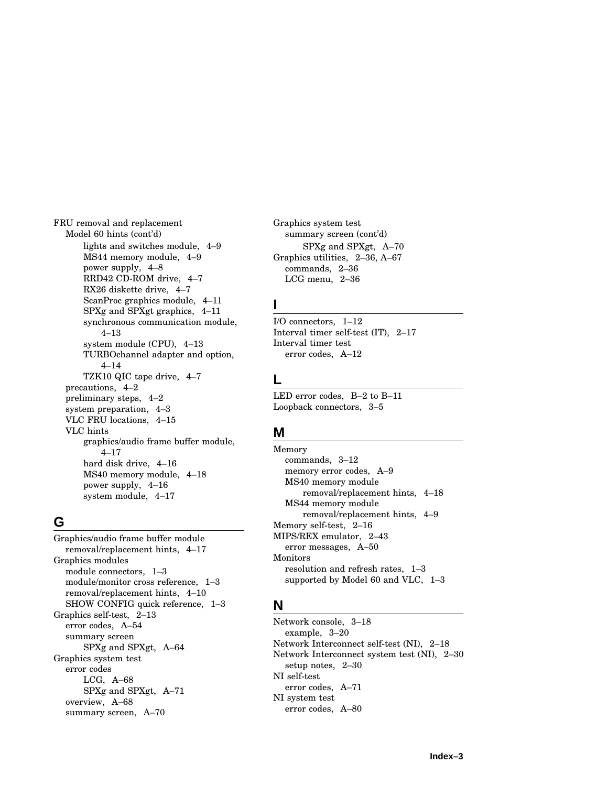FRU removal and replacement Model 60 hints (cont'd) lights and switches module, 4–9 MS44 memory module, 4–9 power supply, 4–8 RRD42 CD-ROM drive, 4–7 RX26 diskette drive, 4–7 ScanProc graphics module, 4–11 SPXg and SPXgt graphics, 4–11 synchronous communication module, 4–13 system module (CPU), 4–13 TURBOchannel adapter and option, 4–14 TZK10 QIC tape drive, 4–7 precautions, 4–2 preliminary steps, 4–2 system preparation, 4–3 VLC FRU locations, 4–15 VLC hints graphics/audio frame buffer module, 4–17 hard disk drive, 4–16 MS40 memory module, 4–18 power supply, 4–16 system module, 4–17

#### **G**

Graphics/audio frame buffer module removal/replacement hints, 4–17 Graphics modules module connectors, 1–3 module/monitor cross reference, 1–3 removal/replacement hints, 4–10 SHOW CONFIG quick reference, 1–3 Graphics self-test, 2–13 error codes, A–54 summary screen SPXg and SPXgt, A–64 Graphics system test error codes LCG, A–68 SPXg and SPXgt, A–71 overview, A–68 summary screen, A–70

Graphics system test summary screen (cont'd) SPXg and SPXgt, A–70 Graphics utilities, 2–36, A–67 commands, 2–36 LCG menu, 2–36

#### **I**

I/O connectors, 1–12 Interval timer self-test (IT), 2–17 Interval timer test error codes, A–12

#### **L**

LED error codes, B–2 to B–11 Loopback connectors, 3–5

#### **M**

Memory commands, 3–12 memory error codes, A–9 MS40 memory module removal/replacement hints, 4–18 MS44 memory module removal/replacement hints, 4–9 Memory self-test, 2–16 MIPS/REX emulator, 2–43 error messages, A–50 Monitors resolution and refresh rates, 1–3 supported by Model 60 and VLC, 1–3

#### **N**

Network console, 3–18 example, 3–20 Network Interconnect self-test (NI), 2–18 Network Interconnect system test (NI), 2–30 setup notes, 2–30 NI self-test error codes, A–71 NI system test error codes, A–80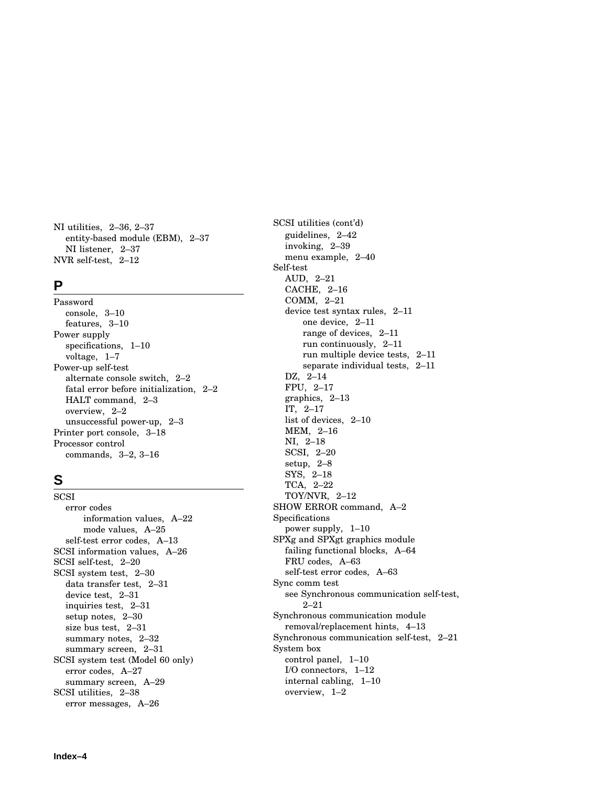NI utilities, 2–36, 2–37 entity-based module (EBM), 2–37 NI listener, 2–37 NVR self-test, 2–12

#### **P**

Password console, 3–10 features, 3–10 Power supply specifications, 1–10 voltage, 1–7 Power-up self-test alternate console switch, 2–2 fatal error before initialization, 2–2 HALT command, 2–3 overview, 2–2 unsuccessful power-up, 2–3 Printer port console, 3–18 Processor control commands, 3–2, 3–16

#### **S**

**SCSI** error codes information values, A–22 mode values, A–25 self-test error codes, A–13 SCSI information values, A–26 SCSI self-test, 2–20 SCSI system test, 2–30 data transfer test, 2–31 device test, 2–31 inquiries test, 2–31 setup notes, 2–30 size bus test, 2–31 summary notes, 2–32 summary screen, 2–31 SCSI system test (Model 60 only) error codes, A–27 summary screen, A–29 SCSI utilities, 2–38 error messages, A–26

SCSI utilities (cont'd) guidelines, 2–42 invoking, 2–39 menu example, 2–40 Self-test AUD, 2–21 CACHE, 2–16 COMM, 2–21 device test syntax rules, 2–11 one device, 2–11 range of devices, 2–11 run continuously, 2–11 run multiple device tests, 2–11 separate individual tests, 2–11 DZ, 2–14 FPU, 2–17 graphics, 2–13 IT, 2–17 list of devices, 2–10 MEM, 2–16 NI, 2–18 SCSI, 2–20 setup, 2–8 SYS, 2–18 TCA, 2–22 TOY/NVR, 2–12 SHOW ERROR command, A–2 Specifications power supply, 1–10 SPXg and SPXgt graphics module failing functional blocks, A–64 FRU codes, A–63 self-test error codes, A–63 Sync comm test see Synchronous communication self-test, 2–21 Synchronous communication module removal/replacement hints, 4–13 Synchronous communication self-test, 2–21 System box control panel, 1–10 I/O connectors, 1–12 internal cabling, 1–10 overview, 1–2